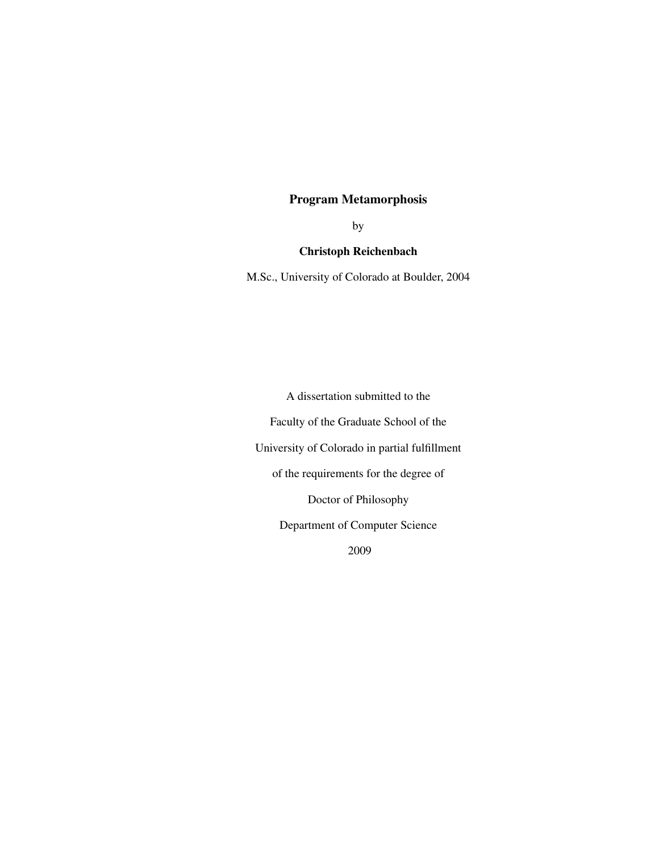# Program Metamorphosis

by

## Christoph Reichenbach

M.Sc., University of Colorado at Boulder, 2004

A dissertation submitted to the

Faculty of the Graduate School of the

University of Colorado in partial fulfillment

of the requirements for the degree of

Doctor of Philosophy

Department of Computer Science

2009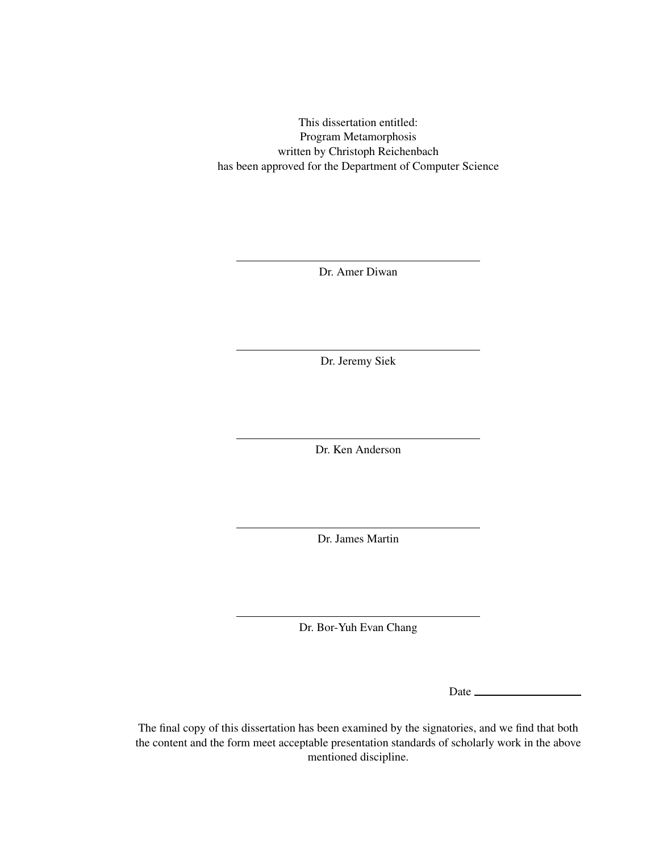This dissertation entitled: Program Metamorphosis written by Christoph Reichenbach has been approved for the Department of Computer Science

Dr. Amer Diwan

Dr. Jeremy Siek

Dr. Ken Anderson

Dr. James Martin

Dr. Bor-Yuh Evan Chang

Date

The final copy of this dissertation has been examined by the signatories, and we find that both the content and the form meet acceptable presentation standards of scholarly work in the above mentioned discipline.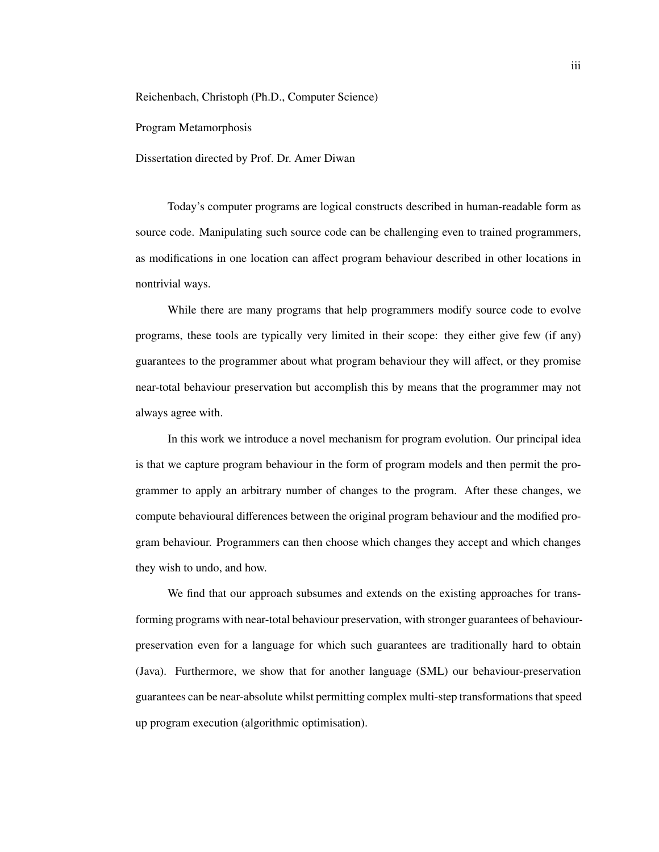Reichenbach, Christoph (Ph.D., Computer Science)

Program Metamorphosis

Dissertation directed by Prof. Dr. Amer Diwan

Today's computer programs are logical constructs described in human-readable form as source code. Manipulating such source code can be challenging even to trained programmers, as modifications in one location can affect program behaviour described in other locations in nontrivial ways.

While there are many programs that help programmers modify source code to evolve programs, these tools are typically very limited in their scope: they either give few (if any) guarantees to the programmer about what program behaviour they will affect, or they promise near-total behaviour preservation but accomplish this by means that the programmer may not always agree with.

In this work we introduce a novel mechanism for program evolution. Our principal idea is that we capture program behaviour in the form of program models and then permit the programmer to apply an arbitrary number of changes to the program. After these changes, we compute behavioural differences between the original program behaviour and the modified program behaviour. Programmers can then choose which changes they accept and which changes they wish to undo, and how.

We find that our approach subsumes and extends on the existing approaches for transforming programs with near-total behaviour preservation, with stronger guarantees of behaviourpreservation even for a language for which such guarantees are traditionally hard to obtain (Java). Furthermore, we show that for another language (SML) our behaviour-preservation guarantees can be near-absolute whilst permitting complex multi-step transformations that speed up program execution (algorithmic optimisation).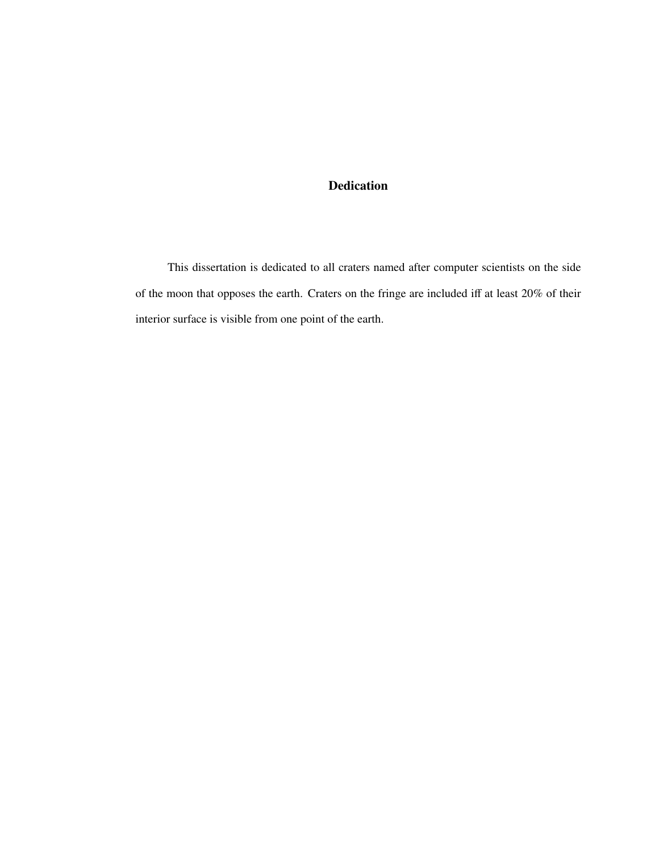# Dedication

This dissertation is dedicated to all craters named after computer scientists on the side of the moon that opposes the earth. Craters on the fringe are included iff at least 20% of their interior surface is visible from one point of the earth.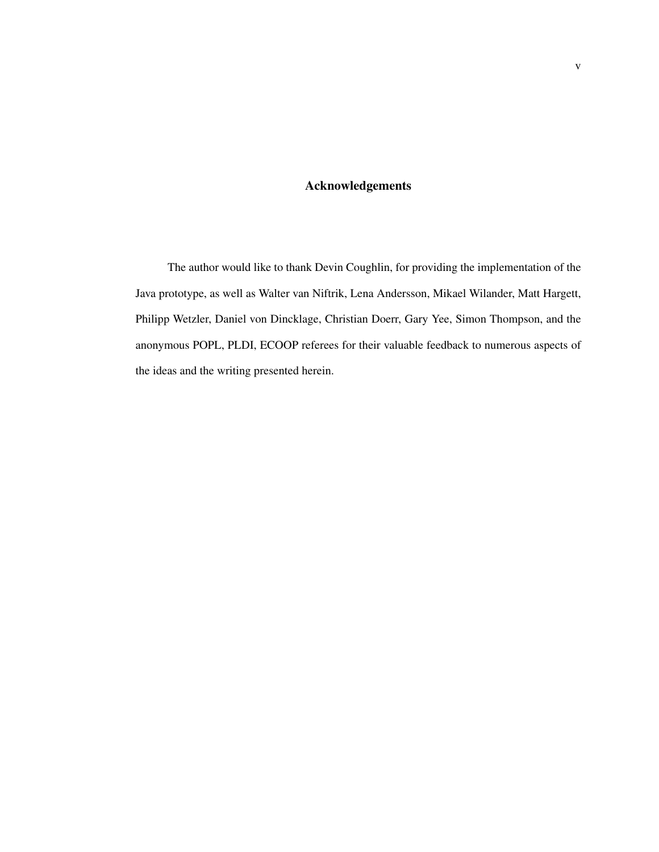## Acknowledgements

The author would like to thank Devin Coughlin, for providing the implementation of the Java prototype, as well as Walter van Niftrik, Lena Andersson, Mikael Wilander, Matt Hargett, Philipp Wetzler, Daniel von Dincklage, Christian Doerr, Gary Yee, Simon Thompson, and the anonymous POPL, PLDI, ECOOP referees for their valuable feedback to numerous aspects of the ideas and the writing presented herein.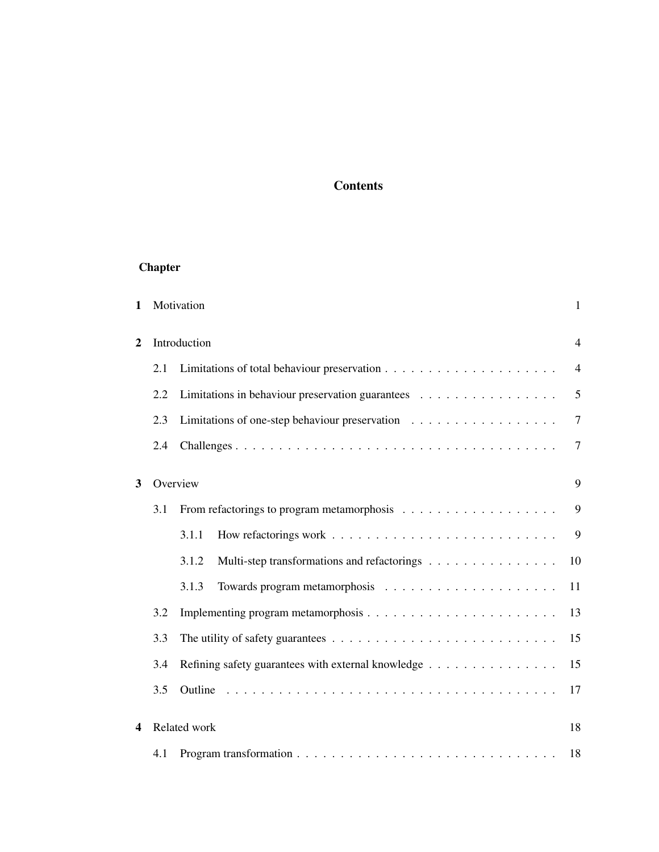# **Contents**

# Chapter

| 1                |     | Motivation                                           | $\mathbf{1}$   |
|------------------|-----|------------------------------------------------------|----------------|
| $\boldsymbol{2}$ |     | Introduction                                         | $\overline{4}$ |
|                  | 2.1 |                                                      | $\overline{4}$ |
|                  | 2.2 | Limitations in behaviour preservation guarantees     | 5              |
|                  | 2.3 | Limitations of one-step behaviour preservation       | $\overline{7}$ |
|                  | 2.4 |                                                      | $\tau$         |
| 3                |     | Overview                                             | 9              |
|                  | 3.1 |                                                      | 9              |
|                  |     | 3.1.1                                                | 9              |
|                  |     | 3.1.2<br>Multi-step transformations and refactorings | 10             |
|                  |     | 3.1.3                                                | 11             |
|                  | 3.2 |                                                      | 13             |
|                  | 3.3 |                                                      | 15             |
|                  | 3.4 | Refining safety guarantees with external knowledge   | 15             |
|                  | 3.5 |                                                      | 17             |
| 4                |     | Related work                                         | 18             |
|                  | 4.1 |                                                      | 18             |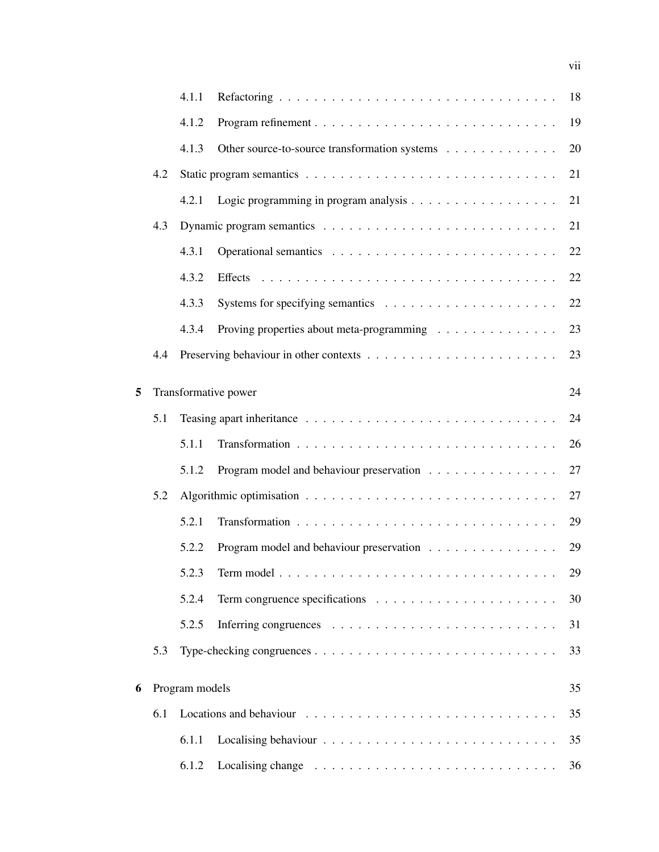|   |     | 4.1.1          |                                                                              | 18 |
|---|-----|----------------|------------------------------------------------------------------------------|----|
|   |     | 4.1.2          |                                                                              | 19 |
|   |     | 4.1.3          | Other source-to-source transformation systems                                | 20 |
|   | 4.2 |                |                                                                              | 21 |
|   |     | 4.2.1          |                                                                              | 21 |
|   | 4.3 |                |                                                                              | 21 |
|   |     | 4.3.1          |                                                                              | 22 |
|   |     | 4.3.2          |                                                                              | 22 |
|   |     | 4.3.3          | Systems for specifying semantics $\dots \dots \dots \dots \dots \dots \dots$ | 22 |
|   |     | 4.3.4          | Proving properties about meta-programming                                    | 23 |
|   | 4.4 |                |                                                                              | 23 |
| 5 |     |                | Transformative power                                                         | 24 |
|   | 5.1 |                |                                                                              | 24 |
|   |     | 5.1.1          |                                                                              | 26 |
|   |     | 5.1.2          | Program model and behaviour preservation                                     | 27 |
|   | 5.2 |                |                                                                              | 27 |
|   |     | 5.2.1          |                                                                              | 29 |
|   |     | 5.2.2          | Program model and behaviour preservation                                     | 29 |
|   |     | 5.2.3          |                                                                              | 29 |
|   |     | 5.2.4          |                                                                              | 30 |
|   |     | 5.2.5          |                                                                              | 31 |
|   | 5.3 |                |                                                                              | 33 |
| 6 |     | Program models |                                                                              | 35 |
|   | 6.1 |                |                                                                              | 35 |
|   |     | 6.1.1          |                                                                              | 35 |
|   |     | 6.1.2          |                                                                              | 36 |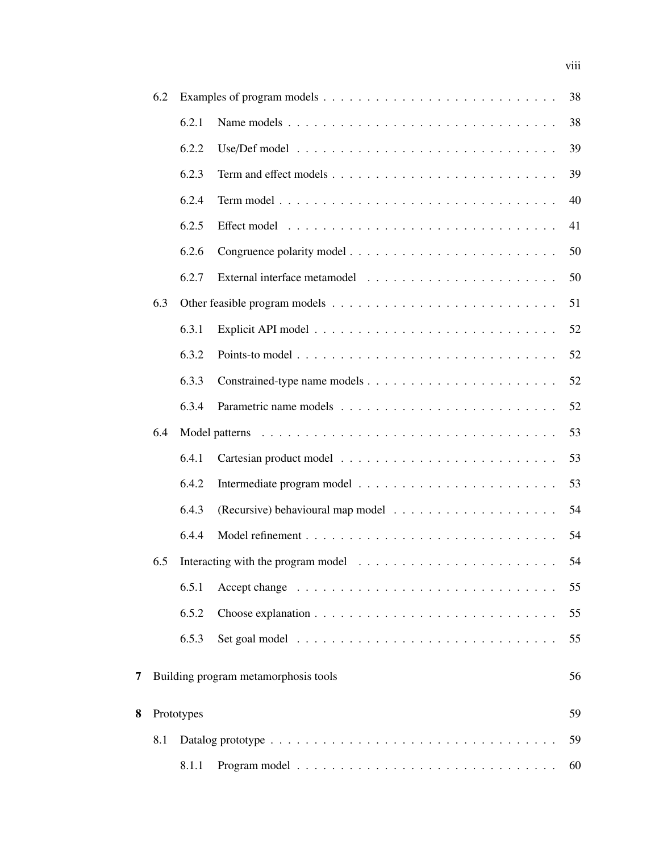|   | 6.2 |            |                                                                                                | 38 |
|---|-----|------------|------------------------------------------------------------------------------------------------|----|
|   |     | 6.2.1      | Name models                                                                                    | 38 |
|   |     | 6.2.2      | Use/Def model $\ldots \ldots \ldots \ldots \ldots \ldots \ldots \ldots \ldots \ldots$          | 39 |
|   |     | 6.2.3      |                                                                                                | 39 |
|   |     | 6.2.4      |                                                                                                | 40 |
|   |     | 6.2.5      |                                                                                                | 41 |
|   |     | 6.2.6      |                                                                                                | 50 |
|   |     | 6.2.7      |                                                                                                | 50 |
|   | 6.3 |            |                                                                                                | 51 |
|   |     | 6.3.1      |                                                                                                | 52 |
|   |     | 6.3.2      | Points-to model $\ldots \ldots \ldots \ldots \ldots \ldots \ldots \ldots \ldots \ldots \ldots$ | 52 |
|   |     | 6.3.3      |                                                                                                | 52 |
|   |     | 6.3.4      |                                                                                                | 52 |
|   | 6.4 |            |                                                                                                | 53 |
|   |     | 6.4.1      |                                                                                                | 53 |
|   |     | 6.4.2      |                                                                                                | 53 |
|   |     | 6.4.3      |                                                                                                | 54 |
|   |     | 6.4.4      |                                                                                                | 54 |
|   | 6.5 |            |                                                                                                | 54 |
|   |     | 6.5.1      |                                                                                                | 55 |
|   |     | 6.5.2      |                                                                                                | 55 |
|   |     | 6.5.3      |                                                                                                | 55 |
| 7 |     |            | Building program metamorphosis tools                                                           | 56 |
| 8 |     | Prototypes |                                                                                                | 59 |
|   | 8.1 |            |                                                                                                | 59 |
|   |     | 8.1.1      |                                                                                                | 60 |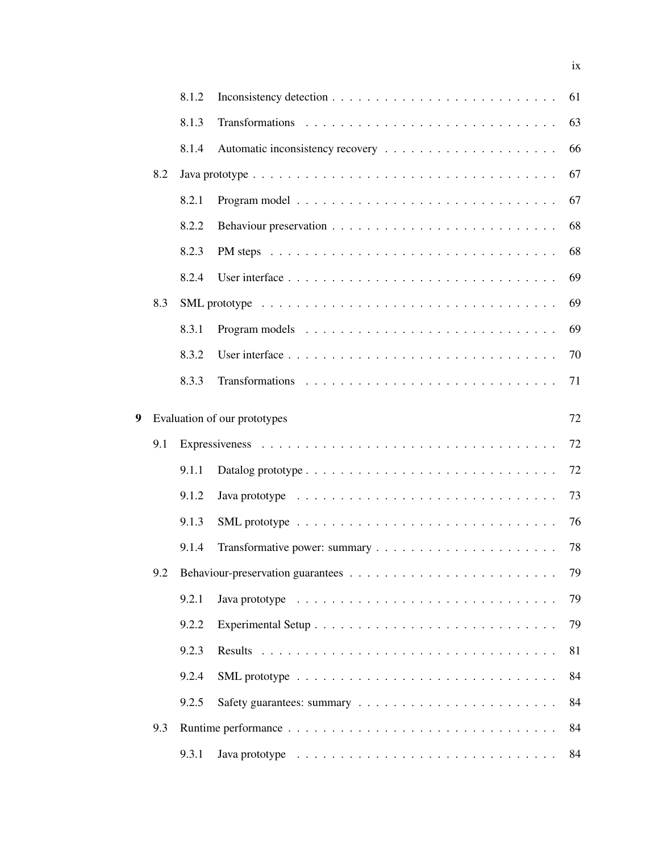|   |     | 8.1.2 |                                                                                                             | 61 |
|---|-----|-------|-------------------------------------------------------------------------------------------------------------|----|
|   |     | 8.1.3 |                                                                                                             | 63 |
|   |     | 8.1.4 |                                                                                                             | 66 |
|   | 8.2 |       | Java prototype $\ldots \ldots \ldots \ldots \ldots \ldots \ldots \ldots \ldots \ldots \ldots \ldots \ldots$ | 67 |
|   |     | 8.2.1 |                                                                                                             | 67 |
|   |     | 8.2.2 |                                                                                                             | 68 |
|   |     | 8.2.3 |                                                                                                             | 68 |
|   |     | 8.2.4 |                                                                                                             | 69 |
|   | 8.3 |       |                                                                                                             | 69 |
|   |     | 8.3.1 |                                                                                                             | 69 |
|   |     | 8.3.2 |                                                                                                             | 70 |
|   |     | 8.3.3 |                                                                                                             | 71 |
| 9 |     |       | Evaluation of our prototypes                                                                                | 72 |
|   | 9.1 |       |                                                                                                             | 72 |
|   |     | 9.1.1 |                                                                                                             | 72 |
|   |     | 9.1.2 |                                                                                                             | 73 |
|   |     | 9.1.3 |                                                                                                             | 76 |
|   |     | 9.1.4 |                                                                                                             | 78 |
|   | 9.2 |       |                                                                                                             | 79 |
|   |     | 9.2.1 | Java prototype $\ldots \ldots \ldots \ldots \ldots \ldots \ldots \ldots \ldots \ldots$                      | 79 |
|   |     | 9.2.2 |                                                                                                             | 79 |
|   |     | 9.2.3 |                                                                                                             | 81 |
|   |     | 9.2.4 |                                                                                                             | 84 |
|   |     | 9.2.5 |                                                                                                             | 84 |
|   |     |       |                                                                                                             |    |
|   | 9.3 |       |                                                                                                             | 84 |

ix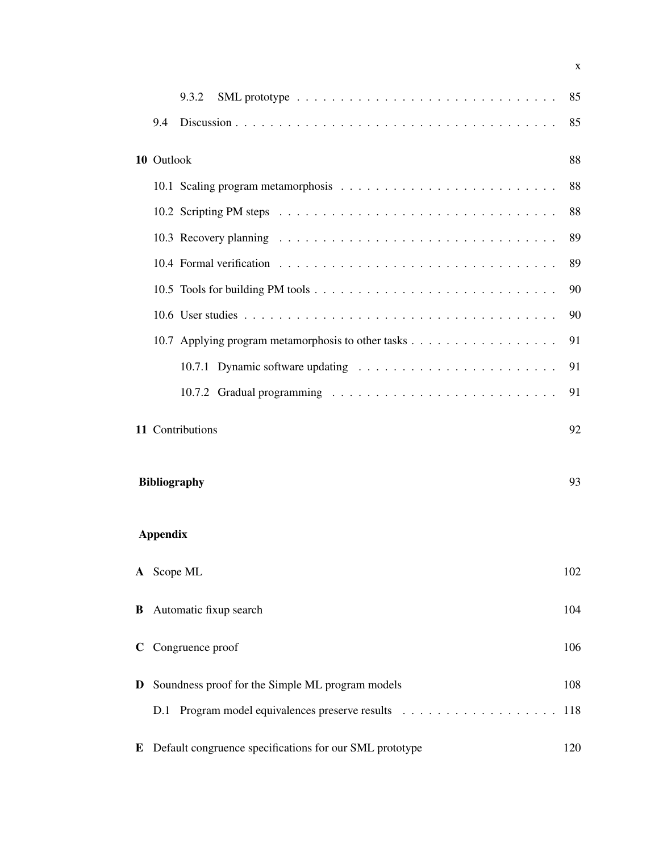|             |                 | 9.3.2                                                                                                                | 85  |
|-------------|-----------------|----------------------------------------------------------------------------------------------------------------------|-----|
|             | 9.4             |                                                                                                                      | 85  |
|             | 10 Outlook      |                                                                                                                      | 88  |
|             |                 |                                                                                                                      | 88  |
|             |                 | 10.2 Scripting PM steps $\ldots \ldots \ldots \ldots \ldots \ldots \ldots \ldots \ldots \ldots \ldots \ldots \ldots$ | 88  |
|             |                 |                                                                                                                      | 89  |
|             |                 |                                                                                                                      | 89  |
|             |                 |                                                                                                                      | 90  |
|             |                 |                                                                                                                      | 90  |
|             |                 |                                                                                                                      | 91  |
|             |                 |                                                                                                                      | 91  |
|             |                 |                                                                                                                      | 91  |
|             |                 | 11 Contributions                                                                                                     | 92  |
|             |                 | <b>Bibliography</b>                                                                                                  | 93  |
|             | <b>Appendix</b> |                                                                                                                      |     |
|             |                 | A Scope ML                                                                                                           | 102 |
| В           |                 | Automatic fixup search                                                                                               | 104 |
| $\mathbf C$ |                 | Congruence proof                                                                                                     | 106 |
| D           |                 | Soundness proof for the Simple ML program models                                                                     | 108 |
|             |                 | D.1 Program model equivalences preserve results                                                                      | 118 |
| E           |                 | Default congruence specifications for our SML prototype                                                              | 120 |

x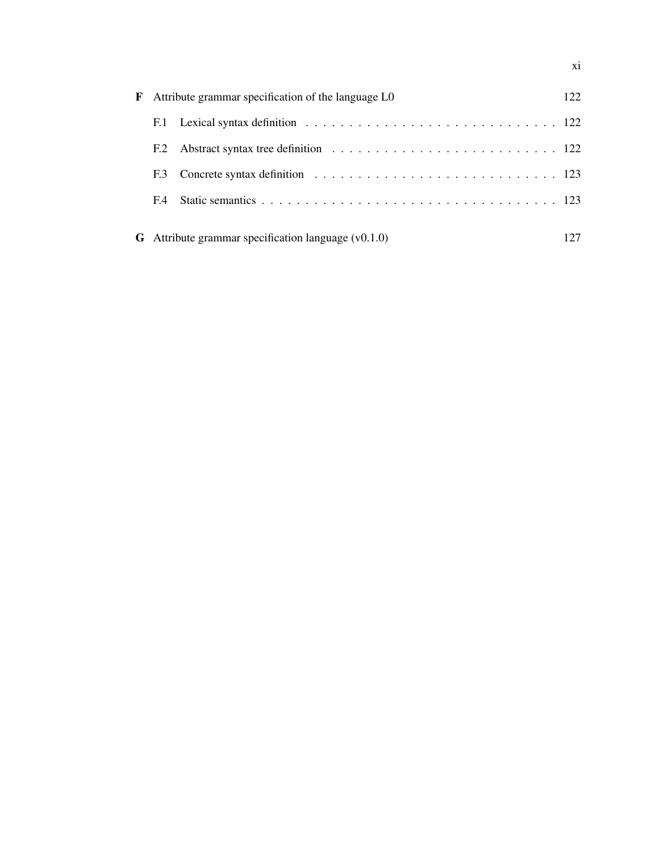| F |     | Attribute grammar specification of the language L0           | 122. |  |  |  |  |
|---|-----|--------------------------------------------------------------|------|--|--|--|--|
|   |     |                                                              |      |  |  |  |  |
|   | F.2 |                                                              |      |  |  |  |  |
|   | F.3 |                                                              |      |  |  |  |  |
|   | F.4 |                                                              |      |  |  |  |  |
|   |     | <b>G</b> Attribute grammar specification language $(v0.1.0)$ |      |  |  |  |  |

xi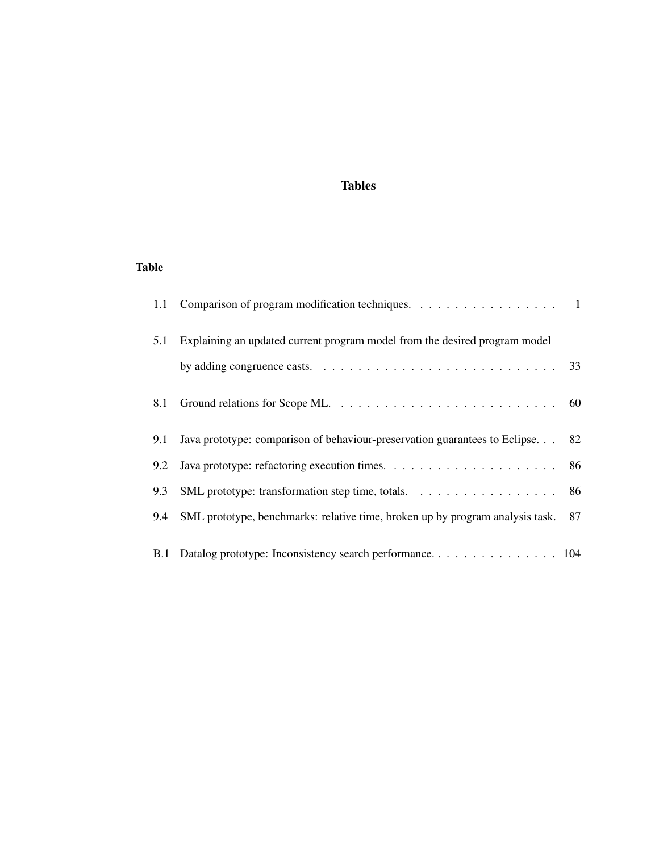# Tables

# Table

| 1.1 | Comparison of program modification techniques. 1                              |    |
|-----|-------------------------------------------------------------------------------|----|
| 5.1 | Explaining an updated current program model from the desired program model    |    |
|     |                                                                               |    |
| 8.1 |                                                                               |    |
| 9.1 | Java prototype: comparison of behaviour-preservation guarantees to Eclipse.   | 82 |
| 9.2 |                                                                               |    |
| 9.3 | SML prototype: transformation step time, totals. 86                           |    |
| 9.4 | SML prototype, benchmarks: relative time, broken up by program analysis task. | 87 |
|     |                                                                               |    |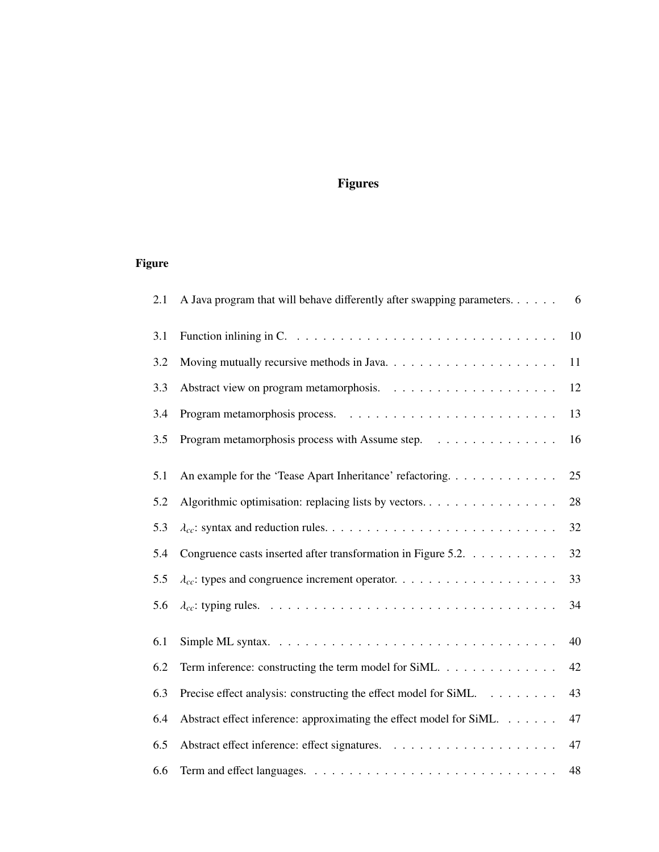# Figures

# Figure

| 2.1 | A Java program that will behave differently after swapping parameters 6                         |    |
|-----|-------------------------------------------------------------------------------------------------|----|
| 3.1 | Function inlining in $C. \ldots \ldots \ldots \ldots \ldots \ldots \ldots \ldots \ldots \ldots$ | 10 |
| 3.2 |                                                                                                 | 11 |
| 3.3 |                                                                                                 | 12 |
| 3.4 |                                                                                                 | 13 |
| 3.5 | Program metamorphosis process with Assume step.                                                 | 16 |
| 5.1 | An example for the 'Tease Apart Inheritance' refactoring.                                       | 25 |
| 5.2 | Algorithmic optimisation: replacing lists by vectors.                                           | 28 |
| 5.3 |                                                                                                 | 32 |
| 5.4 | Congruence casts inserted after transformation in Figure 5.2.                                   | 32 |
| 5.5 |                                                                                                 | 33 |
| 5.6 |                                                                                                 | 34 |
| 6.1 |                                                                                                 | 40 |
| 6.2 | Term inference: constructing the term model for SiML.                                           | 42 |
| 6.3 | Precise effect analysis: constructing the effect model for SiML.                                | 43 |
| 6.4 | Abstract effect inference: approximating the effect model for SiML.                             | 47 |
| 6.5 |                                                                                                 | 47 |
| 6.6 |                                                                                                 | 48 |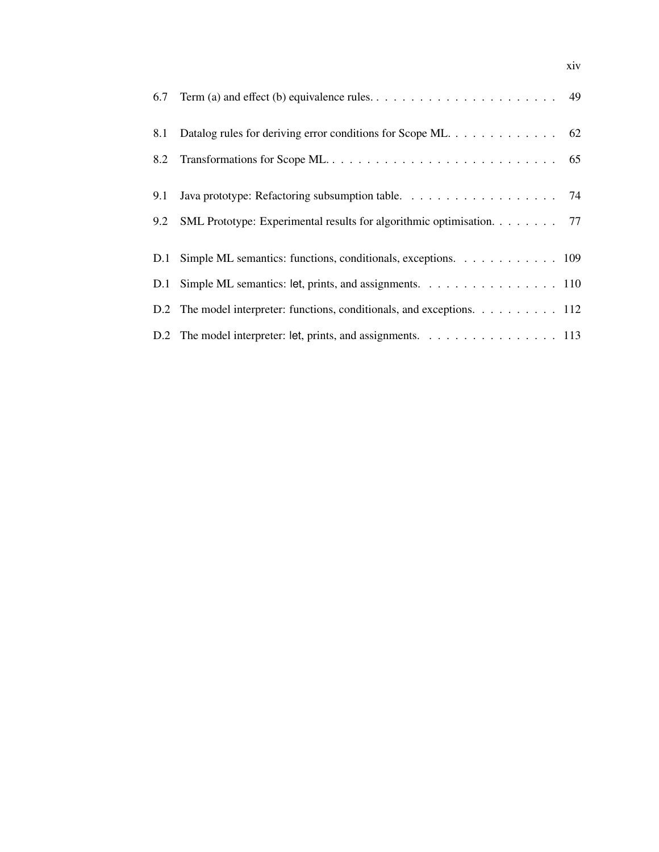| 6.7 | Term (a) and effect (b) equivalence rules. $\dots \dots \dots \dots \dots \dots \dots \dots \dots \dots$ 49 |
|-----|-------------------------------------------------------------------------------------------------------------|
| 8.1 | Datalog rules for deriving error conditions for Scope ML. 62                                                |
| 8.2 |                                                                                                             |
|     |                                                                                                             |
| 9.1 |                                                                                                             |
| 9.2 | SML Prototype: Experimental results for algorithmic optimisation. 77                                        |
|     | D.1 Simple ML semantics: functions, conditionals, exceptions. 109                                           |
|     | D.1 Simple ML semantics: let, prints, and assignments. 110                                                  |
|     | D.2 The model interpreter: functions, conditionals, and exceptions. 112                                     |
|     | D.2 The model interpreter: let, prints, and assignments. 113                                                |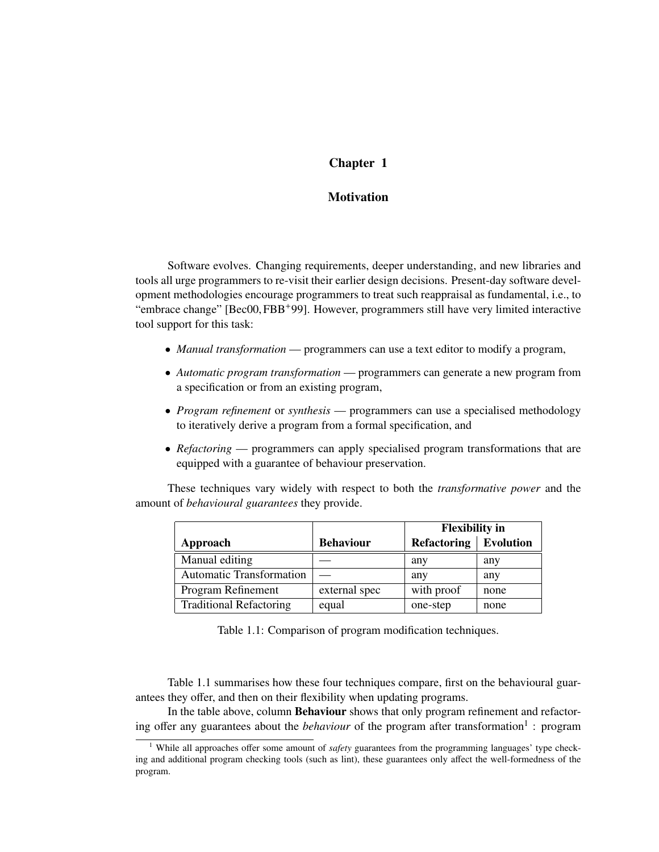## Chapter 1

## **Motivation**

Software evolves. Changing requirements, deeper understanding, and new libraries and tools all urge programmers to re-visit their earlier design decisions. Present-day software development methodologies encourage programmers to treat such reappraisal as fundamental, i.e., to "embrace change" [Bec00, FBB+99]. However, programmers still have very limited interactive tool support for this task:

- *Manual transformation* programmers can use a text editor to modify a program,
- *Automatic program transformation* programmers can generate a new program from a specification or from an existing program,
- *Program refinement* or *synthesis* programmers can use a specialised methodology to iteratively derive a program from a formal specification, and
- *Refactoring* programmers can apply specialised program transformations that are equipped with a guarantee of behaviour preservation.

These techniques vary widely with respect to both the *transformative power* and the amount of *behavioural guarantees* they provide.

|                                 |                  | <b>Flexibility</b> in   |      |
|---------------------------------|------------------|-------------------------|------|
| Approach                        | <b>Behaviour</b> | Refactoring   Evolution |      |
| Manual editing                  |                  | any                     | any  |
| <b>Automatic Transformation</b> |                  | any                     | any  |
| Program Refinement              | external spec    | with proof              | none |
| <b>Traditional Refactoring</b>  | equal            | one-step                | none |

Table 1.1: Comparison of program modification techniques.

Table 1.1 summarises how these four techniques compare, first on the behavioural guarantees they offer, and then on their flexibility when updating programs.

In the table above, column Behaviour shows that only program refinement and refactoring offer any guarantees about the *behaviour* of the program after transformation<sup>1</sup>: program

<sup>&</sup>lt;sup>1</sup> While all approaches offer some amount of *safety* guarantees from the programming languages' type checking and additional program checking tools (such as lint), these guarantees only affect the well-formedness of the program.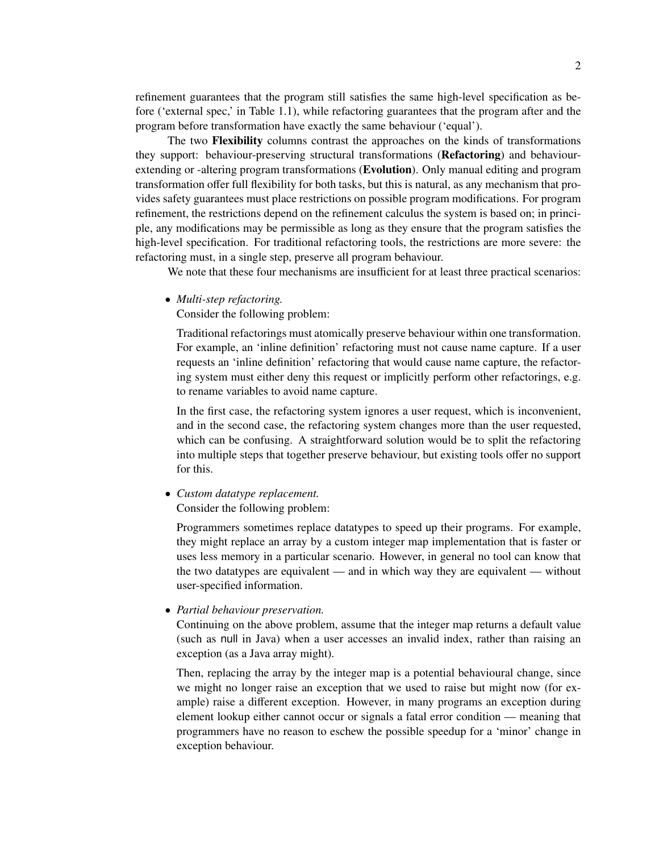refinement guarantees that the program still satisfies the same high-level specification as before ('external spec,' in Table 1.1), while refactoring guarantees that the program after and the program before transformation have exactly the same behaviour ('equal').

The two Flexibility columns contrast the approaches on the kinds of transformations they support: behaviour-preserving structural transformations (Refactoring) and behaviourextending or -altering program transformations (**Evolution**). Only manual editing and program transformation offer full flexibility for both tasks, but this is natural, as any mechanism that provides safety guarantees must place restrictions on possible program modifications. For program refinement, the restrictions depend on the refinement calculus the system is based on; in principle, any modifications may be permissible as long as they ensure that the program satisfies the high-level specification. For traditional refactoring tools, the restrictions are more severe: the refactoring must, in a single step, preserve all program behaviour.

We note that these four mechanisms are insufficient for at least three practical scenarios:

• *Multi-step refactoring.*

Consider the following problem:

Traditional refactorings must atomically preserve behaviour within one transformation. For example, an 'inline definition' refactoring must not cause name capture. If a user requests an 'inline definition' refactoring that would cause name capture, the refactoring system must either deny this request or implicitly perform other refactorings, e.g. to rename variables to avoid name capture.

In the first case, the refactoring system ignores a user request, which is inconvenient, and in the second case, the refactoring system changes more than the user requested, which can be confusing. A straightforward solution would be to split the refactoring into multiple steps that together preserve behaviour, but existing tools offer no support for this.

• *Custom datatype replacement.*

Consider the following problem:

Programmers sometimes replace datatypes to speed up their programs. For example, they might replace an array by a custom integer map implementation that is faster or uses less memory in a particular scenario. However, in general no tool can know that the two datatypes are equivalent — and in which way they are equivalent — without user-specified information.

#### • *Partial behaviour preservation.*

Continuing on the above problem, assume that the integer map returns a default value (such as null in Java) when a user accesses an invalid index, rather than raising an exception (as a Java array might).

Then, replacing the array by the integer map is a potential behavioural change, since we might no longer raise an exception that we used to raise but might now (for example) raise a different exception. However, in many programs an exception during element lookup either cannot occur or signals a fatal error condition — meaning that programmers have no reason to eschew the possible speedup for a 'minor' change in exception behaviour.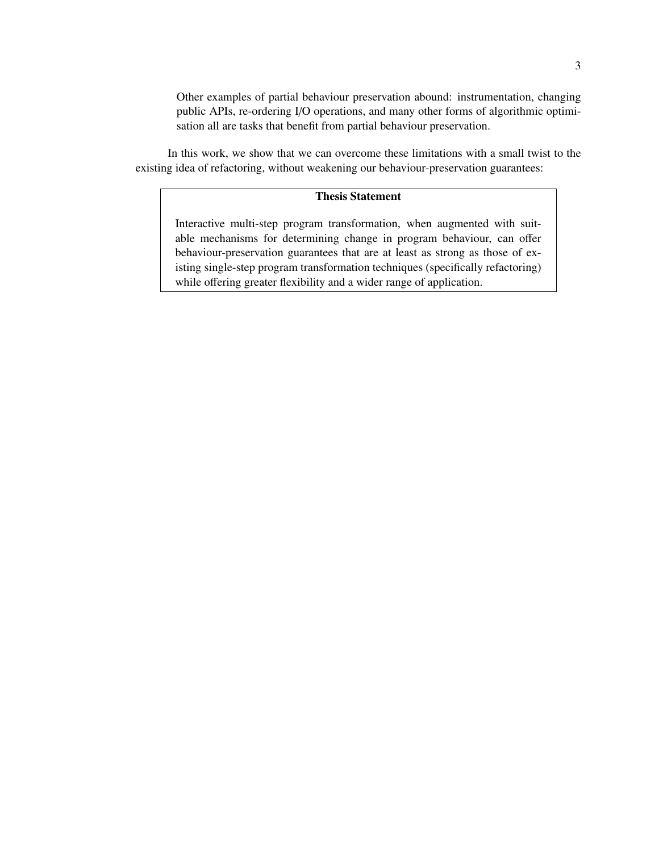Other examples of partial behaviour preservation abound: instrumentation, changing public APIs, re-ordering I/O operations, and many other forms of algorithmic optimisation all are tasks that benefit from partial behaviour preservation.

In this work, we show that we can overcome these limitations with a small twist to the existing idea of refactoring, without weakening our behaviour-preservation guarantees:

## Thesis Statement

Interactive multi-step program transformation, when augmented with suitable mechanisms for determining change in program behaviour, can offer behaviour-preservation guarantees that are at least as strong as those of existing single-step program transformation techniques (specifically refactoring) while offering greater flexibility and a wider range of application.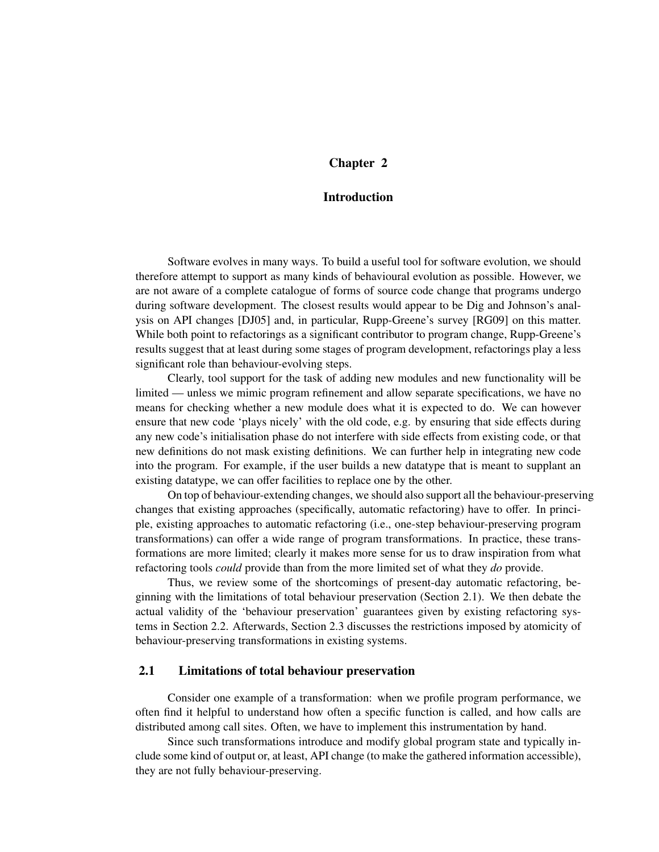## Chapter 2

## Introduction

Software evolves in many ways. To build a useful tool for software evolution, we should therefore attempt to support as many kinds of behavioural evolution as possible. However, we are not aware of a complete catalogue of forms of source code change that programs undergo during software development. The closest results would appear to be Dig and Johnson's analysis on API changes [DJ05] and, in particular, Rupp-Greene's survey [RG09] on this matter. While both point to refactorings as a significant contributor to program change, Rupp-Greene's results suggest that at least during some stages of program development, refactorings play a less significant role than behaviour-evolving steps.

Clearly, tool support for the task of adding new modules and new functionality will be limited — unless we mimic program refinement and allow separate specifications, we have no means for checking whether a new module does what it is expected to do. We can however ensure that new code 'plays nicely' with the old code, e.g. by ensuring that side effects during any new code's initialisation phase do not interfere with side effects from existing code, or that new definitions do not mask existing definitions. We can further help in integrating new code into the program. For example, if the user builds a new datatype that is meant to supplant an existing datatype, we can offer facilities to replace one by the other.

On top of behaviour-extending changes, we should also support all the behaviour-preserving changes that existing approaches (specifically, automatic refactoring) have to offer. In principle, existing approaches to automatic refactoring (i.e., one-step behaviour-preserving program transformations) can offer a wide range of program transformations. In practice, these transformations are more limited; clearly it makes more sense for us to draw inspiration from what refactoring tools *could* provide than from the more limited set of what they *do* provide.

Thus, we review some of the shortcomings of present-day automatic refactoring, beginning with the limitations of total behaviour preservation (Section 2.1). We then debate the actual validity of the 'behaviour preservation' guarantees given by existing refactoring systems in Section 2.2. Afterwards, Section 2.3 discusses the restrictions imposed by atomicity of behaviour-preserving transformations in existing systems.

## 2.1 Limitations of total behaviour preservation

Consider one example of a transformation: when we profile program performance, we often find it helpful to understand how often a specific function is called, and how calls are distributed among call sites. Often, we have to implement this instrumentation by hand.

Since such transformations introduce and modify global program state and typically include some kind of output or, at least, API change (to make the gathered information accessible), they are not fully behaviour-preserving.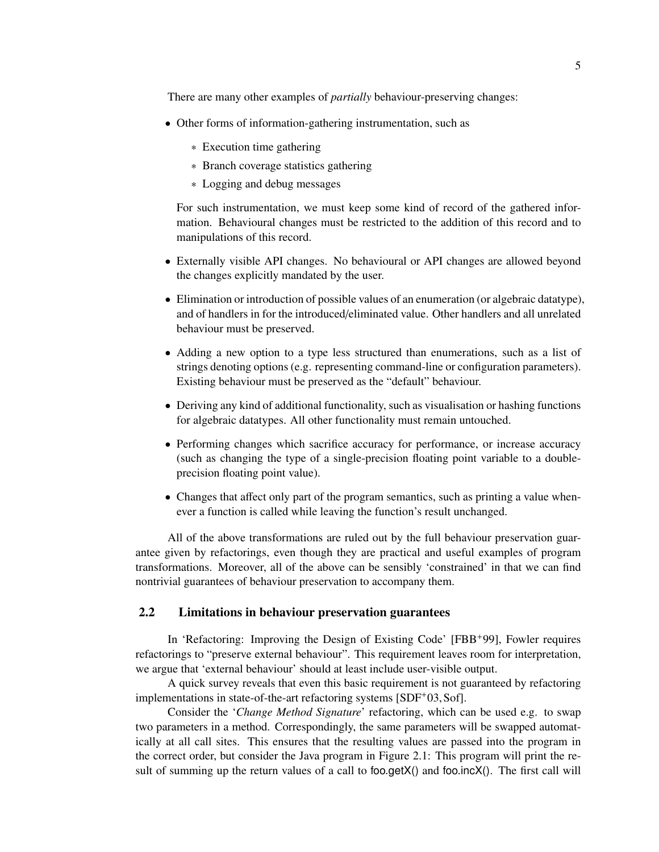There are many other examples of *partially* behaviour-preserving changes:

- Other forms of information-gathering instrumentation, such as
	- ∗ Execution time gathering
	- ∗ Branch coverage statistics gathering
	- ∗ Logging and debug messages

For such instrumentation, we must keep some kind of record of the gathered information. Behavioural changes must be restricted to the addition of this record and to manipulations of this record.

- Externally visible API changes. No behavioural or API changes are allowed beyond the changes explicitly mandated by the user.
- Elimination or introduction of possible values of an enumeration (or algebraic datatype), and of handlers in for the introduced/eliminated value. Other handlers and all unrelated behaviour must be preserved.
- Adding a new option to a type less structured than enumerations, such as a list of strings denoting options (e.g. representing command-line or configuration parameters). Existing behaviour must be preserved as the "default" behaviour.
- Deriving any kind of additional functionality, such as visualisation or hashing functions for algebraic datatypes. All other functionality must remain untouched.
- Performing changes which sacrifice accuracy for performance, or increase accuracy (such as changing the type of a single-precision floating point variable to a doubleprecision floating point value).
- Changes that affect only part of the program semantics, such as printing a value whenever a function is called while leaving the function's result unchanged.

All of the above transformations are ruled out by the full behaviour preservation guarantee given by refactorings, even though they are practical and useful examples of program transformations. Moreover, all of the above can be sensibly 'constrained' in that we can find nontrivial guarantees of behaviour preservation to accompany them.

### 2.2 Limitations in behaviour preservation guarantees

In 'Refactoring: Improving the Design of Existing Code' [FBB+99], Fowler requires refactorings to "preserve external behaviour". This requirement leaves room for interpretation, we argue that 'external behaviour' should at least include user-visible output.

A quick survey reveals that even this basic requirement is not guaranteed by refactoring implementations in state-of-the-art refactoring systems [SDF+03, Sof].

Consider the '*Change Method Signature*' refactoring, which can be used e.g. to swap two parameters in a method. Correspondingly, the same parameters will be swapped automatically at all call sites. This ensures that the resulting values are passed into the program in the correct order, but consider the Java program in Figure 2.1: This program will print the result of summing up the return values of a call to foo.getX() and foo.incX(). The first call will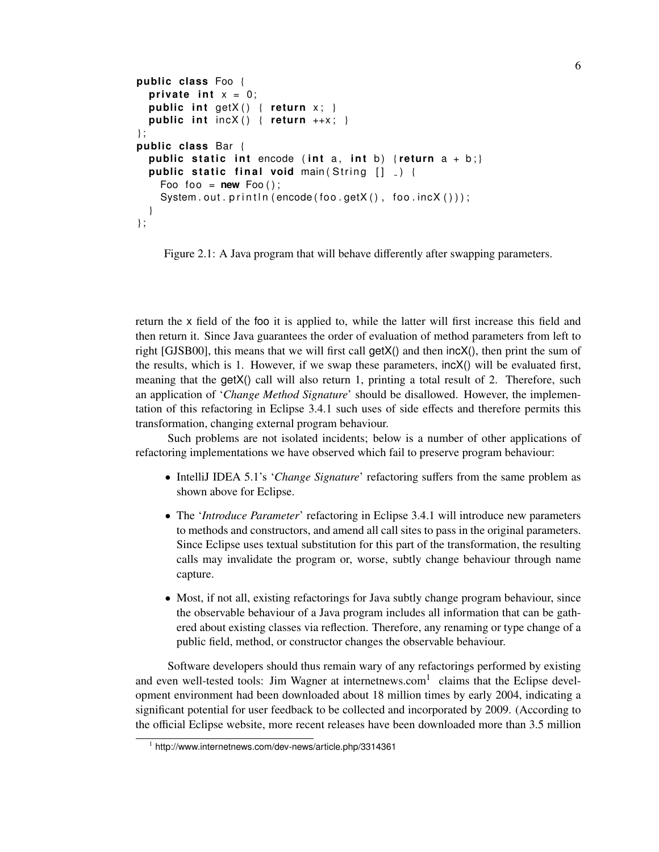```
public class Foo {
  private int x = 0;
  public int getX() { return x; }
  public int incX() { return ++x; }
} ;
public class Bar {
  public static int encode (int a, int b) { return a + b ; }
  public static final void main (String [] \rightarrow {
    Foo foo = new Foo();
    System.out.println(encode(foo.getX(), foo.incX()));
  }
} ;
```
Figure 2.1: A Java program that will behave differently after swapping parameters.

return the x field of the foo it is applied to, while the latter will first increase this field and then return it. Since Java guarantees the order of evaluation of method parameters from left to right [GJSB00], this means that we will first call  $\text{qetX}()$  and then  $\text{incX}()$ , then print the sum of the results, which is 1. However, if we swap these parameters, incX() will be evaluated first, meaning that the getX() call will also return 1, printing a total result of 2. Therefore, such an application of '*Change Method Signature*' should be disallowed. However, the implementation of this refactoring in Eclipse 3.4.1 such uses of side effects and therefore permits this transformation, changing external program behaviour.

Such problems are not isolated incidents; below is a number of other applications of refactoring implementations we have observed which fail to preserve program behaviour:

- IntelliJ IDEA 5.1's '*Change Signature*' refactoring suffers from the same problem as shown above for Eclipse.
- The '*Introduce Parameter*' refactoring in Eclipse 3.4.1 will introduce new parameters to methods and constructors, and amend all call sites to pass in the original parameters. Since Eclipse uses textual substitution for this part of the transformation, the resulting calls may invalidate the program or, worse, subtly change behaviour through name capture.
- Most, if not all, existing refactorings for Java subtly change program behaviour, since the observable behaviour of a Java program includes all information that can be gathered about existing classes via reflection. Therefore, any renaming or type change of a public field, method, or constructor changes the observable behaviour.

Software developers should thus remain wary of any refactorings performed by existing and even well-tested tools: Jim Wagner at internetnews.com<sup>1</sup> claims that the Eclipse development environment had been downloaded about 18 million times by early 2004, indicating a significant potential for user feedback to be collected and incorporated by 2009. (According to the official Eclipse website, more recent releases have been downloaded more than 3.5 million

<sup>1</sup> http://www.internetnews.com/dev-news/article.php/3314361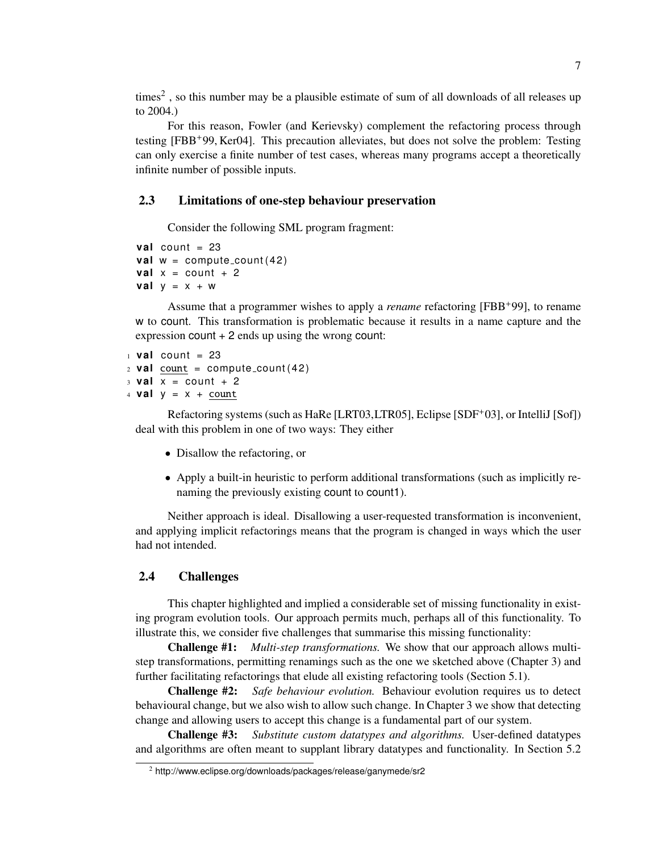times<sup>2</sup>, so this number may be a plausible estimate of sum of all downloads of all releases up to 2004.)

For this reason, Fowler (and Kerievsky) complement the refactoring process through testing [FBB+99, Ker04]. This precaution alleviates, but does not solve the problem: Testing can only exercise a finite number of test cases, whereas many programs accept a theoretically infinite number of possible inputs.

## 2.3 Limitations of one-step behaviour preservation

Consider the following SML program fragment:

 $val$  count = 23 **val**  $w =$  compute\_count (42) **val**  $x = count + 2$ **val**  $y = x + w$ 

Assume that a programmer wishes to apply a *rename* refactoring [FBB+99], to rename w to count. This transformation is problematic because it results in a name capture and the expression  $count + 2$  ends up using the wrong count:

```
1 val count = 23
2 val count = compute_count (42)
3 val x = count +24 val y = x + count
```
Refactoring systems (such as HaRe [LRT03,LTR05], Eclipse [SDF+03], or IntelliJ [Sof]) deal with this problem in one of two ways: They either

- Disallow the refactoring, or
- Apply a built-in heuristic to perform additional transformations (such as implicitly renaming the previously existing count to count1).

Neither approach is ideal. Disallowing a user-requested transformation is inconvenient, and applying implicit refactorings means that the program is changed in ways which the user had not intended.

## 2.4 Challenges

This chapter highlighted and implied a considerable set of missing functionality in existing program evolution tools. Our approach permits much, perhaps all of this functionality. To illustrate this, we consider five challenges that summarise this missing functionality:

Challenge #1: *Multi-step transformations.* We show that our approach allows multistep transformations, permitting renamings such as the one we sketched above (Chapter 3) and further facilitating refactorings that elude all existing refactoring tools (Section 5.1).

Challenge #2: *Safe behaviour evolution.* Behaviour evolution requires us to detect behavioural change, but we also wish to allow such change. In Chapter 3 we show that detecting change and allowing users to accept this change is a fundamental part of our system.

Challenge #3: *Substitute custom datatypes and algorithms.* User-defined datatypes and algorithms are often meant to supplant library datatypes and functionality. In Section 5.2

<sup>2</sup> http://www.eclipse.org/downloads/packages/release/ganymede/sr2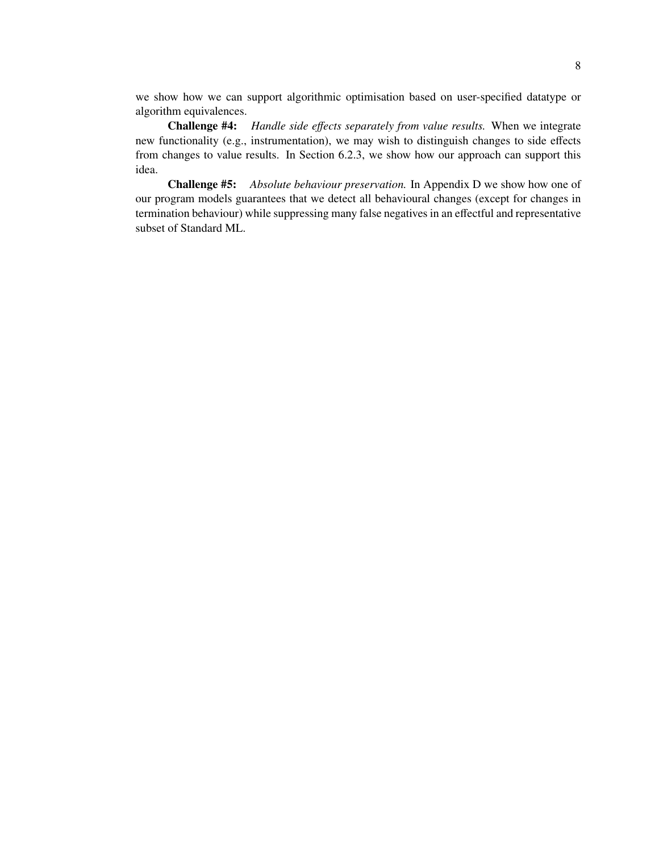we show how we can support algorithmic optimisation based on user-specified datatype or algorithm equivalences.

Challenge #4: *Handle side e*ff*ects separately from value results.* When we integrate new functionality (e.g., instrumentation), we may wish to distinguish changes to side effects from changes to value results. In Section 6.2.3, we show how our approach can support this idea.

Challenge #5: *Absolute behaviour preservation.* In Appendix D we show how one of our program models guarantees that we detect all behavioural changes (except for changes in termination behaviour) while suppressing many false negatives in an effectful and representative subset of Standard ML.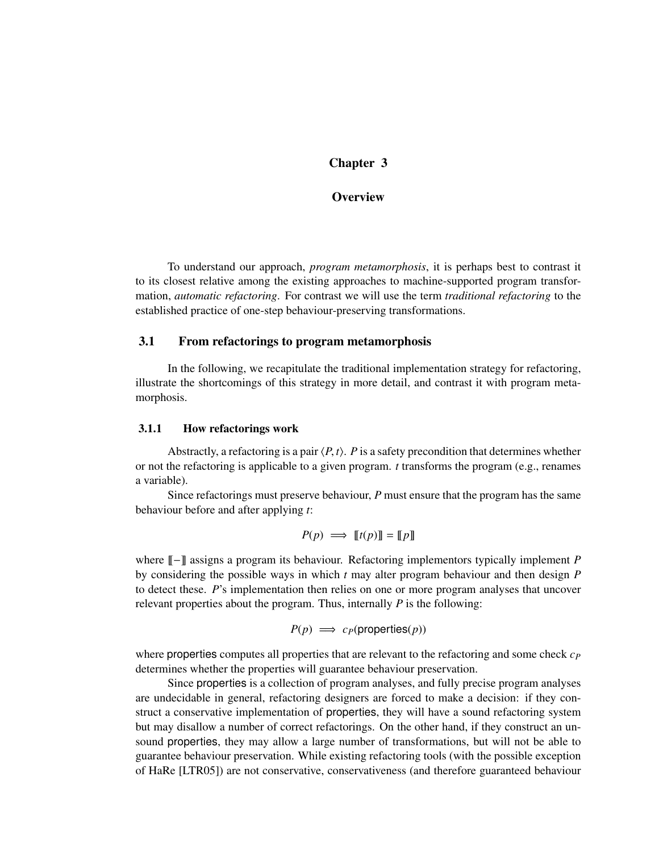## Chapter 3

## **Overview**

To understand our approach, *program metamorphosis*, it is perhaps best to contrast it to its closest relative among the existing approaches to machine-supported program transformation, *automatic refactoring*. For contrast we will use the term *traditional refactoring* to the established practice of one-step behaviour-preserving transformations.

#### 3.1 From refactorings to program metamorphosis

In the following, we recapitulate the traditional implementation strategy for refactoring, illustrate the shortcomings of this strategy in more detail, and contrast it with program metamorphosis.

#### 3.1.1 How refactorings work

Abstractly, a refactoring is a pair  $\langle P, t \rangle$ . *P* is a safety precondition that determines whether or not the refactoring is applicable to a given program. *t* transforms the program (e.g., renames a variable).

Since refactorings must preserve behaviour, *P* must ensure that the program has the same behaviour before and after applying *t*:

$$
P(p) \implies [[t(p)]] = [[p]]
$$

where  $\llbracket - \rrbracket$  assigns a program its behaviour. Refactoring implementors typically implement *P* by considering the possible ways in which *t* may alter program behaviour and then design *P* to detect these. *P*'s implementation then relies on one or more program analyses that uncover relevant properties about the program. Thus, internally *P* is the following:

$$
P(p) \implies c_P(\text{properties}(p))
$$

where properties computes all properties that are relevant to the refactoring and some check *c<sup>P</sup>* determines whether the properties will guarantee behaviour preservation.

Since properties is a collection of program analyses, and fully precise program analyses are undecidable in general, refactoring designers are forced to make a decision: if they construct a conservative implementation of properties, they will have a sound refactoring system but may disallow a number of correct refactorings. On the other hand, if they construct an unsound properties, they may allow a large number of transformations, but will not be able to guarantee behaviour preservation. While existing refactoring tools (with the possible exception of HaRe [LTR05]) are not conservative, conservativeness (and therefore guaranteed behaviour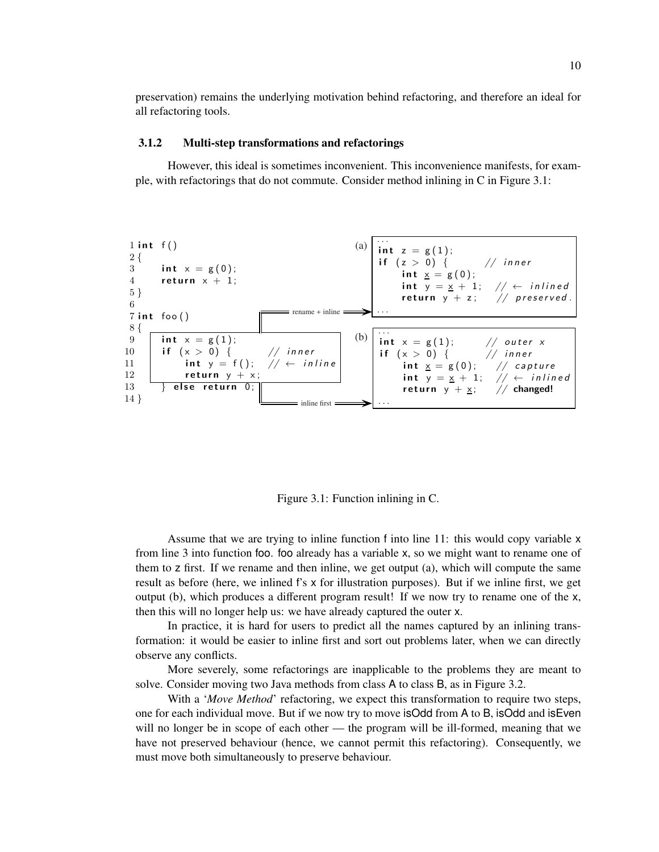preservation) remains the underlying motivation behind refactoring, and therefore an ideal for all refactoring tools.

#### 3.1.2 Multi-step transformations and refactorings

However, this ideal is sometimes inconvenient. This inconvenience manifests, for example, with refactorings that do not commute. Consider method inlining in C in Figure 3.1:



Figure 3.1: Function inlining in C.

Assume that we are trying to inline function f into line 11: this would copy variable x from line 3 into function foo. foo already has a variable x, so we might want to rename one of them to z first. If we rename and then inline, we get output (a), which will compute the same result as before (here, we inlined f's x for illustration purposes). But if we inline first, we get output (b), which produces a different program result! If we now try to rename one of the x, then this will no longer help us: we have already captured the outer x.

In practice, it is hard for users to predict all the names captured by an inlining transformation: it would be easier to inline first and sort out problems later, when we can directly observe any conflicts.

More severely, some refactorings are inapplicable to the problems they are meant to solve. Consider moving two Java methods from class A to class B, as in Figure 3.2.

With a *'Move Method'* refactoring, we expect this transformation to require two steps, one for each individual move. But if we now try to move isOdd from A to B, isOdd and isEven will no longer be in scope of each other — the program will be ill-formed, meaning that we have not preserved behaviour (hence, we cannot permit this refactoring). Consequently, we must move both simultaneously to preserve behaviour.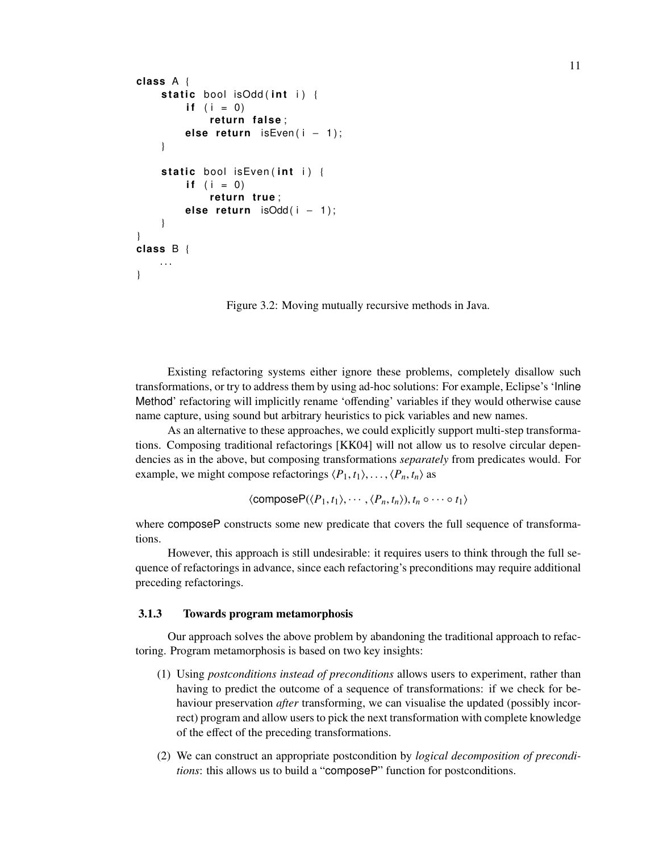```
class A {
    static bool isOdd(int i) {
        if (i = 0)return false:
        else return isEven(i - 1);
    }
    static bool isEven(int i) {
        if (i = 0)return true;
        else return isOdd(i − 1);
    }
}
class B {
   . . .
}
```
Figure 3.2: Moving mutually recursive methods in Java.

Existing refactoring systems either ignore these problems, completely disallow such transformations, or try to address them by using ad-hoc solutions: For example, Eclipse's 'Inline Method' refactoring will implicitly rename 'offending' variables if they would otherwise cause name capture, using sound but arbitrary heuristics to pick variables and new names.

As an alternative to these approaches, we could explicitly support multi-step transformations. Composing traditional refactorings [KK04] will not allow us to resolve circular dependencies as in the above, but composing transformations *separately* from predicates would. For example, we might compose refactorings  $\langle P_1, t_1 \rangle, \ldots, \langle P_n, t_n \rangle$  as

$$
\langle \text{compositeP}(\langle P_1, t_1 \rangle, \cdots, \langle P_n, t_n \rangle), t_n \circ \cdots \circ t_1 \rangle
$$

where composeP constructs some new predicate that covers the full sequence of transformations.

However, this approach is still undesirable: it requires users to think through the full sequence of refactorings in advance, since each refactoring's preconditions may require additional preceding refactorings.

#### 3.1.3 Towards program metamorphosis

Our approach solves the above problem by abandoning the traditional approach to refactoring. Program metamorphosis is based on two key insights:

- (1) Using *postconditions instead of preconditions* allows users to experiment, rather than having to predict the outcome of a sequence of transformations: if we check for behaviour preservation *after* transforming, we can visualise the updated (possibly incorrect) program and allow users to pick the next transformation with complete knowledge of the effect of the preceding transformations.
- (2) We can construct an appropriate postcondition by *logical decomposition of preconditions*: this allows us to build a "composeP" function for postconditions.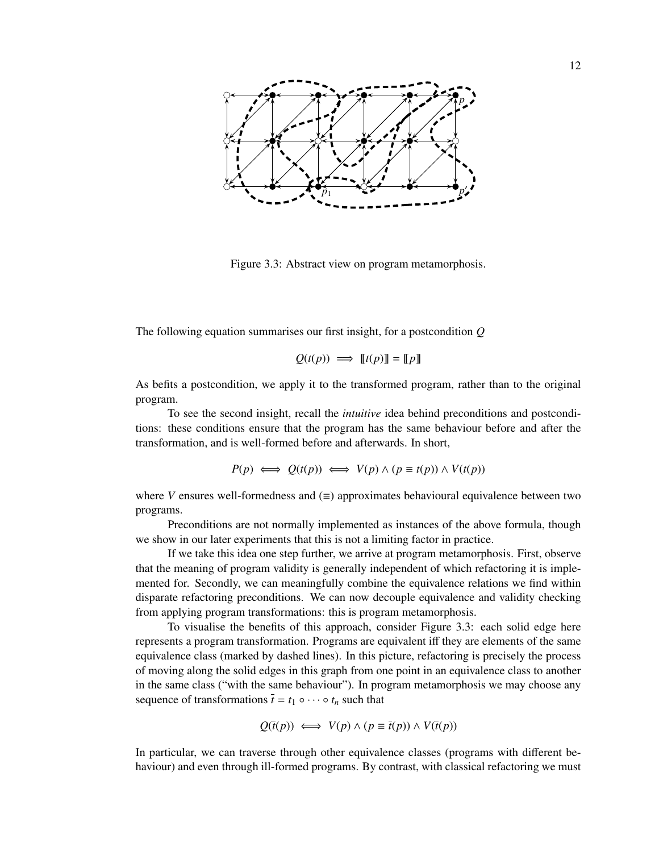

Figure 3.3: Abstract view on program metamorphosis.

The following equation summarises our first insight, for a postcondition *Q*

$$
Q(t(p)) \implies [[t(p)]] = [[p]]
$$

As befits a postcondition, we apply it to the transformed program, rather than to the original program.

To see the second insight, recall the *intuitive* idea behind preconditions and postconditions: these conditions ensure that the program has the same behaviour before and after the transformation, and is well-formed before and afterwards. In short,

$$
P(p) \iff Q(t(p)) \iff V(p) \land (p \equiv t(p)) \land V(t(p))
$$

where *V* ensures well-formedness and  $(\equiv)$  approximates behavioural equivalence between two programs.

Preconditions are not normally implemented as instances of the above formula, though we show in our later experiments that this is not a limiting factor in practice.

If we take this idea one step further, we arrive at program metamorphosis. First, observe that the meaning of program validity is generally independent of which refactoring it is implemented for. Secondly, we can meaningfully combine the equivalence relations we find within disparate refactoring preconditions. We can now decouple equivalence and validity checking from applying program transformations: this is program metamorphosis.

To visualise the benefits of this approach, consider Figure 3.3: each solid edge here represents a program transformation. Programs are equivalent iff they are elements of the same equivalence class (marked by dashed lines). In this picture, refactoring is precisely the process of moving along the solid edges in this graph from one point in an equivalence class to another in the same class ("with the same behaviour"). In program metamorphosis we may choose any sequence of transformations  $\bar{t} = t_1 \circ \cdots \circ t_n$  such that

$$
Q(\bar{t}(p)) \iff V(p) \land (p \equiv \bar{t}(p)) \land V(\bar{t}(p))
$$

In particular, we can traverse through other equivalence classes (programs with different behaviour) and even through ill-formed programs. By contrast, with classical refactoring we must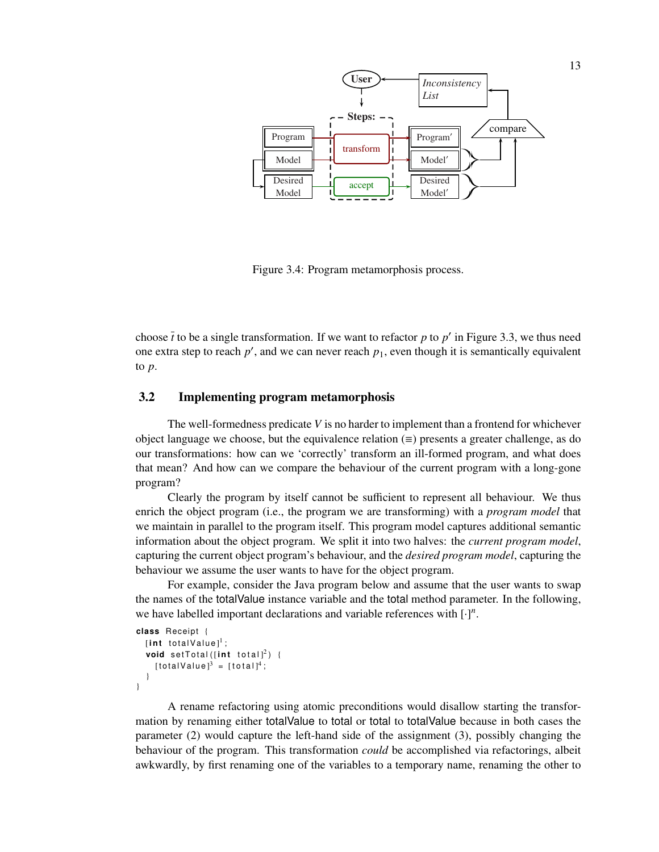

Figure 3.4: Program metamorphosis process.

choose  $\bar{t}$  to be a single transformation. If we want to refactor  $p$  to  $p'$  in Figure 3.3, we thus need one extra step to reach  $p'$ , and we can never reach  $p_1$ , even though it is semantically equivalent to *p*.

## 3.2 Implementing program metamorphosis

The well-formedness predicate *V* is no harder to implement than a frontend for whichever object language we choose, but the equivalence relation  $(\equiv)$  presents a greater challenge, as do our transformations: how can we 'correctly' transform an ill-formed program, and what does that mean? And how can we compare the behaviour of the current program with a long-gone program?

Clearly the program by itself cannot be sufficient to represent all behaviour. We thus enrich the object program (i.e., the program we are transforming) with a *program model* that we maintain in parallel to the program itself. This program model captures additional semantic information about the object program. We split it into two halves: the *current program model*, capturing the current object program's behaviour, and the *desired program model*, capturing the behaviour we assume the user wants to have for the object program.

For example, consider the Java program below and assume that the user wants to swap the names of the totalValue instance variable and the total method parameter. In the following, we have labelled important declarations and variable references with [·] *n* .

```
class Re ceipt {
     [\mathop{\mathsf{int}}\nolimits totalValue]^1 ;
     \textsf{void} \ \ \textsf{setTotal} \, ([\textsf{int} \ \ \textsf{total}]^2) \ \ \{[totalValue]<sup>3</sup> = [total]<sup>4</sup>;
    }
}
```
A rename refactoring using atomic preconditions would disallow starting the transformation by renaming either totalValue to total or total to totalValue because in both cases the parameter (2) would capture the left-hand side of the assignment (3), possibly changing the behaviour of the program. This transformation *could* be accomplished via refactorings, albeit awkwardly, by first renaming one of the variables to a temporary name, renaming the other to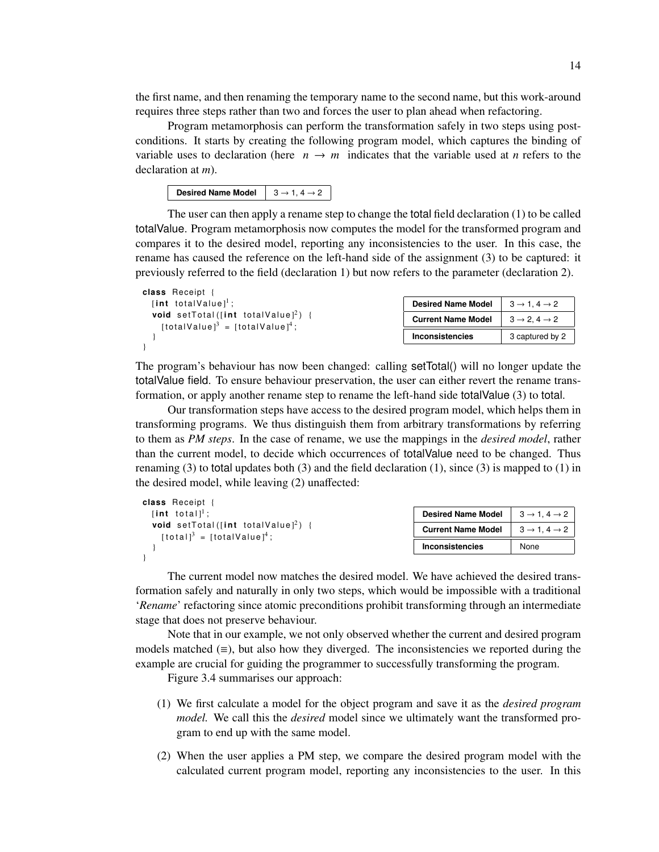the first name, and then renaming the temporary name to the second name, but this work-around requires three steps rather than two and forces the user to plan ahead when refactoring.

Program metamorphosis can perform the transformation safely in two steps using postconditions. It starts by creating the following program model, which captures the binding of variable uses to declaration (here  $n \rightarrow m$  indicates that the variable used at *n* refers to the declaration at *m*).

| Desired Name Model $\begin{array}{ l} \hline 3 \rightarrow 1, 4 \rightarrow 2 \end{array}$ |  |
|--------------------------------------------------------------------------------------------|--|
|--------------------------------------------------------------------------------------------|--|

The user can then apply a rename step to change the total field declaration (1) to be called totalValue. Program metamorphosis now computes the model for the transformed program and compares it to the desired model, reporting any inconsistencies to the user. In this case, the rename has caused the reference on the left-hand side of the assignment (3) to be captured: it previously referred to the field (declaration 1) but now refers to the parameter (declaration 2).

| class Receipt {                                                                                                       |                           |                                       |
|-----------------------------------------------------------------------------------------------------------------------|---------------------------|---------------------------------------|
| [int totalValue] <sup>1</sup> ;                                                                                       | <b>Desired Name Model</b> | $3 \rightarrow 1.4 \rightarrow 2$     |
| <b>void</b> setTotal([int totalValue] <sup>2</sup> ) {<br>$[totalValue]$ <sup>3</sup> = $[totalValue]$ <sup>4</sup> ; | <b>Current Name Model</b> | $3 \rightarrow 2$ , $4 \rightarrow 2$ |
|                                                                                                                       | <b>Inconsistencies</b>    | 3 captured by 2                       |
|                                                                                                                       |                           |                                       |

The program's behaviour has now been changed: calling setTotal() will no longer update the totalValue field. To ensure behaviour preservation, the user can either revert the rename transformation, or apply another rename step to rename the left-hand side total Value (3) to total.

Our transformation steps have access to the desired program model, which helps them in transforming programs. We thus distinguish them from arbitrary transformations by referring to them as *PM steps*. In the case of rename, we use the mappings in the *desired model*, rather than the current model, to decide which occurrences of totalValue need to be changed. Thus renaming (3) to total updates both (3) and the field declaration (1), since (3) is mapped to (1) in the desired model, while leaving (2) unaffected:

| class Receipt {                                                                                                                                                |                           |                                   |
|----------------------------------------------------------------------------------------------------------------------------------------------------------------|---------------------------|-----------------------------------|
| [int total] <sup>1</sup> :<br><b>void</b> setTotal([int totalValue] <sup>2</sup> ) {<br>$\lceil \text{total} \rceil^3$ = $\lceil \text{totalValue} \rceil^4$ ; | <b>Desired Name Model</b> | $3 \rightarrow 1.4 \rightarrow 2$ |
|                                                                                                                                                                | <b>Current Name Model</b> | $3 \rightarrow 1.4 \rightarrow 2$ |
|                                                                                                                                                                | Inconsistencies           | None                              |
|                                                                                                                                                                |                           |                                   |

The current model now matches the desired model. We have achieved the desired transformation safely and naturally in only two steps, which would be impossible with a traditional '*Rename*' refactoring since atomic preconditions prohibit transforming through an intermediate stage that does not preserve behaviour.

Note that in our example, we not only observed whether the current and desired program models matched  $(\equiv)$ , but also how they diverged. The inconsistencies we reported during the example are crucial for guiding the programmer to successfully transforming the program.

Figure 3.4 summarises our approach:

- (1) We first calculate a model for the object program and save it as the *desired program model.* We call this the *desired* model since we ultimately want the transformed program to end up with the same model.
- (2) When the user applies a PM step, we compare the desired program model with the calculated current program model, reporting any inconsistencies to the user. In this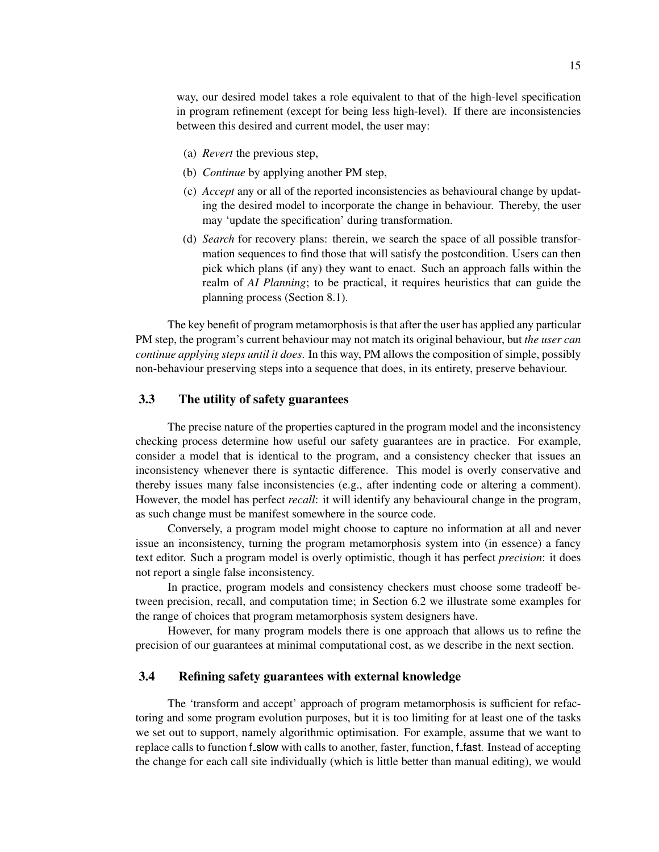way, our desired model takes a role equivalent to that of the high-level specification in program refinement (except for being less high-level). If there are inconsistencies between this desired and current model, the user may:

- (a) *Revert* the previous step,
- (b) *Continue* by applying another PM step,
- (c) *Accept* any or all of the reported inconsistencies as behavioural change by updating the desired model to incorporate the change in behaviour. Thereby, the user may 'update the specification' during transformation.
- (d) *Search* for recovery plans: therein, we search the space of all possible transformation sequences to find those that will satisfy the postcondition. Users can then pick which plans (if any) they want to enact. Such an approach falls within the realm of *AI Planning*; to be practical, it requires heuristics that can guide the planning process (Section 8.1).

The key benefit of program metamorphosis is that after the user has applied any particular PM step, the program's current behaviour may not match its original behaviour, but *the user can continue applying steps until it does*. In this way, PM allows the composition of simple, possibly non-behaviour preserving steps into a sequence that does, in its entirety, preserve behaviour.

#### 3.3 The utility of safety guarantees

The precise nature of the properties captured in the program model and the inconsistency checking process determine how useful our safety guarantees are in practice. For example, consider a model that is identical to the program, and a consistency checker that issues an inconsistency whenever there is syntactic difference. This model is overly conservative and thereby issues many false inconsistencies (e.g., after indenting code or altering a comment). However, the model has perfect *recall*: it will identify any behavioural change in the program, as such change must be manifest somewhere in the source code.

Conversely, a program model might choose to capture no information at all and never issue an inconsistency, turning the program metamorphosis system into (in essence) a fancy text editor. Such a program model is overly optimistic, though it has perfect *precision*: it does not report a single false inconsistency.

In practice, program models and consistency checkers must choose some tradeoff between precision, recall, and computation time; in Section 6.2 we illustrate some examples for the range of choices that program metamorphosis system designers have.

However, for many program models there is one approach that allows us to refine the precision of our guarantees at minimal computational cost, as we describe in the next section.

#### 3.4 Refining safety guarantees with external knowledge

The 'transform and accept' approach of program metamorphosis is sufficient for refactoring and some program evolution purposes, but it is too limiting for at least one of the tasks we set out to support, namely algorithmic optimisation. For example, assume that we want to replace calls to function f slow with calls to another, faster, function, f fast. Instead of accepting the change for each call site individually (which is little better than manual editing), we would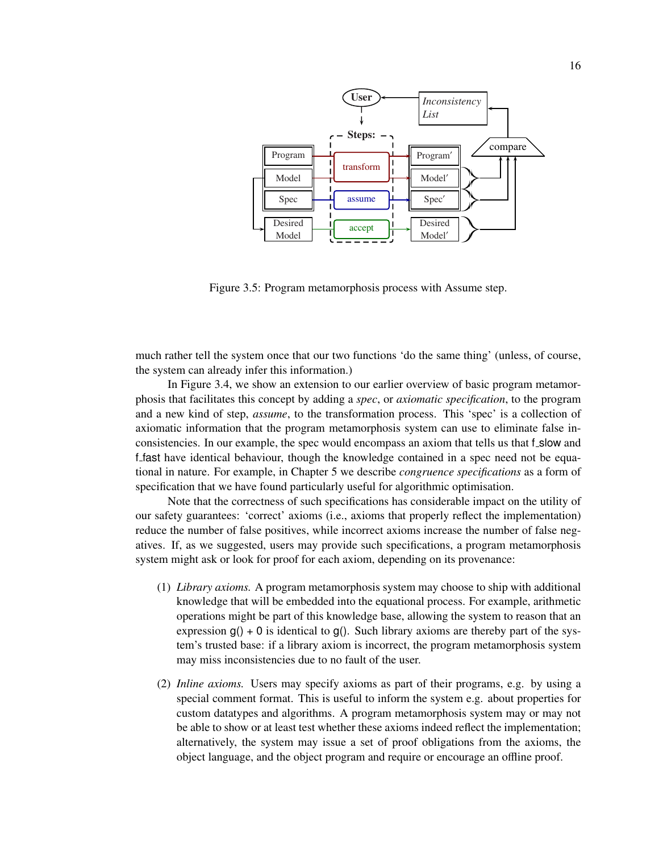

Figure 3.5: Program metamorphosis process with Assume step.

much rather tell the system once that our two functions 'do the same thing' (unless, of course, the system can already infer this information.)

In Figure 3.4, we show an extension to our earlier overview of basic program metamorphosis that facilitates this concept by adding a *spec*, or *axiomatic specification*, to the program and a new kind of step, *assume*, to the transformation process. This 'spec' is a collection of axiomatic information that the program metamorphosis system can use to eliminate false inconsistencies. In our example, the spec would encompass an axiom that tells us that f\_slow and f fast have identical behaviour, though the knowledge contained in a spec need not be equational in nature. For example, in Chapter 5 we describe *congruence specifications* as a form of specification that we have found particularly useful for algorithmic optimisation.

Note that the correctness of such specifications has considerable impact on the utility of our safety guarantees: 'correct' axioms (i.e., axioms that properly reflect the implementation) reduce the number of false positives, while incorrect axioms increase the number of false negatives. If, as we suggested, users may provide such specifications, a program metamorphosis system might ask or look for proof for each axiom, depending on its provenance:

- (1) *Library axioms.* A program metamorphosis system may choose to ship with additional knowledge that will be embedded into the equational process. For example, arithmetic operations might be part of this knowledge base, allowing the system to reason that an expression  $g() + 0$  is identical to  $g()$ . Such library axioms are thereby part of the system's trusted base: if a library axiom is incorrect, the program metamorphosis system may miss inconsistencies due to no fault of the user.
- (2) *Inline axioms.* Users may specify axioms as part of their programs, e.g. by using a special comment format. This is useful to inform the system e.g. about properties for custom datatypes and algorithms. A program metamorphosis system may or may not be able to show or at least test whether these axioms indeed reflect the implementation; alternatively, the system may issue a set of proof obligations from the axioms, the object language, and the object program and require or encourage an offline proof.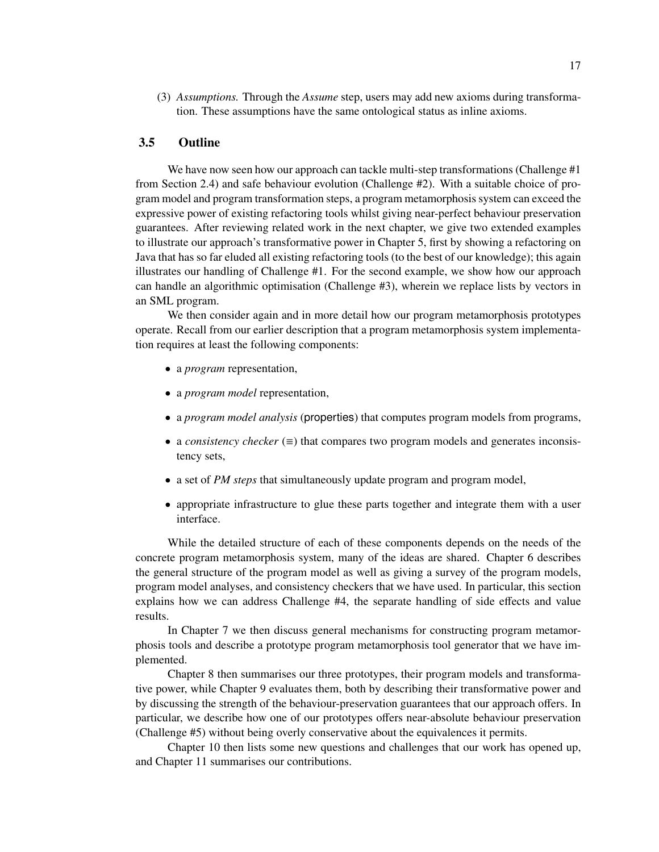(3) *Assumptions.* Through the *Assume* step, users may add new axioms during transformation. These assumptions have the same ontological status as inline axioms.

## 3.5 Outline

We have now seen how our approach can tackle multi-step transformations (Challenge #1) from Section 2.4) and safe behaviour evolution (Challenge #2). With a suitable choice of program model and program transformation steps, a program metamorphosis system can exceed the expressive power of existing refactoring tools whilst giving near-perfect behaviour preservation guarantees. After reviewing related work in the next chapter, we give two extended examples to illustrate our approach's transformative power in Chapter 5, first by showing a refactoring on Java that has so far eluded all existing refactoring tools (to the best of our knowledge); this again illustrates our handling of Challenge #1. For the second example, we show how our approach can handle an algorithmic optimisation (Challenge #3), wherein we replace lists by vectors in an SML program.

We then consider again and in more detail how our program metamorphosis prototypes operate. Recall from our earlier description that a program metamorphosis system implementation requires at least the following components:

- a *program* representation,
- a *program model* representation,
- a *program model analysis* (properties) that computes program models from programs,
- a *consistency checker* (≡) that compares two program models and generates inconsistency sets,
- a set of *PM steps* that simultaneously update program and program model,
- appropriate infrastructure to glue these parts together and integrate them with a user interface.

While the detailed structure of each of these components depends on the needs of the concrete program metamorphosis system, many of the ideas are shared. Chapter 6 describes the general structure of the program model as well as giving a survey of the program models, program model analyses, and consistency checkers that we have used. In particular, this section explains how we can address Challenge #4, the separate handling of side effects and value results.

In Chapter 7 we then discuss general mechanisms for constructing program metamorphosis tools and describe a prototype program metamorphosis tool generator that we have implemented.

Chapter 8 then summarises our three prototypes, their program models and transformative power, while Chapter 9 evaluates them, both by describing their transformative power and by discussing the strength of the behaviour-preservation guarantees that our approach offers. In particular, we describe how one of our prototypes offers near-absolute behaviour preservation (Challenge #5) without being overly conservative about the equivalences it permits.

Chapter 10 then lists some new questions and challenges that our work has opened up, and Chapter 11 summarises our contributions.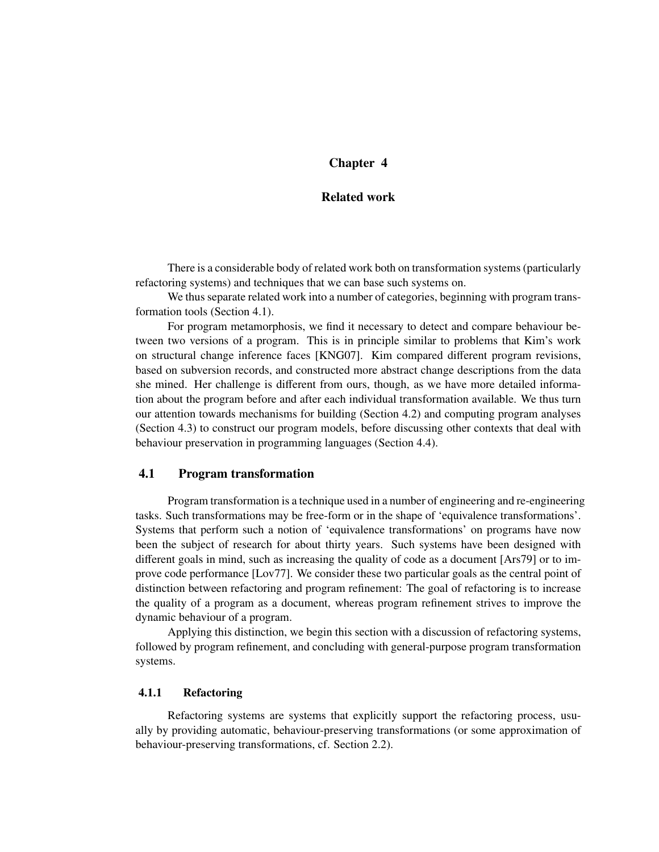## Chapter 4

## Related work

There is a considerable body of related work both on transformation systems (particularly refactoring systems) and techniques that we can base such systems on.

We thus separate related work into a number of categories, beginning with program transformation tools (Section 4.1).

For program metamorphosis, we find it necessary to detect and compare behaviour between two versions of a program. This is in principle similar to problems that Kim's work on structural change inference faces [KNG07]. Kim compared different program revisions, based on subversion records, and constructed more abstract change descriptions from the data she mined. Her challenge is different from ours, though, as we have more detailed information about the program before and after each individual transformation available. We thus turn our attention towards mechanisms for building (Section 4.2) and computing program analyses (Section 4.3) to construct our program models, before discussing other contexts that deal with behaviour preservation in programming languages (Section 4.4).

## 4.1 Program transformation

Program transformation is a technique used in a number of engineering and re-engineering tasks. Such transformations may be free-form or in the shape of 'equivalence transformations'. Systems that perform such a notion of 'equivalence transformations' on programs have now been the subject of research for about thirty years. Such systems have been designed with different goals in mind, such as increasing the quality of code as a document [Ars79] or to improve code performance [Lov77]. We consider these two particular goals as the central point of distinction between refactoring and program refinement: The goal of refactoring is to increase the quality of a program as a document, whereas program refinement strives to improve the dynamic behaviour of a program.

Applying this distinction, we begin this section with a discussion of refactoring systems, followed by program refinement, and concluding with general-purpose program transformation systems.

#### 4.1.1 Refactoring

Refactoring systems are systems that explicitly support the refactoring process, usually by providing automatic, behaviour-preserving transformations (or some approximation of behaviour-preserving transformations, cf. Section 2.2).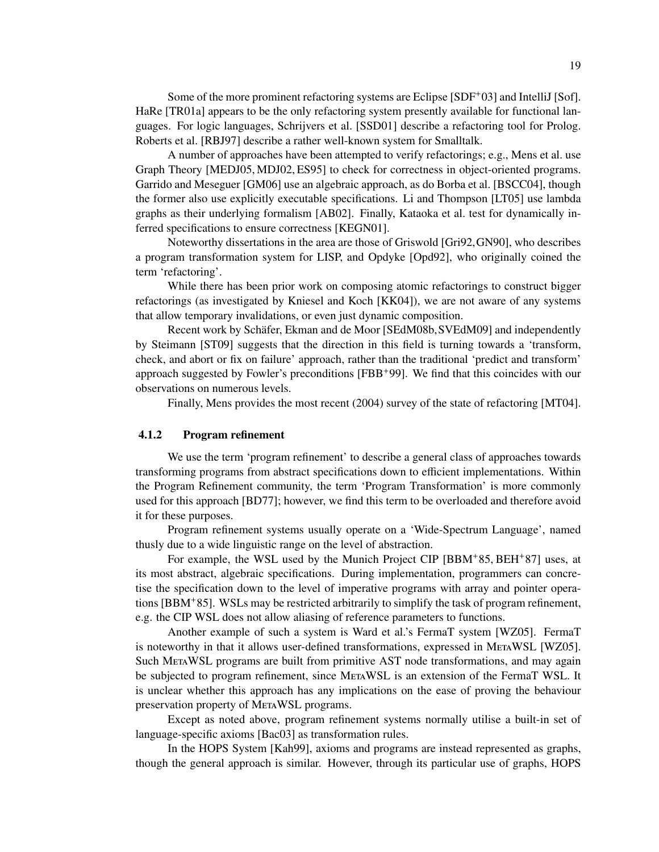Some of the more prominent refactoring systems are Eclipse [SDF+03] and IntelliJ [Sof]. HaRe [TR01a] appears to be the only refactoring system presently available for functional languages. For logic languages, Schrijvers et al. [SSD01] describe a refactoring tool for Prolog. Roberts et al. [RBJ97] describe a rather well-known system for Smalltalk.

A number of approaches have been attempted to verify refactorings; e.g., Mens et al. use Graph Theory [MEDJ05, MDJ02, ES95] to check for correctness in object-oriented programs. Garrido and Meseguer [GM06] use an algebraic approach, as do Borba et al. [BSCC04], though the former also use explicitly executable specifications. Li and Thompson [LT05] use lambda graphs as their underlying formalism [AB02]. Finally, Kataoka et al. test for dynamically inferred specifications to ensure correctness [KEGN01].

Noteworthy dissertations in the area are those of Griswold [Gri92,GN90], who describes a program transformation system for LISP, and Opdyke [Opd92], who originally coined the term 'refactoring'.

While there has been prior work on composing atomic refactorings to construct bigger refactorings (as investigated by Kniesel and Koch [KK04]), we are not aware of any systems that allow temporary invalidations, or even just dynamic composition.

Recent work by Schäfer, Ekman and de Moor [SEdM08b, SVEdM09] and independently by Steimann [ST09] suggests that the direction in this field is turning towards a 'transform, check, and abort or fix on failure' approach, rather than the traditional 'predict and transform' approach suggested by Fowler's preconditions [FBB+99]. We find that this coincides with our observations on numerous levels.

Finally, Mens provides the most recent (2004) survey of the state of refactoring [MT04].

#### 4.1.2 Program refinement

We use the term 'program refinement' to describe a general class of approaches towards transforming programs from abstract specifications down to efficient implementations. Within the Program Refinement community, the term 'Program Transformation' is more commonly used for this approach [BD77]; however, we find this term to be overloaded and therefore avoid it for these purposes.

Program refinement systems usually operate on a 'Wide-Spectrum Language', named thusly due to a wide linguistic range on the level of abstraction.

For example, the WSL used by the Munich Project CIP [BBM+85, BEH+87] uses, at its most abstract, algebraic specifications. During implementation, programmers can concretise the specification down to the level of imperative programs with array and pointer operations [BBM+85]. WSLs may be restricted arbitrarily to simplify the task of program refinement, e.g. the CIP WSL does not allow aliasing of reference parameters to functions.

Another example of such a system is Ward et al.'s FermaT system [WZ05]. FermaT is noteworthy in that it allows user-defined transformations, expressed in METAWSL [WZ05]. Such MetaWSL programs are built from primitive AST node transformations, and may again be subjected to program refinement, since METAWSL is an extension of the FermaT WSL. It is unclear whether this approach has any implications on the ease of proving the behaviour preservation property of METAWSL programs.

Except as noted above, program refinement systems normally utilise a built-in set of language-specific axioms [Bac03] as transformation rules.

In the HOPS System [Kah99], axioms and programs are instead represented as graphs, though the general approach is similar. However, through its particular use of graphs, HOPS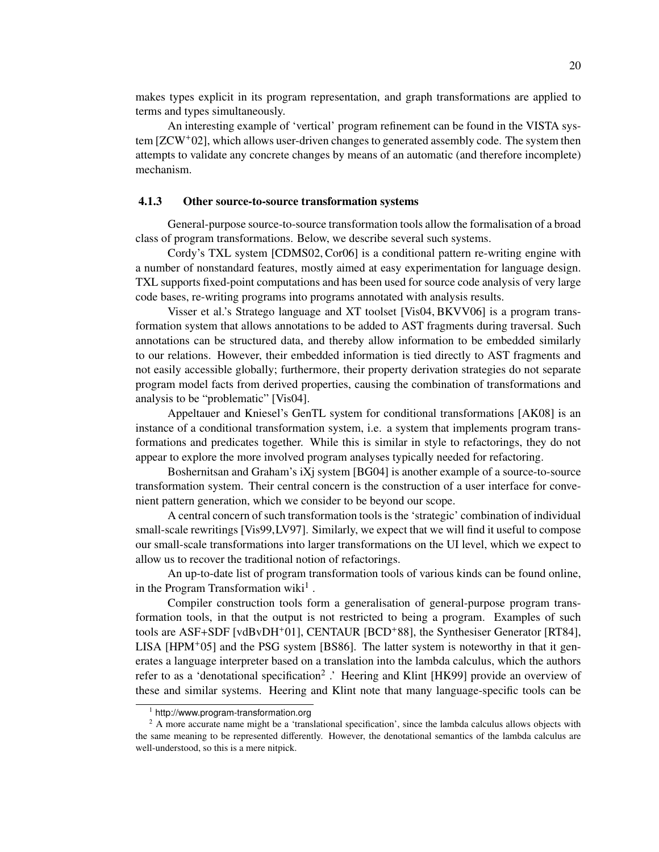makes types explicit in its program representation, and graph transformations are applied to terms and types simultaneously.

An interesting example of 'vertical' program refinement can be found in the VISTA system [ZCW+02], which allows user-driven changes to generated assembly code. The system then attempts to validate any concrete changes by means of an automatic (and therefore incomplete) mechanism.

## 4.1.3 Other source-to-source transformation systems

General-purpose source-to-source transformation tools allow the formalisation of a broad class of program transformations. Below, we describe several such systems.

Cordy's TXL system [CDMS02, Cor06] is a conditional pattern re-writing engine with a number of nonstandard features, mostly aimed at easy experimentation for language design. TXL supports fixed-point computations and has been used for source code analysis of very large code bases, re-writing programs into programs annotated with analysis results.

Visser et al.'s Stratego language and XT toolset [Vis04, BKVV06] is a program transformation system that allows annotations to be added to AST fragments during traversal. Such annotations can be structured data, and thereby allow information to be embedded similarly to our relations. However, their embedded information is tied directly to AST fragments and not easily accessible globally; furthermore, their property derivation strategies do not separate program model facts from derived properties, causing the combination of transformations and analysis to be "problematic" [Vis04].

Appeltauer and Kniesel's GenTL system for conditional transformations [AK08] is an instance of a conditional transformation system, i.e. a system that implements program transformations and predicates together. While this is similar in style to refactorings, they do not appear to explore the more involved program analyses typically needed for refactoring.

Boshernitsan and Graham's iXj system [BG04] is another example of a source-to-source transformation system. Their central concern is the construction of a user interface for convenient pattern generation, which we consider to be beyond our scope.

A central concern of such transformation tools is the 'strategic' combination of individual small-scale rewritings [Vis99,LV97]. Similarly, we expect that we will find it useful to compose our small-scale transformations into larger transformations on the UI level, which we expect to allow us to recover the traditional notion of refactorings.

An up-to-date list of program transformation tools of various kinds can be found online, in the Program Transformation wiki<sup>1</sup>.

Compiler construction tools form a generalisation of general-purpose program transformation tools, in that the output is not restricted to being a program. Examples of such tools are ASF+SDF [vdBvDH+01], CENTAUR [BCD+88], the Synthesiser Generator [RT84], LISA  $[HPM<sup>+</sup>05]$  and the PSG system  $[BS86]$ . The latter system is noteworthy in that it generates a language interpreter based on a translation into the lambda calculus, which the authors refer to as a 'denotational specification<sup>2</sup> .' Heering and Klint [HK99] provide an overview of these and similar systems. Heering and Klint note that many language-specific tools can be

<sup>1</sup> http://www.program-transformation.org

<sup>&</sup>lt;sup>2</sup> A more accurate name might be a 'translational specification', since the lambda calculus allows objects with the same meaning to be represented differently. However, the denotational semantics of the lambda calculus are well-understood, so this is a mere nitpick.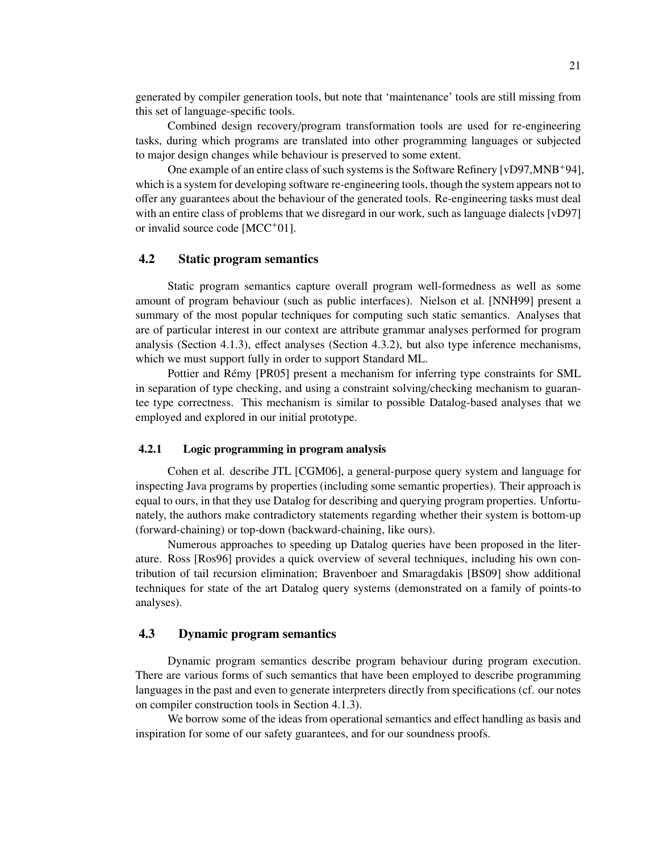generated by compiler generation tools, but note that 'maintenance' tools are still missing from this set of language-specific tools.

Combined design recovery/program transformation tools are used for re-engineering tasks, during which programs are translated into other programming languages or subjected to major design changes while behaviour is preserved to some extent.

One example of an entire class of such systems is the Software Refinery [vD97,MNB+94], which is a system for developing software re-engineering tools, though the system appears not to offer any guarantees about the behaviour of the generated tools. Re-engineering tasks must deal with an entire class of problems that we disregard in our work, such as language dialects [vD97] or invalid source code [MCC<sup>+</sup>01].

#### 4.2 Static program semantics

Static program semantics capture overall program well-formedness as well as some amount of program behaviour (such as public interfaces). Nielson et al. [NNH99] present a summary of the most popular techniques for computing such static semantics. Analyses that are of particular interest in our context are attribute grammar analyses performed for program analysis (Section 4.1.3), effect analyses (Section 4.3.2), but also type inference mechanisms, which we must support fully in order to support Standard ML.

Pottier and Rémy [PR05] present a mechanism for inferring type constraints for SML in separation of type checking, and using a constraint solving/checking mechanism to guarantee type correctness. This mechanism is similar to possible Datalog-based analyses that we employed and explored in our initial prototype.

#### 4.2.1 Logic programming in program analysis

Cohen et al. describe JTL [CGM06], a general-purpose query system and language for inspecting Java programs by properties (including some semantic properties). Their approach is equal to ours, in that they use Datalog for describing and querying program properties. Unfortunately, the authors make contradictory statements regarding whether their system is bottom-up (forward-chaining) or top-down (backward-chaining, like ours).

Numerous approaches to speeding up Datalog queries have been proposed in the literature. Ross [Ros96] provides a quick overview of several techniques, including his own contribution of tail recursion elimination; Bravenboer and Smaragdakis [BS09] show additional techniques for state of the art Datalog query systems (demonstrated on a family of points-to analyses).

## 4.3 Dynamic program semantics

Dynamic program semantics describe program behaviour during program execution. There are various forms of such semantics that have been employed to describe programming languages in the past and even to generate interpreters directly from specifications (cf. our notes on compiler construction tools in Section 4.1.3).

We borrow some of the ideas from operational semantics and effect handling as basis and inspiration for some of our safety guarantees, and for our soundness proofs.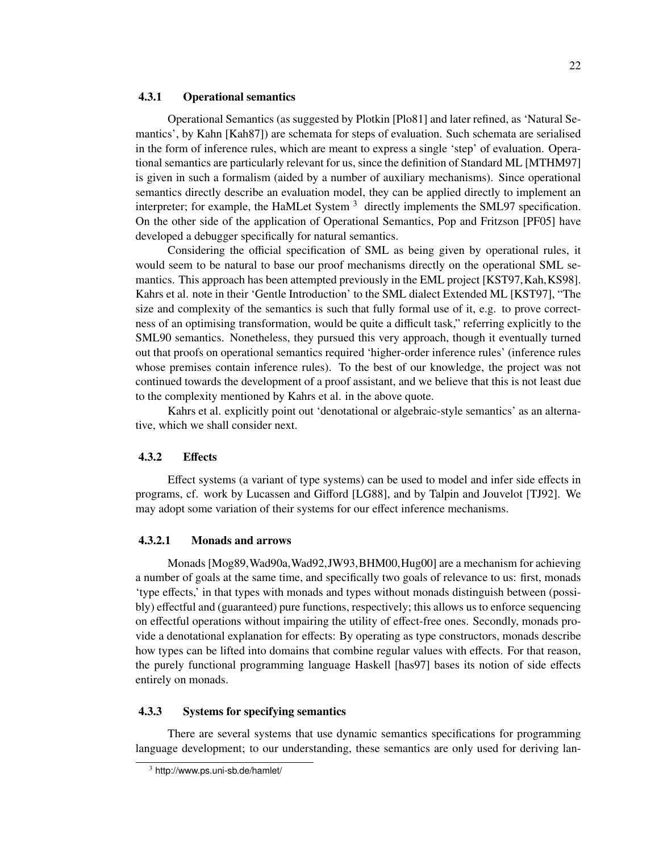#### 4.3.1 Operational semantics

Operational Semantics (as suggested by Plotkin [Plo81] and later refined, as 'Natural Semantics', by Kahn [Kah87]) are schemata for steps of evaluation. Such schemata are serialised in the form of inference rules, which are meant to express a single 'step' of evaluation. Operational semantics are particularly relevant for us, since the definition of Standard ML [MTHM97] is given in such a formalism (aided by a number of auxiliary mechanisms). Since operational semantics directly describe an evaluation model, they can be applied directly to implement an interpreter; for example, the HaMLet System  $3$  directly implements the SML97 specification. On the other side of the application of Operational Semantics, Pop and Fritzson [PF05] have developed a debugger specifically for natural semantics.

Considering the official specification of SML as being given by operational rules, it would seem to be natural to base our proof mechanisms directly on the operational SML semantics. This approach has been attempted previously in the EML project [KST97, Kah, KS98]. Kahrs et al. note in their 'Gentle Introduction' to the SML dialect Extended ML [KST97], "The size and complexity of the semantics is such that fully formal use of it, e.g. to prove correctness of an optimising transformation, would be quite a difficult task," referring explicitly to the SML90 semantics. Nonetheless, they pursued this very approach, though it eventually turned out that proofs on operational semantics required 'higher-order inference rules' (inference rules whose premises contain inference rules). To the best of our knowledge, the project was not continued towards the development of a proof assistant, and we believe that this is not least due to the complexity mentioned by Kahrs et al. in the above quote.

Kahrs et al. explicitly point out 'denotational or algebraic-style semantics' as an alternative, which we shall consider next.

#### 4.3.2 Effects

Effect systems (a variant of type systems) can be used to model and infer side effects in programs, cf. work by Lucassen and Gifford [LG88], and by Talpin and Jouvelot [TJ92]. We may adopt some variation of their systems for our effect inference mechanisms.

#### 4.3.2.1 Monads and arrows

Monads [Mog89,Wad90a,Wad92,JW93,BHM00,Hug00] are a mechanism for achieving a number of goals at the same time, and specifically two goals of relevance to us: first, monads 'type effects,' in that types with monads and types without monads distinguish between (possibly) effectful and (guaranteed) pure functions, respectively; this allows us to enforce sequencing on effectful operations without impairing the utility of effect-free ones. Secondly, monads provide a denotational explanation for effects: By operating as type constructors, monads describe how types can be lifted into domains that combine regular values with effects. For that reason, the purely functional programming language Haskell [has97] bases its notion of side effects entirely on monads.

## 4.3.3 Systems for specifying semantics

There are several systems that use dynamic semantics specifications for programming language development; to our understanding, these semantics are only used for deriving lan-

<sup>3</sup> http://www.ps.uni-sb.de/hamlet/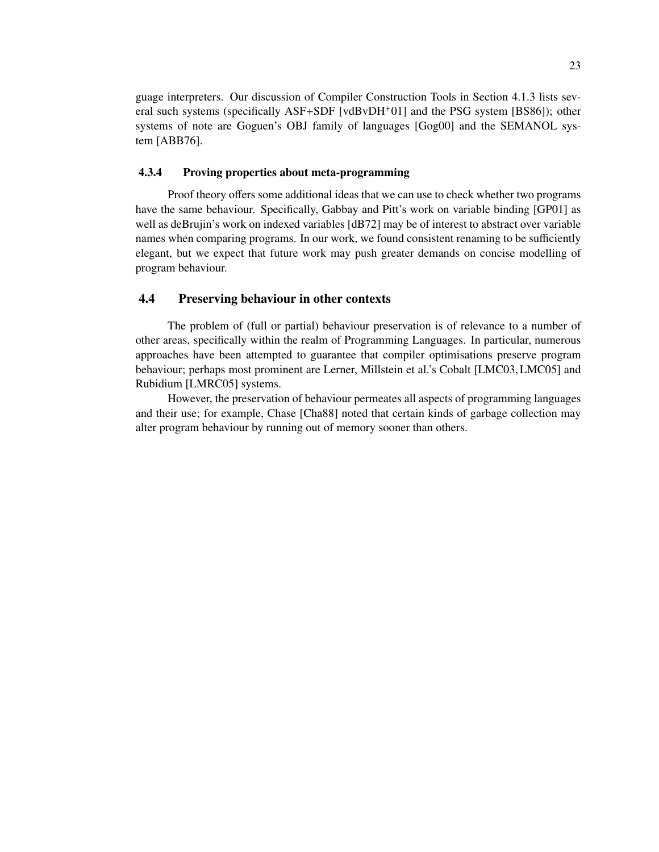guage interpreters. Our discussion of Compiler Construction Tools in Section 4.1.3 lists several such systems (specifically ASF+SDF [vdBvDH<sup>+</sup>01] and the PSG system [BS86]); other systems of note are Goguen's OBJ family of languages [Gog00] and the SEMANOL system [ABB76].

### 4.3.4 Proving properties about meta-programming

Proof theory offers some additional ideas that we can use to check whether two programs have the same behaviour. Specifically, Gabbay and Pitt's work on variable binding [GP01] as well as deBrujin's work on indexed variables [dB72] may be of interest to abstract over variable names when comparing programs. In our work, we found consistent renaming to be sufficiently elegant, but we expect that future work may push greater demands on concise modelling of program behaviour.

# 4.4 Preserving behaviour in other contexts

The problem of (full or partial) behaviour preservation is of relevance to a number of other areas, specifically within the realm of Programming Languages. In particular, numerous approaches have been attempted to guarantee that compiler optimisations preserve program behaviour; perhaps most prominent are Lerner, Millstein et al.'s Cobalt [LMC03, LMC05] and Rubidium [LMRC05] systems.

However, the preservation of behaviour permeates all aspects of programming languages and their use; for example, Chase [Cha88] noted that certain kinds of garbage collection may alter program behaviour by running out of memory sooner than others.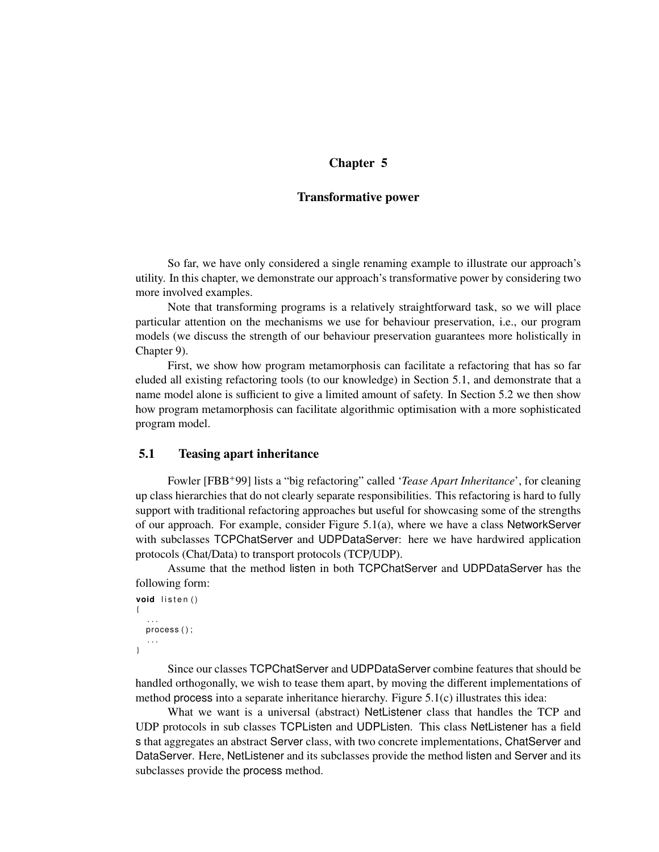# Chapter 5

## Transformative power

So far, we have only considered a single renaming example to illustrate our approach's utility. In this chapter, we demonstrate our approach's transformative power by considering two more involved examples.

Note that transforming programs is a relatively straightforward task, so we will place particular attention on the mechanisms we use for behaviour preservation, i.e., our program models (we discuss the strength of our behaviour preservation guarantees more holistically in Chapter 9).

First, we show how program metamorphosis can facilitate a refactoring that has so far eluded all existing refactoring tools (to our knowledge) in Section 5.1, and demonstrate that a name model alone is sufficient to give a limited amount of safety. In Section 5.2 we then show how program metamorphosis can facilitate algorithmic optimisation with a more sophisticated program model.

# 5.1 Teasing apart inheritance

Fowler [FBB+99] lists a "big refactoring" called '*Tease Apart Inheritance*', for cleaning up class hierarchies that do not clearly separate responsibilities. This refactoring is hard to fully support with traditional refactoring approaches but useful for showcasing some of the strengths of our approach. For example, consider Figure 5.1(a), where we have a class NetworkServer with subclasses TCPChatServer and UDPDataServer: here we have hardwired application protocols (Chat/Data) to transport protocols (TCP/UDP).

Assume that the method listen in both TCPChatServer and UDPDataServer has the following form:

```
void listen()
{
   . . .
  process();
   . . .
}
```
Since our classes TCPChatServer and UDPDataServer combine features that should be handled orthogonally, we wish to tease them apart, by moving the different implementations of method process into a separate inheritance hierarchy. Figure 5.1(c) illustrates this idea:

What we want is a universal (abstract) NetListener class that handles the TCP and UDP protocols in sub classes TCPListen and UDPListen. This class NetListener has a field s that aggregates an abstract Server class, with two concrete implementations, ChatServer and DataServer. Here, NetListener and its subclasses provide the method listen and Server and its subclasses provide the process method.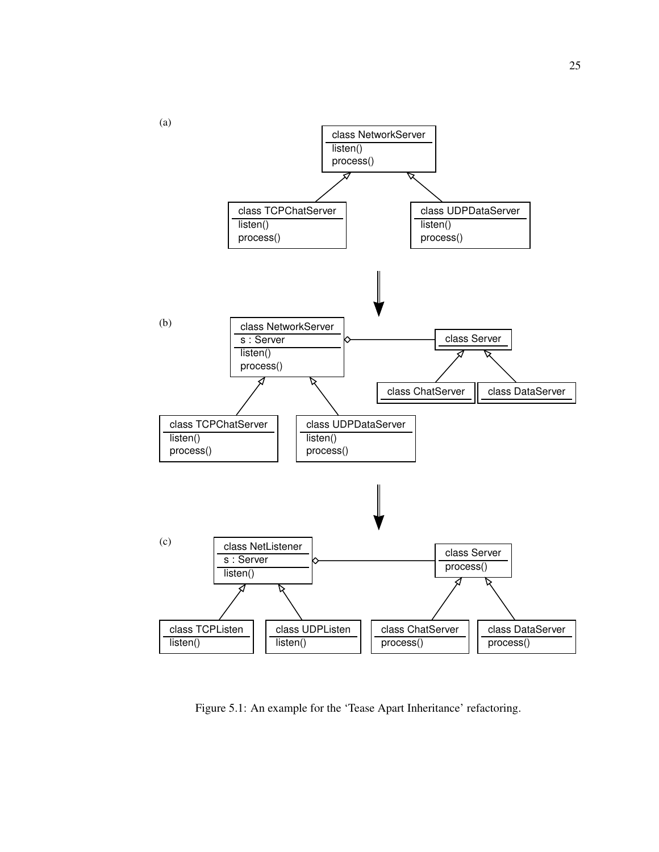

Figure 5.1: An example for the 'Tease Apart Inheritance' refactoring.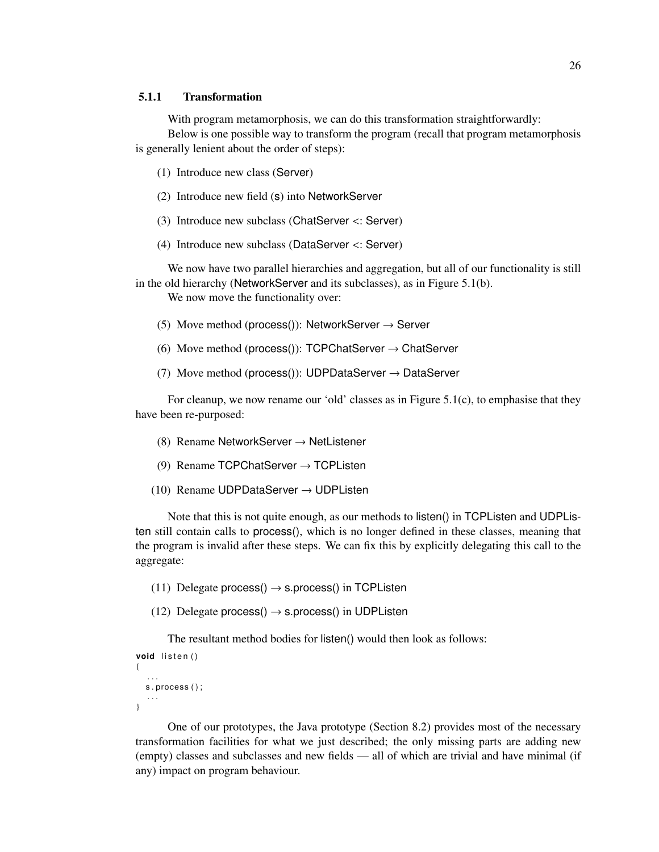## 5.1.1 Transformation

With program metamorphosis, we can do this transformation straightforwardly: Below is one possible way to transform the program (recall that program metamorphosis is generally lenient about the order of steps):

- (1) Introduce new class (Server)
- (2) Introduce new field (s) into NetworkServer
- (3) Introduce new subclass (ChatServer <: Server)
- (4) Introduce new subclass (DataServer <: Server)

We now have two parallel hierarchies and aggregation, but all of our functionality is still in the old hierarchy (NetworkServer and its subclasses), as in Figure 5.1(b).

We now move the functionality over:

- (5) Move method (process()): NetworkServer  $\rightarrow$  Server
- (6) Move method (process()): TCPChatServer  $\rightarrow$  ChatServer
- (7) Move method (process()): UDPDataServer  $\rightarrow$  DataServer

For cleanup, we now rename our 'old' classes as in Figure 5.1(c), to emphasise that they have been re-purposed:

- (8) Rename NetworkServer  $\rightarrow$  NetListener
- (9) Rename TCPChatServer  $\rightarrow$  TCPListen
- (10) Rename UDPDataServer  $\rightarrow$  UDPListen

Note that this is not quite enough, as our methods to listen() in TCPListen and UDPListen still contain calls to process(), which is no longer defined in these classes, meaning that the program is invalid after these steps. We can fix this by explicitly delegating this call to the aggregate:

- (11) Delegate process()  $\rightarrow$  s.process() in TCPListen
- (12) Delegate process()  $\rightarrow$  s.process() in UDPListen

The resultant method bodies for listen() would then look as follows:

```
void listen()
{
   . . .
  s.process();
   . . .
}
```
One of our prototypes, the Java prototype (Section 8.2) provides most of the necessary transformation facilities for what we just described; the only missing parts are adding new (empty) classes and subclasses and new fields — all of which are trivial and have minimal (if any) impact on program behaviour.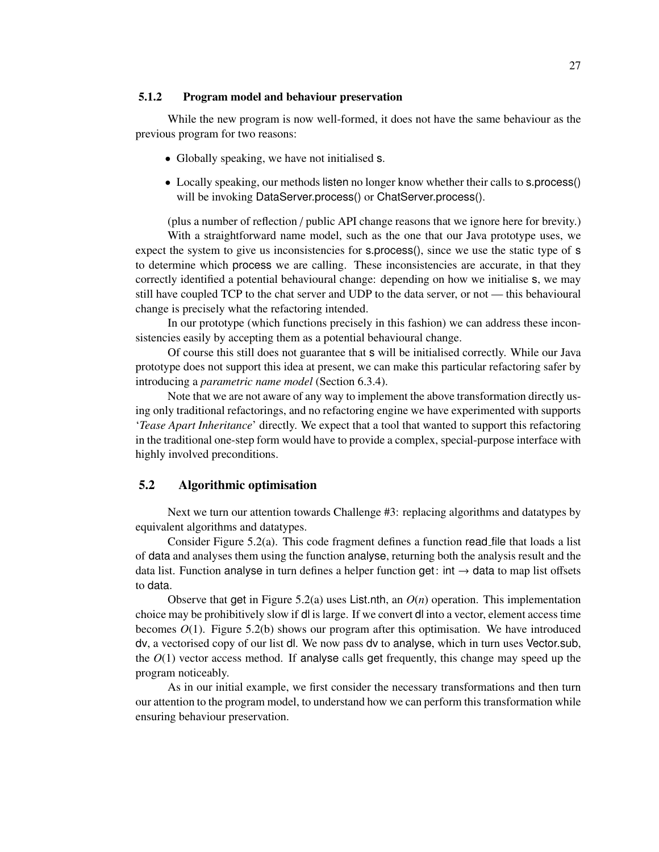#### 5.1.2 Program model and behaviour preservation

While the new program is now well-formed, it does not have the same behaviour as the previous program for two reasons:

- Globally speaking, we have not initialised s.
- Locally speaking, our methods listen no longer know whether their calls to s.process() will be invoking DataServer.process() or ChatServer.process().

(plus a number of reflection / public API change reasons that we ignore here for brevity.)

With a straightforward name model, such as the one that our Java prototype uses, we expect the system to give us inconsistencies for s.process(), since we use the static type of s to determine which process we are calling. These inconsistencies are accurate, in that they correctly identified a potential behavioural change: depending on how we initialise s, we may still have coupled TCP to the chat server and UDP to the data server, or not — this behavioural change is precisely what the refactoring intended.

In our prototype (which functions precisely in this fashion) we can address these inconsistencies easily by accepting them as a potential behavioural change.

Of course this still does not guarantee that s will be initialised correctly. While our Java prototype does not support this idea at present, we can make this particular refactoring safer by introducing a *parametric name model* (Section 6.3.4).

Note that we are not aware of any way to implement the above transformation directly using only traditional refactorings, and no refactoring engine we have experimented with supports '*Tease Apart Inheritance*' directly. We expect that a tool that wanted to support this refactoring in the traditional one-step form would have to provide a complex, special-purpose interface with highly involved preconditions.

# 5.2 Algorithmic optimisation

Next we turn our attention towards Challenge #3: replacing algorithms and datatypes by equivalent algorithms and datatypes.

Consider Figure 5.2(a). This code fragment defines a function read file that loads a list of data and analyses them using the function analyse, returning both the analysis result and the data list. Function analyse in turn defines a helper function get: int  $\rightarrow$  data to map list offsets to data.

Observe that get in Figure 5.2(a) uses List.nth, an *O*(*n*) operation. This implementation choice may be prohibitively slow if dl is large. If we convert dl into a vector, element access time becomes  $O(1)$ . Figure 5.2(b) shows our program after this optimisation. We have introduced dv, a vectorised copy of our list dl. We now pass dv to analyse, which in turn uses Vector.sub, the  $O(1)$  vector access method. If analyse calls get frequently, this change may speed up the program noticeably.

As in our initial example, we first consider the necessary transformations and then turn our attention to the program model, to understand how we can perform this transformation while ensuring behaviour preservation.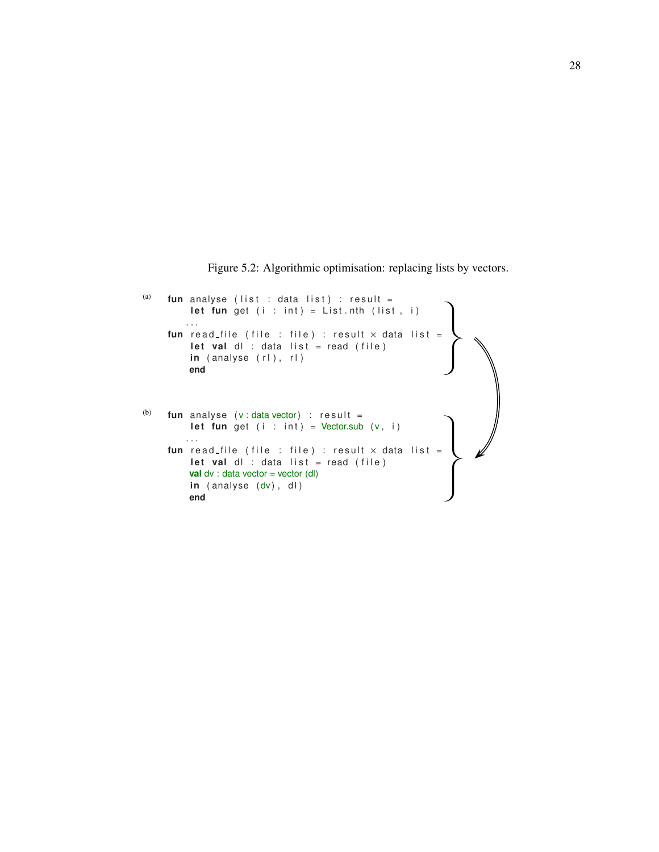Figure 5.2: Algorithmic optimisation: replacing lists by vectors.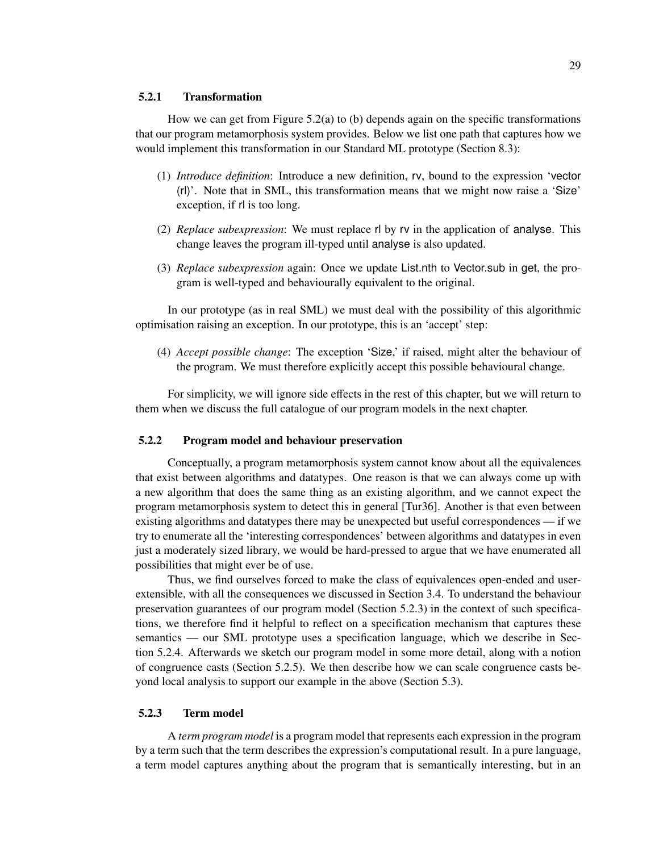### 5.2.1 Transformation

How we can get from Figure  $5.2(a)$  to (b) depends again on the specific transformations that our program metamorphosis system provides. Below we list one path that captures how we would implement this transformation in our Standard ML prototype (Section 8.3):

- (1) *Introduce definition*: Introduce a new definition, rv, bound to the expression 'vector (rl)'. Note that in SML, this transformation means that we might now raise a 'Size' exception, if rl is too long.
- (2) *Replace subexpression*: We must replace rl by rv in the application of analyse. This change leaves the program ill-typed until analyse is also updated.
- (3) *Replace subexpression* again: Once we update List.nth to Vector.sub in get, the program is well-typed and behaviourally equivalent to the original.

In our prototype (as in real SML) we must deal with the possibility of this algorithmic optimisation raising an exception. In our prototype, this is an 'accept' step:

(4) *Accept possible change*: The exception 'Size,' if raised, might alter the behaviour of the program. We must therefore explicitly accept this possible behavioural change.

For simplicity, we will ignore side effects in the rest of this chapter, but we will return to them when we discuss the full catalogue of our program models in the next chapter.

#### 5.2.2 Program model and behaviour preservation

Conceptually, a program metamorphosis system cannot know about all the equivalences that exist between algorithms and datatypes. One reason is that we can always come up with a new algorithm that does the same thing as an existing algorithm, and we cannot expect the program metamorphosis system to detect this in general [Tur36]. Another is that even between existing algorithms and datatypes there may be unexpected but useful correspondences — if we try to enumerate all the 'interesting correspondences' between algorithms and datatypes in even just a moderately sized library, we would be hard-pressed to argue that we have enumerated all possibilities that might ever be of use.

Thus, we find ourselves forced to make the class of equivalences open-ended and userextensible, with all the consequences we discussed in Section 3.4. To understand the behaviour preservation guarantees of our program model (Section 5.2.3) in the context of such specifications, we therefore find it helpful to reflect on a specification mechanism that captures these semantics — our SML prototype uses a specification language, which we describe in Section 5.2.4. Afterwards we sketch our program model in some more detail, along with a notion of congruence casts (Section 5.2.5). We then describe how we can scale congruence casts beyond local analysis to support our example in the above (Section 5.3).

#### 5.2.3 Term model

A *term program model* is a program model that represents each expression in the program by a term such that the term describes the expression's computational result. In a pure language, a term model captures anything about the program that is semantically interesting, but in an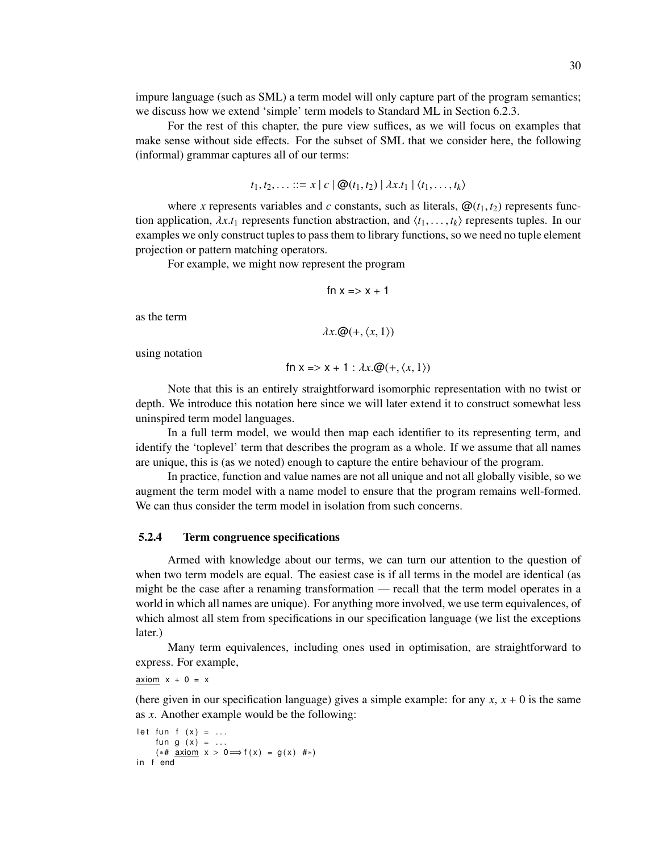impure language (such as SML) a term model will only capture part of the program semantics; we discuss how we extend 'simple' term models to Standard ML in Section 6.2.3.

For the rest of this chapter, the pure view suffices, as we will focus on examples that make sense without side effects. For the subset of SML that we consider here, the following (informal) grammar captures all of our terms:

$$
t_1, t_2, \ldots ::= x \mid c \mid \mathcal{Q}(t_1, t_2) \mid \lambda x. t_1 \mid \langle t_1, \ldots, t_k \rangle
$$

where *x* represents variables and *c* constants, such as literals,  $\mathcal{Q}(t_1, t_2)$  represents function application,  $\lambda x.t_1$  represents function abstraction, and  $\langle t_1, \ldots, t_k \rangle$  represents tuples. In our examples we only construct tuples to pass them to library functions, so we need no tuple element projection or pattern matching operators.

For example, we might now represent the program

$$
fn x => x + 1
$$

as the term

$$
\lambda x. \mathcal{Q}(+, \langle x, 1 \rangle)
$$

using notation

$$
\text{fn } x \Rightarrow x + 1 : \lambda x. \mathcal{Q}(+, \langle x, 1 \rangle)
$$

Note that this is an entirely straightforward isomorphic representation with no twist or depth. We introduce this notation here since we will later extend it to construct somewhat less uninspired term model languages.

In a full term model, we would then map each identifier to its representing term, and identify the 'toplevel' term that describes the program as a whole. If we assume that all names are unique, this is (as we noted) enough to capture the entire behaviour of the program.

In practice, function and value names are not all unique and not all globally visible, so we augment the term model with a name model to ensure that the program remains well-formed. We can thus consider the term model in isolation from such concerns.

#### 5.2.4 Term congruence specifications

Armed with knowledge about our terms, we can turn our attention to the question of when two term models are equal. The easiest case is if all terms in the model are identical (as might be the case after a renaming transformation — recall that the term model operates in a world in which all names are unique). For anything more involved, we use term equivalences, of which almost all stem from specifications in our specification language (we list the exceptions later.)

Many term equivalences, including ones used in optimisation, are straightforward to express. For example,

axiom  $x + 0 = x$ 

(here given in our specification language) gives a simple example: for any  $x$ ,  $x + 0$  is the same as *x*. Another example would be the following:

```
let fun f (x) = ...fun g(x) = ...(** \underline{a} x \underline{iom} x > 0 \Longrightarrow f(x) = g(x) \neq *)in f end
```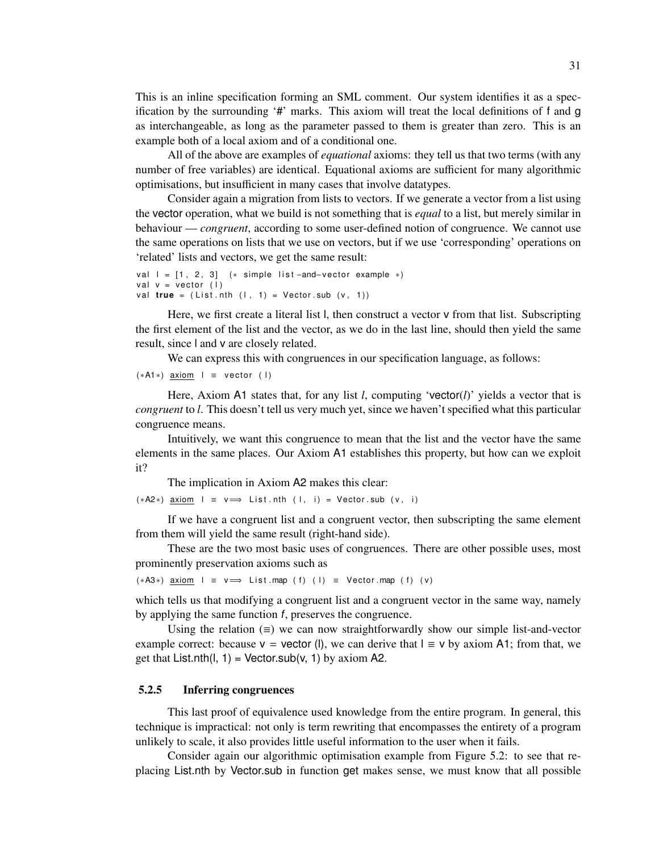This is an inline specification forming an SML comment. Our system identifies it as a specification by the surrounding '#' marks. This axiom will treat the local definitions of f and g as interchangeable, as long as the parameter passed to them is greater than zero. This is an example both of a local axiom and of a conditional one.

All of the above are examples of *equational* axioms: they tell us that two terms (with any number of free variables) are identical. Equational axioms are sufficient for many algorithmic optimisations, but insufficient in many cases that involve datatypes.

Consider again a migration from lists to vectors. If we generate a vector from a list using the vector operation, what we build is not something that is *equal* to a list, but merely similar in behaviour — *congruent*, according to some user-defined notion of congruence. We cannot use the same operations on lists that we use on vectors, but if we use 'corresponding' operations on 'related' lists and vectors, we get the same result:

```
val l = [1, 2, 3] (* simple list -and-vector example *)
val v = vector (1)val true = (List.nth (1, 1) = Vector.sub (v, 1))
```
Here, we first create a literal list l, then construct a vector  $v$  from that list. Subscripting the first element of the list and the vector, as we do in the last line, should then yield the same result, since l and v are closely related.

We can express this with congruences in our specification language, as follows:

```
(*A1*) axiom I \equiv vector (1)
```
Here, Axiom A1 states that, for any list *l*, computing 'vector(*l*)' yields a vector that is *congruent* to *l*. This doesn't tell us very much yet, since we haven't specified what this particular congruence means.

Intuitively, we want this congruence to mean that the list and the vector have the same elements in the same places. Our Axiom A1 establishes this property, but how can we exploit it?

The implication in Axiom A2 makes this clear:

 $(*A2*)$  axiom  $l = v \implies$  List.nth  $(l, i) =$  Vector.sub  $(v, i)$ 

If we have a congruent list and a congruent vector, then subscripting the same element from them will yield the same result (right-hand side).

These are the two most basic uses of congruences. There are other possible uses, most prominently preservation axioms such as

 $(*A3*)$  axiom l  $\equiv$  v  $\Longrightarrow$  List map (f) (l)  $\equiv$  Vector map (f) (v)

which tells us that modifying a congruent list and a congruent vector in the same way, namely by applying the same function f, preserves the congruence.

Using the relation  $(\equiv)$  we can now straightforwardly show our simple list-and-vector example correct: because  $v =$  vector (l), we can derive that  $l \equiv v$  by axiom A1; from that, we get that List.nth(l, 1) = Vector.sub(v, 1) by axiom A2.

#### 5.2.5 Inferring congruences

This last proof of equivalence used knowledge from the entire program. In general, this technique is impractical: not only is term rewriting that encompasses the entirety of a program unlikely to scale, it also provides little useful information to the user when it fails.

Consider again our algorithmic optimisation example from Figure 5.2: to see that replacing List.nth by Vector.sub in function get makes sense, we must know that all possible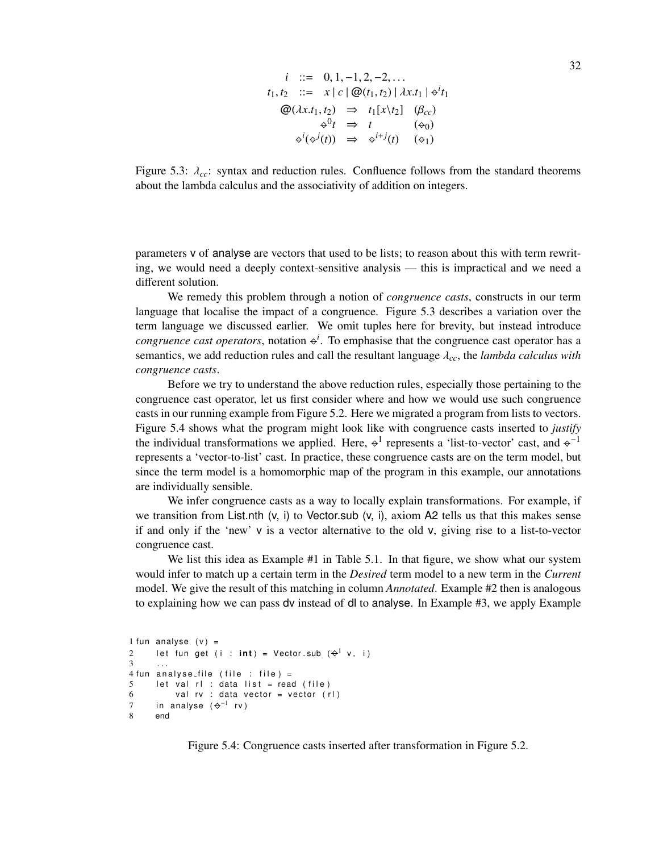$$
i ::= 0, 1, -1, 2, -2, ...
$$
  
\n
$$
t_1, t_2 ::= x | c | \mathcal{Q}(t_1, t_2) | \lambda x. t_1 | \varphi^i t_1
$$
  
\n
$$
\mathcal{Q}(\lambda x. t_1, t_2) \Rightarrow t_1[x \setminus t_2] (\beta_{cc})
$$
  
\n
$$
\varphi^0 t \Rightarrow t \qquad (\varphi_0)
$$
  
\n
$$
\varphi^i(\varphi^j(t)) \Rightarrow \varphi^{i+j}(t) (\varphi_1)
$$

Figure 5.3:  $\lambda_{cc}$ : syntax and reduction rules. Confluence follows from the standard theorems about the lambda calculus and the associativity of addition on integers.

parameters v of analyse are vectors that used to be lists; to reason about this with term rewriting, we would need a deeply context-sensitive analysis — this is impractical and we need a different solution.

We remedy this problem through a notion of *congruence casts*, constructs in our term language that localise the impact of a congruence. Figure 5.3 describes a variation over the term language we discussed earlier. We omit tuples here for brevity, but instead introduce *congruence cast operators*, notation  $\phi^i$ . To emphasise that the congruence cast operator has a semantics, we add reduction rules and call the resultant language λ*cc*, the *lambda calculus with congruence casts*.

Before we try to understand the above reduction rules, especially those pertaining to the congruence cast operator, let us first consider where and how we would use such congruence casts in our running example from Figure 5.2. Here we migrated a program from lists to vectors. Figure 5.4 shows what the program might look like with congruence casts inserted to *justify* the individual transformations we applied. Here,  $\varphi^1$  represents a 'list-to-vector' cast, and  $\varphi^{-1}$ represents a 'vector-to-list' cast. In practice, these congruence casts are on the term model, but since the term model is a homomorphic map of the program in this example, our annotations are individually sensible.

We infer congruence casts as a way to locally explain transformations. For example, if we transition from List.nth  $(v, i)$  to Vector.sub  $(v, i)$ , axiom A2 tells us that this makes sense if and only if the 'new' v is a vector alternative to the old v, giving rise to a list-to-vector congruence cast.

We list this idea as Example #1 in Table 5.1. In that figure, we show what our system would infer to match up a certain term in the *Desired* term model to a new term in the *Current* model. We give the result of this matching in column *Annotated*. Example #2 then is analogous to explaining how we can pass dv instead of dl to analyse. In Example #3, we apply Example

```
1 fun analyse (v) =
2 let fun get (i : \mathsf{int}) = Vector.sub (\varphi^1 v, i)
3 \ldots4 fun analyse<sub>-file</sub> (file : file) =
5 let val rl : data list = read (file)
6 val rv : data vector = vector (rl)
7 in analyse (\, \ominus^{-1} rv)8 end
```
Figure 5.4: Congruence casts inserted after transformation in Figure 5.2.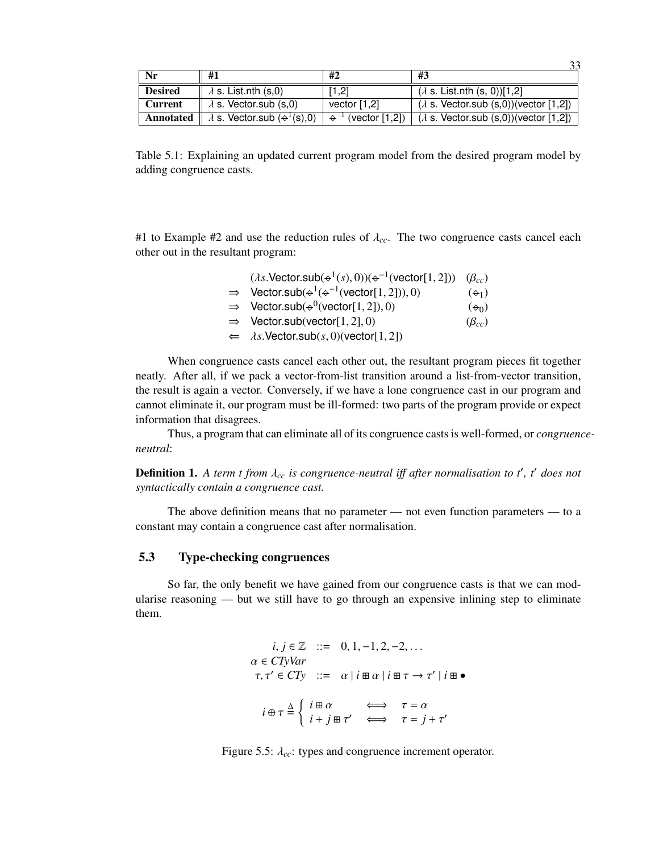| Nr             | #1                                                                      | #2                                    | #3                                               |
|----------------|-------------------------------------------------------------------------|---------------------------------------|--------------------------------------------------|
| <b>Desired</b> | $\lambda$ s. List.nth (s,0)                                             | [1,2]                                 | $(\lambda$ s. List.nth (s, 0))[1,2]              |
| <b>Current</b> | $\lambda$ s. Vector.sub (s.0)                                           | vector $[1,2]$                        | $(\lambda$ s. Vector.sub $(s,0)$ )(vector [1,2]) |
|                | <b>Annotated</b> $\parallel \lambda$ s. Vector sub $(\triangle^1(s),0)$ | $\Leftrightarrow^{-1}$ (vector [1,2]) | $(\lambda$ s. Vector.sub (s,0))(vector [1,2])    |

 $22$ 

Table 5.1: Explaining an updated current program model from the desired program model by adding congruence casts.

#1 to Example #2 and use the reduction rules of  $\lambda_{cc}$ . The two congruence casts cancel each other out in the resultant program:

| $(\lambda s.\mathsf{Vector}.\mathsf{sub}(\div^1(s),0))(\div^{-1}(\mathsf{vector}[1,2]))$ $(\beta_{cc})$      |                |
|--------------------------------------------------------------------------------------------------------------|----------------|
| $\Rightarrow$ Vector.sub( $\leftrightarrow$ <sup>1</sup> ( $\leftrightarrow$ <sup>-1</sup> (vector[1,2])),0) | $(\Theta_1)$   |
| $\Rightarrow$ Vector.sub( $\leftrightarrow$ <sup>0</sup> (vector[1,2]),0)                                    | $(\Theta_0)$   |
| $\Rightarrow$ Vector.sub(vector[1,2],0)                                                                      | $(\beta_{cc})$ |
| $\Leftarrow \quad \lambda s.$ Vector.sub $(s, 0)$ (vector [1, 2])                                            |                |
|                                                                                                              |                |

When congruence casts cancel each other out, the resultant program pieces fit together neatly. After all, if we pack a vector-from-list transition around a list-from-vector transition, the result is again a vector. Conversely, if we have a lone congruence cast in our program and cannot eliminate it, our program must be ill-formed: two parts of the program provide or expect information that disagrees.

Thus, a program that can eliminate all of its congruence casts is well-formed, or *congruenceneutral*:

**Definition 1.** A term t from  $\lambda_{cc}$  is congruence-neutral iff after normalisation to t', t' does not *syntactically contain a congruence cast.*

The above definition means that no parameter — not even function parameters — to a constant may contain a congruence cast after normalisation.

# 5.3 Type-checking congruences

So far, the only benefit we have gained from our congruence casts is that we can modularise reasoning — but we still have to go through an expensive inlining step to eliminate them.

$$
i, j \in \mathbb{Z} \quad ::= \quad 0, 1, -1, 2, -2, \dots
$$
\n
$$
\alpha \in CTyVar
$$
\n
$$
\tau, \tau' \in CTy \quad ::= \quad \alpha \mid i \equiv \alpha \mid i \equiv \tau \rightarrow \tau' \mid i \equiv \bullet
$$
\n
$$
i \oplus \tau \stackrel{\Delta}{=} \left\{ \begin{array}{ll} i \equiv \alpha & \iff & \tau = \alpha \\ i + j \equiv \tau' & \iff & \tau = j + \tau' \end{array} \right.
$$

Figure 5.5: λ*cc*: types and congruence increment operator.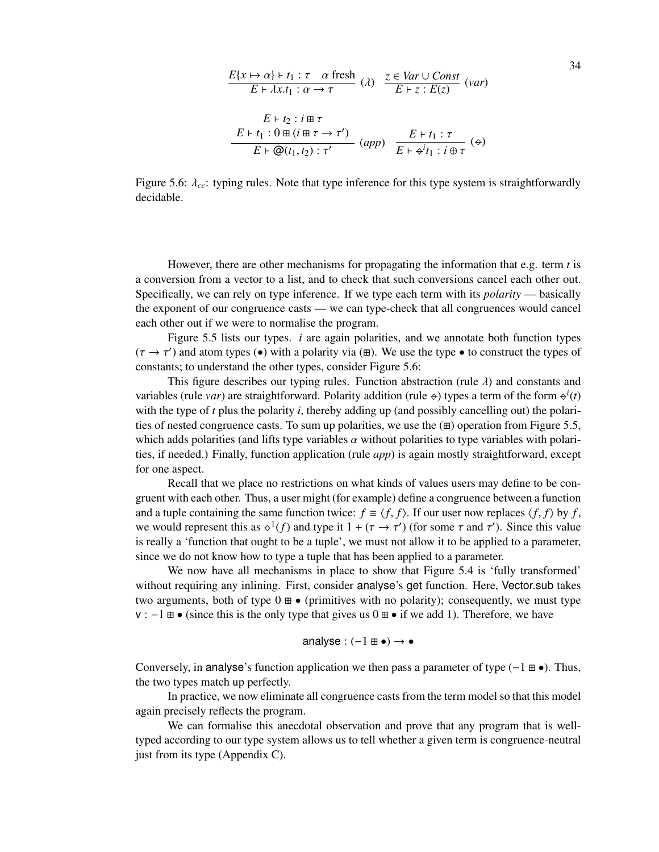$$
\frac{E\{x \mapsto \alpha\} \vdash t_1 : \tau \quad \alpha \text{ fresh}}{E + \lambda x. t_1 : \alpha \to \tau} \quad (\lambda) \quad \frac{z \in \text{Var} \cup \text{Const}}{E + z : E(z)} \quad (\text{var})
$$
\n
$$
\frac{E + t_2 : i \boxplus \tau}{E + t_1 : 0 \boxplus (i \boxplus \tau \to \tau')} \quad (\text{app}) \quad \frac{E + t_1 : \tau}{E + \phi' t_1 : i \oplus \tau} \quad (\Leftrightarrow)
$$

Figure 5.6:  $\lambda_{cc}$ : typing rules. Note that type inference for this type system is straightforwardly decidable.

However, there are other mechanisms for propagating the information that e.g. term *t* is a conversion from a vector to a list, and to check that such conversions cancel each other out. Specifically, we can rely on type inference. If we type each term with its *polarity* — basically the exponent of our congruence casts — we can type-check that all congruences would cancel each other out if we were to normalise the program.

Figure 5.5 lists our types. *i* are again polarities, and we annotate both function types  $(\tau \to \tau')$  and atom types (•) with a polarity via ( $\pm$ ). We use the type • to construct the types of constants; to understand the other types, consider Figure 5.6:

This figure describes our typing rules. Function abstraction (rule  $\lambda$ ) and constants and variables (rule *var*) are straightforward. Polarity addition (rule  $\leftrightarrow$ ) types a term of the form  $\leftrightarrow^i(t)$ with the type of *t* plus the polarity *i*, thereby adding up (and possibly cancelling out) the polarities of nested congruence casts. To sum up polarities, we use the  $(\pm)$  operation from Figure 5.5, which adds polarities (and lifts type variables  $\alpha$  without polarities to type variables with polarities, if needed.) Finally, function application (rule *app*) is again mostly straightforward, except for one aspect.

Recall that we place no restrictions on what kinds of values users may define to be congruent with each other. Thus, a user might (for example) define a congruence between a function and a tuple containing the same function twice:  $f \equiv \langle f, f \rangle$ . If our user now replaces  $\langle f, f \rangle$  by *f*, we would represent this as  $\varphi^1(f)$  and type it  $1 + (\tau \to \tau')$  (for some  $\tau$  and  $\tau'$ ). Since this value is really a 'function that ought to be a tuple', we must not allow it to be applied to a parameter, since we do not know how to type a tuple that has been applied to a parameter.

We now have all mechanisms in place to show that Figure 5.4 is 'fully transformed' without requiring any inlining. First, consider analyse's get function. Here, Vector.sub takes two arguments, both of type  $0 \oplus \bullet$  (primitives with no polarity); consequently, we must type  $v : -1 \boxplus \bullet$  (since this is the only type that gives us  $0 \boxplus \bullet$  if we add 1). Therefore, we have

$$
analysis: (-1 \boxplus \bullet) \rightarrow \bullet
$$

Conversely, in analyse's function application we then pass a parameter of type  $(-1 \oplus \bullet)$ . Thus, the two types match up perfectly.

In practice, we now eliminate all congruence casts from the term model so that this model again precisely reflects the program.

We can formalise this anecdotal observation and prove that any program that is welltyped according to our type system allows us to tell whether a given term is congruence-neutral just from its type (Appendix C).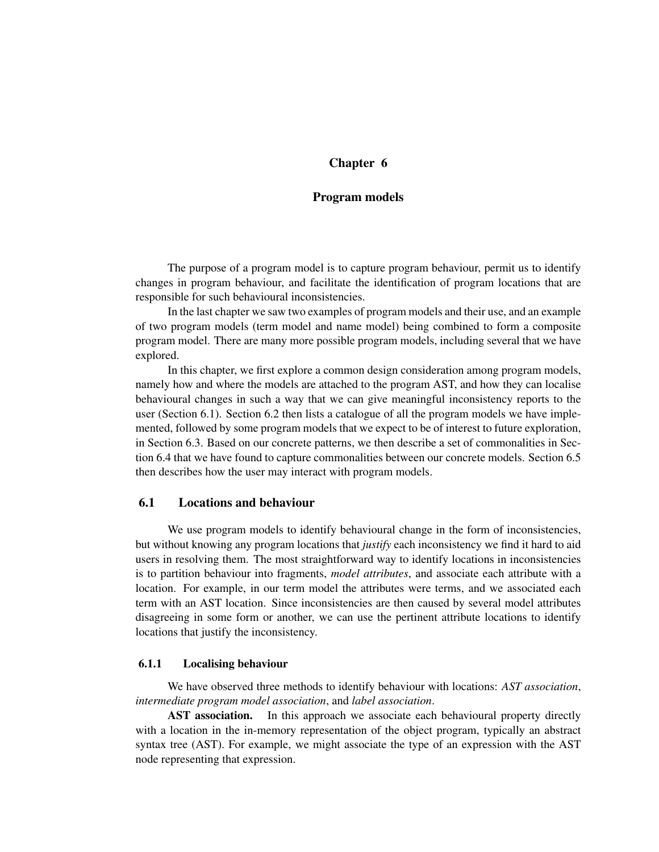# Chapter 6

# Program models

The purpose of a program model is to capture program behaviour, permit us to identify changes in program behaviour, and facilitate the identification of program locations that are responsible for such behavioural inconsistencies.

In the last chapter we saw two examples of program models and their use, and an example of two program models (term model and name model) being combined to form a composite program model. There are many more possible program models, including several that we have explored.

In this chapter, we first explore a common design consideration among program models, namely how and where the models are attached to the program AST, and how they can localise behavioural changes in such a way that we can give meaningful inconsistency reports to the user (Section 6.1). Section 6.2 then lists a catalogue of all the program models we have implemented, followed by some program models that we expect to be of interest to future exploration, in Section 6.3. Based on our concrete patterns, we then describe a set of commonalities in Section 6.4 that we have found to capture commonalities between our concrete models. Section 6.5 then describes how the user may interact with program models.

# 6.1 Locations and behaviour

We use program models to identify behavioural change in the form of inconsistencies, but without knowing any program locations that *justify* each inconsistency we find it hard to aid users in resolving them. The most straightforward way to identify locations in inconsistencies is to partition behaviour into fragments, *model attributes*, and associate each attribute with a location. For example, in our term model the attributes were terms, and we associated each term with an AST location. Since inconsistencies are then caused by several model attributes disagreeing in some form or another, we can use the pertinent attribute locations to identify locations that justify the inconsistency.

### 6.1.1 Localising behaviour

We have observed three methods to identify behaviour with locations: *AST association*, *intermediate program model association*, and *label association*.

AST association. In this approach we associate each behavioural property directly with a location in the in-memory representation of the object program, typically an abstract syntax tree (AST). For example, we might associate the type of an expression with the AST node representing that expression.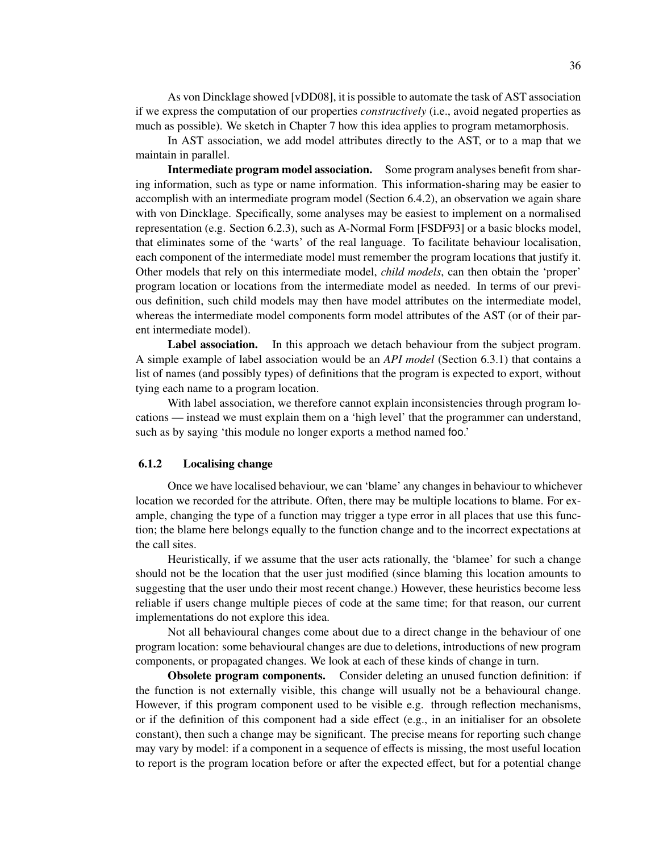As von Dincklage showed [vDD08], it is possible to automate the task of AST association if we express the computation of our properties *constructively* (i.e., avoid negated properties as much as possible). We sketch in Chapter 7 how this idea applies to program metamorphosis.

In AST association, we add model attributes directly to the AST, or to a map that we maintain in parallel.

Intermediate program model association. Some program analyses benefit from sharing information, such as type or name information. This information-sharing may be easier to accomplish with an intermediate program model (Section 6.4.2), an observation we again share with von Dincklage. Specifically, some analyses may be easiest to implement on a normalised representation (e.g. Section 6.2.3), such as A-Normal Form [FSDF93] or a basic blocks model, that eliminates some of the 'warts' of the real language. To facilitate behaviour localisation, each component of the intermediate model must remember the program locations that justify it. Other models that rely on this intermediate model, *child models*, can then obtain the 'proper' program location or locations from the intermediate model as needed. In terms of our previous definition, such child models may then have model attributes on the intermediate model, whereas the intermediate model components form model attributes of the AST (or of their parent intermediate model).

Label association. In this approach we detach behaviour from the subject program. A simple example of label association would be an *API model* (Section 6.3.1) that contains a list of names (and possibly types) of definitions that the program is expected to export, without tying each name to a program location.

With label association, we therefore cannot explain inconsistencies through program locations — instead we must explain them on a 'high level' that the programmer can understand, such as by saying 'this module no longer exports a method named foo.'

#### 6.1.2 Localising change

Once we have localised behaviour, we can 'blame' any changes in behaviour to whichever location we recorded for the attribute. Often, there may be multiple locations to blame. For example, changing the type of a function may trigger a type error in all places that use this function; the blame here belongs equally to the function change and to the incorrect expectations at the call sites.

Heuristically, if we assume that the user acts rationally, the 'blamee' for such a change should not be the location that the user just modified (since blaming this location amounts to suggesting that the user undo their most recent change.) However, these heuristics become less reliable if users change multiple pieces of code at the same time; for that reason, our current implementations do not explore this idea.

Not all behavioural changes come about due to a direct change in the behaviour of one program location: some behavioural changes are due to deletions, introductions of new program components, or propagated changes. We look at each of these kinds of change in turn.

Obsolete program components. Consider deleting an unused function definition: if the function is not externally visible, this change will usually not be a behavioural change. However, if this program component used to be visible e.g. through reflection mechanisms, or if the definition of this component had a side effect (e.g., in an initialiser for an obsolete constant), then such a change may be significant. The precise means for reporting such change may vary by model: if a component in a sequence of effects is missing, the most useful location to report is the program location before or after the expected effect, but for a potential change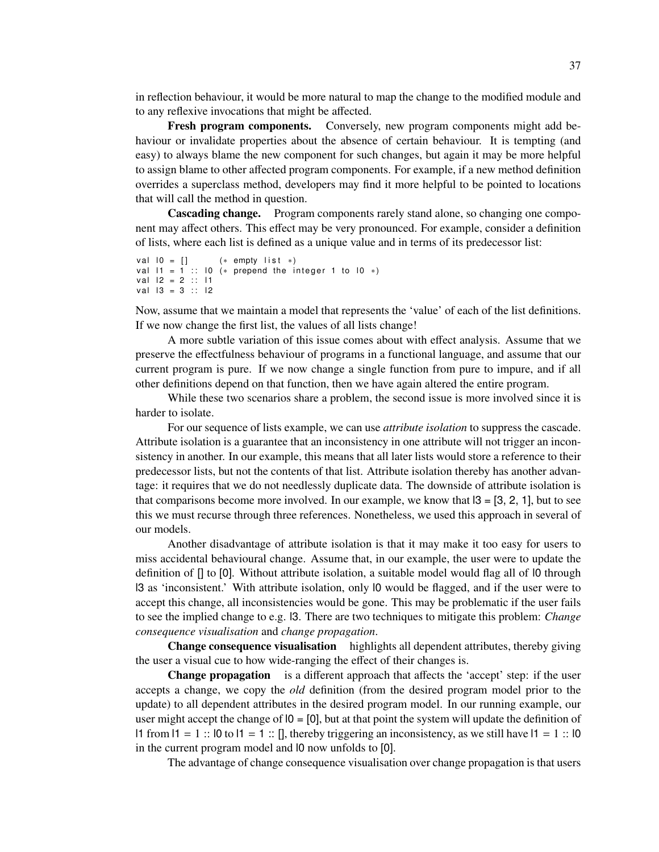in reflection behaviour, it would be more natural to map the change to the modified module and to any reflexive invocations that might be affected.

Fresh program components. Conversely, new program components might add behaviour or invalidate properties about the absence of certain behaviour. It is tempting (and easy) to always blame the new component for such changes, but again it may be more helpful to assign blame to other affected program components. For example, if a new method definition overrides a superclass method, developers may find it more helpful to be pointed to locations that will call the method in question.

Cascading change. Program components rarely stand alone, so changing one component may affect others. This effect may be very pronounced. For example, consider a definition of lists, where each list is defined as a unique value and in terms of its predecessor list:

```
v a l 10 = [] (* empty list *)
val 11 = 1 :: 10 (* prepend the integer 1 to 10 *)
val 12 = 2 :: 11val 13 = 3 :: 12
```
Now, assume that we maintain a model that represents the 'value' of each of the list definitions. If we now change the first list, the values of all lists change!

A more subtle variation of this issue comes about with effect analysis. Assume that we preserve the effectfulness behaviour of programs in a functional language, and assume that our current program is pure. If we now change a single function from pure to impure, and if all other definitions depend on that function, then we have again altered the entire program.

While these two scenarios share a problem, the second issue is more involved since it is harder to isolate.

For our sequence of lists example, we can use *attribute isolation* to suppress the cascade. Attribute isolation is a guarantee that an inconsistency in one attribute will not trigger an inconsistency in another. In our example, this means that all later lists would store a reference to their predecessor lists, but not the contents of that list. Attribute isolation thereby has another advantage: it requires that we do not needlessly duplicate data. The downside of attribute isolation is that comparisons become more involved. In our example, we know that  $|3 = [3, 2, 1]$ , but to see this we must recurse through three references. Nonetheless, we used this approach in several of our models.

Another disadvantage of attribute isolation is that it may make it too easy for users to miss accidental behavioural change. Assume that, in our example, the user were to update the definition of [] to [0]. Without attribute isolation, a suitable model would flag all of l0 through l3 as 'inconsistent.' With attribute isolation, only l0 would be flagged, and if the user were to accept this change, all inconsistencies would be gone. This may be problematic if the user fails to see the implied change to e.g. l3. There are two techniques to mitigate this problem: *Change consequence visualisation* and *change propagation*.

Change consequence visualisation highlights all dependent attributes, thereby giving the user a visual cue to how wide-ranging the effect of their changes is.

Change propagation is a different approach that affects the 'accept' step: if the user accepts a change, we copy the *old* definition (from the desired program model prior to the update) to all dependent attributes in the desired program model. In our running example, our user might accept the change of  $\alpha$  =  $\alpha$ , but at that point the system will update the definition of l1 from  $11 = 1$  ::  $10$  to  $11 = 1$  ::  $1$ , thereby triggering an inconsistency, as we still have  $11 = 1$  ::  $10$ in the current program model and l0 now unfolds to [0].

The advantage of change consequence visualisation over change propagation is that users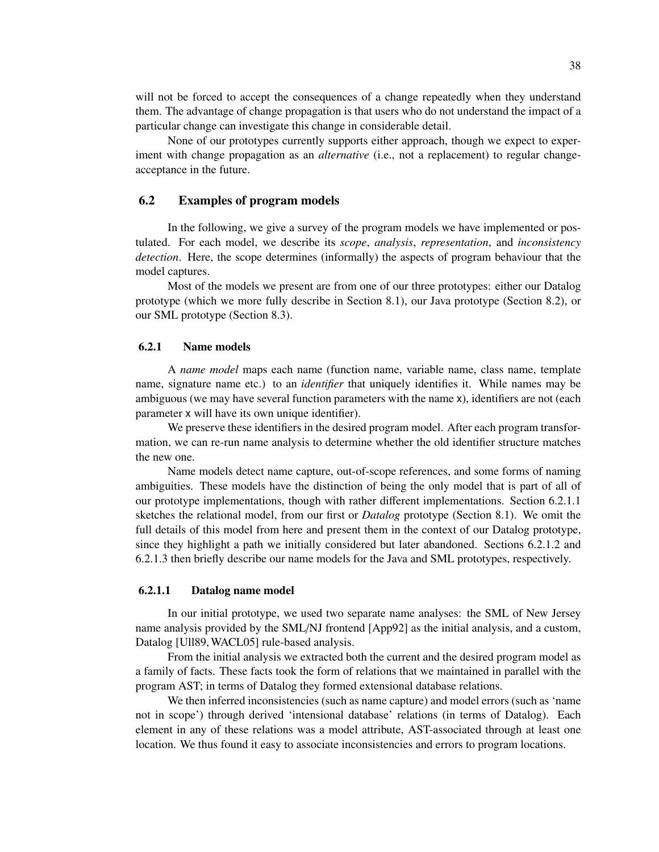will not be forced to accept the consequences of a change repeatedly when they understand them. The advantage of change propagation is that users who do not understand the impact of a particular change can investigate this change in considerable detail.

None of our prototypes currently supports either approach, though we expect to experiment with change propagation as an *alternative* (i.e., not a replacement) to regular changeacceptance in the future.

# 6.2 Examples of program models

In the following, we give a survey of the program models we have implemented or postulated. For each model, we describe its *scope*, *analysis*, *representation*, and *inconsistency detection*. Here, the scope determines (informally) the aspects of program behaviour that the model captures.

Most of the models we present are from one of our three prototypes: either our Datalog prototype (which we more fully describe in Section 8.1), our Java prototype (Section 8.2), or our SML prototype (Section 8.3).

#### 6.2.1 Name models

A *name model* maps each name (function name, variable name, class name, template name, signature name etc.) to an *identifier* that uniquely identifies it. While names may be ambiguous (we may have several function parameters with the name x), identifiers are not (each parameter x will have its own unique identifier).

We preserve these identifiers in the desired program model. After each program transformation, we can re-run name analysis to determine whether the old identifier structure matches the new one.

Name models detect name capture, out-of-scope references, and some forms of naming ambiguities. These models have the distinction of being the only model that is part of all of our prototype implementations, though with rather different implementations. Section 6.2.1.1 sketches the relational model, from our first or *Datalog* prototype (Section 8.1). We omit the full details of this model from here and present them in the context of our Datalog prototype, since they highlight a path we initially considered but later abandoned. Sections 6.2.1.2 and 6.2.1.3 then briefly describe our name models for the Java and SML prototypes, respectively.

#### 6.2.1.1 Datalog name model

In our initial prototype, we used two separate name analyses: the SML of New Jersey name analysis provided by the SML/NJ frontend [App92] as the initial analysis, and a custom, Datalog [Ull89,WACL05] rule-based analysis.

From the initial analysis we extracted both the current and the desired program model as a family of facts. These facts took the form of relations that we maintained in parallel with the program AST; in terms of Datalog they formed extensional database relations.

We then inferred inconsistencies (such as name capture) and model errors (such as 'name not in scope') through derived 'intensional database' relations (in terms of Datalog). Each element in any of these relations was a model attribute, AST-associated through at least one location. We thus found it easy to associate inconsistencies and errors to program locations.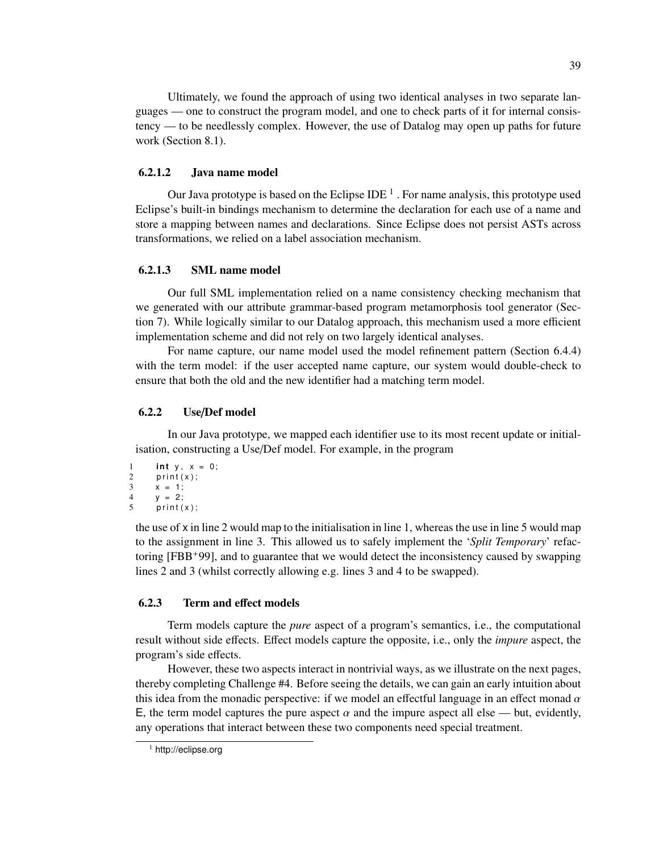Ultimately, we found the approach of using two identical analyses in two separate languages — one to construct the program model, and one to check parts of it for internal consistency — to be needlessly complex. However, the use of Datalog may open up paths for future work (Section 8.1).

# 6.2.1.2 Java name model

Our Java prototype is based on the Eclipse IDE  $^1$  . For name analysis, this prototype used Eclipse's built-in bindings mechanism to determine the declaration for each use of a name and store a mapping between names and declarations. Since Eclipse does not persist ASTs across transformations, we relied on a label association mechanism.

### 6.2.1.3 SML name model

Our full SML implementation relied on a name consistency checking mechanism that we generated with our attribute grammar-based program metamorphosis tool generator (Section 7). While logically similar to our Datalog approach, this mechanism used a more efficient implementation scheme and did not rely on two largely identical analyses.

For name capture, our name model used the model refinement pattern (Section 6.4.4) with the term model: if the user accepted name capture, our system would double-check to ensure that both the old and the new identifier had a matching term model.

#### 6.2.2 Use/Def model

In our Java prototype, we mapped each identifier use to its most recent update or initialisation, constructing a Use/Def model. For example, in the program

```
1 int y, x = 0;
2 print(x);<br>3 x = 1;
      x = 1;
4 y = 2;<br>5 print (
       print(x);
```
the use of x in line 2 would map to the initialisation in line 1, whereas the use in line 5 would map to the assignment in line 3. This allowed us to safely implement the '*Split Temporary*' refactoring [FBB+99], and to guarantee that we would detect the inconsistency caused by swapping lines 2 and 3 (whilst correctly allowing e.g. lines 3 and 4 to be swapped).

### 6.2.3 Term and effect models

Term models capture the *pure* aspect of a program's semantics, i.e., the computational result without side effects. Effect models capture the opposite, i.e., only the *impure* aspect, the program's side effects.

However, these two aspects interact in nontrivial ways, as we illustrate on the next pages, thereby completing Challenge #4. Before seeing the details, we can gain an early intuition about this idea from the monadic perspective: if we model an effectful language in an effect monad  $\alpha$ E, the term model captures the pure aspect  $\alpha$  and the impure aspect all else — but, evidently, any operations that interact between these two components need special treatment.

<sup>&</sup>lt;sup>1</sup> http://eclipse.org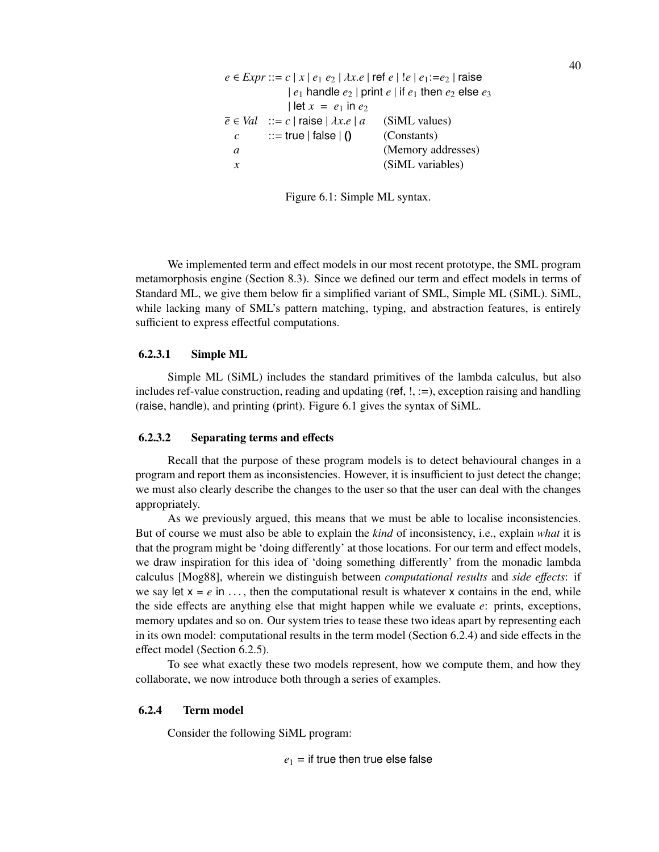$e \in \text{Expr} ::= c | x | e_1 e_2 | \lambda x.e | \text{ref } e | !e | e_1 := e_2 | \text{raise }$  $|e_1|$  handle  $e_2$  | print  $e_1$  if  $e_1$  then  $e_2$  else  $e_3$  $|$  let  $x = e_1$  in  $e_2$  $\overline{e} \in Val$  ::= *c* | raise |  $\lambda x.e$  | *a* (SiML values)<br> *c* ::= true | false | () (Constants)  $\begin{array}{ll} c & ::= \text{true} \mid \text{false} \mid \text{()} \\ a & \end{array}$ *(Memory addresses) x* (SiML variables)

Figure 6.1: Simple ML syntax.

We implemented term and effect models in our most recent prototype, the SML program metamorphosis engine (Section 8.3). Since we defined our term and effect models in terms of Standard ML, we give them below fir a simplified variant of SML, Simple ML (SiML). SiML, while lacking many of SML's pattern matching, typing, and abstraction features, is entirely sufficient to express effectful computations.

### 6.2.3.1 Simple ML

Simple ML (SiML) includes the standard primitives of the lambda calculus, but also includes ref-value construction, reading and updating (ref,  $!, :=$ ), exception raising and handling (raise, handle), and printing (print). Figure 6.1 gives the syntax of SiML.

# 6.2.3.2 Separating terms and effects

Recall that the purpose of these program models is to detect behavioural changes in a program and report them as inconsistencies. However, it is insufficient to just detect the change; we must also clearly describe the changes to the user so that the user can deal with the changes appropriately.

As we previously argued, this means that we must be able to localise inconsistencies. But of course we must also be able to explain the *kind* of inconsistency, i.e., explain *what* it is that the program might be 'doing differently' at those locations. For our term and effect models, we draw inspiration for this idea of 'doing something differently' from the monadic lambda calculus [Mog88], wherein we distinguish between *computational results* and *side e*ff*ects*: if we say let  $x = e$  in ..., then the computational result is whatever x contains in the end, while the side effects are anything else that might happen while we evaluate *e*: prints, exceptions, memory updates and so on. Our system tries to tease these two ideas apart by representing each in its own model: computational results in the term model (Section 6.2.4) and side effects in the effect model (Section 6.2.5).

To see what exactly these two models represent, how we compute them, and how they collaborate, we now introduce both through a series of examples.

## 6.2.4 Term model

Consider the following SiML program:

 $e_1$  = if true then true else false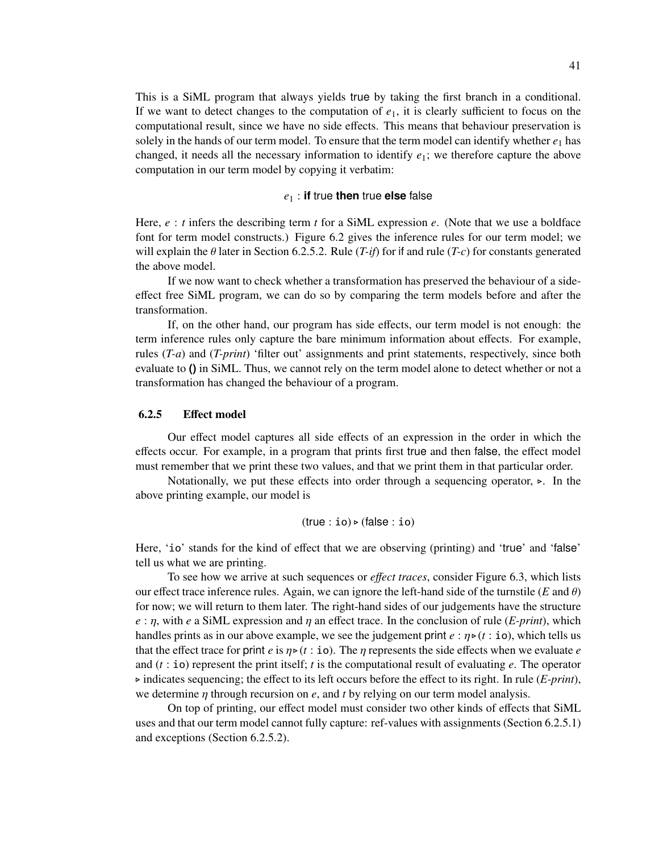This is a SiML program that always yields true by taking the first branch in a conditional. If we want to detect changes to the computation of *e*1, it is clearly sufficient to focus on the computational result, since we have no side effects. This means that behaviour preservation is solely in the hands of our term model. To ensure that the term model can identify whether  $e_1$  has changed, it needs all the necessary information to identify *e*1; we therefore capture the above computation in our term model by copying it verbatim:

#### *e*<sup>1</sup> : **if** true **then** true **else** false

Here,  $e : t$  infers the describing term  $t$  for a SiML expression  $e$ . (Note that we use a boldface font for term model constructs.) Figure 6.2 gives the inference rules for our term model; we will explain the θ later in Section 6.2.5.2. Rule (*T-if*) for if and rule (*T-c*) for constants generated the above model.

If we now want to check whether a transformation has preserved the behaviour of a sideeffect free SiML program, we can do so by comparing the term models before and after the transformation.

If, on the other hand, our program has side effects, our term model is not enough: the term inference rules only capture the bare minimum information about effects. For example, rules (*T-a*) and (*T-print*) 'filter out' assignments and print statements, respectively, since both evaluate to **()** in SiML. Thus, we cannot rely on the term model alone to detect whether or not a transformation has changed the behaviour of a program.

## 6.2.5 Effect model

Our effect model captures all side effects of an expression in the order in which the effects occur. For example, in a program that prints first true and then false, the effect model must remember that we print these two values, and that we print them in that particular order.

Notationally, we put these effects into order through a sequencing operator,  $\triangleright$ . In the above printing example, our model is

$$
(\text{true} : \texttt{io}) \triangleright (\text{false} : \texttt{io})
$$

Here, 'io' stands for the kind of effect that we are observing (printing) and 'true' and 'false' tell us what we are printing.

To see how we arrive at such sequences or *e*ff*ect traces*, consider Figure 6.3, which lists our effect trace inference rules. Again, we can ignore the left-hand side of the turnstile ( $E$  and  $\theta$ ) for now; we will return to them later. The right-hand sides of our judgements have the structure  $e : \eta$ , with *e* a SiML expression and  $\eta$  an effect trace. In the conclusion of rule (*E-print*), which handles prints as in our above example, we see the judgement print  $e : \eta \triangleright (t : \mathbf{io})$ , which tells us that the effect trace for print *e* is  $\eta \triangleright (t : \mathbf{io})$ . The  $\eta$  represents the side effects when we evaluate *e* and (*t* : io) represent the print itself; *t* is the computational result of evaluating *e*. The operator  $\triangleright$  indicates sequencing; the effect to its left occurs before the effect to its right. In rule (*E-print*), we determine η through recursion on *e*, and *t* by relying on our term model analysis.

On top of printing, our effect model must consider two other kinds of effects that SiML uses and that our term model cannot fully capture: ref-values with assignments (Section 6.2.5.1) and exceptions (Section 6.2.5.2).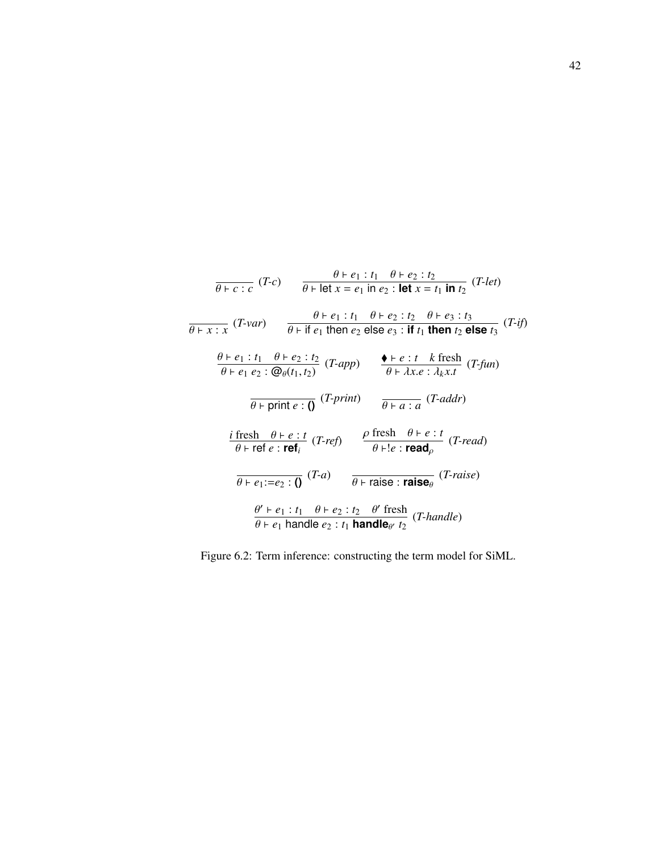$$
\frac{\theta + e_1 : t_1 \quad \theta + e_2 : t_2}{\theta + \text{let } x = e_1 \text{ in } e_2 : \text{let } x = t_1 \text{ in } t_2} (T \text{-} let)
$$
\n
$$
\frac{\theta + e_1 : t_1 \quad \theta + e_2 : t_2 \quad \theta + e_3 : t_3}{\theta + \text{if } e_1 \text{ then } e_2 \text{ else } e_3 : \text{if } t_1 \text{ then } t_2 \text{ else } t_3} (T \text{-} if)
$$
\n
$$
\frac{\theta + e_1 : t_1 \quad \theta + e_2 : t_2}{\theta + e_1 e_2 : \textcircled{Q}_{\theta}(t_1, t_2)} (T \text{-} app) \qquad \frac{\blacklozenge + e : t \quad k \text{ fresh}}{\theta + \lambda x \cdot e : \lambda_k x \cdot t} (T \text{-} fun)
$$
\n
$$
\frac{\partial \text{F}}{\partial \text{F}} \text{print } e : \text{I} \quad (T \text{-} prept) \qquad \frac{\blacklozenge + e : t \quad k \text{ fresh}}{\theta + a : a} (T \text{-} addr)
$$
\n
$$
\frac{\text{if } \text{resh } \theta + e : t}{\theta + \text{ref } e : \text{ref}_i} (T \text{-} ref) \qquad \frac{\rho \text{ fresh } \theta + e : t}{\theta + e : \text{read}_\rho} (T \text{-} read)
$$
\n
$$
\frac{\theta + e_1 : t_1 \quad \theta + e_2 : t_2 \quad \theta' \text{ fresh}}{\theta + \text{raise } e : \text{raise } \theta} (T \text{-} raise)} (T \text{-} raise)
$$
\n
$$
\frac{\theta' + e_1 : t_1 \quad \theta + e_2 : t_2 \quad \theta' \text{ fresh}}{\theta + e_1 \text{ handle } e_2 : t_1 \text{ handle } e_2} (T \text{-} handle)
$$

Figure 6.2: Term inference: constructing the term model for SiML.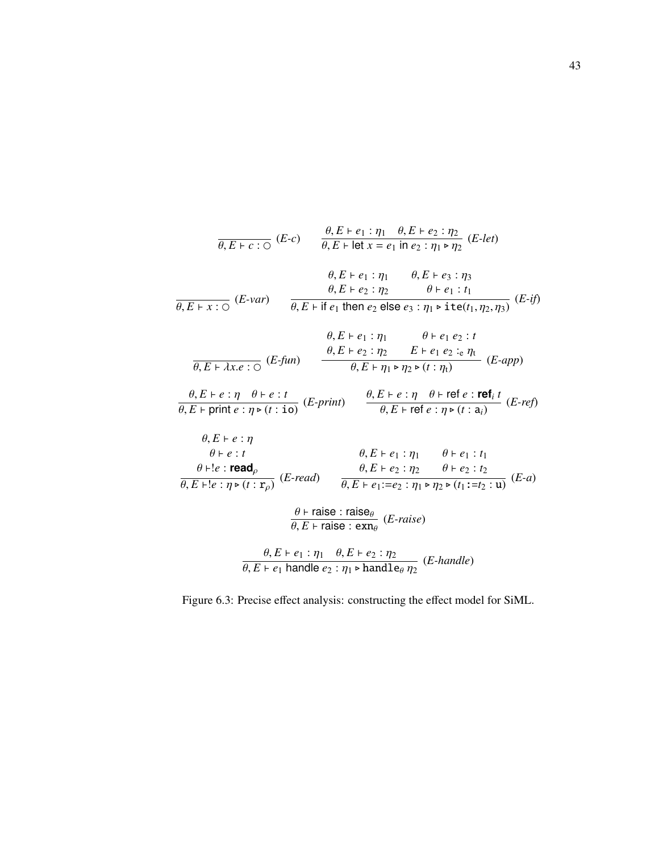$$
\frac{\theta, E \vdash e_1 : \eta_1 \quad \theta, E \vdash e_2 : \eta_2}{\theta, E \vdash \text{let } x = e_1 \text{ in } e_2 : \eta_1 \triangleright \eta_2} (E-\text{let})
$$
\n
$$
\frac{\theta, E \vdash e_1 : \eta_1 \quad \theta, E \vdash e_2 : \eta_2}{\theta, E \vdash e_1 : \eta_1 \quad \theta, E \vdash e_3 : \eta_3}
$$
\n
$$
\frac{\theta, E \vdash e_1 : \eta_1 \quad \theta, E \vdash e_3 : \eta_3}{\theta, E \vdash x : \bigcirc (E-\text{var})} \qquad \frac{\theta, E \vdash \text{let } e_1 \text{ then } e_2 \text{ else } e_3 : \eta_1 \triangleright \text{ite}(t_1, \eta_2, \eta_3)}{\theta, E \vdash 2 : \eta_2 \quad E \vdash e_1 e_2 : \eta_1 \quad \theta \vdash e_1 e_2 : t}
$$
\n
$$
\frac{\theta, E \vdash e_1 : \eta_1 \quad \theta \vdash e_1 e_2 : \eta_2}{\theta, E \vdash x \cdot e : \bigcirc (E-\text{fun})} \qquad \frac{\theta, E \vdash e_2 : \eta_2 \quad E \vdash e_1 e_2 : e \eta_1}{\theta, E \vdash \eta_1 \vdash \eta_2 \vdash (t : \eta_1)} (E-\text{app})
$$
\n
$$
\frac{\theta, E \vdash e : \eta \quad \theta \vdash e : t}{\theta, E \vdash \text{print } e : \eta \vdash (t : \text{io})} (E-\text{print}) \qquad \frac{\theta, E \vdash e : \eta \quad \theta \vdash \text{ref } e : \text{ref } t}{\theta, E \vdash \text{ref } e : \eta \vdash (t : \text{a}_i)} (E-\text{ref})
$$
\n
$$
\theta, E \vdash e : t \qquad \theta, E \vdash e_1 : \eta_1 \quad \theta \vdash e_1 : t_1
$$
\n
$$
\frac{\theta, E \vdash e : \text{read } \theta, E \vdash e_2 : \eta_2 \quad \theta \vdash e_2 : t_2}{\theta, E \vdash \text{rel } \eta \vdash (t : \text{r}_\rho)} (E-\text{read}) \qquad \
$$

Figure 6.3: Precise effect analysis: constructing the effect model for SiML.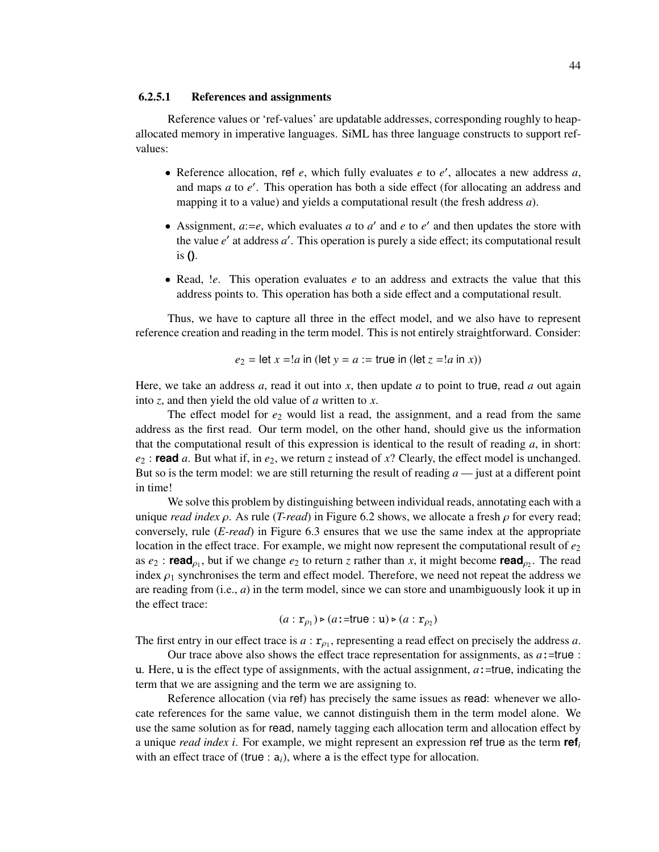### 6.2.5.1 References and assignments

Reference values or 'ref-values' are updatable addresses, corresponding roughly to heapallocated memory in imperative languages. SiML has three language constructs to support refvalues:

- Reference allocation, ref  $e$ , which fully evaluates  $e$  to  $e'$ , allocates a new address  $a$ , and maps *a* to *e'*. This operation has both a side effect (for allocating an address and mapping it to a value) and yields a computational result (the fresh address *a*).
- Assignment,  $a:=e$ , which evaluates  $a$  to  $a'$  and  $e$  to  $e'$  and then updates the store with the value e' at address a'. This operation is purely a side effect; its computational result is **()**.
- Read, *le.* This operation evaluates *e* to an address and extracts the value that this address points to. This operation has both a side effect and a computational result.

Thus, we have to capture all three in the effect model, and we also have to represent reference creation and reading in the term model. This is not entirely straightforward. Consider:

$$
e_2 =
$$
 let  $x = !a$  in (let  $y = a :=$  true in (let  $z = !a$  in x))

Here, we take an address *a*, read it out into *x*, then update *a* to point to true, read *a* out again into *z*, and then yield the old value of *a* written to *x*.

The effect model for  $e_2$  would list a read, the assignment, and a read from the same address as the first read. Our term model, on the other hand, should give us the information that the computational result of this expression is identical to the result of reading *a*, in short: *e*<sup>2</sup> : **read** *a*. But what if, in *e*2, we return *z* instead of *x*? Clearly, the effect model is unchanged. But so is the term model: we are still returning the result of reading *a* — just at a different point in time!

We solve this problem by distinguishing between individual reads, annotating each with a unique *read index*  $\rho$ . As rule (*T-read*) in Figure 6.2 shows, we allocate a fresh  $\rho$  for every read; conversely, rule (*E-read*) in Figure 6.3 ensures that we use the same index at the appropriate location in the effect trace. For example, we might now represent the computational result of  $e_2$ as  $e_2$ : **read**<sub> $\rho_1$ </sub>, but if we change  $e_2$  to return *z* rather than *x*, it might become **read**<sub> $\rho_2$ </sub>. The read index  $\rho_1$  synchronises the term and effect model. Therefore, we need not repeat the address we are reading from  $(i.e., a)$  in the term model, since we can store and unambiguously look it up in the effect trace:

$$
(a: \mathbf{r}_{\rho_1}) \triangleright (a:=\mathsf{true}: \mathbf{u}) \triangleright (a: \mathbf{r}_{\rho_2})
$$

The first entry in our effect trace is  $a : \mathbf{r}_{p_1}$ , representing a read effect on precisely the address  $a$ .

Our trace above also shows the effect trace representation for assignments, as  $a:$  =true : u. Here, u is the effect type of assignments, with the actual assignment, *a*:=true, indicating the term that we are assigning and the term we are assigning to.

Reference allocation (via ref) has precisely the same issues as read: whenever we allocate references for the same value, we cannot distinguish them in the term model alone. We use the same solution as for read, namely tagging each allocation term and allocation effect by a unique *read index i*. For example, we might represent an expression ref true as the term **ref***<sup>i</sup>* with an effect trace of (true  $: a_i$ ), where a is the effect type for allocation.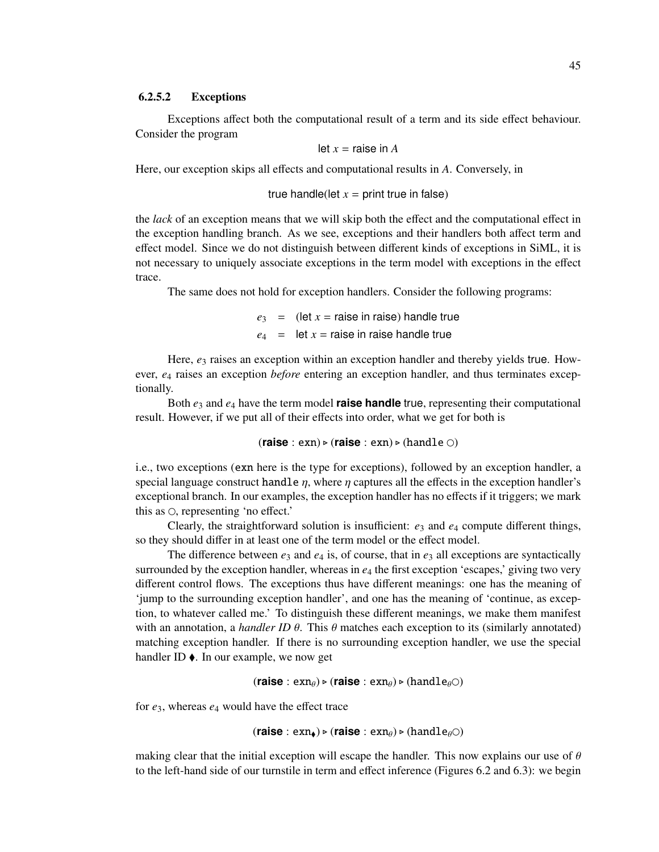#### 6.2.5.2 Exceptions

Exceptions affect both the computational result of a term and its side effect behaviour. Consider the program

let 
$$
x =
$$
 raise in  $A$ 

Here, our exception skips all effects and computational results in *A*. Conversely, in

true handle(left 
$$
x =
$$
 print true in false)

the *lack* of an exception means that we will skip both the effect and the computational effect in the exception handling branch. As we see, exceptions and their handlers both affect term and effect model. Since we do not distinguish between different kinds of exceptions in SiML, it is not necessary to uniquely associate exceptions in the term model with exceptions in the effect trace.

The same does not hold for exception handlers. Consider the following programs:

 $e_3$  = (let  $x$  = raise in raise) handle true  $e_4$  = let  $x$  = raise in raise handle true

Here,  $e_3$  raises an exception within an exception handler and thereby yields true. However, *e*<sup>4</sup> raises an exception *before* entering an exception handler, and thus terminates exceptionally.

Both *e*<sup>3</sup> and *e*<sup>4</sup> have the term model **raise handle** true, representing their computational result. However, if we put all of their effects into order, what we get for both is

 $(\text{raise}: \text{ex} : \text{ex} n) \triangleright (\text{raise}: \text{ex} : \text{ex} n) \triangleright (\text{handle} \bigcirc)$ 

i.e., two exceptions (exn here is the type for exceptions), followed by an exception handler, a special language construct handle  $\eta$ , where  $\eta$  captures all the effects in the exception handler's exceptional branch. In our examples, the exception handler has no effects if it triggers; we mark this as  $\circ$ , representing 'no effect.'

Clearly, the straightforward solution is insufficient: *e*<sup>3</sup> and *e*<sup>4</sup> compute different things, so they should differ in at least one of the term model or the effect model.

The difference between  $e_3$  and  $e_4$  is, of course, that in  $e_3$  all exceptions are syntactically surrounded by the exception handler, whereas in *e*<sup>4</sup> the first exception 'escapes,' giving two very different control flows. The exceptions thus have different meanings: one has the meaning of 'jump to the surrounding exception handler', and one has the meaning of 'continue, as exception, to whatever called me.' To distinguish these different meanings, we make them manifest with an annotation, a *handler ID*  $\theta$ . This  $\theta$  matches each exception to its (similarly annotated) matching exception handler. If there is no surrounding exception handler, we use the special handler ID $\triangle$ . In our example, we now get

 $(\text{raise}: \text{ex} \in \text{ran}_\theta) \triangleright (\text{raise}: \text{ex} \in \text{can}_\theta) \triangleright (\text{handle}_\theta \odot)$ 

for *e*3, whereas *e*<sup>4</sup> would have the effect trace

 $(\text{raise}: \text{ex} \in \text{ex} \in \text{ex} \in \text{ex} \in \text{ex} \in \text{ex} \in \text{ex} \in \text{ex} \in \text{ex} \in \text{ex} \in \text{ex} \in \text{ex} \in \text{ex} \in \text{ex} \in \text{ex} \in \text{ex} \in \text{ex} \in \text{ex} \in \text{ex} \in \text{ex} \in \text{ex} \in \text{ex} \in \text{ex} \in \text{ex} \in \text{ex} \in \text{ex} \in \text{ex} \in \text{ex} \in \text{ex} \in \text{ex} \in \text{ex}$ 

making clear that the initial exception will escape the handler. This now explains our use of  $\theta$ to the left-hand side of our turnstile in term and effect inference (Figures 6.2 and 6.3): we begin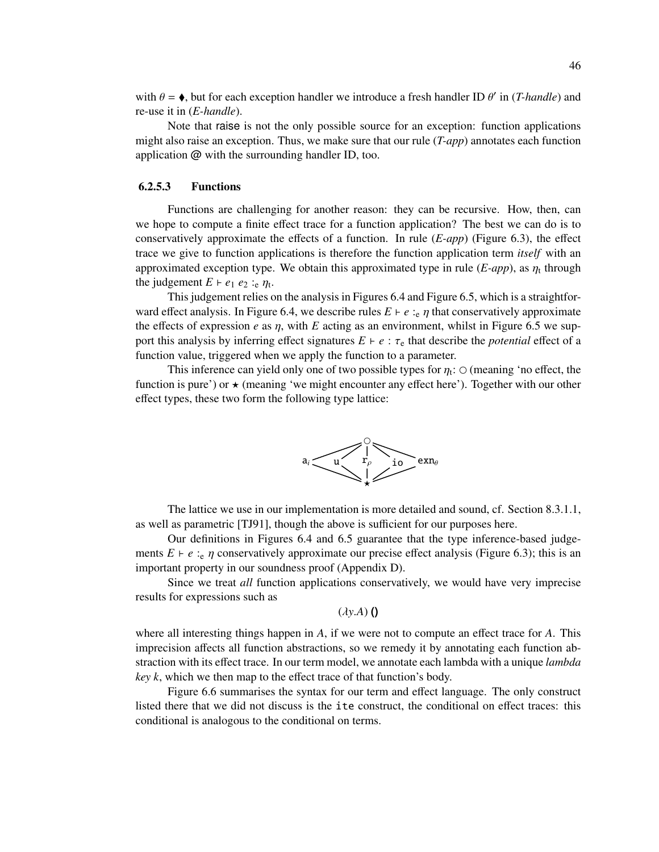with  $\theta = \phi$ , but for each exception handler we introduce a fresh handler ID  $\theta'$  in (*T-handle*) and re-use it in (*E-handle*).

Note that raise is not the only possible source for an exception: function applications might also raise an exception. Thus, we make sure that our rule (*T-app*) annotates each function application @ with the surrounding handler ID, too.

#### 6.2.5.3 Functions

Functions are challenging for another reason: they can be recursive. How, then, can we hope to compute a finite effect trace for a function application? The best we can do is to conservatively approximate the effects of a function. In rule (*E-app*) (Figure 6.3), the effect trace we give to function applications is therefore the function application term *itself* with an approximated exception type. We obtain this approximated type in rule  $(E\text{-}app)$ , as  $\eta_t$  through the judgement  $E \vdash e_1 \ e_2 \vdots \ e_n$ 

This judgement relies on the analysis in Figures 6.4 and Figure 6.5, which is a straightforward effect analysis. In Figure 6.4, we describe rules  $E \vdash e :_{e} \eta$  that conservatively approximate the effects of expression *e* as  $\eta$ , with *E* acting as an environment, whilst in Figure 6.5 we support this analysis by inferring effect signatures  $E \vdash e : \tau_e$  that describe the *potential* effect of a function value, triggered when we apply the function to a parameter.

This inference can yield only one of two possible types for  $\eta_t$ :  $\odot$  (meaning 'no effect, the function is pure') or  $\star$  (meaning 'we might encounter any effect here'). Together with our other effect types, these two form the following type lattice:



The lattice we use in our implementation is more detailed and sound, cf. Section 8.3.1.1, as well as parametric [TJ91], though the above is sufficient for our purposes here.

Our definitions in Figures 6.4 and 6.5 guarantee that the type inference-based judgements  $E \vdash e :_{e} \eta$  conservatively approximate our precise effect analysis (Figure 6.3); this is an important property in our soundness proof (Appendix D).

Since we treat *all* function applications conservatively, we would have very imprecise results for expressions such as

(λ*y*.*A*) **()**

where all interesting things happen in *A*, if we were not to compute an effect trace for *A*. This imprecision affects all function abstractions, so we remedy it by annotating each function abstraction with its effect trace. In our term model, we annotate each lambda with a unique *lambda key k*, which we then map to the effect trace of that function's body.

Figure 6.6 summarises the syntax for our term and effect language. The only construct listed there that we did not discuss is the ite construct, the conditional on effect traces: this conditional is analogous to the conditional on terms.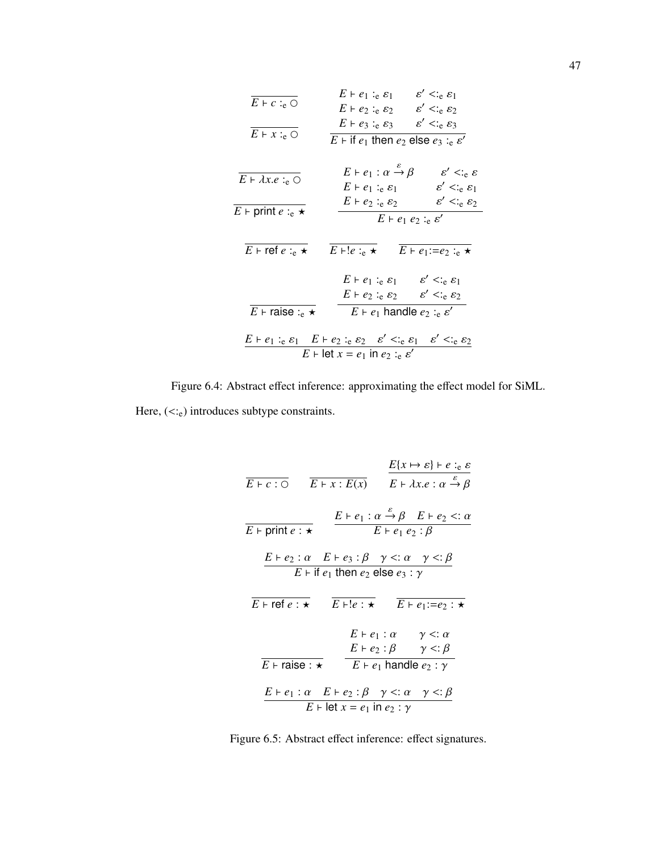| $E \vdash c :_{e} \bigcirc$                                                                                                             | $E \vdash e_1 :_e \varepsilon_1$<br>$\varepsilon' \leq_{\text{e}} \varepsilon_1$<br>$E \vdash e_2 :_e \varepsilon_2 \qquad \varepsilon' <_{e} \varepsilon_2$                                            |  |  |  |
|-----------------------------------------------------------------------------------------------------------------------------------------|---------------------------------------------------------------------------------------------------------------------------------------------------------------------------------------------------------|--|--|--|
| $E \vdash x :_{e} \bigcirc$                                                                                                             | $\varepsilon' \leq_{\rm e} \varepsilon_3$<br>$E \vdash e_3 : e \varepsilon_3$<br>$E \vdash$ if $e_1$ then $e_2$ else $e_3 :_e \varepsilon'$                                                             |  |  |  |
| $E \vdash \lambda x.e :_{e} \bigcirc$                                                                                                   | $E \vdash e_1 : \alpha \stackrel{\varepsilon}{\rightarrow} \beta$<br>$\varepsilon' < \varepsilon \varepsilon$<br>$\varepsilon' < \varepsilon_{\rm e} \varepsilon_1$<br>$E \vdash e_1 :_e \varepsilon_1$ |  |  |  |
| $E$ + print $e :_e \star$                                                                                                               | $\varepsilon' < \varepsilon_{\rm e} \varepsilon_2$<br>$E \vdash e_2 : e \varepsilon_2$<br>$E \vdash e_1 \; e_2 :_{e} \varepsilon'$                                                                      |  |  |  |
| $E \vdash$ ref $e :_e \star$                                                                                                            | $E \vdash !e :_e \star$<br>$E \vdash e_1 := e_2 :_e \star$                                                                                                                                              |  |  |  |
|                                                                                                                                         | $\varepsilon' \leq_{e} \varepsilon_1$<br>$E \vdash e_1 :_e \varepsilon_1$                                                                                                                               |  |  |  |
|                                                                                                                                         | $\varepsilon' <_{\rm e} \varepsilon_2$<br>$E \vdash e_2 :_e \varepsilon_2$                                                                                                                              |  |  |  |
| $E \vdash \text{raise}:_{e} \star$                                                                                                      | $E \vdash e_1$ handle $e_2 :_e \varepsilon'$                                                                                                                                                            |  |  |  |
| $E \vdash e_1 :_e \varepsilon_1$ $E \vdash e_2 :_e \varepsilon_2$ $\varepsilon' <_{e} \varepsilon_1$ $\varepsilon' <_{e} \varepsilon_2$ |                                                                                                                                                                                                         |  |  |  |
| $E \vdash \text{let } x = e_1$ in $e_2 :_e \varepsilon'$                                                                                |                                                                                                                                                                                                         |  |  |  |

Figure 6.4: Abstract effect inference: approximating the effect model for SiML. Here,  $(<:_{e})$  introduces subtype constraints.

| $E \vdash c : \overline{\bigcirc}$ $\overline{E \vdash x : E(x)}$ $E \vdash \lambda x.e : \alpha \stackrel{\varepsilon}{\to} \beta$                                                                                                |                                                                                            |                               | $E\{x \mapsto \varepsilon\} \vdash e :_{e} \varepsilon$                                            |  |  |
|------------------------------------------------------------------------------------------------------------------------------------------------------------------------------------------------------------------------------------|--------------------------------------------------------------------------------------------|-------------------------------|----------------------------------------------------------------------------------------------------|--|--|
| $E \vdash print e : \star$                                                                                                                                                                                                         | $E \vdash e_1 : \alpha \stackrel{\varepsilon}{\rightarrow} \beta$ $E \vdash e_2 <: \alpha$ | $E \vdash e_1 \; e_2 : \beta$ |                                                                                                    |  |  |
| $E+e_2$ : $\alpha$ $E+e_3$ : $\beta$ $\gamma$ <: $\alpha$ $\gamma$ <: $\beta$<br>$E \vdash$ if $e_1$ then $e_2$ else $e_3 : \gamma$<br>$E \vdash \mathsf{ref} e : \star$<br>$E \vdash !e : \star$<br>$E \vdash e_1 := e_2 : \star$ |                                                                                            |                               |                                                                                                    |  |  |
| $E \vdash$ raise : $\star$                                                                                                                                                                                                         | $E \vdash e_1$ handle $e_2 : \gamma$                                                       |                               | $E \vdash e_1 : \alpha \quad \gamma \leq \alpha$<br>$E \vdash e_2 : \beta \quad \gamma \leq \beta$ |  |  |
| $E \vdash e_1 : \alpha \quad E \vdash e_2 : \beta \quad \gamma <: \alpha \quad \gamma <: \beta$                                                                                                                                    | $E \vdash \text{let } x = e_1$ in $e_2 : \gamma$                                           |                               |                                                                                                    |  |  |

Figure 6.5: Abstract effect inference: effect signatures.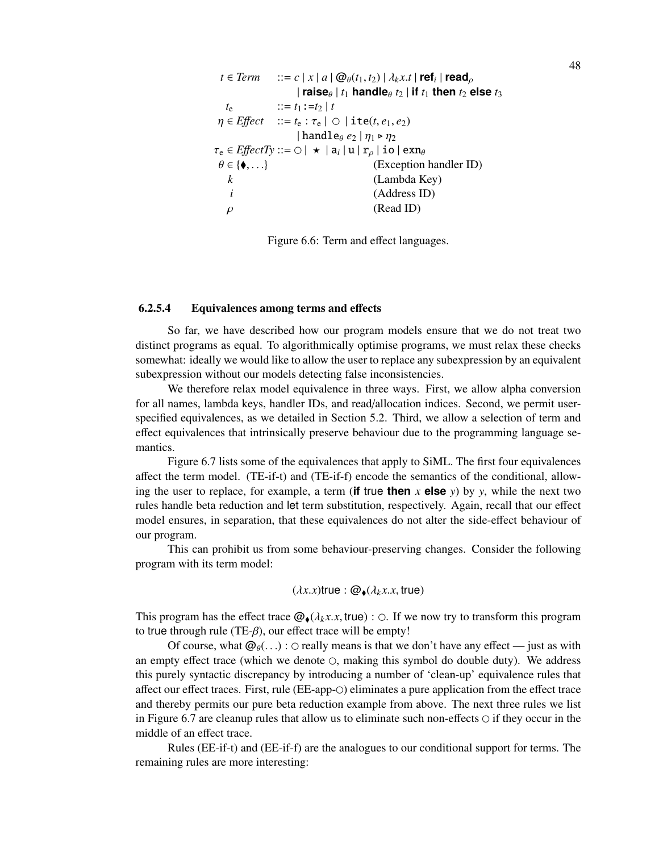```
t \in Term ::= c | x | a | @_{\theta}(t_1, t_2) | \lambda_k x.t | \text{ref}_i | \text{read}_\rho| raise\theta | t_1 handle\theta t_2 | if t_1 then t_2 else t_3t_e ::= t_1:=t_2 | t\eta \in Effect ::= t_e : \tau_e | \circ | ite(t, e_1, e_2)
                       | handlee_e e_2 | \eta_1 \triangleright \eta_2\tau_e \in EffectT\mathcal{y} ::= \bigcirc | \star | \mathbf{a}_i | \mathbf{u} | \mathbf{r}_\rho | \mathbf{io} | \mathbf{exn}_\theta\theta \in {\{\bullet, ...\}} (Exception handler ID)<br>
k (Lambda Kev)
                                              k (Lambda Key)
    i (Address ID)
   \rho (Read ID)
```
Figure 6.6: Term and effect languages.

# 6.2.5.4 Equivalences among terms and effects

So far, we have described how our program models ensure that we do not treat two distinct programs as equal. To algorithmically optimise programs, we must relax these checks somewhat: ideally we would like to allow the user to replace any subexpression by an equivalent subexpression without our models detecting false inconsistencies.

We therefore relax model equivalence in three ways. First, we allow alpha conversion for all names, lambda keys, handler IDs, and read/allocation indices. Second, we permit userspecified equivalences, as we detailed in Section 5.2. Third, we allow a selection of term and effect equivalences that intrinsically preserve behaviour due to the programming language semantics.

Figure 6.7 lists some of the equivalences that apply to SiML. The first four equivalences affect the term model. (TE-if-t) and (TE-if-f) encode the semantics of the conditional, allowing the user to replace, for example, a term (**if** true **then**  $x$  **else**  $y$ ) by  $y$ , while the next two rules handle beta reduction and let term substitution, respectively. Again, recall that our effect model ensures, in separation, that these equivalences do not alter the side-effect behaviour of our program.

This can prohibit us from some behaviour-preserving changes. Consider the following program with its term model:

$$
(\lambda x.x)\mathsf{true} : \mathcal{Q}_\blacklozenge(\lambda_k x.x,\mathsf{true})
$$

This program has the effect trace  $\mathcal{Q}_\bullet(\lambda_k x.x, \text{true})$ :  $\circ$ . If we now try to transform this program to true through rule (TE- $\beta$ ), our effect trace will be empty!

Of course, what  $\mathcal{Q}_{\theta}(\ldots)$ :  $\circ$  really means is that we don't have any effect — just as with an empty effect trace (which we denote  $\circ$ , making this symbol do double duty). We address this purely syntactic discrepancy by introducing a number of 'clean-up' equivalence rules that affect our effect traces. First, rule (EE-app- $\odot$ ) eliminates a pure application from the effect trace and thereby permits our pure beta reduction example from above. The next three rules we list in Figure 6.7 are cleanup rules that allow us to eliminate such non-effects  $\circ$  if they occur in the middle of an effect trace.

Rules (EE-if-t) and (EE-if-f) are the analogues to our conditional support for terms. The remaining rules are more interesting: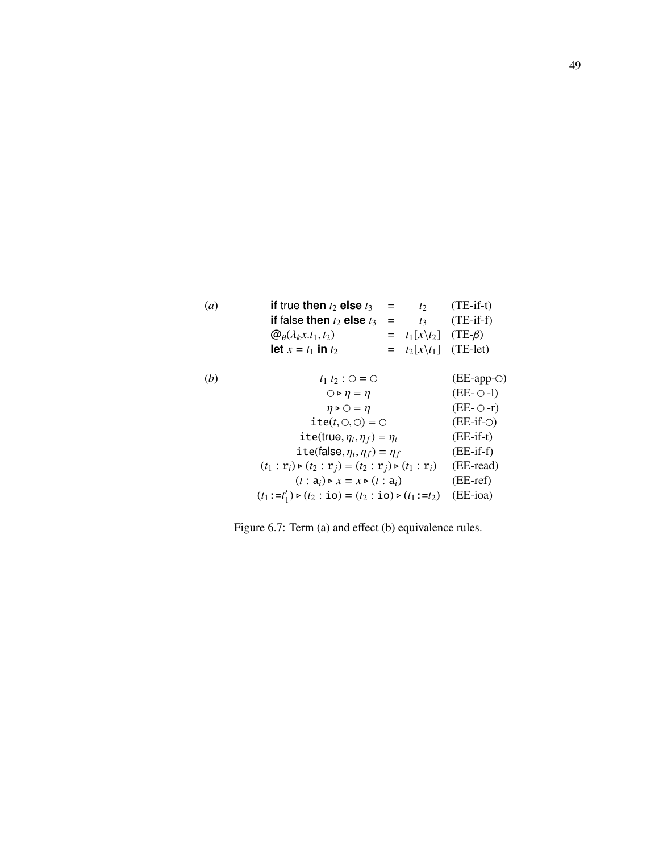| (a) | if true then $t_2$ else $t_3$                                                                                         | $=$ | $t_2$                  | $(TE-if-t)$          |
|-----|-----------------------------------------------------------------------------------------------------------------------|-----|------------------------|----------------------|
|     | if false then $t_2$ else $t_3$                                                                                        | $=$ | $t_3$                  | $(TE-if-f)$          |
|     | $\mathcal{Q}_{\theta}(\lambda_k x.t_1,t_2)$                                                                           | $=$ | $t_1[x\backslash t_2]$ | $(TE-β)$             |
|     | let $x = t_1$ in $t_2$                                                                                                | $=$ | $t_2[x\backslash t_1]$ | $(TE-let)$           |
|     |                                                                                                                       |     |                        |                      |
| (b) | $t_1 t_2 : 0 = 0$                                                                                                     |     |                        | $(EE$ -app- $\odot)$ |
|     | $\bigcirc \triangleright \eta = \eta$                                                                                 |     |                        | $(EE-O-I)$           |
|     | $\eta \triangleright \bigcirc = \eta$                                                                                 |     |                        | $(EE-O-r)$           |
|     | $ite(t, \bigcirc, \bigcirc) = \bigcirc$                                                                               |     |                        | $(EE-if-O)$          |
|     | ite(true, $\eta_t, \eta_f$ ) = $\eta_t$                                                                               |     |                        | $(EE-if-t)$          |
|     | ite(false, $\eta_t, \eta_f$ ) = $\eta_f$                                                                              |     |                        | $(EE-if-f)$          |
|     | $(t_1 : \mathbf{r}_i) \triangleright (t_2 : \mathbf{r}_i) = (t_2 : \mathbf{r}_i) \triangleright (t_1 : \mathbf{r}_i)$ |     |                        | (EE-read)            |
|     | $(t: a_i) \triangleright x = x \triangleright (t: a_i)$                                                               |     |                        | $(EE-ref)$           |
|     | $(t_1:=t'_1) \triangleright (t_2 : \mathbf{io}) = (t_2 : \mathbf{io}) \triangleright (t_1 := t_2)$                    |     |                        | (EE-ioa)             |
|     |                                                                                                                       |     |                        |                      |

Figure 6.7: Term (a) and effect (b) equivalence rules.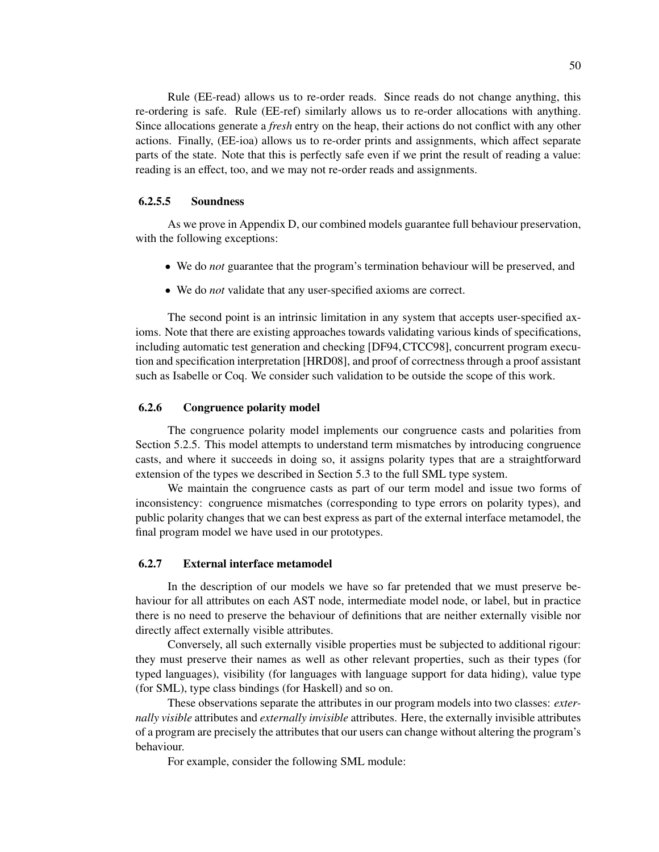Rule (EE-read) allows us to re-order reads. Since reads do not change anything, this re-ordering is safe. Rule (EE-ref) similarly allows us to re-order allocations with anything. Since allocations generate a *fresh* entry on the heap, their actions do not conflict with any other actions. Finally, (EE-ioa) allows us to re-order prints and assignments, which affect separate parts of the state. Note that this is perfectly safe even if we print the result of reading a value: reading is an effect, too, and we may not re-order reads and assignments.

# 6.2.5.5 Soundness

As we prove in Appendix D, our combined models guarantee full behaviour preservation, with the following exceptions:

- We do *not* guarantee that the program's termination behaviour will be preserved, and
- We do *not* validate that any user-specified axioms are correct.

The second point is an intrinsic limitation in any system that accepts user-specified axioms. Note that there are existing approaches towards validating various kinds of specifications, including automatic test generation and checking [DF94,CTCC98], concurrent program execution and specification interpretation [HRD08], and proof of correctness through a proof assistant such as Isabelle or Coq. We consider such validation to be outside the scope of this work.

# 6.2.6 Congruence polarity model

The congruence polarity model implements our congruence casts and polarities from Section 5.2.5. This model attempts to understand term mismatches by introducing congruence casts, and where it succeeds in doing so, it assigns polarity types that are a straightforward extension of the types we described in Section 5.3 to the full SML type system.

We maintain the congruence casts as part of our term model and issue two forms of inconsistency: congruence mismatches (corresponding to type errors on polarity types), and public polarity changes that we can best express as part of the external interface metamodel, the final program model we have used in our prototypes.

## 6.2.7 External interface metamodel

In the description of our models we have so far pretended that we must preserve behaviour for all attributes on each AST node, intermediate model node, or label, but in practice there is no need to preserve the behaviour of definitions that are neither externally visible nor directly affect externally visible attributes.

Conversely, all such externally visible properties must be subjected to additional rigour: they must preserve their names as well as other relevant properties, such as their types (for typed languages), visibility (for languages with language support for data hiding), value type (for SML), type class bindings (for Haskell) and so on.

These observations separate the attributes in our program models into two classes: *externally visible* attributes and *externally invisible* attributes. Here, the externally invisible attributes of a program are precisely the attributes that our users can change without altering the program's behaviour.

For example, consider the following SML module: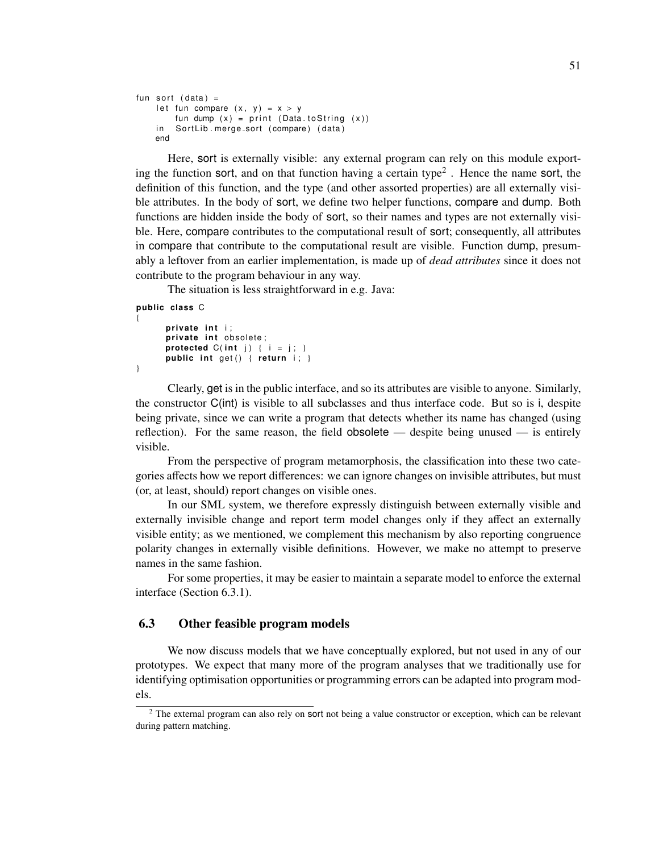```
fun sort (data) =let fun compare (x, y) = x > yfun dump (x) = print (Data.toString (x))in SortLib.merge_sort (compare) (data)
   end
```
Here, sort is externally visible: any external program can rely on this module exporting the function sort, and on that function having a certain type<sup>2</sup>. Hence the name sort, the definition of this function, and the type (and other assorted properties) are all externally visible attributes. In the body of sort, we define two helper functions, compare and dump. Both functions are hidden inside the body of sort, so their names and types are not externally visible. Here, compare contributes to the computational result of sort; consequently, all attributes in compare that contribute to the computational result are visible. Function dump, presumably a leftover from an earlier implementation, is made up of *dead attributes* since it does not contribute to the program behaviour in any way.

The situation is less straightforward in e.g. Java:

```
public class C
{
      private int i;
      private int obsolete;
      protected C(int j) { i = j; }
      public int get() { return i; }
}
```
Clearly, get is in the public interface, and so its attributes are visible to anyone. Similarly, the constructor C(int) is visible to all subclasses and thus interface code. But so is i, despite being private, since we can write a program that detects whether its name has changed (using reflection). For the same reason, the field obsolete — despite being unused — is entirely visible.

From the perspective of program metamorphosis, the classification into these two categories affects how we report differences: we can ignore changes on invisible attributes, but must (or, at least, should) report changes on visible ones.

In our SML system, we therefore expressly distinguish between externally visible and externally invisible change and report term model changes only if they affect an externally visible entity; as we mentioned, we complement this mechanism by also reporting congruence polarity changes in externally visible definitions. However, we make no attempt to preserve names in the same fashion.

For some properties, it may be easier to maintain a separate model to enforce the external interface (Section 6.3.1).

# 6.3 Other feasible program models

We now discuss models that we have conceptually explored, but not used in any of our prototypes. We expect that many more of the program analyses that we traditionally use for identifying optimisation opportunities or programming errors can be adapted into program models.

<sup>&</sup>lt;sup>2</sup> The external program can also rely on sort not being a value constructor or exception, which can be relevant during pattern matching.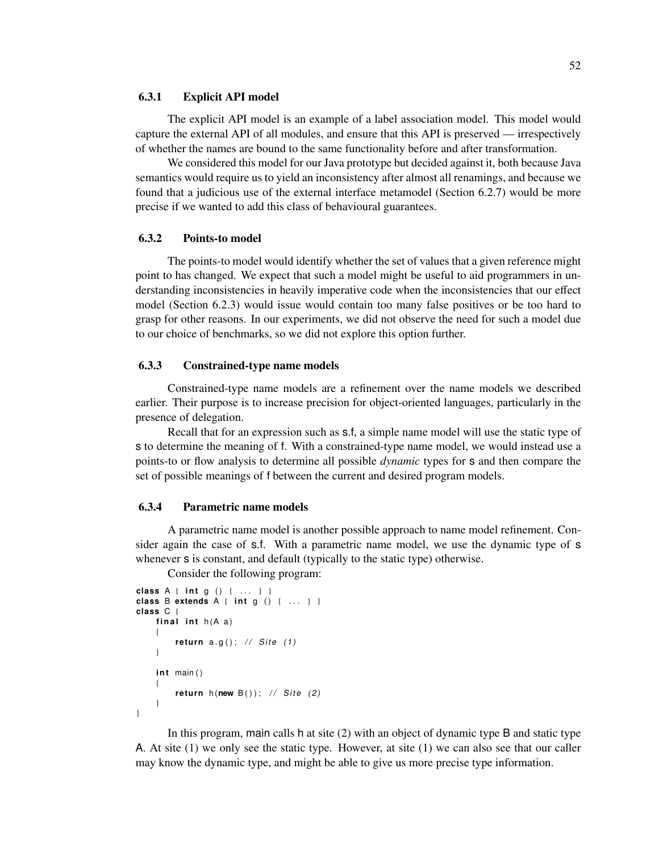### 6.3.1 Explicit API model

The explicit API model is an example of a label association model. This model would capture the external API of all modules, and ensure that this API is preserved — irrespectively of whether the names are bound to the same functionality before and after transformation.

We considered this model for our Java prototype but decided against it, both because Java semantics would require us to yield an inconsistency after almost all renamings, and because we found that a judicious use of the external interface metamodel (Section 6.2.7) would be more precise if we wanted to add this class of behavioural guarantees.

# 6.3.2 Points-to model

The points-to model would identify whether the set of values that a given reference might point to has changed. We expect that such a model might be useful to aid programmers in understanding inconsistencies in heavily imperative code when the inconsistencies that our effect model (Section 6.2.3) would issue would contain too many false positives or be too hard to grasp for other reasons. In our experiments, we did not observe the need for such a model due to our choice of benchmarks, so we did not explore this option further.

### 6.3.3 Constrained-type name models

Constrained-type name models are a refinement over the name models we described earlier. Their purpose is to increase precision for object-oriented languages, particularly in the presence of delegation.

Recall that for an expression such as s.f, a simple name model will use the static type of s to determine the meaning of f. With a constrained-type name model, we would instead use a points-to or flow analysis to determine all possible *dynamic* types for s and then compare the set of possible meanings of f between the current and desired program models.

# 6.3.4 Parametric name models

A parametric name model is another possible approach to name model refinement. Consider again the case of s.f. With a parametric name model, we use the dynamic type of s whenever s is constant, and default (typically to the static type) otherwise.

Consider the following program:

```
class A { i n t g ( ) { . . . } }
class B extends A { i n t g ( ) { . . . } }
class C {
    final int h(A a)
    {
         return a.q(); // Site (1)
    }
    int main()
    {
         return h(new B()); // Site (2)
    }
}
```
In this program, main calls h at site (2) with an object of dynamic type B and static type A. At site (1) we only see the static type. However, at site (1) we can also see that our caller may know the dynamic type, and might be able to give us more precise type information.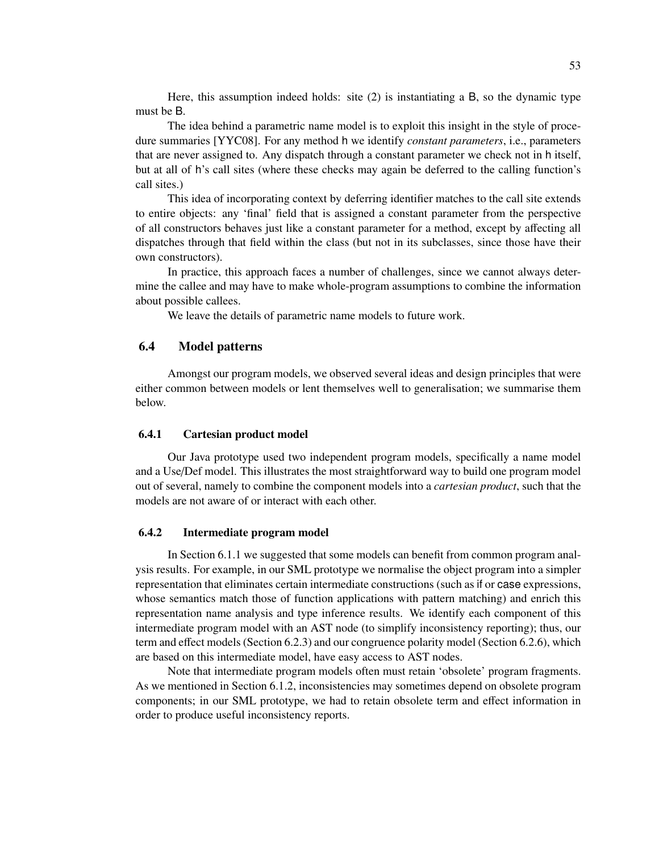Here, this assumption indeed holds: site (2) is instantiating a B, so the dynamic type must be B.

The idea behind a parametric name model is to exploit this insight in the style of procedure summaries [YYC08]. For any method h we identify *constant parameters*, i.e., parameters that are never assigned to. Any dispatch through a constant parameter we check not in h itself, but at all of h's call sites (where these checks may again be deferred to the calling function's call sites.)

This idea of incorporating context by deferring identifier matches to the call site extends to entire objects: any 'final' field that is assigned a constant parameter from the perspective of all constructors behaves just like a constant parameter for a method, except by affecting all dispatches through that field within the class (but not in its subclasses, since those have their own constructors).

In practice, this approach faces a number of challenges, since we cannot always determine the callee and may have to make whole-program assumptions to combine the information about possible callees.

We leave the details of parametric name models to future work.

# 6.4 Model patterns

Amongst our program models, we observed several ideas and design principles that were either common between models or lent themselves well to generalisation; we summarise them below.

#### 6.4.1 Cartesian product model

Our Java prototype used two independent program models, specifically a name model and a Use/Def model. This illustrates the most straightforward way to build one program model out of several, namely to combine the component models into a *cartesian product*, such that the models are not aware of or interact with each other.

# 6.4.2 Intermediate program model

In Section 6.1.1 we suggested that some models can benefit from common program analysis results. For example, in our SML prototype we normalise the object program into a simpler representation that eliminates certain intermediate constructions (such as if or case expressions, whose semantics match those of function applications with pattern matching) and enrich this representation name analysis and type inference results. We identify each component of this intermediate program model with an AST node (to simplify inconsistency reporting); thus, our term and effect models (Section 6.2.3) and our congruence polarity model (Section 6.2.6), which are based on this intermediate model, have easy access to AST nodes.

Note that intermediate program models often must retain 'obsolete' program fragments. As we mentioned in Section 6.1.2, inconsistencies may sometimes depend on obsolete program components; in our SML prototype, we had to retain obsolete term and effect information in order to produce useful inconsistency reports.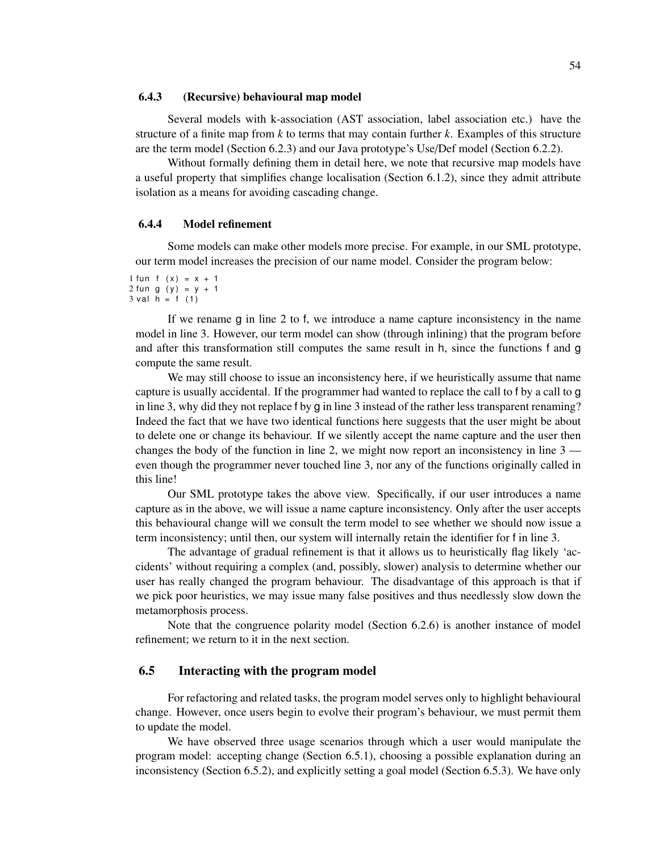### 6.4.3 (Recursive) behavioural map model

Several models with k-association (AST association, label association etc.) have the structure of a finite map from *k* to terms that may contain further *k*. Examples of this structure are the term model (Section 6.2.3) and our Java prototype's Use/Def model (Section 6.2.2).

Without formally defining them in detail here, we note that recursive map models have a useful property that simplifies change localisation (Section 6.1.2), since they admit attribute isolation as a means for avoiding cascading change.

#### 6.4.4 Model refinement

Some models can make other models more precise. For example, in our SML prototype, our term model increases the precision of our name model. Consider the program below:

1 fun f  $(x) = x + 1$  $2 \text{ fun } g (y) = y + 1$  $3$  v al  $h = f(1)$ 

If we rename g in line 2 to f, we introduce a name capture inconsistency in the name model in line 3. However, our term model can show (through inlining) that the program before and after this transformation still computes the same result in h, since the functions f and g compute the same result.

We may still choose to issue an inconsistency here, if we heuristically assume that name capture is usually accidental. If the programmer had wanted to replace the call to f by a call to g in line 3, why did they not replace f by g in line 3 instead of the rather less transparent renaming? Indeed the fact that we have two identical functions here suggests that the user might be about to delete one or change its behaviour. If we silently accept the name capture and the user then changes the body of the function in line 2, we might now report an inconsistency in line 3 even though the programmer never touched line 3, nor any of the functions originally called in this line!

Our SML prototype takes the above view. Specifically, if our user introduces a name capture as in the above, we will issue a name capture inconsistency. Only after the user accepts this behavioural change will we consult the term model to see whether we should now issue a term inconsistency; until then, our system will internally retain the identifier for f in line 3.

The advantage of gradual refinement is that it allows us to heuristically flag likely 'accidents' without requiring a complex (and, possibly, slower) analysis to determine whether our user has really changed the program behaviour. The disadvantage of this approach is that if we pick poor heuristics, we may issue many false positives and thus needlessly slow down the metamorphosis process.

Note that the congruence polarity model (Section 6.2.6) is another instance of model refinement; we return to it in the next section.

# 6.5 Interacting with the program model

For refactoring and related tasks, the program model serves only to highlight behavioural change. However, once users begin to evolve their program's behaviour, we must permit them to update the model.

We have observed three usage scenarios through which a user would manipulate the program model: accepting change (Section 6.5.1), choosing a possible explanation during an inconsistency (Section 6.5.2), and explicitly setting a goal model (Section 6.5.3). We have only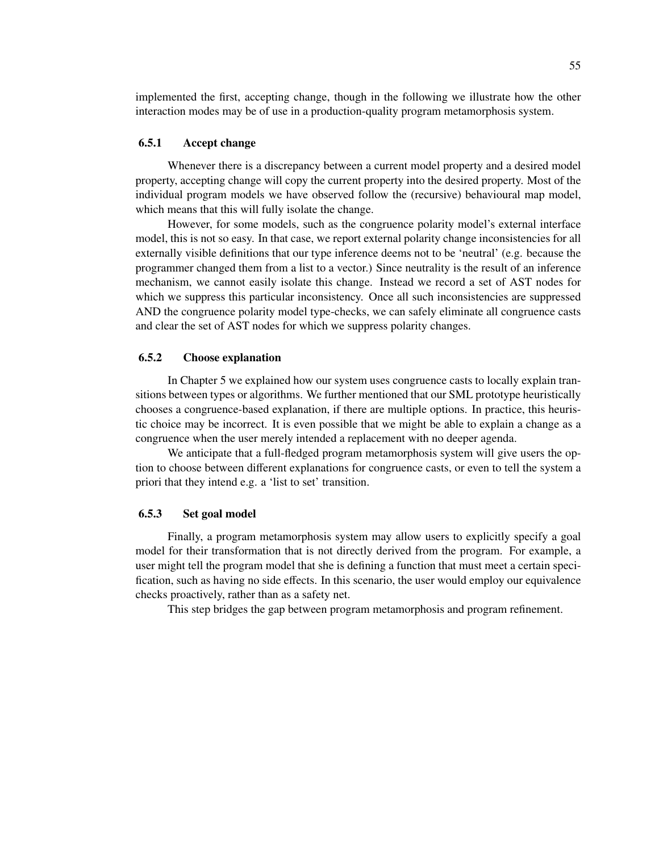implemented the first, accepting change, though in the following we illustrate how the other interaction modes may be of use in a production-quality program metamorphosis system.

# 6.5.1 Accept change

Whenever there is a discrepancy between a current model property and a desired model property, accepting change will copy the current property into the desired property. Most of the individual program models we have observed follow the (recursive) behavioural map model, which means that this will fully isolate the change.

However, for some models, such as the congruence polarity model's external interface model, this is not so easy. In that case, we report external polarity change inconsistencies for all externally visible definitions that our type inference deems not to be 'neutral' (e.g. because the programmer changed them from a list to a vector.) Since neutrality is the result of an inference mechanism, we cannot easily isolate this change. Instead we record a set of AST nodes for which we suppress this particular inconsistency. Once all such inconsistencies are suppressed AND the congruence polarity model type-checks, we can safely eliminate all congruence casts and clear the set of AST nodes for which we suppress polarity changes.

# 6.5.2 Choose explanation

In Chapter 5 we explained how our system uses congruence casts to locally explain transitions between types or algorithms. We further mentioned that our SML prototype heuristically chooses a congruence-based explanation, if there are multiple options. In practice, this heuristic choice may be incorrect. It is even possible that we might be able to explain a change as a congruence when the user merely intended a replacement with no deeper agenda.

We anticipate that a full-fledged program metamorphosis system will give users the option to choose between different explanations for congruence casts, or even to tell the system a priori that they intend e.g. a 'list to set' transition.

#### 6.5.3 Set goal model

Finally, a program metamorphosis system may allow users to explicitly specify a goal model for their transformation that is not directly derived from the program. For example, a user might tell the program model that she is defining a function that must meet a certain specification, such as having no side effects. In this scenario, the user would employ our equivalence checks proactively, rather than as a safety net.

This step bridges the gap between program metamorphosis and program refinement.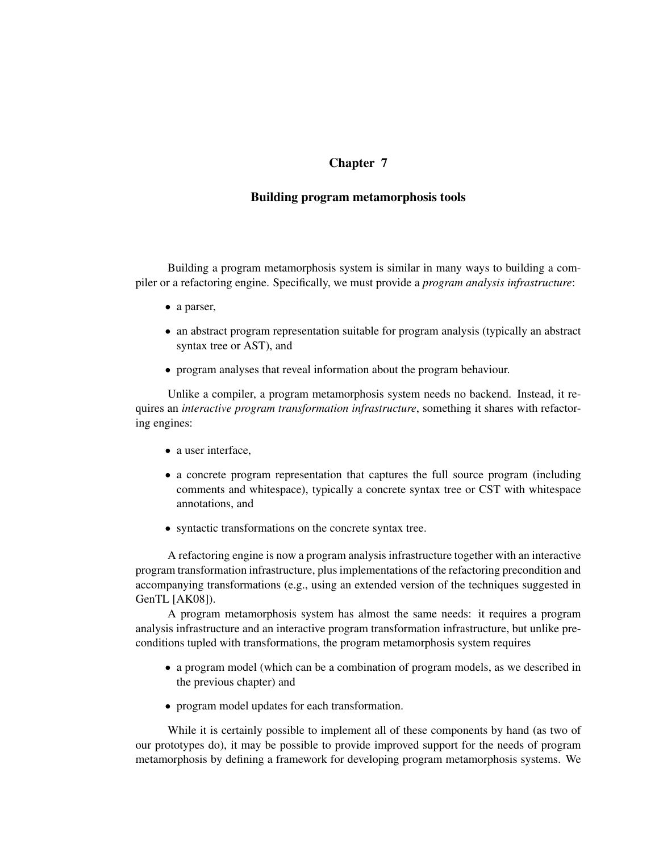# Chapter 7

# Building program metamorphosis tools

Building a program metamorphosis system is similar in many ways to building a compiler or a refactoring engine. Specifically, we must provide a *program analysis infrastructure*:

- a parser,
- an abstract program representation suitable for program analysis (typically an abstract syntax tree or AST), and
- program analyses that reveal information about the program behaviour.

Unlike a compiler, a program metamorphosis system needs no backend. Instead, it requires an *interactive program transformation infrastructure*, something it shares with refactoring engines:

- a user interface,
- a concrete program representation that captures the full source program (including comments and whitespace), typically a concrete syntax tree or CST with whitespace annotations, and
- syntactic transformations on the concrete syntax tree.

A refactoring engine is now a program analysis infrastructure together with an interactive program transformation infrastructure, plus implementations of the refactoring precondition and accompanying transformations (e.g., using an extended version of the techniques suggested in GenTL [AK08]).

A program metamorphosis system has almost the same needs: it requires a program analysis infrastructure and an interactive program transformation infrastructure, but unlike preconditions tupled with transformations, the program metamorphosis system requires

- a program model (which can be a combination of program models, as we described in the previous chapter) and
- program model updates for each transformation.

While it is certainly possible to implement all of these components by hand (as two of our prototypes do), it may be possible to provide improved support for the needs of program metamorphosis by defining a framework for developing program metamorphosis systems. We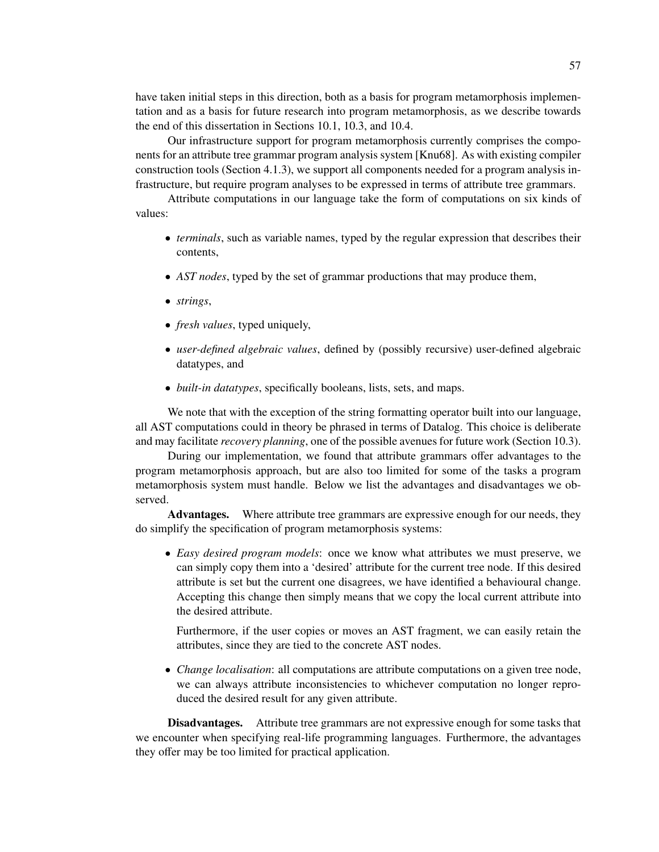have taken initial steps in this direction, both as a basis for program metamorphosis implementation and as a basis for future research into program metamorphosis, as we describe towards the end of this dissertation in Sections 10.1, 10.3, and 10.4.

Our infrastructure support for program metamorphosis currently comprises the components for an attribute tree grammar program analysis system [Knu68]. As with existing compiler construction tools (Section 4.1.3), we support all components needed for a program analysis infrastructure, but require program analyses to be expressed in terms of attribute tree grammars.

Attribute computations in our language take the form of computations on six kinds of values:

- *terminals*, such as variable names, typed by the regular expression that describes their contents,
- *AST nodes*, typed by the set of grammar productions that may produce them,
- *strings*,
- *fresh values*, typed uniquely,
- *user-defined algebraic values*, defined by (possibly recursive) user-defined algebraic datatypes, and
- *built-in datatypes*, specifically booleans, lists, sets, and maps.

We note that with the exception of the string formatting operator built into our language, all AST computations could in theory be phrased in terms of Datalog. This choice is deliberate and may facilitate *recovery planning*, one of the possible avenues for future work (Section 10.3).

During our implementation, we found that attribute grammars offer advantages to the program metamorphosis approach, but are also too limited for some of the tasks a program metamorphosis system must handle. Below we list the advantages and disadvantages we observed.

Advantages. Where attribute tree grammars are expressive enough for our needs, they do simplify the specification of program metamorphosis systems:

• *Easy desired program models*: once we know what attributes we must preserve, we can simply copy them into a 'desired' attribute for the current tree node. If this desired attribute is set but the current one disagrees, we have identified a behavioural change. Accepting this change then simply means that we copy the local current attribute into the desired attribute.

Furthermore, if the user copies or moves an AST fragment, we can easily retain the attributes, since they are tied to the concrete AST nodes.

• *Change localisation*: all computations are attribute computations on a given tree node, we can always attribute inconsistencies to whichever computation no longer reproduced the desired result for any given attribute.

Disadvantages. Attribute tree grammars are not expressive enough for some tasks that we encounter when specifying real-life programming languages. Furthermore, the advantages they offer may be too limited for practical application.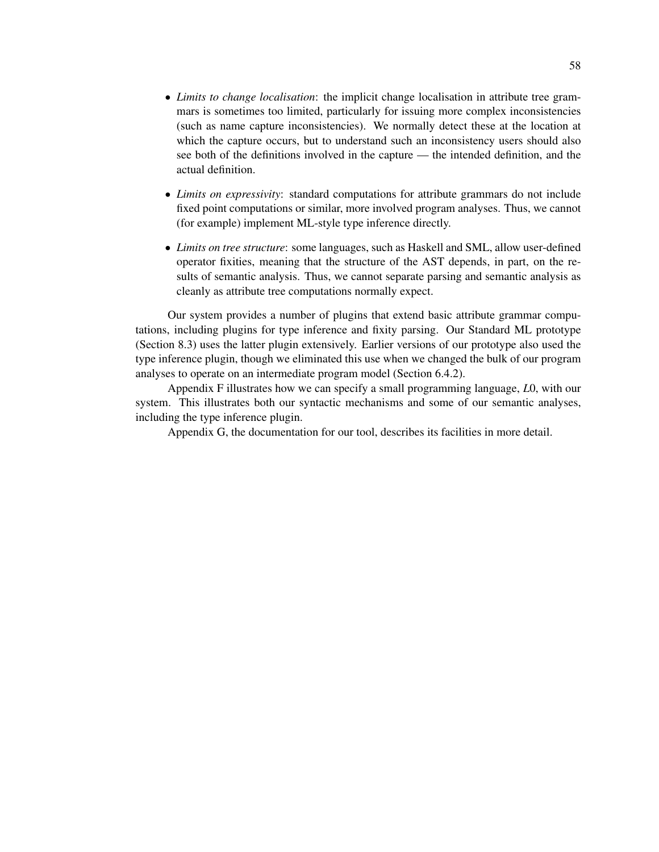- *Limits to change localisation*: the implicit change localisation in attribute tree grammars is sometimes too limited, particularly for issuing more complex inconsistencies (such as name capture inconsistencies). We normally detect these at the location at which the capture occurs, but to understand such an inconsistency users should also see both of the definitions involved in the capture — the intended definition, and the actual definition.
- *Limits on expressivity*: standard computations for attribute grammars do not include fixed point computations or similar, more involved program analyses. Thus, we cannot (for example) implement ML-style type inference directly.
- *Limits on tree structure*: some languages, such as Haskell and SML, allow user-defined operator fixities, meaning that the structure of the AST depends, in part, on the results of semantic analysis. Thus, we cannot separate parsing and semantic analysis as cleanly as attribute tree computations normally expect.

Our system provides a number of plugins that extend basic attribute grammar computations, including plugins for type inference and fixity parsing. Our Standard ML prototype (Section 8.3) uses the latter plugin extensively. Earlier versions of our prototype also used the type inference plugin, though we eliminated this use when we changed the bulk of our program analyses to operate on an intermediate program model (Section 6.4.2).

Appendix F illustrates how we can specify a small programming language, *L*0, with our system. This illustrates both our syntactic mechanisms and some of our semantic analyses, including the type inference plugin.

Appendix G, the documentation for our tool, describes its facilities in more detail.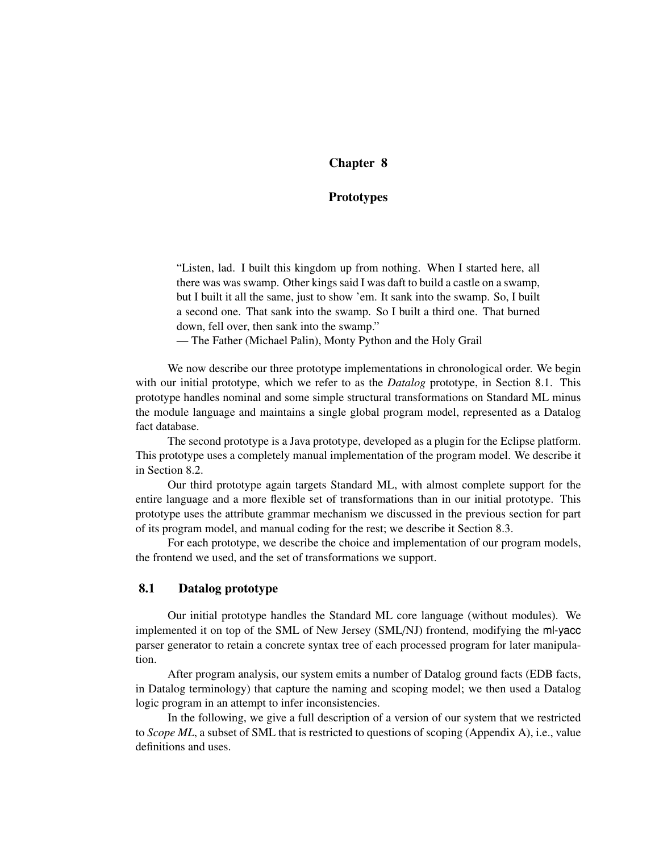# Chapter 8

### Prototypes

"Listen, lad. I built this kingdom up from nothing. When I started here, all there was was swamp. Other kings said I was daft to build a castle on a swamp, but I built it all the same, just to show 'em. It sank into the swamp. So, I built a second one. That sank into the swamp. So I built a third one. That burned down, fell over, then sank into the swamp."

— The Father (Michael Palin), Monty Python and the Holy Grail

We now describe our three prototype implementations in chronological order. We begin with our initial prototype, which we refer to as the *Datalog* prototype, in Section 8.1. This prototype handles nominal and some simple structural transformations on Standard ML minus the module language and maintains a single global program model, represented as a Datalog fact database.

The second prototype is a Java prototype, developed as a plugin for the Eclipse platform. This prototype uses a completely manual implementation of the program model. We describe it in Section 8.2.

Our third prototype again targets Standard ML, with almost complete support for the entire language and a more flexible set of transformations than in our initial prototype. This prototype uses the attribute grammar mechanism we discussed in the previous section for part of its program model, and manual coding for the rest; we describe it Section 8.3.

For each prototype, we describe the choice and implementation of our program models, the frontend we used, and the set of transformations we support.

## 8.1 Datalog prototype

Our initial prototype handles the Standard ML core language (without modules). We implemented it on top of the SML of New Jersey (SML/NJ) frontend, modifying the ml-yacc parser generator to retain a concrete syntax tree of each processed program for later manipulation.

After program analysis, our system emits a number of Datalog ground facts (EDB facts, in Datalog terminology) that capture the naming and scoping model; we then used a Datalog logic program in an attempt to infer inconsistencies.

In the following, we give a full description of a version of our system that we restricted to *Scope ML*, a subset of SML that is restricted to questions of scoping (Appendix A), i.e., value definitions and uses.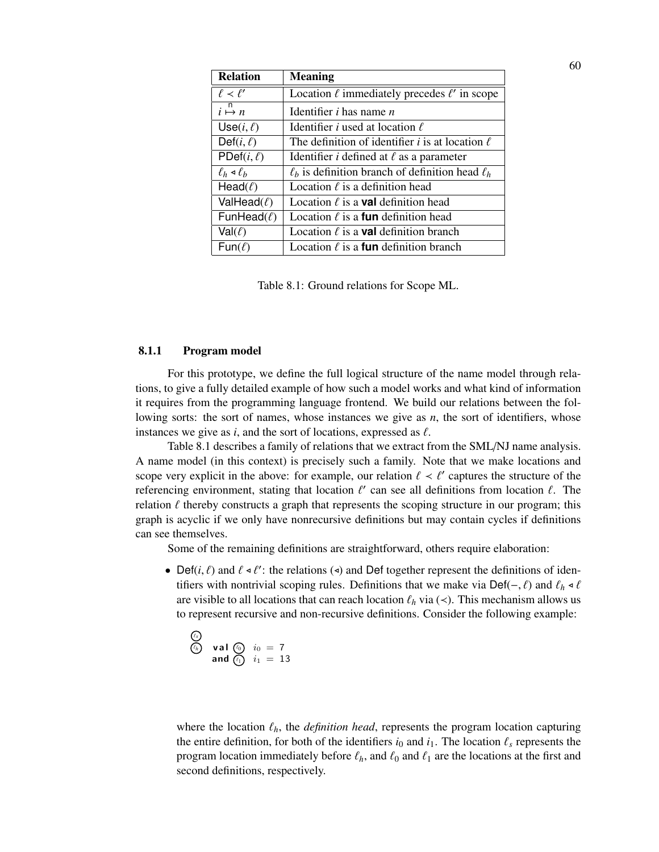| <b>Relation</b>               | <b>Meaning</b>                                              |
|-------------------------------|-------------------------------------------------------------|
| $\ell \prec \ell'$            | Location $\ell$ immediately precedes $\ell'$ in scope       |
| $i \stackrel{n}{\mapsto} n$   | Identifier <i>i</i> has name <i>n</i>                       |
| Use $(i, \ell)$               | Identifier <i>i</i> used at location $\ell$                 |
| Def $(i, \ell)$               | The definition of identifier <i>i</i> is at location $\ell$ |
| PDef $(i, \ell)$              | Identifier <i>i</i> defined at $\ell$ as a parameter        |
| $\ell_h \triangleleft \ell_h$ | $\ell_h$ is definition branch of definition head $\ell_h$   |
| Head $(\ell)$                 | Location $\ell$ is a definition head                        |
| ValHead $(\ell)$              | Location $\ell$ is a <b>val</b> definition head             |
| FunHead $(\ell)$              | Location $\ell$ is a <b>fun</b> definition head             |
| $Val(\ell)$                   | Location $\ell$ is a <b>val</b> definition branch           |
| $Fun(\ell)$                   | Location $\ell$ is a <b>fun</b> definition branch           |

| Table 8.1: Ground relations for Scope ML. |  |  |  |  |  |
|-------------------------------------------|--|--|--|--|--|
|-------------------------------------------|--|--|--|--|--|

#### 8.1.1 Program model

For this prototype, we define the full logical structure of the name model through relations, to give a fully detailed example of how such a model works and what kind of information it requires from the programming language frontend. We build our relations between the following sorts: the sort of names, whose instances we give as *n*, the sort of identifiers, whose instances we give as  $i$ , and the sort of locations, expressed as  $\ell$ .

Table 8.1 describes a family of relations that we extract from the SML/NJ name analysis. A name model (in this context) is precisely such a family. Note that we make locations and scope very explicit in the above: for example, our relation  $\ell < \ell'$  captures the structure of the referencing environment, stating that location  $\ell'$  can see all definitions from location  $\ell$ . The relation  $\ell$  thereby constructs a graph that represents the scoping structure in our program; this graph is acyclic if we only have nonrecursive definitions but may contain cycles if definitions can see themselves.

Some of the remaining definitions are straightforward, others require elaboration:

• Def(*i*,  $\ell$ ) and  $\ell \leq \ell'$ : the relations ( $\triangleleft$ ) and Def together represent the definitions of identifiers with nontrivial scoping rules. Definitions that we make via Def(–,  $\ell$ ) and  $\ell_h \triangleleft \ell$ are visible to all locations that can reach location  $\ell_h$  via ( $\lt$ ). This mechanism allows us to represent recursive and non-recursive definitions. Consider the following example:

$$
\begin{array}{ll}\n\textcircled{\scriptsize{8}} \\
\textcircled{\scriptsize{9}} \\
 & \text{and } \textcircled{\scriptsize{10}} \\
 & \text{and } \textcircled{\scriptsize{10}} \\
 & i_1 = 13\n\end{array}
$$

where the location  $\ell_h$ , the *definition head*, represents the program location capturing the entire definition, for both of the identifiers  $i_0$  and  $i_1$ . The location  $\ell_s$  represents the program location immediately before  $\ell_h$ , and  $\ell_0$  and  $\ell_1$  are the locations at the first and second definitions, respectively.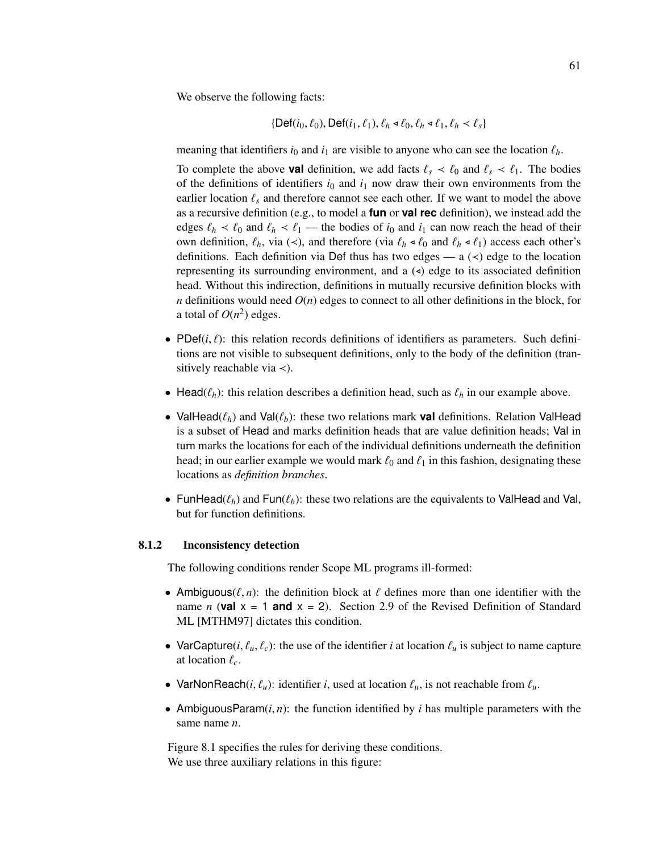We observe the following facts:

$$
\{\mathsf{Def}(i_0,\ell_0),\mathsf{Def}(i_1,\ell_1),\ell_h\triangleleft\ell_0,\ell_h\triangleleft\ell_1,\ell_h\triangleleft\ell_s\}
$$

meaning that identifiers  $i_0$  and  $i_1$  are visible to anyone who can see the location  $\ell_h$ .

To complete the above **val** definition, we add facts  $\ell_s \prec \ell_0$  and  $\ell_s \prec \ell_1$ . The bodies of the definitions of identifiers  $i_0$  and  $i_1$  now draw their own environments from the earlier location  $\ell_s$  and therefore cannot see each other. If we want to model the above as a recursive definition (e.g., to model a **fun** or **val rec** definition), we instead add the edges  $\ell_h < \ell_0$  and  $\ell_h < \ell_1$  — the bodies of *i*<sub>0</sub> and *i*<sub>1</sub> can now reach the head of their own definition,  $\ell_h$ , via (<), and therefore (via  $\ell_h \triangleleft \ell_0$  and  $\ell_h \triangleleft \ell_1$ ) access each other's definitions. Each definition via Def thus has two edges — a  $(\le)$  edge to the location representing its surrounding environment, and a  $\left( \triangleleft \right)$  edge to its associated definition head. Without this indirection, definitions in mutually recursive definition blocks with *n* definitions would need  $O(n)$  edges to connect to all other definitions in the block, for a total of  $O(n^2)$  edges.

- PDef $(i, \ell)$ : this relation records definitions of identifiers as parameters. Such definitions are not visible to subsequent definitions, only to the body of the definition (transitively reachable via ≺).
- Head( $\ell_h$ ): this relation describes a definition head, such as  $\ell_h$  in our example above.
- ValHead( $\ell_h$ ) and Val( $\ell_b$ ): these two relations mark **val** definitions. Relation ValHead is a subset of Head and marks definition heads that are value definition heads; Val in turn marks the locations for each of the individual definitions underneath the definition head; in our earlier example we would mark  $\ell_0$  and  $\ell_1$  in this fashion, designating these locations as *definition branches*.
- FunHead( $\ell_h$ ) and Fun( $\ell_b$ ): these two relations are the equivalents to ValHead and Val, but for function definitions.

### 8.1.2 Inconsistency detection

The following conditions render Scope ML programs ill-formed:

- Ambiguous( $\ell, n$ ): the definition block at  $\ell$  defines more than one identifier with the name *n* (**val**  $x = 1$  **and**  $x = 2$ ). Section 2.9 of the Revised Definition of Standard ML [MTHM97] dictates this condition.
- VarCapture(*i*,  $\ell_u$ ,  $\ell_c$ ): the use of the identifier *i* at location  $\ell_u$  is subject to name capture at location  $\ell_c$ .
- VarNonReach(*i*,  $\ell_u$ ): identifier *i*, used at location  $\ell_u$ , is not reachable from  $\ell_u$ .
- AmbiguousParam $(i, n)$ : the function identified by *i* has multiple parameters with the same name *n*.

Figure 8.1 specifies the rules for deriving these conditions. We use three auxiliary relations in this figure: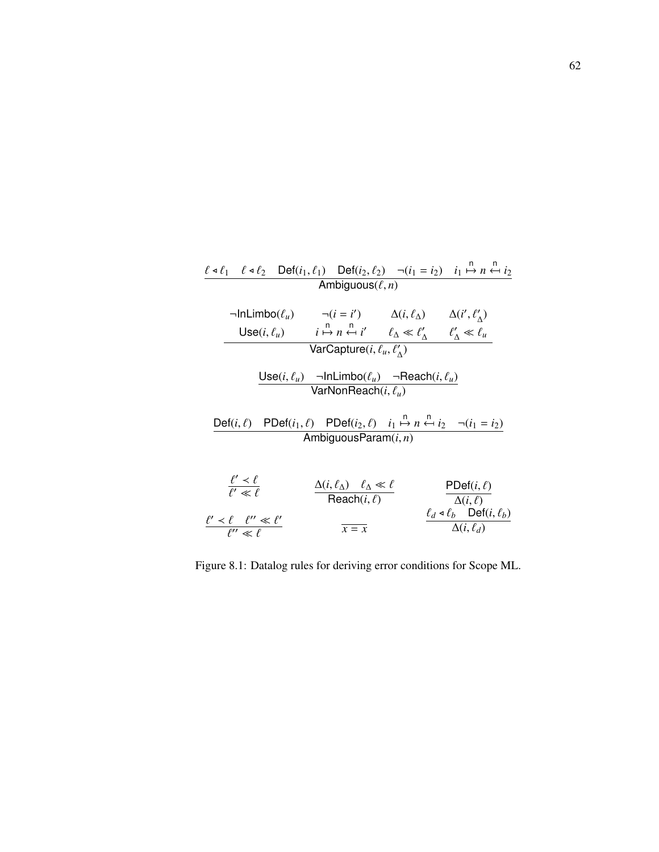| $\ell \triangleleft \ell_1$ $\ell \triangleleft \ell_2$ $\text{Def}(i_1, \ell_1)$ $\text{Def}(i_2, \ell_2)$ $\neg(i_1 = i_2)$ $i_1 \stackrel{n}{\mapsto} n \stackrel{n}{\leftrightarrow} i_2$ |                                                                                         |                                                                                                                                                                                                                                                               |                                                                                        |
|-----------------------------------------------------------------------------------------------------------------------------------------------------------------------------------------------|-----------------------------------------------------------------------------------------|---------------------------------------------------------------------------------------------------------------------------------------------------------------------------------------------------------------------------------------------------------------|----------------------------------------------------------------------------------------|
|                                                                                                                                                                                               | Ambiguous $(\ell, n)$                                                                   |                                                                                                                                                                                                                                                               |                                                                                        |
|                                                                                                                                                                                               |                                                                                         | $\neg \textsf{InLimbo}(\ell_u)$ $\neg (i = i')$ $\Delta(i, \ell_\Delta)$ $\Delta(i', \ell'_\Delta)$<br>Use(i, $\ell_u$ ) $i \stackrel{\textsf{n}}{\mapsto} n \stackrel{\textsf{n}}{\leftarrow} i'$ $\ell_\Delta \ll \ell'_\Lambda$ $\ell'_\Lambda \ll \ell_u$ |                                                                                        |
|                                                                                                                                                                                               |                                                                                         |                                                                                                                                                                                                                                                               |                                                                                        |
|                                                                                                                                                                                               | VarCapture $(i, \ell_u, \ell'_\Lambda)$                                                 |                                                                                                                                                                                                                                                               |                                                                                        |
|                                                                                                                                                                                               | VarNonReach $(i, \ell_u)$                                                               | Use $(i, \ell_u)$ $\neg$ InLimbo $(\ell_u)$ $\neg$ Reach $(i, \ell_u)$                                                                                                                                                                                        |                                                                                        |
| Def(i, $\ell$ ) PDef(i <sub>1</sub> , $\ell$ ) PDef(i <sub>2</sub> , $\ell$ ) i <sub>1</sub> $\stackrel{n}{\mapsto} n \stackrel{n}{\leftarrow} i_2$ $\neg(i_1 = i_2)$                         | Ambiguous Param $(i, n)$                                                                |                                                                                                                                                                                                                                                               |                                                                                        |
| $\frac{\ell' \prec \ell}{\ell' \ll \ell}$                                                                                                                                                     | $\frac{\Delta(i, \ell_{\Delta}) \quad \ell_{\Delta} \ll \ell}{\mathsf{Reach}(i, \ell)}$ |                                                                                                                                                                                                                                                               | $PDef(i, \ell)$<br>$\Delta(i,\ell)$<br>$\ell_d \triangleleft \ell_b$ Def $(i, \ell_b)$ |
| $\frac{\ell' \prec \ell \quad \ell'' \ll \ell'}{\ell'' \ll \ell}$                                                                                                                             | $\overline{x} = \overline{x}$                                                           |                                                                                                                                                                                                                                                               | $\Delta(i, \ell_d)$                                                                    |

Figure 8.1: Datalog rules for deriving error conditions for Scope ML.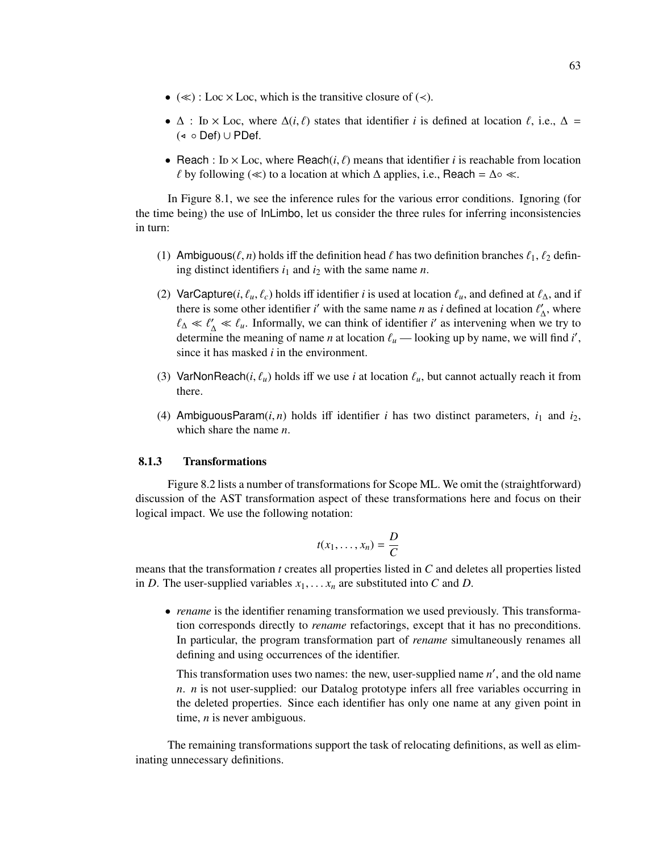- $(\ll)$ : Loc × Loc, which is the transitive closure of  $(\prec)$ .
- $\Delta$  : In × Loc, where  $\Delta(i, \ell)$  states that identifier *i* is defined at location  $\ell$ , i.e.,  $\Delta$  =  $($  ∘ Def) ∪ PDef.
- Reach : In  $\times$  Loc, where Reach(*i*,  $\ell$ ) means that identifier *i* is reachable from location *l* by following ( $\ll$ ) to a location at which  $\Delta$  applies, i.e., Reach =  $\Delta \circ \ll$ .

In Figure 8.1, we see the inference rules for the various error conditions. Ignoring (for the time being) the use of InLimbo, let us consider the three rules for inferring inconsistencies in turn:

- (1) Ambiguous( $\ell$ , *n*) holds iff the definition head  $\ell$  has two definition branches  $\ell_1$ ,  $\ell_2$  defining distinct identifiers  $i_1$  and  $i_2$  with the same name *n*.
- (2) VarCapture(*i*,  $\ell_u$ ,  $\ell_c$ ) holds iff identifier *i* is used at location  $\ell_u$ , and defined at  $\ell_{\Delta}$ , and if there is some other identifier *i*' with the same name *n* as *i* defined at location  $\ell'_{\Delta}$ , where  $\ell_{\Delta} \ll \ell'_{\Delta} \ll \ell_u$ . Informally, we can think of identifier *i*' as intervening when we try to determine the meaning of name *n* at location  $\ell_u$  — looking up by name, we will find *i'*, since it has masked *i* in the environment.
- (3) VarNonReach(*i*,  $\ell_u$ ) holds iff we use *i* at location  $\ell_u$ , but cannot actually reach it from there.
- (4) AmbiguousParam $(i, n)$  holds iff identifier *i* has two distinct parameters,  $i_1$  and  $i_2$ , which share the name *n*.

### 8.1.3 Transformations

Figure 8.2 lists a number of transformations for Scope ML. We omit the (straightforward) discussion of the AST transformation aspect of these transformations here and focus on their logical impact. We use the following notation:

$$
t(x_1,\ldots,x_n)=\frac{D}{C}
$$

means that the transformation *t* creates all properties listed in *C* and deletes all properties listed in *D*. The user-supplied variables  $x_1, \ldots, x_n$  are substituted into *C* and *D*.

• *rename* is the identifier renaming transformation we used previously. This transformation corresponds directly to *rename* refactorings, except that it has no preconditions. In particular, the program transformation part of *rename* simultaneously renames all defining and using occurrences of the identifier.

This transformation uses two names: the new, user-supplied name n', and the old name *n*. *n* is not user-supplied: our Datalog prototype infers all free variables occurring in the deleted properties. Since each identifier has only one name at any given point in time, *n* is never ambiguous.

The remaining transformations support the task of relocating definitions, as well as eliminating unnecessary definitions.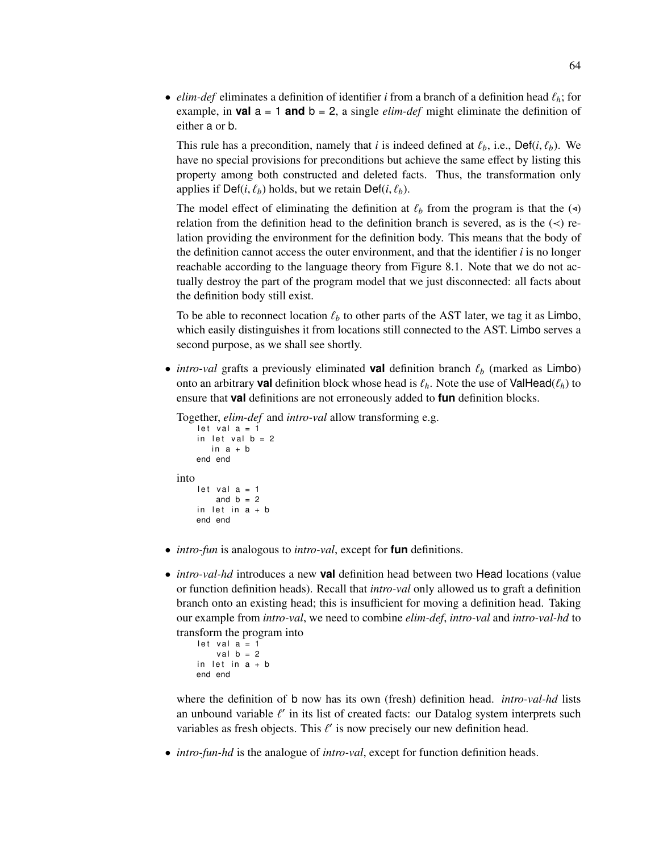• *elim-def* eliminates a definition of identifier *i* from a branch of a definition head  $\ell_h$ ; for example, in **val**  $a = 1$  and  $b = 2$ , a single *elim-def* might eliminate the definition of either a or b.

This rule has a precondition, namely that *i* is indeed defined at  $\ell_b$ , i.e., Def(*i*,  $\ell_b$ ). We have no special provisions for preconditions but achieve the same effect by listing this property among both constructed and deleted facts. Thus, the transformation only applies if Def(*i*,  $\ell_b$ ) holds, but we retain Def(*i*,  $\ell_b$ ).

The model effect of eliminating the definition at  $\ell_b$  from the program is that the ( $\triangleleft$ ) relation from the definition head to the definition branch is severed, as is the  $(\prec)$  relation providing the environment for the definition body. This means that the body of the definition cannot access the outer environment, and that the identifier  $i$  is no longer reachable according to the language theory from Figure 8.1. Note that we do not actually destroy the part of the program model that we just disconnected: all facts about the definition body still exist.

To be able to reconnect location  $\ell_b$  to other parts of the AST later, we tag it as Limbo, which easily distinguishes it from locations still connected to the AST. Limbo serves a second purpose, as we shall see shortly.

• *intro-val* grafts a previously eliminated **val** definition branch  $\ell_b$  (marked as Limbo) onto an arbitrary **val** definition block whose head is  $\ell_h$ . Note the use of ValHead( $\ell_h$ ) to ensure that **val** definitions are not erroneously added to **fun** definition blocks.

Together, *elim-def* and *intro-val* allow transforming e.g.

```
let val a = 1in let val b = 2in a + bend end
into
    let val a = 1and b = 2in let in a + bend end
```
- *intro-fun* is analogous to *intro-val*, except for **fun** definitions.
- *intro-val-hd* introduces a new **val** definition head between two Head locations (value or function definition heads). Recall that *intro-val* only allowed us to graft a definition branch onto an existing head; this is insufficient for moving a definition head. Taking our example from *intro-val*, we need to combine *elim-def*, *intro-val* and *intro-val-hd* to transform the program into

```
let val a = 1val b = 2in let in a + bend end
```
where the definition of b now has its own (fresh) definition head. *intro-val-hd* lists an unbound variable  $\ell'$  in its list of created facts: our Datalog system interprets such variables as fresh objects. This  $\ell'$  is now precisely our new definition head.

• *intro-fun-hd* is the analogue of *intro-val*, except for function definition heads.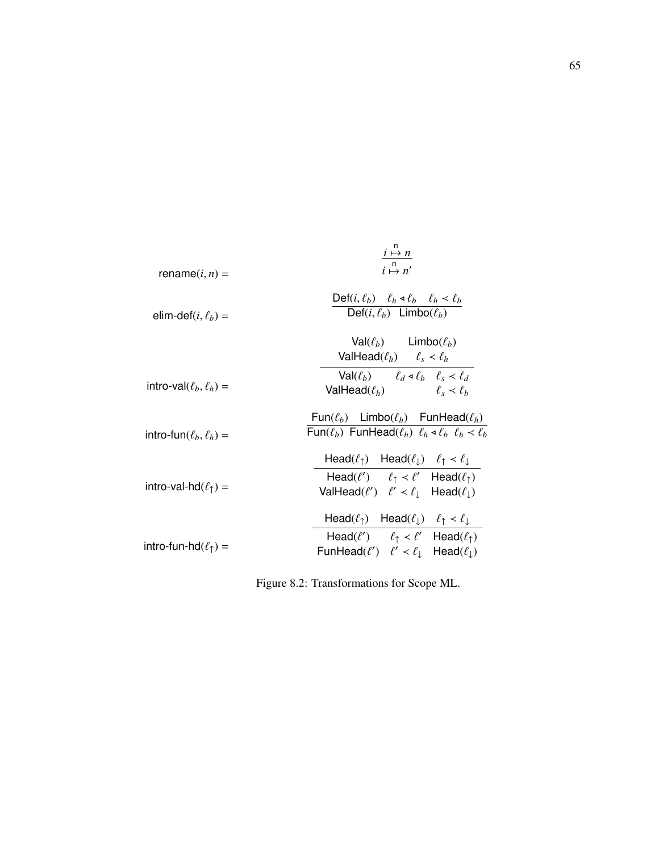| rename $(i, n)$ =                  | $\begin{array}{c}\n i \mapsto n \\  i \mapsto n'\n\end{array}$                                                                                    |
|------------------------------------|---------------------------------------------------------------------------------------------------------------------------------------------------|
| elim-def $(i, \ell_h)$ =           | Def( <i>i</i> , $\ell_b$ ) $\ell_h \triangleleft \ell_b$ $\ell_h \angle \ell_b$<br>Def(i, $\ell_b$ ) Limbo( $\ell_b$ )                            |
|                                    | $Val(\ell_b)$ Limbo $(\ell_b)$<br>ValHead( $\ell_h$ ) $\ell_s < \ell_h$                                                                           |
| intro-val $(\ell_b, \ell_h)$ =     | $Val(\ell_b)$ $\ell_d \triangleleft \ell_b$ $\ell_s \angle \ell_d$<br>ValHead( $\ell_h$ ) $\ell_s < \ell_h$                                       |
| intro-fun $(\ell_b, \ell_h)$ =     | Fun( $\ell_b$ ) Limbo( $\ell_b$ ) FunHead( $\ell_h$ )<br>Fun( $\ell_b$ ) FunHead( $\ell_h$ ) $\ell_h \triangleleft \ell_h$ $\ell_h \angle \ell_h$ |
|                                    | Head $(\ell_{\uparrow})$ Head $(\ell_{\downarrow})$ $\ell_{\uparrow} < \ell_{\downarrow}$                                                         |
| intro-val-hd $(\ell_{\uparrow})$ = | Head( $\ell'$ ) $\ell_{\uparrow} < \ell'$ Head( $\ell_{\uparrow}$ )<br>ValHead( $\ell'$ ) $\ell' < \ell_{\perp}$ Head( $\ell_{\perp}$ )           |
|                                    | Head( $\ell_{\uparrow}$ ) Head( $\ell_{\downarrow}$ ) $\ell_{\uparrow} < \ell_{\downarrow}$                                                       |
| intro-fun-hd $(\ell_{\uparrow})$ = | Head( $\ell'$ ) $\ell_1 < \ell'$ Head( $\ell_1$ )<br>FunHead( $\ell'$ ) $\ell' < \ell_{\perp}$ Head( $\ell_{\perp}$ )                             |

Figure 8.2: Transformations for Scope ML.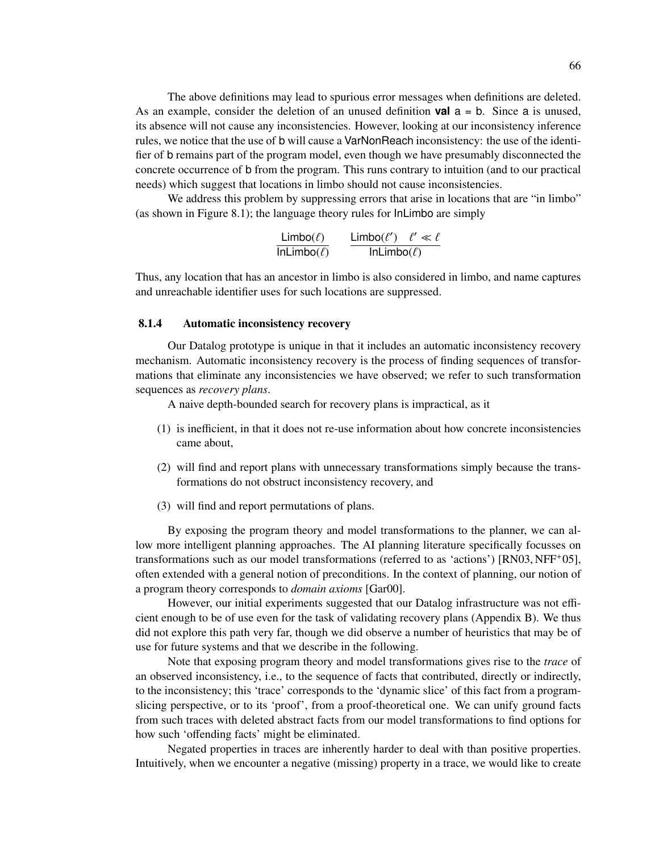The above definitions may lead to spurious error messages when definitions are deleted. As an example, consider the deletion of an unused definition **val** a = b. Since a is unused, its absence will not cause any inconsistencies. However, looking at our inconsistency inference rules, we notice that the use of b will cause a VarNonReach inconsistency: the use of the identifier of b remains part of the program model, even though we have presumably disconnected the concrete occurrence of b from the program. This runs contrary to intuition (and to our practical needs) which suggest that locations in limbo should not cause inconsistencies.

We address this problem by suppressing errors that arise in locations that are "in limbo" (as shown in Figure 8.1); the language theory rules for InLimbo are simply

$$
\frac{\text{Limbo}(\ell)}{\text{InLimbo}(\ell)} \qquad \frac{\text{Limbo}(\ell') \quad \ell' \ll \ell}{\text{InLimbo}(\ell)}
$$

Thus, any location that has an ancestor in limbo is also considered in limbo, and name captures and unreachable identifier uses for such locations are suppressed.

#### 8.1.4 Automatic inconsistency recovery

Our Datalog prototype is unique in that it includes an automatic inconsistency recovery mechanism. Automatic inconsistency recovery is the process of finding sequences of transformations that eliminate any inconsistencies we have observed; we refer to such transformation sequences as *recovery plans*.

A naive depth-bounded search for recovery plans is impractical, as it

- (1) is inefficient, in that it does not re-use information about how concrete inconsistencies came about,
- (2) will find and report plans with unnecessary transformations simply because the transformations do not obstruct inconsistency recovery, and
- (3) will find and report permutations of plans.

By exposing the program theory and model transformations to the planner, we can allow more intelligent planning approaches. The AI planning literature specifically focusses on transformations such as our model transformations (referred to as 'actions') [RN03, NFF+05], often extended with a general notion of preconditions. In the context of planning, our notion of a program theory corresponds to *domain axioms* [Gar00].

However, our initial experiments suggested that our Datalog infrastructure was not efficient enough to be of use even for the task of validating recovery plans (Appendix B). We thus did not explore this path very far, though we did observe a number of heuristics that may be of use for future systems and that we describe in the following.

Note that exposing program theory and model transformations gives rise to the *trace* of an observed inconsistency, i.e., to the sequence of facts that contributed, directly or indirectly, to the inconsistency; this 'trace' corresponds to the 'dynamic slice' of this fact from a programslicing perspective, or to its 'proof', from a proof-theoretical one. We can unify ground facts from such traces with deleted abstract facts from our model transformations to find options for how such 'offending facts' might be eliminated.

Negated properties in traces are inherently harder to deal with than positive properties. Intuitively, when we encounter a negative (missing) property in a trace, we would like to create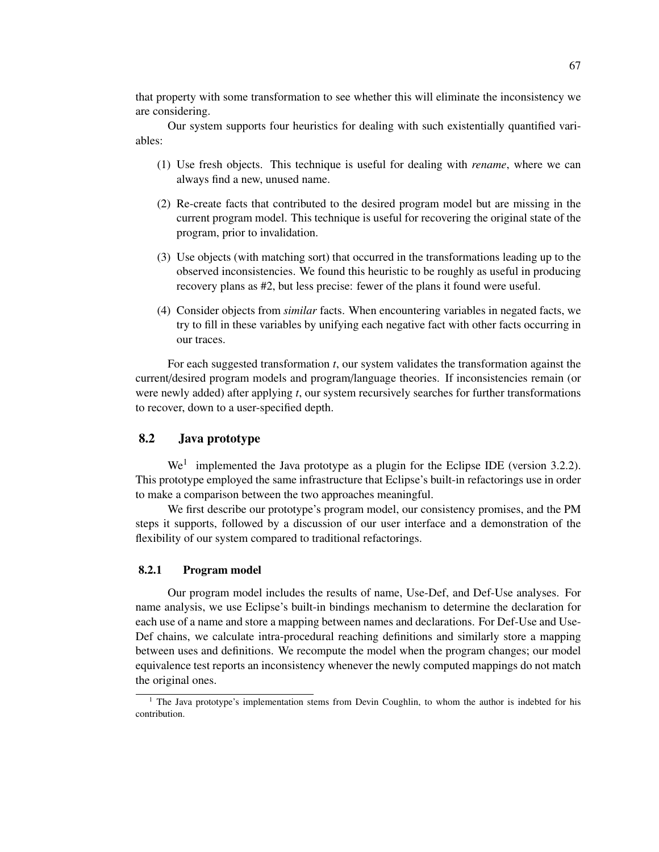that property with some transformation to see whether this will eliminate the inconsistency we are considering.

Our system supports four heuristics for dealing with such existentially quantified variables:

- (1) Use fresh objects. This technique is useful for dealing with *rename*, where we can always find a new, unused name.
- (2) Re-create facts that contributed to the desired program model but are missing in the current program model. This technique is useful for recovering the original state of the program, prior to invalidation.
- (3) Use objects (with matching sort) that occurred in the transformations leading up to the observed inconsistencies. We found this heuristic to be roughly as useful in producing recovery plans as #2, but less precise: fewer of the plans it found were useful.
- (4) Consider objects from *similar* facts. When encountering variables in negated facts, we try to fill in these variables by unifying each negative fact with other facts occurring in our traces.

For each suggested transformation *t*, our system validates the transformation against the current/desired program models and program/language theories. If inconsistencies remain (or were newly added) after applying *t*, our system recursively searches for further transformations to recover, down to a user-specified depth.

# 8.2 Java prototype

 $We<sup>1</sup>$  implemented the Java prototype as a plugin for the Eclipse IDE (version 3.2.2). This prototype employed the same infrastructure that Eclipse's built-in refactorings use in order to make a comparison between the two approaches meaningful.

We first describe our prototype's program model, our consistency promises, and the PM steps it supports, followed by a discussion of our user interface and a demonstration of the flexibility of our system compared to traditional refactorings.

#### 8.2.1 Program model

Our program model includes the results of name, Use-Def, and Def-Use analyses. For name analysis, we use Eclipse's built-in bindings mechanism to determine the declaration for each use of a name and store a mapping between names and declarations. For Def-Use and Use-Def chains, we calculate intra-procedural reaching definitions and similarly store a mapping between uses and definitions. We recompute the model when the program changes; our model equivalence test reports an inconsistency whenever the newly computed mappings do not match the original ones.

<sup>&</sup>lt;sup>1</sup> The Java prototype's implementation stems from Devin Coughlin, to whom the author is indebted for his contribution.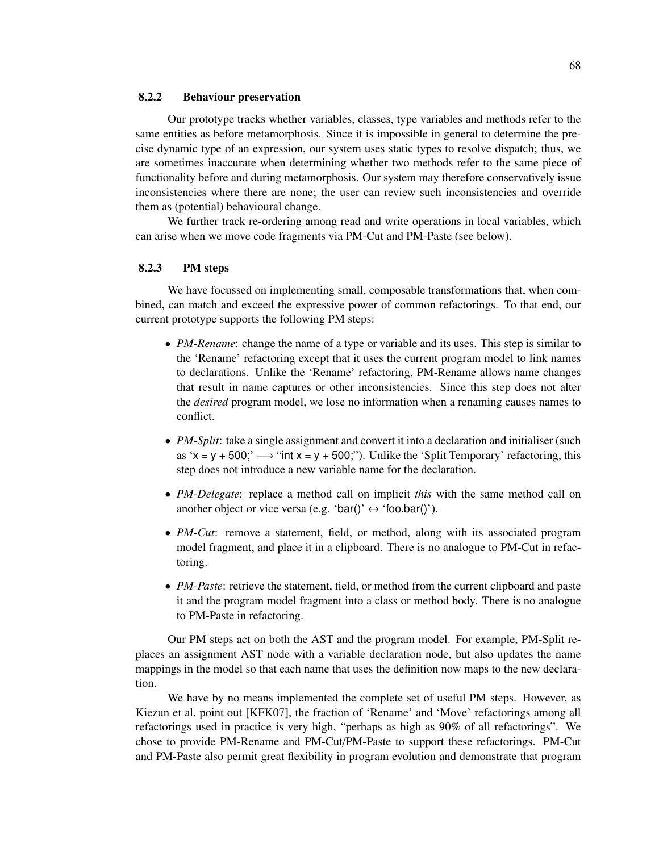#### 8.2.2 Behaviour preservation

Our prototype tracks whether variables, classes, type variables and methods refer to the same entities as before metamorphosis. Since it is impossible in general to determine the precise dynamic type of an expression, our system uses static types to resolve dispatch; thus, we are sometimes inaccurate when determining whether two methods refer to the same piece of functionality before and during metamorphosis. Our system may therefore conservatively issue inconsistencies where there are none; the user can review such inconsistencies and override them as (potential) behavioural change.

We further track re-ordering among read and write operations in local variables, which can arise when we move code fragments via PM-Cut and PM-Paste (see below).

## 8.2.3 PM steps

We have focussed on implementing small, composable transformations that, when combined, can match and exceed the expressive power of common refactorings. To that end, our current prototype supports the following PM steps:

- *PM-Rename*: change the name of a type or variable and its uses. This step is similar to the 'Rename' refactoring except that it uses the current program model to link names to declarations. Unlike the 'Rename' refactoring, PM-Rename allows name changes that result in name captures or other inconsistencies. Since this step does not alter the *desired* program model, we lose no information when a renaming causes names to conflict.
- *PM-Split*: take a single assignment and convert it into a declaration and initialiser (such as 'x = y + 500;'  $\rightarrow$  "int x = y + 500;"). Unlike the 'Split Temporary' refactoring, this step does not introduce a new variable name for the declaration.
- *PM-Delegate*: replace a method call on implicit *this* with the same method call on another object or vice versa (e.g. 'bar()'  $\leftrightarrow$  'foo.bar()').
- *PM-Cut*: remove a statement, field, or method, along with its associated program model fragment, and place it in a clipboard. There is no analogue to PM-Cut in refactoring.
- *PM-Paste*: retrieve the statement, field, or method from the current clipboard and paste it and the program model fragment into a class or method body. There is no analogue to PM-Paste in refactoring.

Our PM steps act on both the AST and the program model. For example, PM-Split replaces an assignment AST node with a variable declaration node, but also updates the name mappings in the model so that each name that uses the definition now maps to the new declaration.

We have by no means implemented the complete set of useful PM steps. However, as Kiezun et al. point out [KFK07], the fraction of 'Rename' and 'Move' refactorings among all refactorings used in practice is very high, "perhaps as high as 90% of all refactorings". We chose to provide PM-Rename and PM-Cut/PM-Paste to support these refactorings. PM-Cut and PM-Paste also permit great flexibility in program evolution and demonstrate that program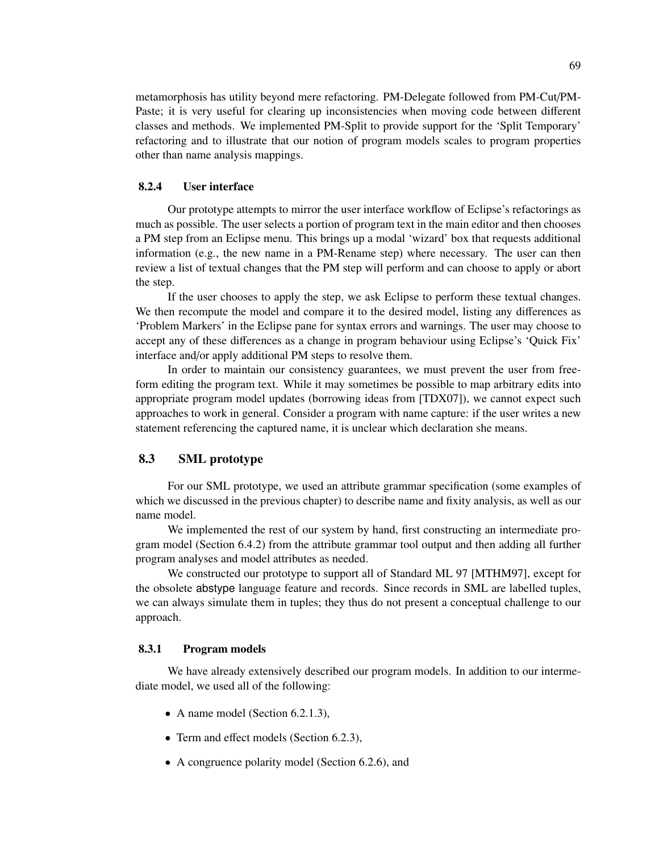metamorphosis has utility beyond mere refactoring. PM-Delegate followed from PM-Cut/PM-Paste; it is very useful for clearing up inconsistencies when moving code between different classes and methods. We implemented PM-Split to provide support for the 'Split Temporary' refactoring and to illustrate that our notion of program models scales to program properties other than name analysis mappings.

#### 8.2.4 User interface

Our prototype attempts to mirror the user interface workflow of Eclipse's refactorings as much as possible. The user selects a portion of program text in the main editor and then chooses a PM step from an Eclipse menu. This brings up a modal 'wizard' box that requests additional information (e.g., the new name in a PM-Rename step) where necessary. The user can then review a list of textual changes that the PM step will perform and can choose to apply or abort the step.

If the user chooses to apply the step, we ask Eclipse to perform these textual changes. We then recompute the model and compare it to the desired model, listing any differences as 'Problem Markers' in the Eclipse pane for syntax errors and warnings. The user may choose to accept any of these differences as a change in program behaviour using Eclipse's 'Quick Fix' interface and/or apply additional PM steps to resolve them.

In order to maintain our consistency guarantees, we must prevent the user from freeform editing the program text. While it may sometimes be possible to map arbitrary edits into appropriate program model updates (borrowing ideas from [TDX07]), we cannot expect such approaches to work in general. Consider a program with name capture: if the user writes a new statement referencing the captured name, it is unclear which declaration she means.

## 8.3 SML prototype

For our SML prototype, we used an attribute grammar specification (some examples of which we discussed in the previous chapter) to describe name and fixity analysis, as well as our name model.

We implemented the rest of our system by hand, first constructing an intermediate program model (Section 6.4.2) from the attribute grammar tool output and then adding all further program analyses and model attributes as needed.

We constructed our prototype to support all of Standard ML 97 [MTHM97], except for the obsolete abstype language feature and records. Since records in SML are labelled tuples, we can always simulate them in tuples; they thus do not present a conceptual challenge to our approach.

#### 8.3.1 Program models

We have already extensively described our program models. In addition to our intermediate model, we used all of the following:

- A name model (Section 6.2.1.3),
- Term and effect models (Section 6.2.3),
- A congruence polarity model (Section 6.2.6), and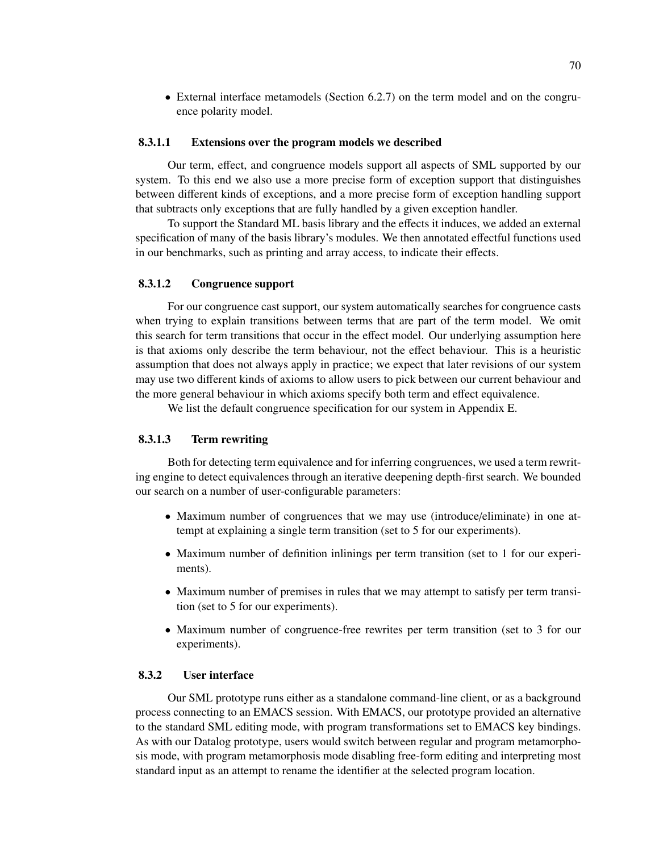• External interface metamodels (Section 6.2.7) on the term model and on the congruence polarity model.

## 8.3.1.1 Extensions over the program models we described

Our term, effect, and congruence models support all aspects of SML supported by our system. To this end we also use a more precise form of exception support that distinguishes between different kinds of exceptions, and a more precise form of exception handling support that subtracts only exceptions that are fully handled by a given exception handler.

To support the Standard ML basis library and the effects it induces, we added an external specification of many of the basis library's modules. We then annotated effectful functions used in our benchmarks, such as printing and array access, to indicate their effects.

### 8.3.1.2 Congruence support

For our congruence cast support, our system automatically searches for congruence casts when trying to explain transitions between terms that are part of the term model. We omit this search for term transitions that occur in the effect model. Our underlying assumption here is that axioms only describe the term behaviour, not the effect behaviour. This is a heuristic assumption that does not always apply in practice; we expect that later revisions of our system may use two different kinds of axioms to allow users to pick between our current behaviour and the more general behaviour in which axioms specify both term and effect equivalence.

We list the default congruence specification for our system in Appendix E.

#### 8.3.1.3 Term rewriting

Both for detecting term equivalence and for inferring congruences, we used a term rewriting engine to detect equivalences through an iterative deepening depth-first search. We bounded our search on a number of user-configurable parameters:

- Maximum number of congruences that we may use (introduce/eliminate) in one attempt at explaining a single term transition (set to 5 for our experiments).
- Maximum number of definition inlinings per term transition (set to 1 for our experiments).
- Maximum number of premises in rules that we may attempt to satisfy per term transition (set to 5 for our experiments).
- Maximum number of congruence-free rewrites per term transition (set to 3 for our experiments).

### 8.3.2 User interface

Our SML prototype runs either as a standalone command-line client, or as a background process connecting to an EMACS session. With EMACS, our prototype provided an alternative to the standard SML editing mode, with program transformations set to EMACS key bindings. As with our Datalog prototype, users would switch between regular and program metamorphosis mode, with program metamorphosis mode disabling free-form editing and interpreting most standard input as an attempt to rename the identifier at the selected program location.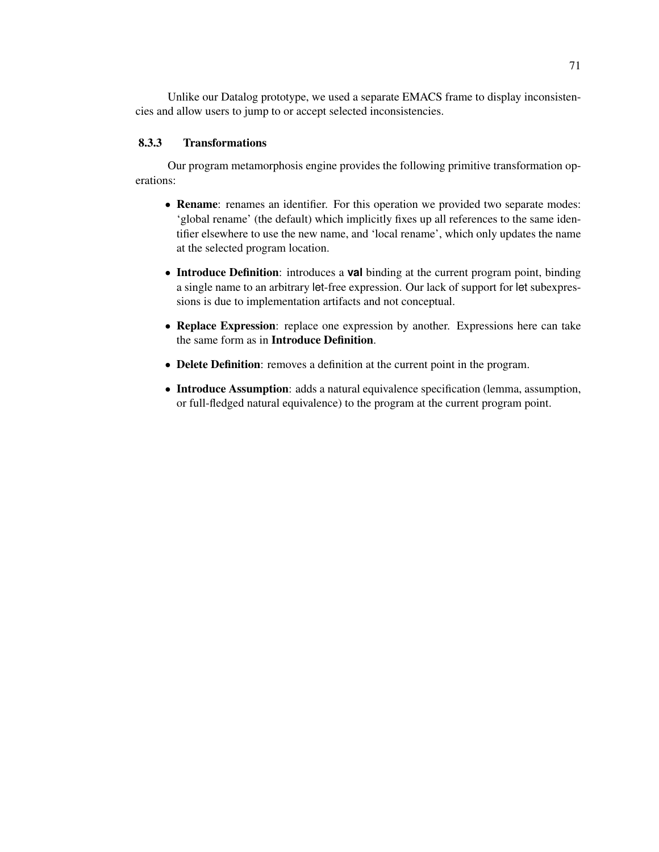Unlike our Datalog prototype, we used a separate EMACS frame to display inconsistencies and allow users to jump to or accept selected inconsistencies.

## 8.3.3 Transformations

Our program metamorphosis engine provides the following primitive transformation operations:

- Rename: renames an identifier. For this operation we provided two separate modes: 'global rename' (the default) which implicitly fixes up all references to the same identifier elsewhere to use the new name, and 'local rename', which only updates the name at the selected program location.
- Introduce Definition: introduces a **val** binding at the current program point, binding a single name to an arbitrary let-free expression. Our lack of support for let subexpressions is due to implementation artifacts and not conceptual.
- Replace Expression: replace one expression by another. Expressions here can take the same form as in Introduce Definition.
- Delete Definition: removes a definition at the current point in the program.
- Introduce Assumption: adds a natural equivalence specification (lemma, assumption, or full-fledged natural equivalence) to the program at the current program point.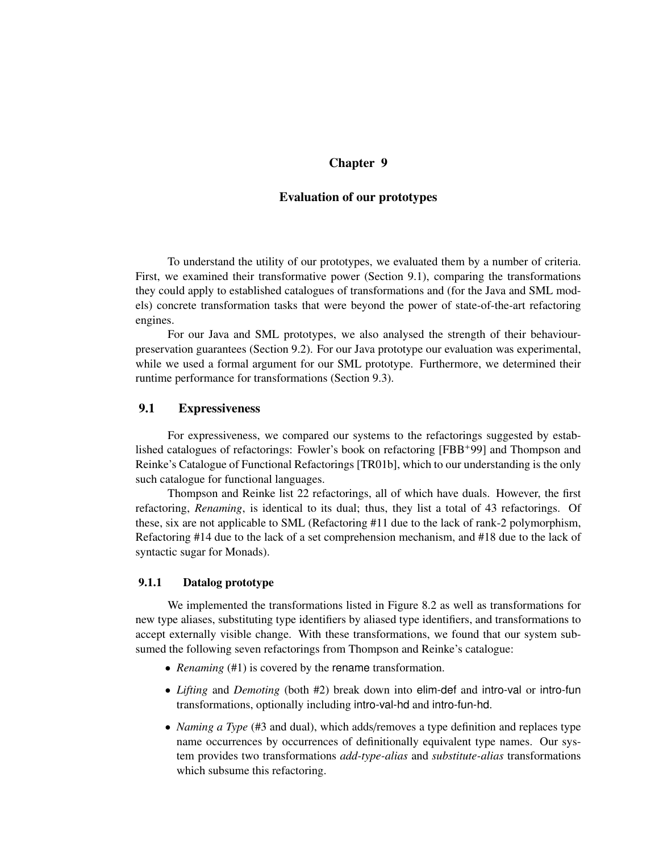# Chapter 9

## Evaluation of our prototypes

To understand the utility of our prototypes, we evaluated them by a number of criteria. First, we examined their transformative power (Section 9.1), comparing the transformations they could apply to established catalogues of transformations and (for the Java and SML models) concrete transformation tasks that were beyond the power of state-of-the-art refactoring engines.

For our Java and SML prototypes, we also analysed the strength of their behaviourpreservation guarantees (Section 9.2). For our Java prototype our evaluation was experimental, while we used a formal argument for our SML prototype. Furthermore, we determined their runtime performance for transformations (Section 9.3).

# 9.1 Expressiveness

For expressiveness, we compared our systems to the refactorings suggested by established catalogues of refactorings: Fowler's book on refactoring [FBB+99] and Thompson and Reinke's Catalogue of Functional Refactorings [TR01b], which to our understanding is the only such catalogue for functional languages.

Thompson and Reinke list 22 refactorings, all of which have duals. However, the first refactoring, *Renaming*, is identical to its dual; thus, they list a total of 43 refactorings. Of these, six are not applicable to SML (Refactoring #11 due to the lack of rank-2 polymorphism, Refactoring #14 due to the lack of a set comprehension mechanism, and #18 due to the lack of syntactic sugar for Monads).

### 9.1.1 Datalog prototype

We implemented the transformations listed in Figure 8.2 as well as transformations for new type aliases, substituting type identifiers by aliased type identifiers, and transformations to accept externally visible change. With these transformations, we found that our system subsumed the following seven refactorings from Thompson and Reinke's catalogue:

- *Renaming* (#1) is covered by the rename transformation.
- *Lifting* and *Demoting* (both #2) break down into elim-def and intro-val or intro-fun transformations, optionally including intro-val-hd and intro-fun-hd.
- *Naming a Type* (#3 and dual), which adds/removes a type definition and replaces type name occurrences by occurrences of definitionally equivalent type names. Our system provides two transformations *add-type-alias* and *substitute-alias* transformations which subsume this refactoring.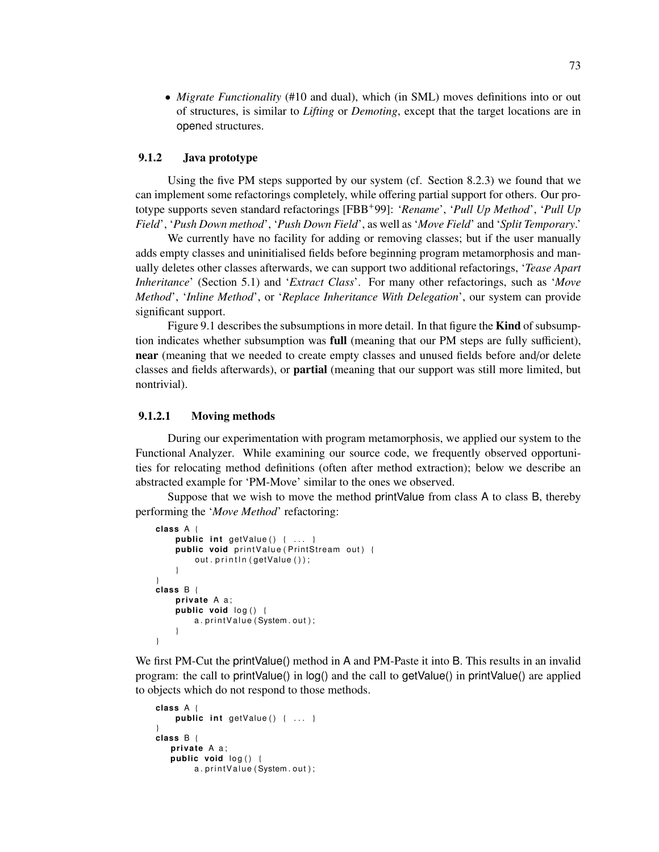• *Migrate Functionality* (#10 and dual), which (in SML) moves definitions into or out of structures, is similar to *Lifting* or *Demoting*, except that the target locations are in opened structures.

## 9.1.2 Java prototype

Using the five PM steps supported by our system (cf. Section 8.2.3) we found that we can implement some refactorings completely, while offering partial support for others. Our prototype supports seven standard refactorings [FBB+99]: '*Rename*', '*Pull Up Method*', '*Pull Up Field*', '*Push Down method*', '*Push Down Field*', as well as '*Move Field*' and '*Split Temporary*.'

We currently have no facility for adding or removing classes; but if the user manually adds empty classes and uninitialised fields before beginning program metamorphosis and manually deletes other classes afterwards, we can support two additional refactorings, '*Tease Apart Inheritance*' (Section 5.1) and '*Extract Class*'. For many other refactorings, such as '*Move Method*', '*Inline Method*', or '*Replace Inheritance With Delegation*', our system can provide significant support.

Figure 9.1 describes the subsumptions in more detail. In that figure the **Kind** of subsumption indicates whether subsumption was full (meaning that our PM steps are fully sufficient), near (meaning that we needed to create empty classes and unused fields before and/or delete classes and fields afterwards), or partial (meaning that our support was still more limited, but nontrivial).

## 9.1.2.1 Moving methods

During our experimentation with program metamorphosis, we applied our system to the Functional Analyzer. While examining our source code, we frequently observed opportunities for relocating method definitions (often after method extraction); below we describe an abstracted example for 'PM-Move' similar to the ones we observed.

Suppose that we wish to move the method printValue from class A to class B, thereby performing the '*Move Method*' refactoring:

```
class A {
    public int getValue() { ... }
    public void print Value (PrintStream out) {
         out. println (getValue ());
    }
}
class B {
    private A a;
    public void log() {
        a. print Value (System. out);
    }
}
```
We first PM-Cut the printValue() method in A and PM-Paste it into B. This results in an invalid program: the call to printValue() in log() and the call to getValue() in printValue() are applied to objects which do not respond to those methods.

```
class A {
    public int getValue() { ... }
}
class B {
   private A a;
   public void log() {
        a. print Value (System. out);
```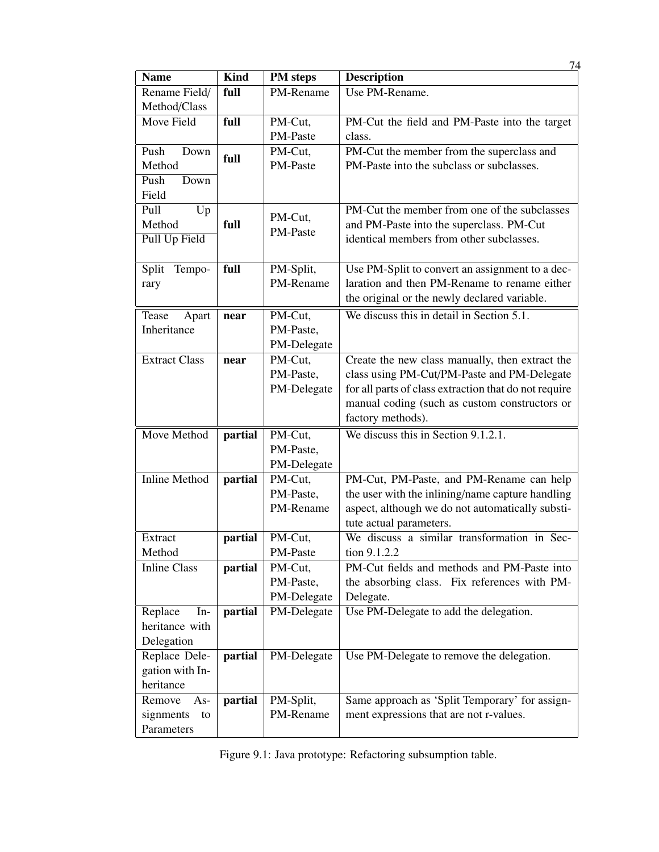|                                 |             |                 | 74                                                    |
|---------------------------------|-------------|-----------------|-------------------------------------------------------|
| <b>Name</b>                     | <b>Kind</b> | <b>PM</b> steps | <b>Description</b>                                    |
| Rename Field/                   | full        | PM-Rename       | Use PM-Rename.                                        |
| Method/Class                    |             |                 |                                                       |
| Move Field                      | full        | PM-Cut,         | PM-Cut the field and PM-Paste into the target         |
|                                 |             | PM-Paste        | class.                                                |
| Push<br>Down                    |             | PM-Cut,         | PM-Cut the member from the superclass and             |
| Method                          | full        | PM-Paste        | PM-Paste into the subclass or subclasses.             |
| Push<br>Down                    |             |                 |                                                       |
| Field                           |             |                 |                                                       |
| Pull<br>Up                      |             |                 | PM-Cut the member from one of the subclasses          |
| full<br>Method<br>Pull Up Field |             | PM-Cut,         | and PM-Paste into the superclass. PM-Cut              |
|                                 |             | PM-Paste        | identical members from other subclasses.              |
|                                 |             |                 |                                                       |
| Tempo-<br>Split                 | full        | PM-Split,       | Use PM-Split to convert an assignment to a dec-       |
| rary                            |             | PM-Rename       | laration and then PM-Rename to rename either          |
|                                 |             |                 | the original or the newly declared variable.          |
| Tease<br>Apart                  | near        | PM-Cut,         | We discuss this in detail in Section 5.1.             |
| Inheritance                     |             | PM-Paste,       |                                                       |
|                                 |             | PM-Delegate     |                                                       |
| <b>Extract Class</b>            | near        | PM-Cut,         | Create the new class manually, then extract the       |
|                                 |             | PM-Paste,       | class using PM-Cut/PM-Paste and PM-Delegate           |
|                                 |             | PM-Delegate     | for all parts of class extraction that do not require |
|                                 |             |                 | manual coding (such as custom constructors or         |
|                                 |             |                 | factory methods).                                     |
|                                 |             |                 |                                                       |
| Move Method                     | partial     | PM-Cut,         | We discuss this in Section 9.1.2.1.                   |
|                                 |             | PM-Paste,       |                                                       |
|                                 |             | PM-Delegate     |                                                       |
| <b>Inline Method</b>            | partial     | PM-Cut,         | PM-Cut, PM-Paste, and PM-Rename can help              |
|                                 |             | PM-Paste,       | the user with the inlining/name capture handling      |
|                                 |             | PM-Rename       | aspect, although we do not automatically substi-      |
|                                 |             |                 | tute actual parameters.                               |
| Extract                         | partial     | PM-Cut,         | We discuss a similar transformation in Sec-           |
| Method                          |             | PM-Paste        | tion 9.1.2.2                                          |
| <b>Inline Class</b>             | partial     | PM-Cut,         | PM-Cut fields and methods and PM-Paste into           |
|                                 |             | PM-Paste,       | the absorbing class. Fix references with PM-          |
|                                 |             | PM-Delegate     | Delegate.                                             |
| Replace<br>$In-$                | partial     | PM-Delegate     | Use PM-Delegate to add the delegation.                |
| heritance with                  |             |                 |                                                       |
| Delegation                      |             |                 |                                                       |
| Replace Dele-                   | partial     | PM-Delegate     | Use PM-Delegate to remove the delegation.             |
| gation with In-                 |             |                 |                                                       |
| heritance                       |             |                 |                                                       |
| Remove<br>$As-$                 | partial     | PM-Split,       | Same approach as 'Split Temporary' for assign-        |
| signments<br>to                 |             | PM-Rename       | ment expressions that are not r-values.               |
| Parameters                      |             |                 |                                                       |

Figure 9.1: Java prototype: Refactoring subsumption table.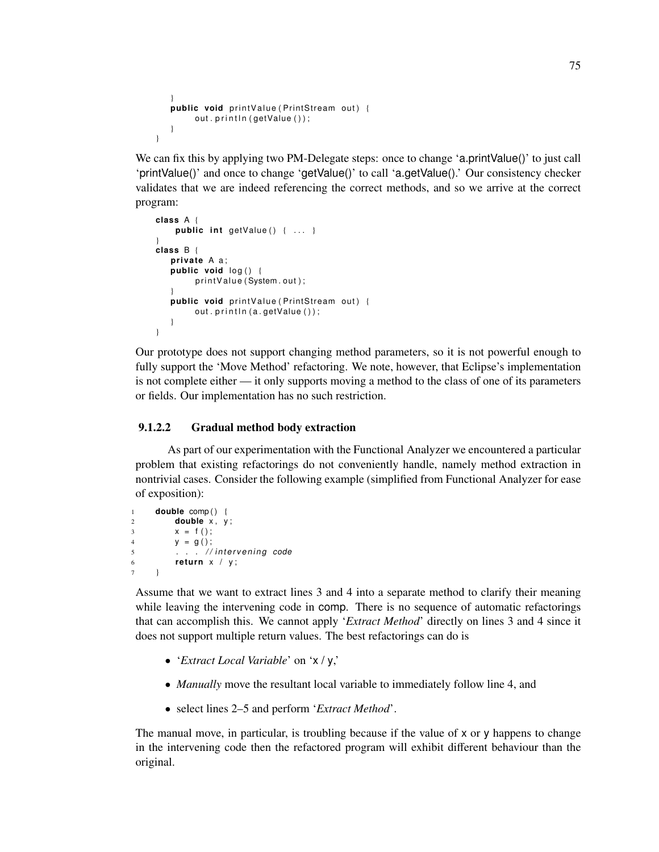```
}<br>public void printValue(PrintStream out) {
        out.println(getValue());
   }
}
```
We can fix this by applying two PM-Delegate steps: once to change 'a.printValue()' to just call 'printValue()' and once to change 'getValue()' to call 'a.getValue().' Our consistency checker validates that we are indeed referencing the correct methods, and so we arrive at the correct program:

```
class A {
    public int getValue() { ... }
}
class B {
   private A a;
   public void log() {
        print Value (System.out);
   }<br>public void printValue(PrintStream out) {
        out.println(a.getValue());
   }
}
```
Our prototype does not support changing method parameters, so it is not powerful enough to fully support the 'Move Method' refactoring. We note, however, that Eclipse's implementation is not complete either — it only supports moving a method to the class of one of its parameters or fields. Our implementation has no such restriction.

## 9.1.2.2 Gradual method body extraction

As part of our experimentation with the Functional Analyzer we encountered a particular problem that existing refactorings do not conveniently handle, namely method extraction in nontrivial cases. Consider the following example (simplified from Functional Analyzer for ease of exposition):

```
1 double comp() {<br>2 double x, y
       double x, y;
3 x = f();
4 y = g();
5 . . . //intervening code
6 return x / y;
7 }
```
Assume that we want to extract lines 3 and 4 into a separate method to clarify their meaning while leaving the intervening code in comp. There is no sequence of automatic refactorings that can accomplish this. We cannot apply '*Extract Method*' directly on lines 3 and 4 since it does not support multiple return values. The best refactorings can do is

- '*Extract Local Variable*' on 'x / y,'
- *Manually* move the resultant local variable to immediately follow line 4, and
- select lines 2–5 and perform '*Extract Method*'.

The manual move, in particular, is troubling because if the value of x or y happens to change in the intervening code then the refactored program will exhibit different behaviour than the original.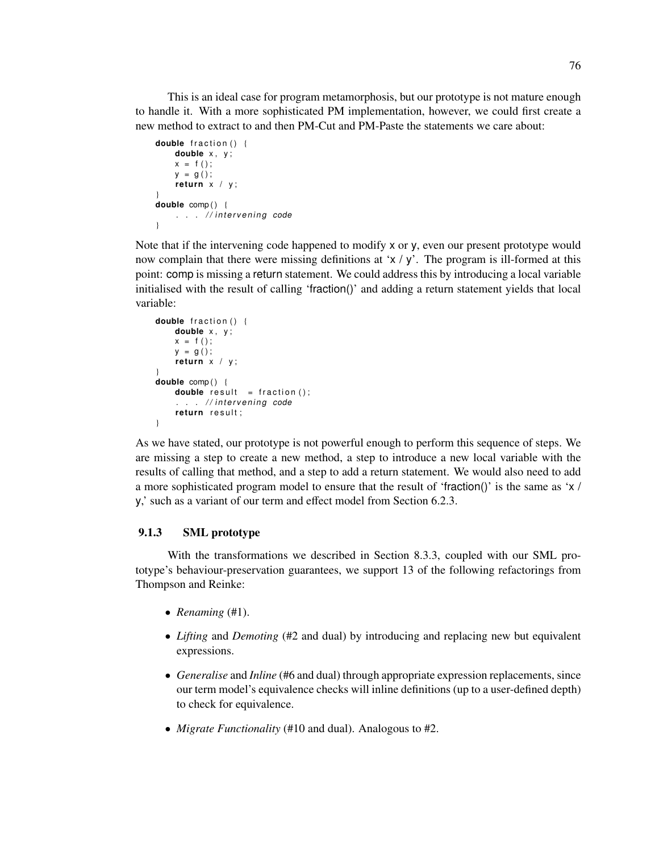This is an ideal case for program metamorphosis, but our prototype is not mature enough to handle it. With a more sophisticated PM implementation, however, we could first create a new method to extract to and then PM-Cut and PM-Paste the statements we care about:

```
double fraction () {
    double x, y;
    x = f();
    y = q() ;
    return x / y;
}
double comp ( ) {
    . . . //intervening code
}
```
Note that if the intervening code happened to modify x or y, even our present prototype would now complain that there were missing definitions at ' $x / y'$ . The program is ill-formed at this point: comp is missing a return statement. We could address this by introducing a local variable initialised with the result of calling 'fraction()' and adding a return statement yields that local variable:

```
double fraction () {
    double x, y;
    x = f();
    y = g();
    return x / y;
}<br>double comp() {
    double result = fraction();
    \ldots . // intervening code
    return result;
}
```
As we have stated, our prototype is not powerful enough to perform this sequence of steps. We are missing a step to create a new method, a step to introduce a new local variable with the results of calling that method, and a step to add a return statement. We would also need to add a more sophisticated program model to ensure that the result of 'fraction()' is the same as 'x / y,' such as a variant of our term and effect model from Section 6.2.3.

## 9.1.3 SML prototype

With the transformations we described in Section 8.3.3, coupled with our SML prototype's behaviour-preservation guarantees, we support 13 of the following refactorings from Thompson and Reinke:

- *Renaming* (#1).
- *Lifting* and *Demoting* (#2 and dual) by introducing and replacing new but equivalent expressions.
- *Generalise* and *Inline* (#6 and dual) through appropriate expression replacements, since our term model's equivalence checks will inline definitions (up to a user-defined depth) to check for equivalence.
- *Migrate Functionality* (#10 and dual). Analogous to #2.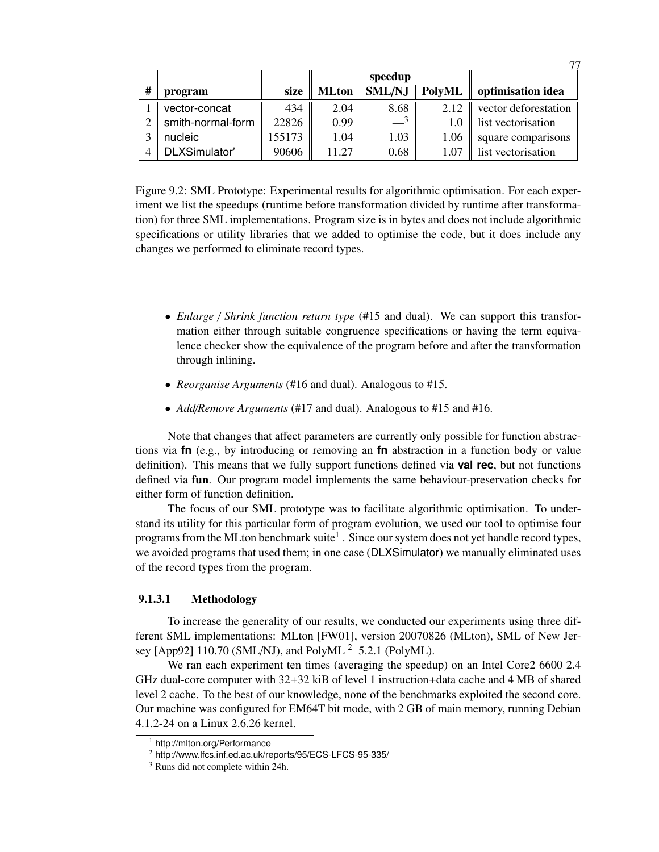|   |                   |        | speedup      |                  |               |                      |
|---|-------------------|--------|--------------|------------------|---------------|----------------------|
| # | program           | size   | <b>MLton</b> | <b>SML/NJ</b>    | <b>PolyML</b> | optimisation idea    |
|   | vector-concat     | 434    | 2.04         | 8.68             | 2.12          | vector deforestation |
| ∍ | smith-normal-form | 22826  | 0.99         | $-$ <sup>3</sup> | 1.0           | list vectorisation   |
| 2 | nucleic           | 155173 | 1.04         | 1.03             | 1.06          | square comparisons   |
| 4 | DLXSimulator'     | 90606  | 11.27        | 0.68             | 1.07          | list vectorisation   |

 $77$ 

Figure 9.2: SML Prototype: Experimental results for algorithmic optimisation. For each experiment we list the speedups (runtime before transformation divided by runtime after transformation) for three SML implementations. Program size is in bytes and does not include algorithmic specifications or utility libraries that we added to optimise the code, but it does include any changes we performed to eliminate record types.

- *Enlarge* / *Shrink function return type* (#15 and dual). We can support this transformation either through suitable congruence specifications or having the term equivalence checker show the equivalence of the program before and after the transformation through inlining.
- *Reorganise Arguments* (#16 and dual). Analogous to #15.
- *Add*/*Remove Arguments* (#17 and dual). Analogous to #15 and #16.

Note that changes that affect parameters are currently only possible for function abstractions via **fn** (e.g., by introducing or removing an **fn** abstraction in a function body or value definition). This means that we fully support functions defined via **val rec**, but not functions defined via fun. Our program model implements the same behaviour-preservation checks for either form of function definition.

The focus of our SML prototype was to facilitate algorithmic optimisation. To understand its utility for this particular form of program evolution, we used our tool to optimise four programs from the MLton benchmark suite $^1$  . Since our system does not yet handle record types, we avoided programs that used them; in one case (DLXSimulator) we manually eliminated uses of the record types from the program.

## 9.1.3.1 Methodology

To increase the generality of our results, we conducted our experiments using three different SML implementations: MLton [FW01], version 20070826 (MLton), SML of New Jersey [App92] 110.70 (SML/NJ), and PolyML<sup>2</sup> 5.2.1 (PolyML).

We ran each experiment ten times (averaging the speedup) on an Intel Core2 6600 2.4 GHz dual-core computer with 32+32 kiB of level 1 instruction+data cache and 4 MB of shared level 2 cache. To the best of our knowledge, none of the benchmarks exploited the second core. Our machine was configured for EM64T bit mode, with 2 GB of main memory, running Debian 4.1.2-24 on a Linux 2.6.26 kernel.

<sup>1</sup> http://mlton.org/Performance

<sup>2</sup> http://www.lfcs.inf.ed.ac.uk/reports/95/ECS-LFCS-95-335/

<sup>3</sup> Runs did not complete within 24h.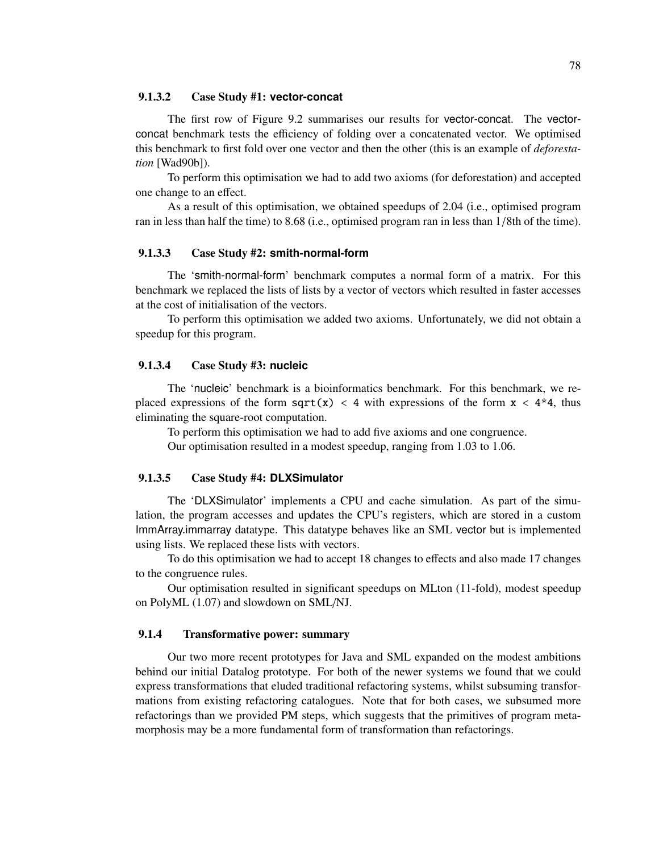#### 9.1.3.2 Case Study #1: **vector-concat**

The first row of Figure 9.2 summarises our results for vector-concat. The vectorconcat benchmark tests the efficiency of folding over a concatenated vector. We optimised this benchmark to first fold over one vector and then the other (this is an example of *deforestation* [Wad90b]).

To perform this optimisation we had to add two axioms (for deforestation) and accepted one change to an effect.

As a result of this optimisation, we obtained speedups of 2.04 (i.e., optimised program ran in less than half the time) to 8.68 (i.e., optimised program ran in less than 1/8th of the time).

#### 9.1.3.3 Case Study #2: **smith-normal-form**

The 'smith-normal-form' benchmark computes a normal form of a matrix. For this benchmark we replaced the lists of lists by a vector of vectors which resulted in faster accesses at the cost of initialisation of the vectors.

To perform this optimisation we added two axioms. Unfortunately, we did not obtain a speedup for this program.

#### 9.1.3.4 Case Study #3: **nucleic**

The 'nucleic' benchmark is a bioinformatics benchmark. For this benchmark, we replaced expressions of the form  $sqrt(x) < 4$  with expressions of the form  $x < 4*4$ , thus eliminating the square-root computation.

To perform this optimisation we had to add five axioms and one congruence.

Our optimisation resulted in a modest speedup, ranging from 1.03 to 1.06.

#### 9.1.3.5 Case Study #4: **DLXSimulator**

The 'DLXSimulator' implements a CPU and cache simulation. As part of the simulation, the program accesses and updates the CPU's registers, which are stored in a custom ImmArray.immarray datatype. This datatype behaves like an SML vector but is implemented using lists. We replaced these lists with vectors.

To do this optimisation we had to accept 18 changes to effects and also made 17 changes to the congruence rules.

Our optimisation resulted in significant speedups on MLton (11-fold), modest speedup on PolyML (1.07) and slowdown on SML/NJ.

### 9.1.4 Transformative power: summary

Our two more recent prototypes for Java and SML expanded on the modest ambitions behind our initial Datalog prototype. For both of the newer systems we found that we could express transformations that eluded traditional refactoring systems, whilst subsuming transformations from existing refactoring catalogues. Note that for both cases, we subsumed more refactorings than we provided PM steps, which suggests that the primitives of program metamorphosis may be a more fundamental form of transformation than refactorings.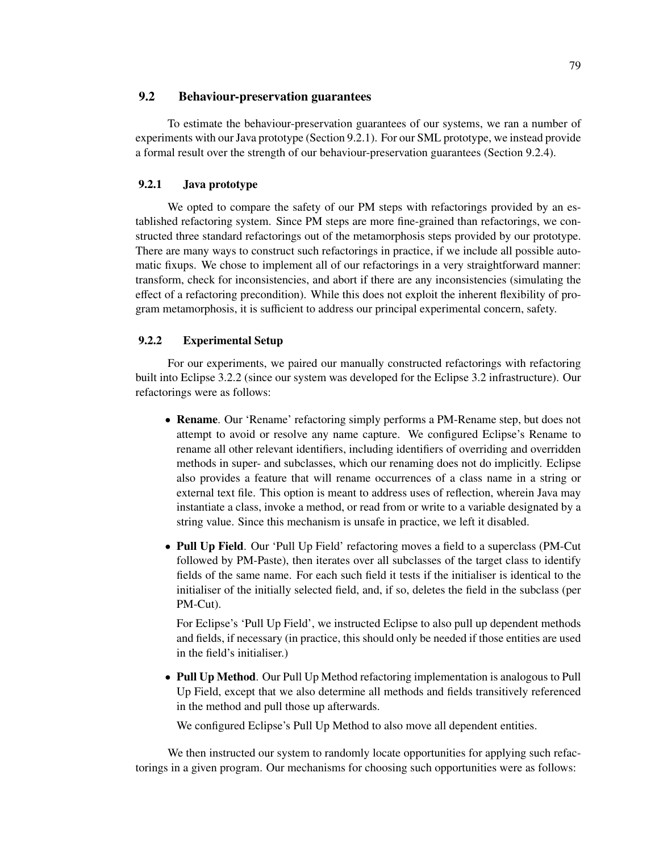# 9.2 Behaviour-preservation guarantees

To estimate the behaviour-preservation guarantees of our systems, we ran a number of experiments with our Java prototype (Section 9.2.1). For our SML prototype, we instead provide a formal result over the strength of our behaviour-preservation guarantees (Section 9.2.4).

## 9.2.1 Java prototype

We opted to compare the safety of our PM steps with refactorings provided by an established refactoring system. Since PM steps are more fine-grained than refactorings, we constructed three standard refactorings out of the metamorphosis steps provided by our prototype. There are many ways to construct such refactorings in practice, if we include all possible automatic fixups. We chose to implement all of our refactorings in a very straightforward manner: transform, check for inconsistencies, and abort if there are any inconsistencies (simulating the effect of a refactoring precondition). While this does not exploit the inherent flexibility of program metamorphosis, it is sufficient to address our principal experimental concern, safety.

### 9.2.2 Experimental Setup

For our experiments, we paired our manually constructed refactorings with refactoring built into Eclipse 3.2.2 (since our system was developed for the Eclipse 3.2 infrastructure). Our refactorings were as follows:

- Rename. Our 'Rename' refactoring simply performs a PM-Rename step, but does not attempt to avoid or resolve any name capture. We configured Eclipse's Rename to rename all other relevant identifiers, including identifiers of overriding and overridden methods in super- and subclasses, which our renaming does not do implicitly. Eclipse also provides a feature that will rename occurrences of a class name in a string or external text file. This option is meant to address uses of reflection, wherein Java may instantiate a class, invoke a method, or read from or write to a variable designated by a string value. Since this mechanism is unsafe in practice, we left it disabled.
- Pull Up Field. Our 'Pull Up Field' refactoring moves a field to a superclass (PM-Cut followed by PM-Paste), then iterates over all subclasses of the target class to identify fields of the same name. For each such field it tests if the initialiser is identical to the initialiser of the initially selected field, and, if so, deletes the field in the subclass (per PM-Cut).

For Eclipse's 'Pull Up Field', we instructed Eclipse to also pull up dependent methods and fields, if necessary (in practice, this should only be needed if those entities are used in the field's initialiser.)

• Pull Up Method. Our Pull Up Method refactoring implementation is analogous to Pull Up Field, except that we also determine all methods and fields transitively referenced in the method and pull those up afterwards.

We configured Eclipse's Pull Up Method to also move all dependent entities.

We then instructed our system to randomly locate opportunities for applying such refactorings in a given program. Our mechanisms for choosing such opportunities were as follows: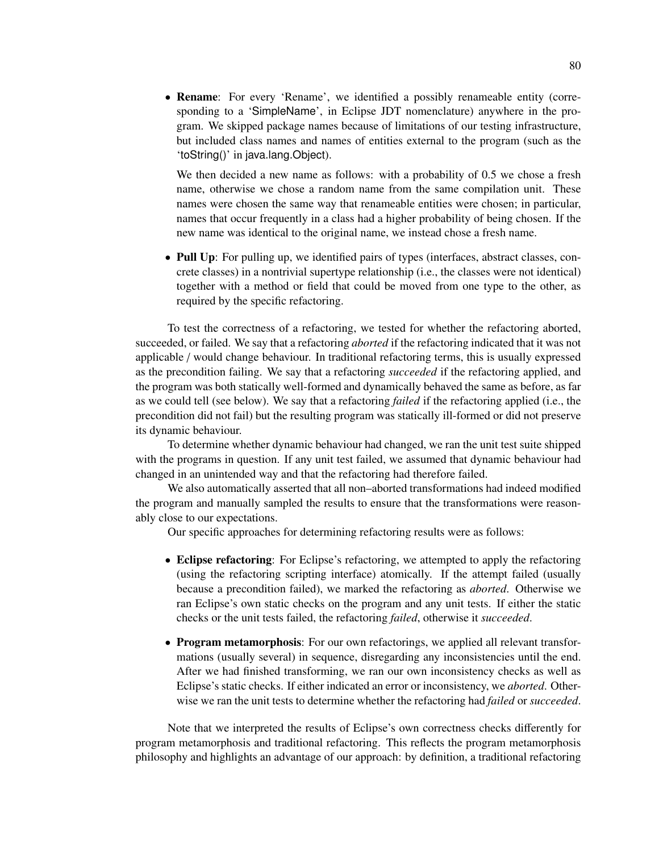• Rename: For every 'Rename', we identified a possibly renameable entity (corresponding to a 'SimpleName', in Eclipse JDT nomenclature) anywhere in the program. We skipped package names because of limitations of our testing infrastructure, but included class names and names of entities external to the program (such as the 'toString()' in java.lang.Object).

We then decided a new name as follows: with a probability of 0.5 we chose a fresh name, otherwise we chose a random name from the same compilation unit. These names were chosen the same way that renameable entities were chosen; in particular, names that occur frequently in a class had a higher probability of being chosen. If the new name was identical to the original name, we instead chose a fresh name.

• Pull Up: For pulling up, we identified pairs of types (interfaces, abstract classes, concrete classes) in a nontrivial supertype relationship (i.e., the classes were not identical) together with a method or field that could be moved from one type to the other, as required by the specific refactoring.

To test the correctness of a refactoring, we tested for whether the refactoring aborted, succeeded, or failed. We say that a refactoring *aborted* if the refactoring indicated that it was not applicable / would change behaviour. In traditional refactoring terms, this is usually expressed as the precondition failing. We say that a refactoring *succeeded* if the refactoring applied, and the program was both statically well-formed and dynamically behaved the same as before, as far as we could tell (see below). We say that a refactoring *failed* if the refactoring applied (i.e., the precondition did not fail) but the resulting program was statically ill-formed or did not preserve its dynamic behaviour.

To determine whether dynamic behaviour had changed, we ran the unit test suite shipped with the programs in question. If any unit test failed, we assumed that dynamic behaviour had changed in an unintended way and that the refactoring had therefore failed.

We also automatically asserted that all non–aborted transformations had indeed modified the program and manually sampled the results to ensure that the transformations were reasonably close to our expectations.

Our specific approaches for determining refactoring results were as follows:

- Eclipse refactoring: For Eclipse's refactoring, we attempted to apply the refactoring (using the refactoring scripting interface) atomically. If the attempt failed (usually because a precondition failed), we marked the refactoring as *aborted*. Otherwise we ran Eclipse's own static checks on the program and any unit tests. If either the static checks or the unit tests failed, the refactoring *failed*, otherwise it *succeeded*.
- Program metamorphosis: For our own refactorings, we applied all relevant transformations (usually several) in sequence, disregarding any inconsistencies until the end. After we had finished transforming, we ran our own inconsistency checks as well as Eclipse's static checks. If either indicated an error or inconsistency, we *aborted*. Otherwise we ran the unit tests to determine whether the refactoring had *failed* or *succeeded*.

Note that we interpreted the results of Eclipse's own correctness checks differently for program metamorphosis and traditional refactoring. This reflects the program metamorphosis philosophy and highlights an advantage of our approach: by definition, a traditional refactoring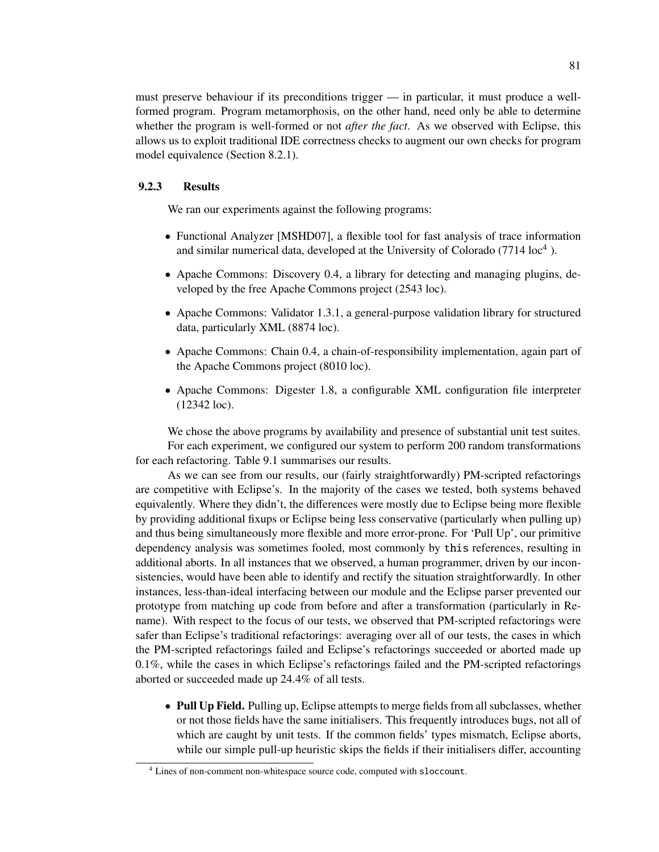must preserve behaviour if its preconditions trigger — in particular, it must produce a wellformed program. Program metamorphosis, on the other hand, need only be able to determine whether the program is well-formed or not *after the fact*. As we observed with Eclipse, this allows us to exploit traditional IDE correctness checks to augment our own checks for program model equivalence (Section 8.2.1).

## 9.2.3 Results

We ran our experiments against the following programs:

- Functional Analyzer [MSHD07], a flexible tool for fast analysis of trace information and similar numerical data, developed at the University of Colorado  $(7714 \text{ loc}^4)$ .
- Apache Commons: Discovery 0.4, a library for detecting and managing plugins, developed by the free Apache Commons project (2543 loc).
- Apache Commons: Validator 1.3.1, a general-purpose validation library for structured data, particularly XML (8874 loc).
- Apache Commons: Chain 0.4, a chain-of-responsibility implementation, again part of the Apache Commons project (8010 loc).
- Apache Commons: Digester 1.8, a configurable XML configuration file interpreter (12342 loc).

We chose the above programs by availability and presence of substantial unit test suites. For each experiment, we configured our system to perform 200 random transformations for each refactoring. Table 9.1 summarises our results.

As we can see from our results, our (fairly straightforwardly) PM-scripted refactorings are competitive with Eclipse's. In the majority of the cases we tested, both systems behaved equivalently. Where they didn't, the differences were mostly due to Eclipse being more flexible by providing additional fixups or Eclipse being less conservative (particularly when pulling up) and thus being simultaneously more flexible and more error-prone. For 'Pull Up', our primitive dependency analysis was sometimes fooled, most commonly by this references, resulting in additional aborts. In all instances that we observed, a human programmer, driven by our inconsistencies, would have been able to identify and rectify the situation straightforwardly. In other instances, less-than-ideal interfacing between our module and the Eclipse parser prevented our prototype from matching up code from before and after a transformation (particularly in Rename). With respect to the focus of our tests, we observed that PM-scripted refactorings were safer than Eclipse's traditional refactorings: averaging over all of our tests, the cases in which the PM-scripted refactorings failed and Eclipse's refactorings succeeded or aborted made up 0.1%, while the cases in which Eclipse's refactorings failed and the PM-scripted refactorings aborted or succeeded made up 24.4% of all tests.

• Pull Up Field. Pulling up, Eclipse attempts to merge fields from all subclasses, whether or not those fields have the same initialisers. This frequently introduces bugs, not all of which are caught by unit tests. If the common fields' types mismatch, Eclipse aborts, while our simple pull-up heuristic skips the fields if their initialisers differ, accounting

<sup>4</sup> Lines of non-comment non-whitespace source code, computed with sloccount.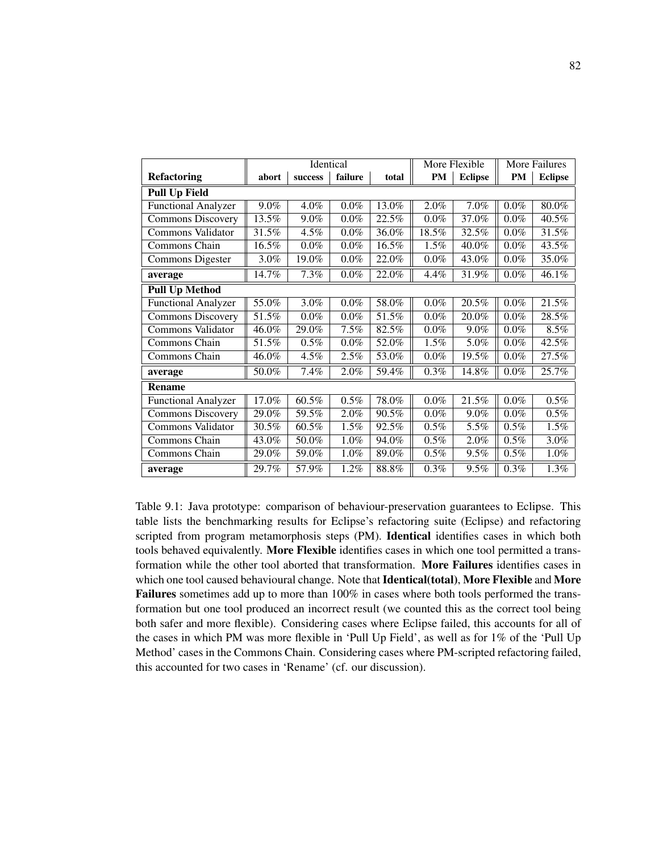|                            | Identical |         | More Flexible |       | More Failures |                |           |                |
|----------------------------|-----------|---------|---------------|-------|---------------|----------------|-----------|----------------|
| <b>Refactoring</b>         | abort     | success | failure       | total | PM            | <b>Eclipse</b> | <b>PM</b> | <b>Eclipse</b> |
| <b>Pull Up Field</b>       |           |         |               |       |               |                |           |                |
| <b>Functional Analyzer</b> | 9.0%      | 4.0%    | $0.0\%$       | 13.0% | 2.0%          | 7.0%           | $0.0\%$   | 80.0%          |
| <b>Commons Discovery</b>   | 13.5%     | 9.0%    | $0.0\%$       | 22.5% | $0.0\%$       | 37.0%          | $0.0\%$   | 40.5%          |
| Commons Validator          | 31.5%     | 4.5%    | $0.0\%$       | 36.0% | 18.5%         | 32.5%          | $0.0\%$   | 31.5%          |
| Commons Chain              | 16.5%     | $0.0\%$ | $0.0\%$       | 16.5% | 1.5%          | 40.0%          | $0.0\%$   | 43.5%          |
| Commons Digester           | 3.0%      | 19.0%   | $0.0\%$       | 22.0% | $0.0\%$       | 43.0%          | $0.0\%$   | 35.0%          |
| average                    | 14.7%     | 7.3%    | $0.0\%$       | 22.0% | 4.4%          | 31.9%          | $0.0\%$   | 46.1%          |
| <b>Pull Up Method</b>      |           |         |               |       |               |                |           |                |
| Functional Analyzer        | 55.0%     | 3.0%    | $0.0\%$       | 58.0% | $0.0\%$       | 20.5%          | $0.0\%$   | 21.5%          |
| <b>Commons Discovery</b>   | 51.5%     | $0.0\%$ | $0.0\%$       | 51.5% | $0.0\%$       | 20.0%          | $0.0\%$   | 28.5%          |
| Commons Validator          | 46.0%     | 29.0%   | 7.5%          | 82.5% | $0.0\%$       | 9.0%           | $0.0\%$   | 8.5%           |
| Commons Chain              | 51.5%     | 0.5%    | $0.0\%$       | 52.0% | 1.5%          | 5.0%           | $0.0\%$   | 42.5%          |
| Commons Chain              | 46.0%     | 4.5%    | 2.5%          | 53.0% | $0.0\%$       | 19.5%          | $0.0\%$   | 27.5%          |
| average                    | 50.0%     | 7.4%    | $2.0\%$       | 59.4% | 0.3%          | 14.8%          | $0.0\%$   | 25.7%          |
| <b>Rename</b>              |           |         |               |       |               |                |           |                |
| <b>Functional Analyzer</b> | 17.0%     | 60.5%   | 0.5%          | 78.0% | $0.0\%$       | 21.5%          | $0.0\%$   | 0.5%           |
| <b>Commons Discovery</b>   | 29.0%     | 59.5%   | 2.0%          | 90.5% | $0.0\%$       | 9.0%           | $0.0\%$   | 0.5%           |
| Commons Validator          | 30.5%     | 60.5%   | 1.5%          | 92.5% | 0.5%          | 5.5%           | 0.5%      | 1.5%           |
| Commons Chain              | 43.0%     | 50.0%   | $1.0\%$       | 94.0% | 0.5%          | 2.0%           | $0.5\%$   | 3.0%           |
| Commons Chain              | 29.0%     | 59.0%   | 1.0%          | 89.0% | 0.5%          | 9.5%           | $0.5\%$   | 1.0%           |
| average                    | 29.7%     | 57.9%   | 1.2%          | 88.8% | 0.3%          | 9.5%           | 0.3%      | 1.3%           |

Table 9.1: Java prototype: comparison of behaviour-preservation guarantees to Eclipse. This table lists the benchmarking results for Eclipse's refactoring suite (Eclipse) and refactoring scripted from program metamorphosis steps (PM). Identical identifies cases in which both tools behaved equivalently. More Flexible identifies cases in which one tool permitted a transformation while the other tool aborted that transformation. More Failures identifies cases in which one tool caused behavioural change. Note that Identical(total), More Flexible and More Failures sometimes add up to more than 100% in cases where both tools performed the transformation but one tool produced an incorrect result (we counted this as the correct tool being both safer and more flexible). Considering cases where Eclipse failed, this accounts for all of the cases in which PM was more flexible in 'Pull Up Field', as well as for 1% of the 'Pull Up Method' cases in the Commons Chain. Considering cases where PM-scripted refactoring failed, this accounted for two cases in 'Rename' (cf. our discussion).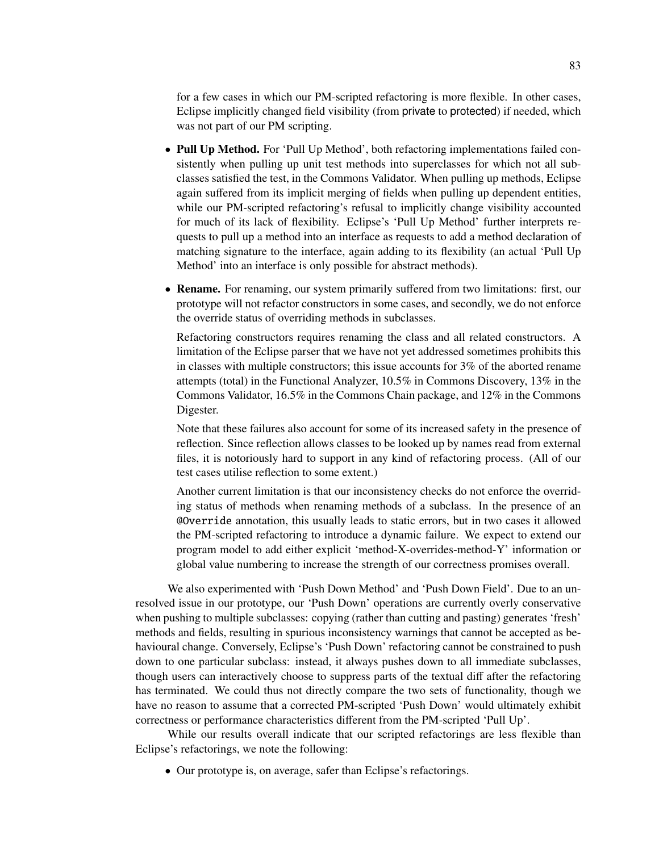for a few cases in which our PM-scripted refactoring is more flexible. In other cases, Eclipse implicitly changed field visibility (from private to protected) if needed, which was not part of our PM scripting.

- Pull Up Method. For 'Pull Up Method', both refactoring implementations failed consistently when pulling up unit test methods into superclasses for which not all subclasses satisfied the test, in the Commons Validator. When pulling up methods, Eclipse again suffered from its implicit merging of fields when pulling up dependent entities, while our PM-scripted refactoring's refusal to implicitly change visibility accounted for much of its lack of flexibility. Eclipse's 'Pull Up Method' further interprets requests to pull up a method into an interface as requests to add a method declaration of matching signature to the interface, again adding to its flexibility (an actual 'Pull Up Method' into an interface is only possible for abstract methods).
- Rename. For renaming, our system primarily suffered from two limitations: first, our prototype will not refactor constructors in some cases, and secondly, we do not enforce the override status of overriding methods in subclasses.

Refactoring constructors requires renaming the class and all related constructors. A limitation of the Eclipse parser that we have not yet addressed sometimes prohibits this in classes with multiple constructors; this issue accounts for  $3\%$  of the aborted rename attempts (total) in the Functional Analyzer, 10.5% in Commons Discovery, 13% in the Commons Validator, 16.5% in the Commons Chain package, and 12% in the Commons Digester.

Note that these failures also account for some of its increased safety in the presence of reflection. Since reflection allows classes to be looked up by names read from external files, it is notoriously hard to support in any kind of refactoring process. (All of our test cases utilise reflection to some extent.)

Another current limitation is that our inconsistency checks do not enforce the overriding status of methods when renaming methods of a subclass. In the presence of an @Override annotation, this usually leads to static errors, but in two cases it allowed the PM-scripted refactoring to introduce a dynamic failure. We expect to extend our program model to add either explicit 'method-X-overrides-method-Y' information or global value numbering to increase the strength of our correctness promises overall.

We also experimented with 'Push Down Method' and 'Push Down Field'. Due to an unresolved issue in our prototype, our 'Push Down' operations are currently overly conservative when pushing to multiple subclasses: copying (rather than cutting and pasting) generates 'fresh' methods and fields, resulting in spurious inconsistency warnings that cannot be accepted as behavioural change. Conversely, Eclipse's 'Push Down' refactoring cannot be constrained to push down to one particular subclass: instead, it always pushes down to all immediate subclasses, though users can interactively choose to suppress parts of the textual diff after the refactoring has terminated. We could thus not directly compare the two sets of functionality, though we have no reason to assume that a corrected PM-scripted 'Push Down' would ultimately exhibit correctness or performance characteristics different from the PM-scripted 'Pull Up'.

While our results overall indicate that our scripted refactorings are less flexible than Eclipse's refactorings, we note the following:

• Our prototype is, on average, safer than Eclipse's refactorings.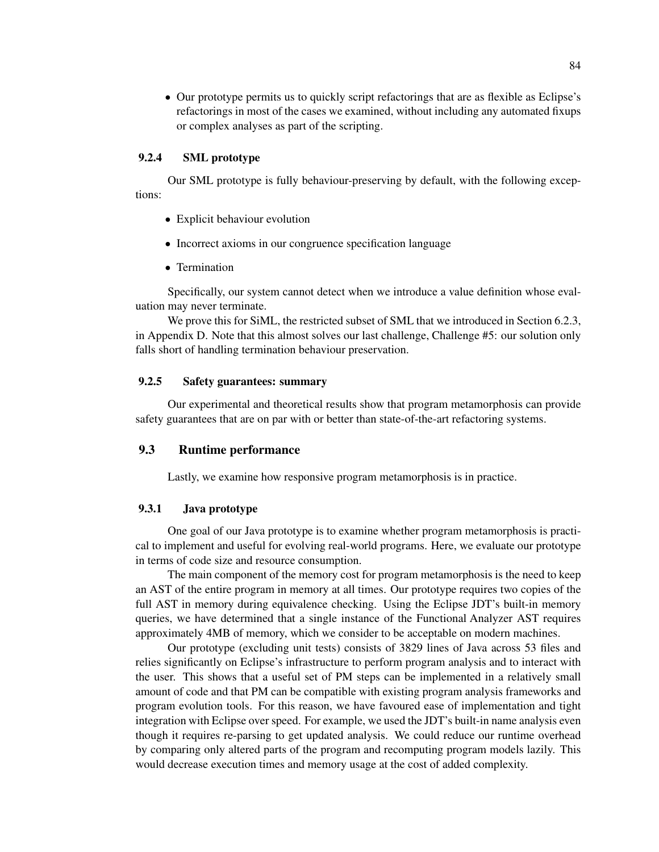• Our prototype permits us to quickly script refactorings that are as flexible as Eclipse's refactorings in most of the cases we examined, without including any automated fixups or complex analyses as part of the scripting.

### 9.2.4 SML prototype

Our SML prototype is fully behaviour-preserving by default, with the following exceptions:

- Explicit behaviour evolution
- Incorrect axioms in our congruence specification language
- Termination

Specifically, our system cannot detect when we introduce a value definition whose evaluation may never terminate.

We prove this for SiML, the restricted subset of SML that we introduced in Section 6.2.3, in Appendix D. Note that this almost solves our last challenge, Challenge #5: our solution only falls short of handling termination behaviour preservation.

### 9.2.5 Safety guarantees: summary

Our experimental and theoretical results show that program metamorphosis can provide safety guarantees that are on par with or better than state-of-the-art refactoring systems.

## 9.3 Runtime performance

Lastly, we examine how responsive program metamorphosis is in practice.

## 9.3.1 Java prototype

One goal of our Java prototype is to examine whether program metamorphosis is practical to implement and useful for evolving real-world programs. Here, we evaluate our prototype in terms of code size and resource consumption.

The main component of the memory cost for program metamorphosis is the need to keep an AST of the entire program in memory at all times. Our prototype requires two copies of the full AST in memory during equivalence checking. Using the Eclipse JDT's built-in memory queries, we have determined that a single instance of the Functional Analyzer AST requires approximately 4MB of memory, which we consider to be acceptable on modern machines.

Our prototype (excluding unit tests) consists of 3829 lines of Java across 53 files and relies significantly on Eclipse's infrastructure to perform program analysis and to interact with the user. This shows that a useful set of PM steps can be implemented in a relatively small amount of code and that PM can be compatible with existing program analysis frameworks and program evolution tools. For this reason, we have favoured ease of implementation and tight integration with Eclipse over speed. For example, we used the JDT's built-in name analysis even though it requires re-parsing to get updated analysis. We could reduce our runtime overhead by comparing only altered parts of the program and recomputing program models lazily. This would decrease execution times and memory usage at the cost of added complexity.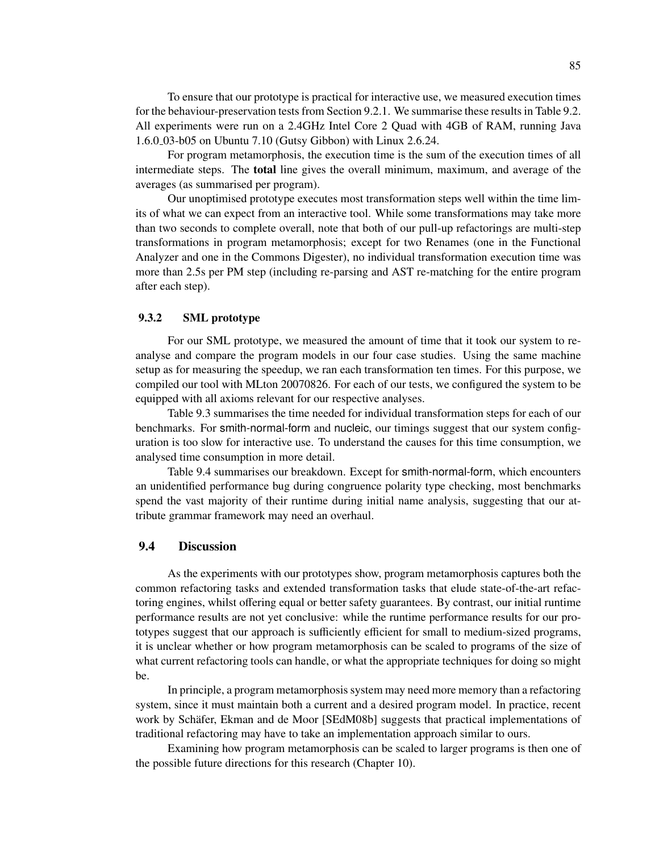To ensure that our prototype is practical for interactive use, we measured execution times for the behaviour-preservation tests from Section 9.2.1. We summarise these results in Table 9.2. All experiments were run on a 2.4GHz Intel Core 2 Quad with 4GB of RAM, running Java 1.6.0 03-b05 on Ubuntu 7.10 (Gutsy Gibbon) with Linux 2.6.24.

For program metamorphosis, the execution time is the sum of the execution times of all intermediate steps. The total line gives the overall minimum, maximum, and average of the averages (as summarised per program).

Our unoptimised prototype executes most transformation steps well within the time limits of what we can expect from an interactive tool. While some transformations may take more than two seconds to complete overall, note that both of our pull-up refactorings are multi-step transformations in program metamorphosis; except for two Renames (one in the Functional Analyzer and one in the Commons Digester), no individual transformation execution time was more than 2.5s per PM step (including re-parsing and AST re-matching for the entire program after each step).

### 9.3.2 SML prototype

For our SML prototype, we measured the amount of time that it took our system to reanalyse and compare the program models in our four case studies. Using the same machine setup as for measuring the speedup, we ran each transformation ten times. For this purpose, we compiled our tool with MLton 20070826. For each of our tests, we configured the system to be equipped with all axioms relevant for our respective analyses.

Table 9.3 summarises the time needed for individual transformation steps for each of our benchmarks. For smith-normal-form and nucleic, our timings suggest that our system configuration is too slow for interactive use. To understand the causes for this time consumption, we analysed time consumption in more detail.

Table 9.4 summarises our breakdown. Except for smith-normal-form, which encounters an unidentified performance bug during congruence polarity type checking, most benchmarks spend the vast majority of their runtime during initial name analysis, suggesting that our attribute grammar framework may need an overhaul.

## 9.4 Discussion

As the experiments with our prototypes show, program metamorphosis captures both the common refactoring tasks and extended transformation tasks that elude state-of-the-art refactoring engines, whilst offering equal or better safety guarantees. By contrast, our initial runtime performance results are not yet conclusive: while the runtime performance results for our prototypes suggest that our approach is sufficiently efficient for small to medium-sized programs, it is unclear whether or how program metamorphosis can be scaled to programs of the size of what current refactoring tools can handle, or what the appropriate techniques for doing so might be.

In principle, a program metamorphosis system may need more memory than a refactoring system, since it must maintain both a current and a desired program model. In practice, recent work by Schäfer, Ekman and de Moor [SEdM08b] suggests that practical implementations of traditional refactoring may have to take an implementation approach similar to ours.

Examining how program metamorphosis can be scaled to larger programs is then one of the possible future directions for this research (Chapter 10).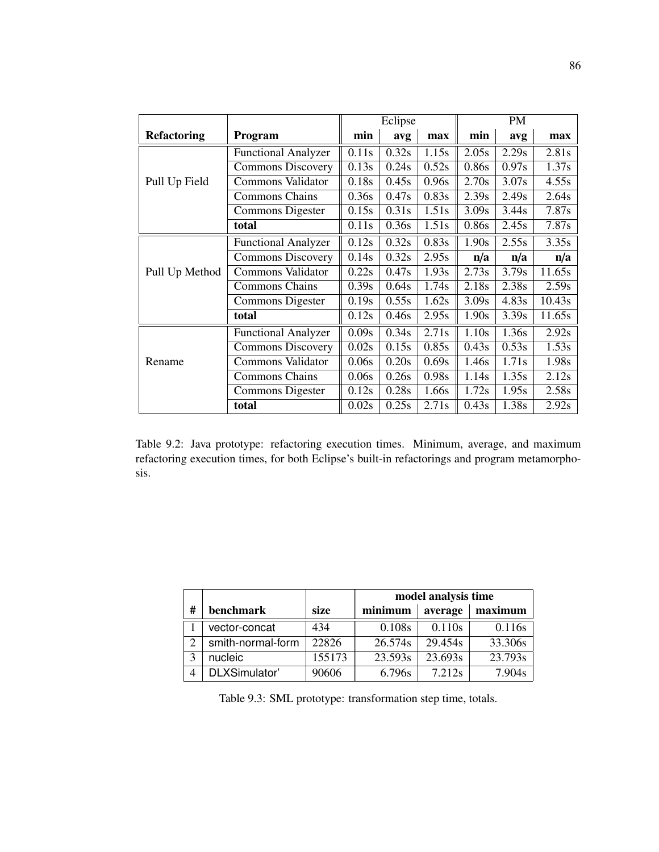|                    |                            |       | Eclipse |       |       | PM    |        |  |  |
|--------------------|----------------------------|-------|---------|-------|-------|-------|--------|--|--|
| <b>Refactoring</b> | <b>Program</b>             | min   | avg     | max   | min   | avg   | max    |  |  |
|                    | <b>Functional Analyzer</b> | 0.11s | 0.32s   | 1.15s | 2.05s | 2.29s | 2.81s  |  |  |
|                    | <b>Commons Discovery</b>   | 0.13s | 0.24s   | 0.52s | 0.86s | 0.97s | 1.37s  |  |  |
| Pull Up Field      | Commons Validator          | 0.18s | 0.45s   | 0.96s | 2.70s | 3.07s | 4.55s  |  |  |
|                    | <b>Commons Chains</b>      | 0.36s | 0.47s   | 0.83s | 2.39s | 2.49s | 2.64s  |  |  |
|                    | Commons Digester           | 0.15s | 0.31s   | 1.51s | 3.09s | 3.44s | 7.87s  |  |  |
|                    | total                      | 0.11s | 0.36s   | 1.51s | 0.86s | 2.45s | 7.87s  |  |  |
|                    | <b>Functional Analyzer</b> | 0.12s | 0.32s   | 0.83s | 1.90s | 2.55s | 3.35s  |  |  |
|                    | <b>Commons Discovery</b>   | 0.14s | 0.32s   | 2.95s | n/a   | n/a   | n/a    |  |  |
| Pull Up Method     | <b>Commons Validator</b>   | 0.22s | 0.47s   | 1.93s | 2.73s | 3.79s | 11.65s |  |  |
|                    | <b>Commons Chains</b>      | 0.39s | 0.64s   | 1.74s | 2.18s | 2.38s | 2.59s  |  |  |
|                    | Commons Digester           | 0.19s | 0.55s   | 1.62s | 3.09s | 4.83s | 10.43s |  |  |
|                    | total                      | 0.12s | 0.46s   | 2.95s | 1.90s | 3.39s | 11.65s |  |  |
|                    | <b>Functional Analyzer</b> | 0.09s | 0.34s   | 2.71s | 1.10s | 1.36s | 2.92s  |  |  |
|                    | <b>Commons Discovery</b>   | 0.02s | 0.15s   | 0.85s | 0.43s | 0.53s | 1.53s  |  |  |
| Rename             | <b>Commons Validator</b>   | 0.06s | 0.20s   | 0.69s | 1.46s | 1.71s | 1.98s  |  |  |
|                    | <b>Commons Chains</b>      | 0.06s | 0.26s   | 0.98s | 1.14s | 1.35s | 2.12s  |  |  |
|                    | Commons Digester           | 0.12s | 0.28s   | 1.66s | 1.72s | 1.95s | 2.58s  |  |  |
|                    | total                      | 0.02s | 0.25s   | 2.71s | 0.43s | 1.38s | 2.92s  |  |  |

Table 9.2: Java prototype: refactoring execution times. Minimum, average, and maximum refactoring execution times, for both Eclipse's built-in refactorings and program metamorphosis.

|                   |                   |        | model analysis time |         |         |  |  |  |
|-------------------|-------------------|--------|---------------------|---------|---------|--|--|--|
| #                 | benchmark         | size   | minimum             | average | maximum |  |  |  |
|                   | vector-concat     | 434    | 0.108s              | 0.110s  | 0.116s  |  |  |  |
| C                 | smith-normal-form | 22826  | 26.574s             | 29.454s | 33.306s |  |  |  |
| $\mathbf{\Omega}$ | nucleic           | 155173 | 23.593s             | 23.693s | 23.793s |  |  |  |
|                   | DLXSimulator'     | 90606  | 6.796s              | 7.212s  | 7.904s  |  |  |  |

Table 9.3: SML prototype: transformation step time, totals.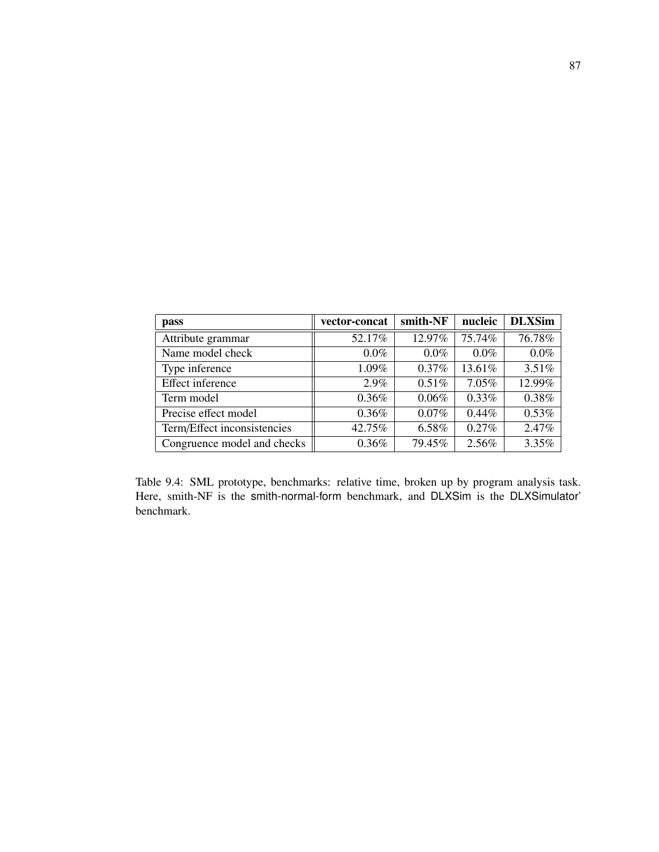| <b>pass</b>                 | vector-concat | smith-NF | nucleic  | <b>DLXSim</b> |
|-----------------------------|---------------|----------|----------|---------------|
| Attribute grammar           | 52.17%        | 12.97%   | 75.74%   | 76.78%        |
| Name model check            | $0.0\%$       | $0.0\%$  | $0.0\%$  | 0.0%          |
| Type inference              | 1.09%         | 0.37%    | 13.61%   | 3.51%         |
| Effect inference            | 2.9%          | $0.51\%$ | $7.05\%$ | 12.99%        |
| Term model                  | 0.36%         | $0.06\%$ | $0.33\%$ | 0.38%         |
| Precise effect model        | 0.36%         | $0.07\%$ | $0.44\%$ | 0.53%         |
| Term/Effect inconsistencies | 42.75%        | 6.58%    | $0.27\%$ | 2.47%         |
| Congruence model and checks | 0.36%         | 79.45%   | $2.56\%$ | 3.35%         |

Table 9.4: SML prototype, benchmarks: relative time, broken up by program analysis task. Here, smith-NF is the smith-normal-form benchmark, and DLXSim is the DLXSimulator' benchmark.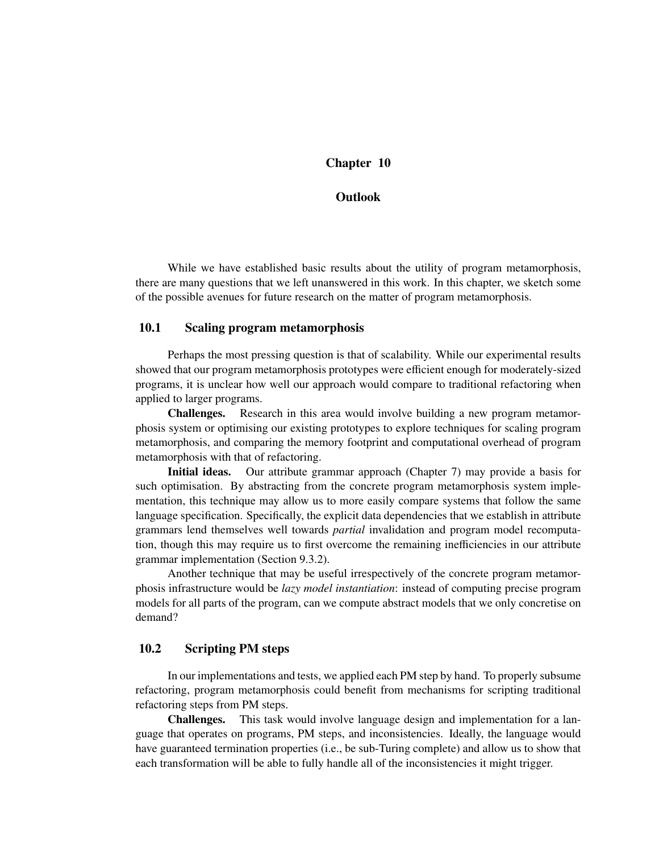# Chapter 10

## **Outlook**

While we have established basic results about the utility of program metamorphosis, there are many questions that we left unanswered in this work. In this chapter, we sketch some of the possible avenues for future research on the matter of program metamorphosis.

## 10.1 Scaling program metamorphosis

Perhaps the most pressing question is that of scalability. While our experimental results showed that our program metamorphosis prototypes were efficient enough for moderately-sized programs, it is unclear how well our approach would compare to traditional refactoring when applied to larger programs.

Challenges. Research in this area would involve building a new program metamorphosis system or optimising our existing prototypes to explore techniques for scaling program metamorphosis, and comparing the memory footprint and computational overhead of program metamorphosis with that of refactoring.

Initial ideas. Our attribute grammar approach (Chapter 7) may provide a basis for such optimisation. By abstracting from the concrete program metamorphosis system implementation, this technique may allow us to more easily compare systems that follow the same language specification. Specifically, the explicit data dependencies that we establish in attribute grammars lend themselves well towards *partial* invalidation and program model recomputation, though this may require us to first overcome the remaining inefficiencies in our attribute grammar implementation (Section 9.3.2).

Another technique that may be useful irrespectively of the concrete program metamorphosis infrastructure would be *lazy model instantiation*: instead of computing precise program models for all parts of the program, can we compute abstract models that we only concretise on demand?

### 10.2 Scripting PM steps

In our implementations and tests, we applied each PM step by hand. To properly subsume refactoring, program metamorphosis could benefit from mechanisms for scripting traditional refactoring steps from PM steps.

Challenges. This task would involve language design and implementation for a language that operates on programs, PM steps, and inconsistencies. Ideally, the language would have guaranteed termination properties (i.e., be sub-Turing complete) and allow us to show that each transformation will be able to fully handle all of the inconsistencies it might trigger.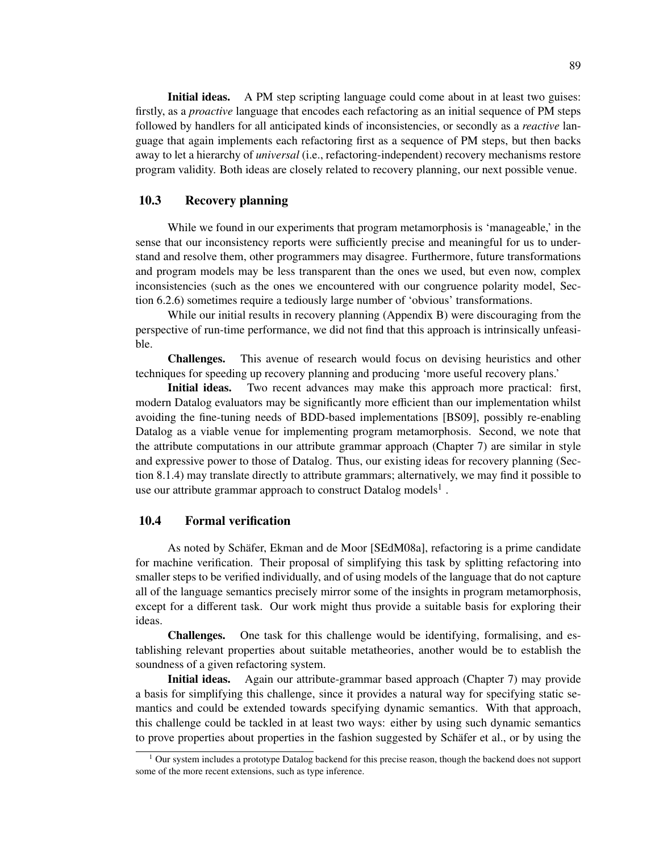Initial ideas. A PM step scripting language could come about in at least two guises: firstly, as a *proactive* language that encodes each refactoring as an initial sequence of PM steps followed by handlers for all anticipated kinds of inconsistencies, or secondly as a *reactive* language that again implements each refactoring first as a sequence of PM steps, but then backs away to let a hierarchy of *universal* (i.e., refactoring-independent) recovery mechanisms restore program validity. Both ideas are closely related to recovery planning, our next possible venue.

# 10.3 Recovery planning

While we found in our experiments that program metamorphosis is 'manageable,' in the sense that our inconsistency reports were sufficiently precise and meaningful for us to understand and resolve them, other programmers may disagree. Furthermore, future transformations and program models may be less transparent than the ones we used, but even now, complex inconsistencies (such as the ones we encountered with our congruence polarity model, Section 6.2.6) sometimes require a tediously large number of 'obvious' transformations.

While our initial results in recovery planning (Appendix B) were discouraging from the perspective of run-time performance, we did not find that this approach is intrinsically unfeasible.

Challenges. This avenue of research would focus on devising heuristics and other techniques for speeding up recovery planning and producing 'more useful recovery plans.'

Initial ideas. Two recent advances may make this approach more practical: first, modern Datalog evaluators may be significantly more efficient than our implementation whilst avoiding the fine-tuning needs of BDD-based implementations [BS09], possibly re-enabling Datalog as a viable venue for implementing program metamorphosis. Second, we note that the attribute computations in our attribute grammar approach (Chapter 7) are similar in style and expressive power to those of Datalog. Thus, our existing ideas for recovery planning (Section 8.1.4) may translate directly to attribute grammars; alternatively, we may find it possible to use our attribute grammar approach to construct Datalog models<sup>1</sup>.

# 10.4 Formal verification

As noted by Schäfer, Ekman and de Moor [SEdM08a], refactoring is a prime candidate for machine verification. Their proposal of simplifying this task by splitting refactoring into smaller steps to be verified individually, and of using models of the language that do not capture all of the language semantics precisely mirror some of the insights in program metamorphosis, except for a different task. Our work might thus provide a suitable basis for exploring their ideas.

Challenges. One task for this challenge would be identifying, formalising, and establishing relevant properties about suitable metatheories, another would be to establish the soundness of a given refactoring system.

Initial ideas. Again our attribute-grammar based approach (Chapter 7) may provide a basis for simplifying this challenge, since it provides a natural way for specifying static semantics and could be extended towards specifying dynamic semantics. With that approach, this challenge could be tackled in at least two ways: either by using such dynamic semantics to prove properties about properties in the fashion suggested by Schafer et al., or by using the

<sup>&</sup>lt;sup>1</sup> Our system includes a prototype Datalog backend for this precise reason, though the backend does not support some of the more recent extensions, such as type inference.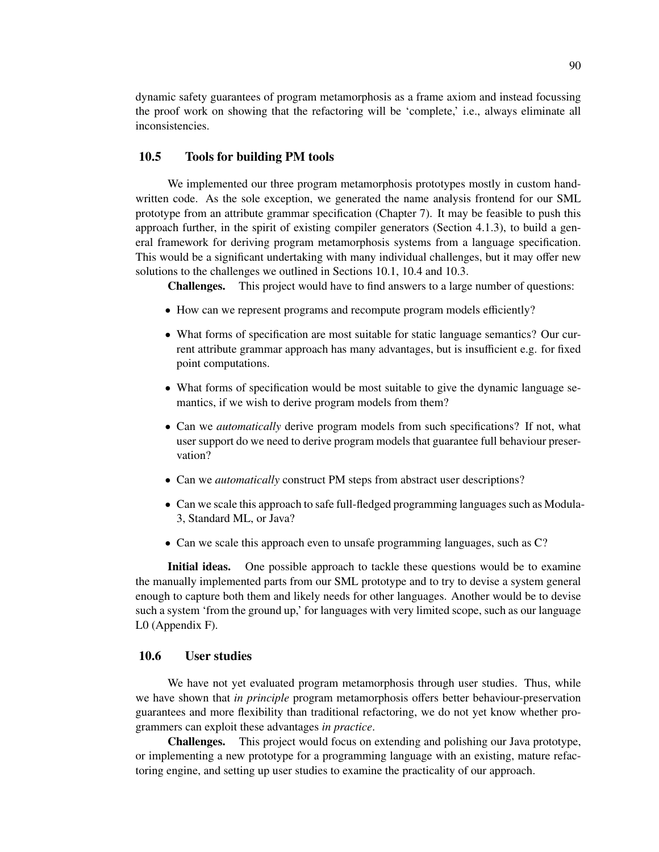dynamic safety guarantees of program metamorphosis as a frame axiom and instead focussing the proof work on showing that the refactoring will be 'complete,' i.e., always eliminate all inconsistencies.

## 10.5 Tools for building PM tools

We implemented our three program metamorphosis prototypes mostly in custom handwritten code. As the sole exception, we generated the name analysis frontend for our SML prototype from an attribute grammar specification (Chapter 7). It may be feasible to push this approach further, in the spirit of existing compiler generators (Section 4.1.3), to build a general framework for deriving program metamorphosis systems from a language specification. This would be a significant undertaking with many individual challenges, but it may offer new solutions to the challenges we outlined in Sections 10.1, 10.4 and 10.3.

Challenges. This project would have to find answers to a large number of questions:

- How can we represent programs and recompute program models efficiently?
- What forms of specification are most suitable for static language semantics? Our current attribute grammar approach has many advantages, but is insufficient e.g. for fixed point computations.
- What forms of specification would be most suitable to give the dynamic language semantics, if we wish to derive program models from them?
- Can we *automatically* derive program models from such specifications? If not, what user support do we need to derive program models that guarantee full behaviour preservation?
- Can we *automatically* construct PM steps from abstract user descriptions?
- Can we scale this approach to safe full-fledged programming languages such as Modula-3, Standard ML, or Java?
- Can we scale this approach even to unsafe programming languages, such as C?

Initial ideas. One possible approach to tackle these questions would be to examine the manually implemented parts from our SML prototype and to try to devise a system general enough to capture both them and likely needs for other languages. Another would be to devise such a system 'from the ground up,' for languages with very limited scope, such as our language L0 (Appendix F).

## 10.6 User studies

We have not yet evaluated program metamorphosis through user studies. Thus, while we have shown that *in principle* program metamorphosis offers better behaviour-preservation guarantees and more flexibility than traditional refactoring, we do not yet know whether programmers can exploit these advantages *in practice*.

Challenges. This project would focus on extending and polishing our Java prototype, or implementing a new prototype for a programming language with an existing, mature refactoring engine, and setting up user studies to examine the practicality of our approach.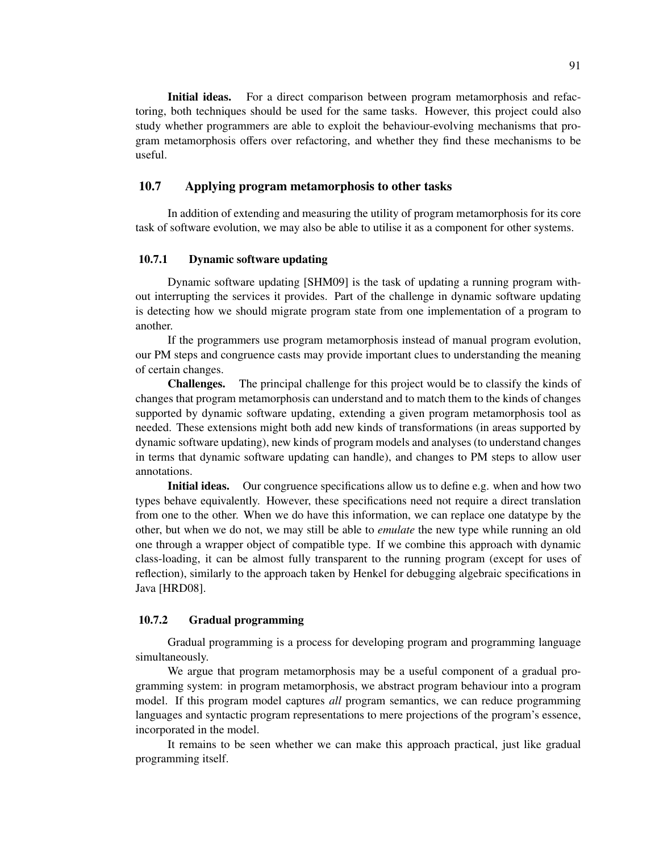Initial ideas. For a direct comparison between program metamorphosis and refactoring, both techniques should be used for the same tasks. However, this project could also study whether programmers are able to exploit the behaviour-evolving mechanisms that program metamorphosis offers over refactoring, and whether they find these mechanisms to be useful.

## 10.7 Applying program metamorphosis to other tasks

In addition of extending and measuring the utility of program metamorphosis for its core task of software evolution, we may also be able to utilise it as a component for other systems.

#### 10.7.1 Dynamic software updating

Dynamic software updating [SHM09] is the task of updating a running program without interrupting the services it provides. Part of the challenge in dynamic software updating is detecting how we should migrate program state from one implementation of a program to another.

If the programmers use program metamorphosis instead of manual program evolution, our PM steps and congruence casts may provide important clues to understanding the meaning of certain changes.

Challenges. The principal challenge for this project would be to classify the kinds of changes that program metamorphosis can understand and to match them to the kinds of changes supported by dynamic software updating, extending a given program metamorphosis tool as needed. These extensions might both add new kinds of transformations (in areas supported by dynamic software updating), new kinds of program models and analyses (to understand changes in terms that dynamic software updating can handle), and changes to PM steps to allow user annotations.

Initial ideas. Our congruence specifications allow us to define e.g. when and how two types behave equivalently. However, these specifications need not require a direct translation from one to the other. When we do have this information, we can replace one datatype by the other, but when we do not, we may still be able to *emulate* the new type while running an old one through a wrapper object of compatible type. If we combine this approach with dynamic class-loading, it can be almost fully transparent to the running program (except for uses of reflection), similarly to the approach taken by Henkel for debugging algebraic specifications in Java [HRD08].

#### 10.7.2 Gradual programming

Gradual programming is a process for developing program and programming language simultaneously.

We argue that program metamorphosis may be a useful component of a gradual programming system: in program metamorphosis, we abstract program behaviour into a program model. If this program model captures *all* program semantics, we can reduce programming languages and syntactic program representations to mere projections of the program's essence, incorporated in the model.

It remains to be seen whether we can make this approach practical, just like gradual programming itself.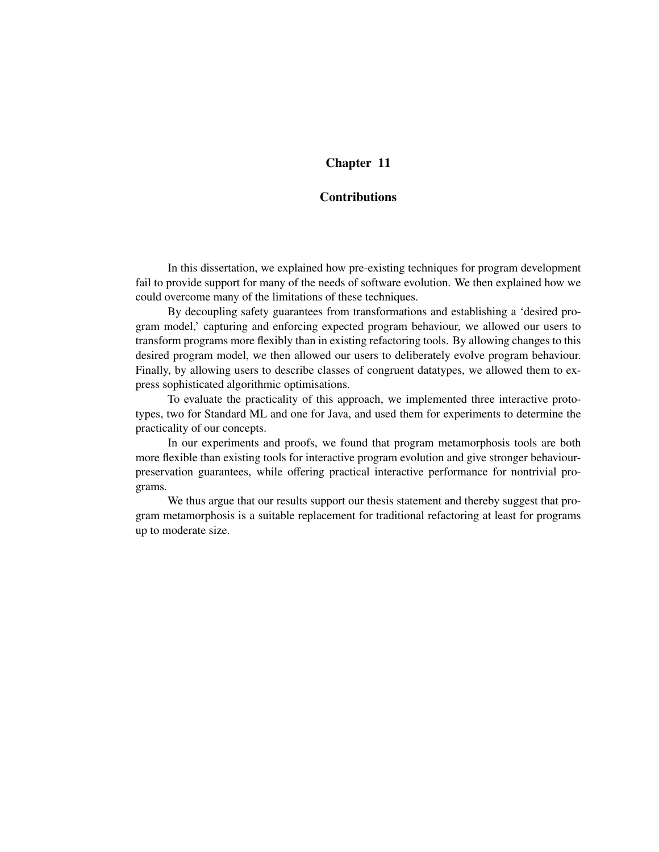# Chapter 11

# **Contributions**

In this dissertation, we explained how pre-existing techniques for program development fail to provide support for many of the needs of software evolution. We then explained how we could overcome many of the limitations of these techniques.

By decoupling safety guarantees from transformations and establishing a 'desired program model,' capturing and enforcing expected program behaviour, we allowed our users to transform programs more flexibly than in existing refactoring tools. By allowing changes to this desired program model, we then allowed our users to deliberately evolve program behaviour. Finally, by allowing users to describe classes of congruent datatypes, we allowed them to express sophisticated algorithmic optimisations.

To evaluate the practicality of this approach, we implemented three interactive prototypes, two for Standard ML and one for Java, and used them for experiments to determine the practicality of our concepts.

In our experiments and proofs, we found that program metamorphosis tools are both more flexible than existing tools for interactive program evolution and give stronger behaviourpreservation guarantees, while offering practical interactive performance for nontrivial programs.

We thus argue that our results support our thesis statement and thereby suggest that program metamorphosis is a suitable replacement for traditional refactoring at least for programs up to moderate size.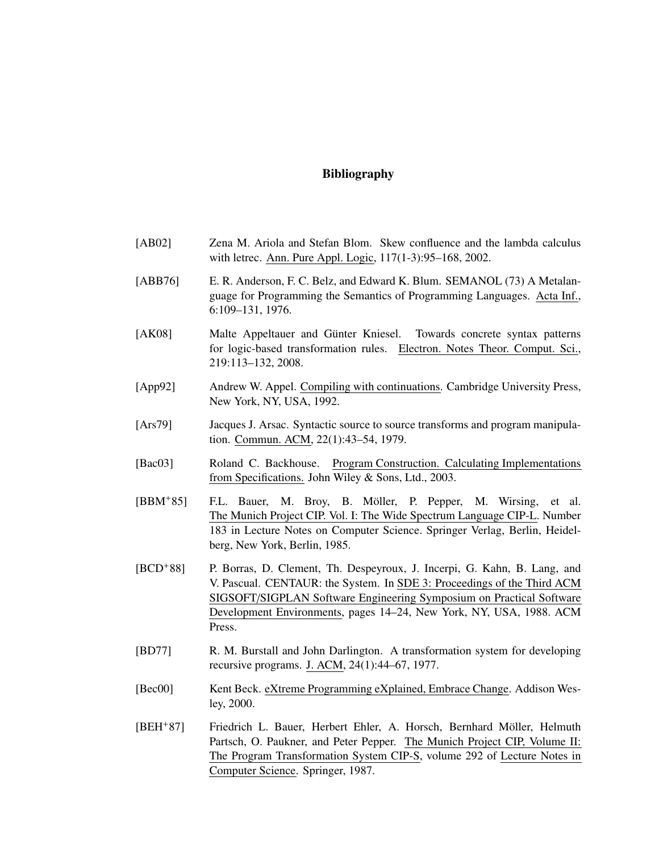## Bibliography

- [AB02] Zena M. Ariola and Stefan Blom. Skew confluence and the lambda calculus with letrec. Ann. Pure Appl. Logic, 117(1-3):95–168, 2002. [ABB76] E. R. Anderson, F. C. Belz, and Edward K. Blum. SEMANOL (73) A Metalanguage for Programming the Semantics of Programming Languages. Acta Inf.,
- [AK08] Malte Appeltauer and Günter Kniesel. Towards concrete syntax patterns for logic-based transformation rules. Electron. Notes Theor. Comput. Sci., 219:113–132, 2008.

6:109–131, 1976.

- [App92] Andrew W. Appel. Compiling with continuations. Cambridge University Press, New York, NY, USA, 1992.
- [Ars79] Jacques J. Arsac. Syntactic source to source transforms and program manipulation. Commun. ACM, 22(1):43–54, 1979.
- [Bac03] Roland C. Backhouse. Program Construction. Calculating Implementations from Specifications. John Wiley & Sons, Ltd., 2003.
- [BBM<sup>+</sup>85] F.L. Bauer, M. Broy, B. Möller, P. Pepper, M. Wirsing, et al. The Munich Project CIP. Vol. I: The Wide Spectrum Language CIP-L. Number 183 in Lecture Notes on Computer Science. Springer Verlag, Berlin, Heidelberg, New York, Berlin, 1985.
- [BCD+88] P. Borras, D. Clement, Th. Despeyroux, J. Incerpi, G. Kahn, B. Lang, and V. Pascual. CENTAUR: the System. In SDE 3: Proceedings of the Third ACM SIGSOFT/SIGPLAN Software Engineering Symposium on Practical Software Development Environments, pages 14–24, New York, NY, USA, 1988. ACM Press.
- [BD77] R. M. Burstall and John Darlington. A transformation system for developing recursive programs. J. ACM, 24(1):44–67, 1977.
- [Bec00] Kent Beck. eXtreme Programming eXplained, Embrace Change. Addison Wesley, 2000.
- [BEH<sup>+</sup>87] Friedrich L. Bauer, Herbert Ehler, A. Horsch, Bernhard Möller, Helmuth Partsch, O. Paukner, and Peter Pepper. The Munich Project CIP, Volume II: The Program Transformation System CIP-S, volume 292 of Lecture Notes in Computer Science. Springer, 1987.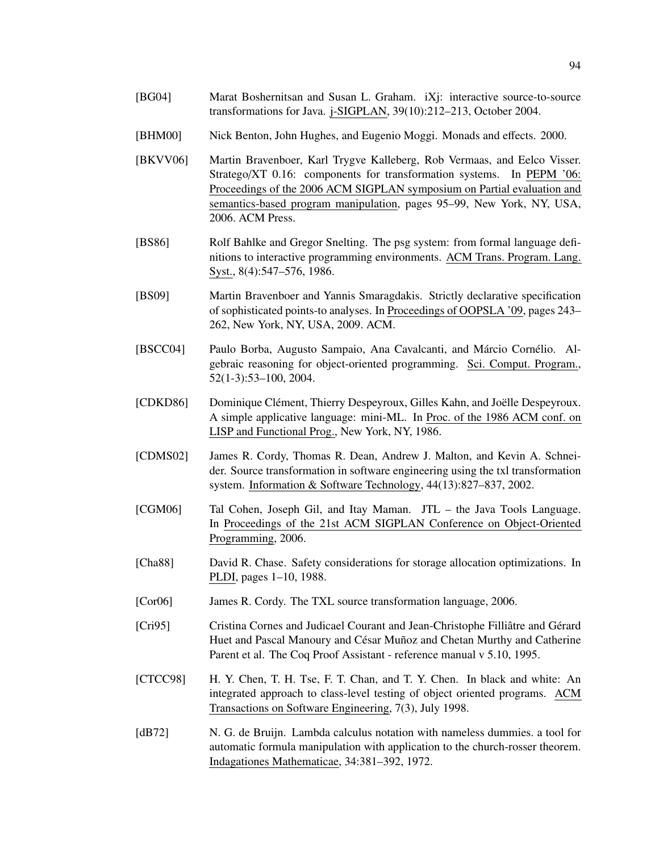- [BG04] Marat Boshernitsan and Susan L. Graham. iXj: interactive source-to-source transformations for Java. j-SIGPLAN, 39(10):212–213, October 2004.
- [BHM00] Nick Benton, John Hughes, and Eugenio Moggi. Monads and effects. 2000.
- [BKVV06] Martin Bravenboer, Karl Trygve Kalleberg, Rob Vermaas, and Eelco Visser. Stratego/XT 0.16: components for transformation systems. In PEPM '06: Proceedings of the 2006 ACM SIGPLAN symposium on Partial evaluation and semantics-based program manipulation, pages 95–99, New York, NY, USA, 2006. ACM Press.
- [BS86] Rolf Bahlke and Gregor Snelting. The psg system: from formal language definitions to interactive programming environments. ACM Trans. Program. Lang. Syst., 8(4):547–576, 1986.
- [BS09] Martin Bravenboer and Yannis Smaragdakis. Strictly declarative specification of sophisticated points-to analyses. In Proceedings of OOPSLA '09, pages 243– 262, New York, NY, USA, 2009. ACM.
- [BSCC04] Paulo Borba, Augusto Sampaio, Ana Cavalcanti, and Márcio Cornélio. Algebraic reasoning for object-oriented programming. Sci. Comput. Program., 52(1-3):53–100, 2004.
- [CDKD86] Dominique Clément, Thierry Despeyroux, Gilles Kahn, and Joëlle Despeyroux. A simple applicative language: mini-ML. In Proc. of the 1986 ACM conf. on LISP and Functional Prog., New York, NY, 1986.
- [CDMS02] James R. Cordy, Thomas R. Dean, Andrew J. Malton, and Kevin A. Schneider. Source transformation in software engineering using the txl transformation system. Information & Software Technology, 44(13):827–837, 2002.
- [CGM06] Tal Cohen, Joseph Gil, and Itay Maman. JTL the Java Tools Language. In Proceedings of the 21st ACM SIGPLAN Conference on Object-Oriented Programming, 2006.
- [Cha88] David R. Chase. Safety considerations for storage allocation optimizations. In PLDI, pages 1–10, 1988.
- [Cor06] James R. Cordy. The TXL source transformation language, 2006.
- [Cri95] Cristina Cornes and Judicael Courant and Jean-Christophe Filliâtre and Gérard Huet and Pascal Manoury and César Muñoz and Chetan Murthy and Catherine Parent et al. The Coq Proof Assistant - reference manual v 5.10, 1995.
- [CTCC98] H. Y. Chen, T. H. Tse, F. T. Chan, and T. Y. Chen. In black and white: An integrated approach to class-level testing of object oriented programs. ACM Transactions on Software Engineering, 7(3), July 1998.
- [dB72] N. G. de Bruijn. Lambda calculus notation with nameless dummies. a tool for automatic formula manipulation with application to the church-rosser theorem. Indagationes Mathematicae, 34:381–392, 1972.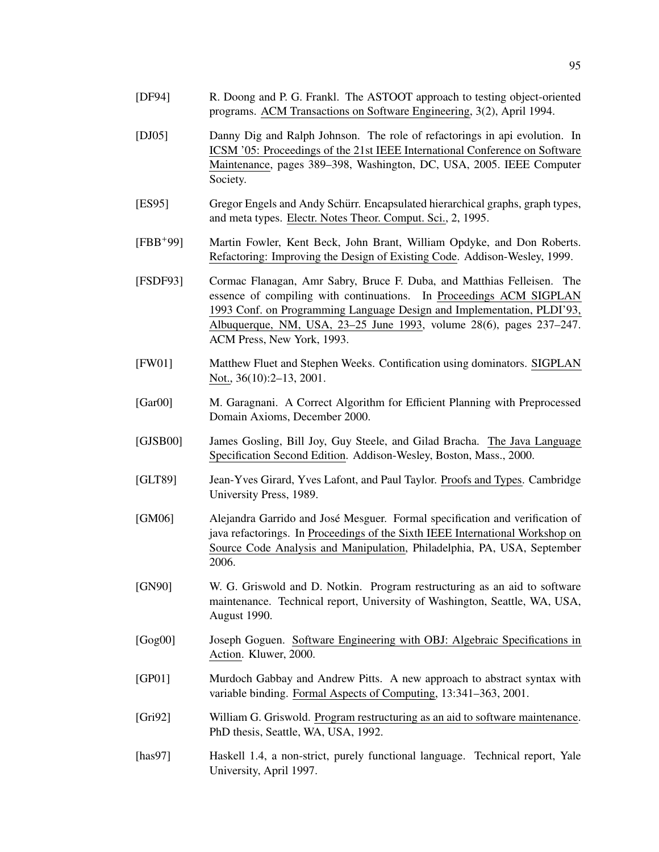- [DF94] R. Doong and P. G. Frankl. The ASTOOT approach to testing object-oriented programs. ACM Transactions on Software Engineering, 3(2), April 1994.
- [DJ05] Danny Dig and Ralph Johnson. The role of refactorings in api evolution. In ICSM '05: Proceedings of the 21st IEEE International Conference on Software Maintenance, pages 389–398, Washington, DC, USA, 2005. IEEE Computer Society.
- [ES95] Gregor Engels and Andy Schürr. Encapsulated hierarchical graphs, graph types, and meta types. Electr. Notes Theor. Comput. Sci., 2, 1995.
- [FBB+99] Martin Fowler, Kent Beck, John Brant, William Opdyke, and Don Roberts. Refactoring: Improving the Design of Existing Code. Addison-Wesley, 1999.
- [FSDF93] Cormac Flanagan, Amr Sabry, Bruce F. Duba, and Matthias Felleisen. The essence of compiling with continuations. In Proceedings ACM SIGPLAN 1993 Conf. on Programming Language Design and Implementation, PLDI'93, Albuquerque, NM, USA, 23–25 June 1993, volume 28(6), pages 237–247. ACM Press, New York, 1993.
- [FW01] Matthew Fluet and Stephen Weeks. Contification using dominators. SIGPLAN Not., 36(10):2–13, 2001.
- [Gar00] M. Garagnani. A Correct Algorithm for Efficient Planning with Preprocessed Domain Axioms, December 2000.
- [GJSB00] James Gosling, Bill Joy, Guy Steele, and Gilad Bracha. The Java Language Specification Second Edition. Addison-Wesley, Boston, Mass., 2000.
- [GLT89] Jean-Yves Girard, Yves Lafont, and Paul Taylor. Proofs and Types. Cambridge University Press, 1989.
- [GM06] Alejandra Garrido and Jose Mesguer. Formal specification and verification of ´ java refactorings. In Proceedings of the Sixth IEEE International Workshop on Source Code Analysis and Manipulation, Philadelphia, PA, USA, September 2006.
- [GN90] W. G. Griswold and D. Notkin. Program restructuring as an aid to software maintenance. Technical report, University of Washington, Seattle, WA, USA, August 1990.
- [Gog00] Joseph Goguen. Software Engineering with OBJ: Algebraic Specifications in Action. Kluwer, 2000.
- [GP01] Murdoch Gabbay and Andrew Pitts. A new approach to abstract syntax with variable binding. Formal Aspects of Computing, 13:341–363, 2001.
- [Gri92] William G. Griswold. Program restructuring as an aid to software maintenance. PhD thesis, Seattle, WA, USA, 1992.
- [has97] Haskell 1.4, a non-strict, purely functional language. Technical report, Yale University, April 1997.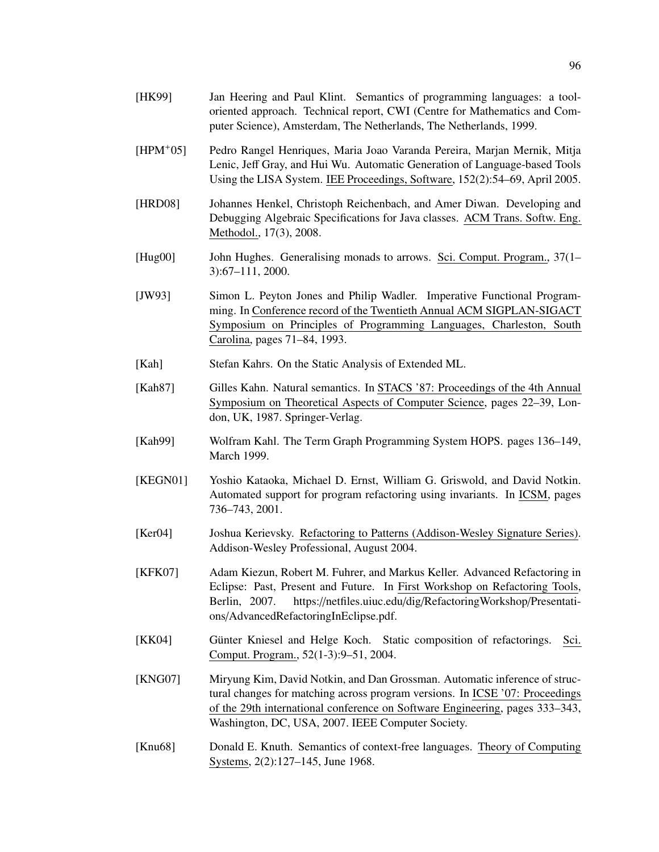- [HPM+05] Pedro Rangel Henriques, Maria Joao Varanda Pereira, Marjan Mernik, Mitja Lenic, Jeff Gray, and Hui Wu. Automatic Generation of Language-based Tools Using the LISA System. IEE Proceedings, Software, 152(2):54–69, April 2005.
- [HRD08] Johannes Henkel, Christoph Reichenbach, and Amer Diwan. Developing and Debugging Algebraic Specifications for Java classes. ACM Trans. Softw. Eng. Methodol., 17(3), 2008.
- [Hug00] John Hughes. Generalising monads to arrows. Sci. Comput. Program., 37(1– 3):67–111, 2000.
- [JW93] Simon L. Peyton Jones and Philip Wadler. Imperative Functional Programming. In Conference record of the Twentieth Annual ACM SIGPLAN-SIGACT Symposium on Principles of Programming Languages, Charleston, South Carolina, pages 71–84, 1993.
- [Kah] Stefan Kahrs. On the Static Analysis of Extended ML.
- [Kah87] Gilles Kahn. Natural semantics. In STACS '87: Proceedings of the 4th Annual Symposium on Theoretical Aspects of Computer Science, pages 22–39, London, UK, 1987. Springer-Verlag.
- [Kah99] Wolfram Kahl. The Term Graph Programming System HOPS. pages 136–149, March 1999.
- [KEGN01] Yoshio Kataoka, Michael D. Ernst, William G. Griswold, and David Notkin. Automated support for program refactoring using invariants. In ICSM, pages 736–743, 2001.
- [Ker04] Joshua Kerievsky. Refactoring to Patterns (Addison-Wesley Signature Series). Addison-Wesley Professional, August 2004.
- [KFK07] Adam Kiezun, Robert M. Fuhrer, and Markus Keller. Advanced Refactoring in Eclipse: Past, Present and Future. In First Workshop on Refactoring Tools, Berlin, 2007. https://netfiles.uiuc.edu/dig/RefactoringWorkshop/Presentations/AdvancedRefactoringInEclipse.pdf.
- [KK04] Günter Kniesel and Helge Koch. Static composition of refactorings. Sci. Comput. Program., 52(1-3):9–51, 2004.
- [KNG07] Miryung Kim, David Notkin, and Dan Grossman. Automatic inference of structural changes for matching across program versions. In ICSE '07: Proceedings of the 29th international conference on Software Engineering, pages 333–343, Washington, DC, USA, 2007. IEEE Computer Society.
- [Knu68] Donald E. Knuth. Semantics of context-free languages. Theory of Computing Systems, 2(2):127–145, June 1968.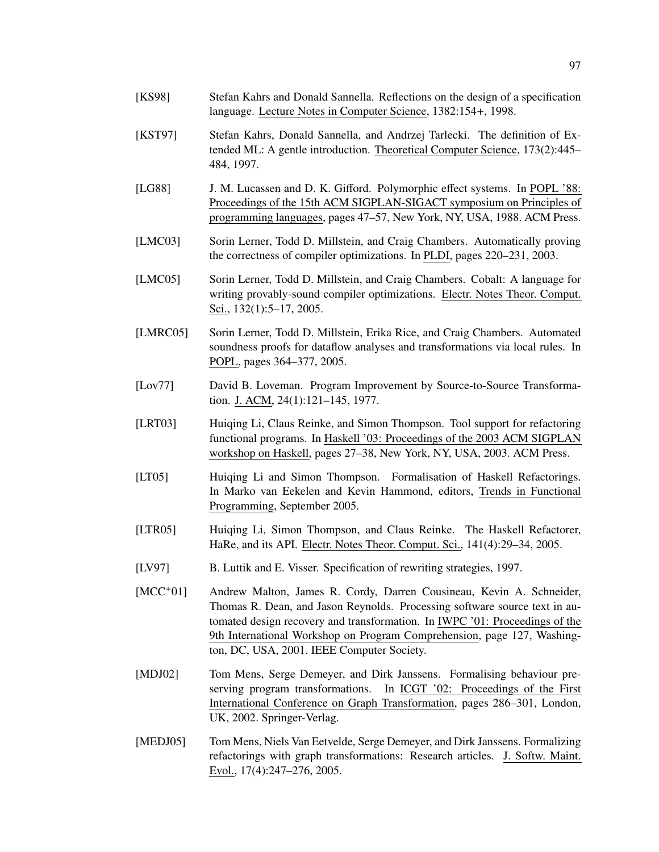- [KS98] Stefan Kahrs and Donald Sannella. Reflections on the design of a specification language. Lecture Notes in Computer Science, 1382:154+, 1998.
- [KST97] Stefan Kahrs, Donald Sannella, and Andrzej Tarlecki. The definition of Extended ML: A gentle introduction. Theoretical Computer Science, 173(2):445– 484, 1997.
- [LG88] J. M. Lucassen and D. K. Gifford. Polymorphic effect systems. In POPL '88: Proceedings of the 15th ACM SIGPLAN-SIGACT symposium on Principles of programming languages, pages 47–57, New York, NY, USA, 1988. ACM Press.
- [LMC03] Sorin Lerner, Todd D. Millstein, and Craig Chambers. Automatically proving the correctness of compiler optimizations. In PLDI, pages 220–231, 2003.
- [LMC05] Sorin Lerner, Todd D. Millstein, and Craig Chambers. Cobalt: A language for writing provably-sound compiler optimizations. Electr. Notes Theor. Comput. Sci., 132(1):5–17, 2005.
- [LMRC05] Sorin Lerner, Todd D. Millstein, Erika Rice, and Craig Chambers. Automated soundness proofs for dataflow analyses and transformations via local rules. In POPL, pages 364–377, 2005.
- [Lov77] David B. Loveman. Program Improvement by Source-to-Source Transformation. J. ACM, 24(1):121–145, 1977.
- [LRT03] Huiqing Li, Claus Reinke, and Simon Thompson. Tool support for refactoring functional programs. In Haskell '03: Proceedings of the 2003 ACM SIGPLAN workshop on Haskell, pages 27–38, New York, NY, USA, 2003. ACM Press.
- [LT05] Huiqing Li and Simon Thompson. Formalisation of Haskell Refactorings. In Marko van Eekelen and Kevin Hammond, editors, Trends in Functional Programming, September 2005.
- [LTR05] Huiqing Li, Simon Thompson, and Claus Reinke. The Haskell Refactorer, HaRe, and its API. Electr. Notes Theor. Comput. Sci., 141(4):29–34, 2005.
- [LV97] B. Luttik and E. Visser. Specification of rewriting strategies, 1997.
- [MCC+01] Andrew Malton, James R. Cordy, Darren Cousineau, Kevin A. Schneider, Thomas R. Dean, and Jason Reynolds. Processing software source text in automated design recovery and transformation. In IWPC '01: Proceedings of the 9th International Workshop on Program Comprehension, page 127, Washington, DC, USA, 2001. IEEE Computer Society.
- [MDJ02] Tom Mens, Serge Demeyer, and Dirk Janssens. Formalising behaviour preserving program transformations. In ICGT '02: Proceedings of the First International Conference on Graph Transformation, pages 286–301, London, UK, 2002. Springer-Verlag.
- [MEDJ05] Tom Mens, Niels Van Eetvelde, Serge Demeyer, and Dirk Janssens. Formalizing refactorings with graph transformations: Research articles. J. Softw. Maint. Evol., 17(4):247–276, 2005.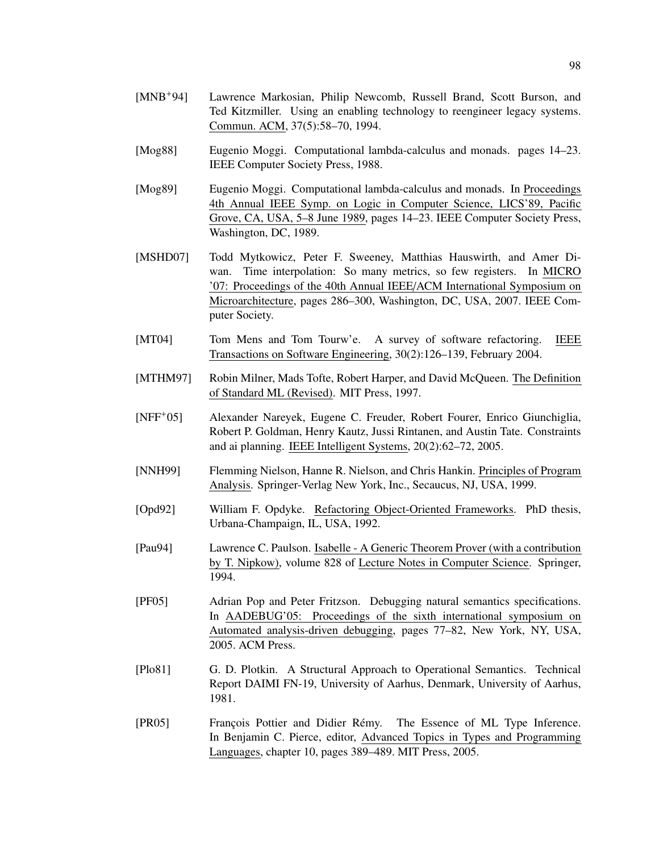- [Mog88] Eugenio Moggi. Computational lambda-calculus and monads. pages 14–23. IEEE Computer Society Press, 1988.
- [Mog89] Eugenio Moggi. Computational lambda-calculus and monads. In Proceedings 4th Annual IEEE Symp. on Logic in Computer Science, LICS'89, Pacific Grove, CA, USA, 5–8 June 1989, pages 14–23. IEEE Computer Society Press, Washington, DC, 1989.
- [MSHD07] Todd Mytkowicz, Peter F. Sweeney, Matthias Hauswirth, and Amer Diwan. Time interpolation: So many metrics, so few registers. In MICRO '07: Proceedings of the 40th Annual IEEE/ACM International Symposium on Microarchitecture, pages 286–300, Washington, DC, USA, 2007. IEEE Computer Society.
- [MT04] Tom Mens and Tom Tourw'e. A survey of software refactoring. IEEE Transactions on Software Engineering, 30(2):126–139, February 2004.
- [MTHM97] Robin Milner, Mads Tofte, Robert Harper, and David McQueen. The Definition of Standard ML (Revised). MIT Press, 1997.
- [NFF+05] Alexander Nareyek, Eugene C. Freuder, Robert Fourer, Enrico Giunchiglia, Robert P. Goldman, Henry Kautz, Jussi Rintanen, and Austin Tate. Constraints and ai planning. IEEE Intelligent Systems, 20(2):62–72, 2005.
- [NNH99] Flemming Nielson, Hanne R. Nielson, and Chris Hankin. Principles of Program Analysis. Springer-Verlag New York, Inc., Secaucus, NJ, USA, 1999.
- [Opd92] William F. Opdyke. Refactoring Object-Oriented Frameworks. PhD thesis, Urbana-Champaign, IL, USA, 1992.
- [Pau94] Lawrence C. Paulson. Isabelle A Generic Theorem Prover (with a contribution by T. Nipkow), volume 828 of Lecture Notes in Computer Science. Springer, 1994.
- [PF05] Adrian Pop and Peter Fritzson. Debugging natural semantics specifications. In AADEBUG'05: Proceedings of the sixth international symposium on Automated analysis-driven debugging, pages 77–82, New York, NY, USA, 2005. ACM Press.
- [Plo81] G. D. Plotkin. A Structural Approach to Operational Semantics. Technical Report DAIMI FN-19, University of Aarhus, Denmark, University of Aarhus, 1981.
- [PR05] François Pottier and Didier Rémy. The Essence of ML Type Inference. In Benjamin C. Pierce, editor, Advanced Topics in Types and Programming Languages, chapter 10, pages 389–489. MIT Press, 2005.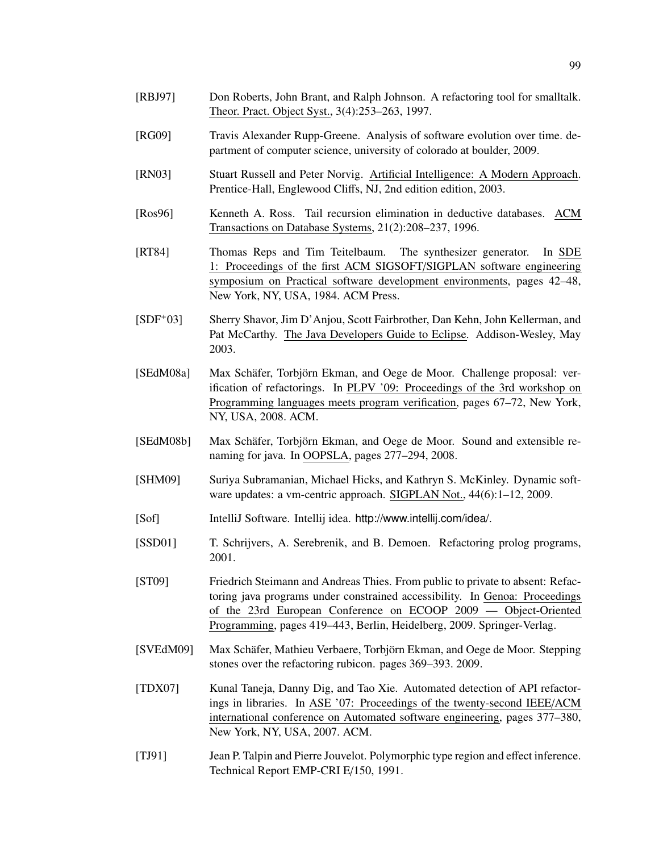- [RBJ97] Don Roberts, John Brant, and Ralph Johnson. A refactoring tool for smalltalk. Theor. Pract. Object Syst., 3(4):253–263, 1997.
- [RG09] Travis Alexander Rupp-Greene. Analysis of software evolution over time. department of computer science, university of colorado at boulder, 2009.
- [RN03] Stuart Russell and Peter Norvig. Artificial Intelligence: A Modern Approach. Prentice-Hall, Englewood Cliffs, NJ, 2nd edition edition, 2003.
- [Ros96] Kenneth A. Ross. Tail recursion elimination in deductive databases. ACM Transactions on Database Systems, 21(2):208–237, 1996.
- [RT84] Thomas Reps and Tim Teitelbaum. The synthesizer generator. In SDE 1: Proceedings of the first ACM SIGSOFT/SIGPLAN software engineering symposium on Practical software development environments, pages 42–48, New York, NY, USA, 1984. ACM Press.
- [SDF+03] Sherry Shavor, Jim D'Anjou, Scott Fairbrother, Dan Kehn, John Kellerman, and Pat McCarthy. The Java Developers Guide to Eclipse. Addison-Wesley, May 2003.
- [SEdM08a] Max Schäfer, Torbjörn Ekman, and Oege de Moor. Challenge proposal: verification of refactorings. In PLPV '09: Proceedings of the 3rd workshop on Programming languages meets program verification, pages 67–72, New York, NY, USA, 2008. ACM.
- [SEdM08b] Max Schäfer, Torbjörn Ekman, and Oege de Moor. Sound and extensible renaming for java. In OOPSLA, pages 277–294, 2008.
- [SHM09] Suriya Subramanian, Michael Hicks, and Kathryn S. McKinley. Dynamic software updates: a vm-centric approach. SIGPLAN Not.,  $44(6)$ :1-12, 2009.
- [Sof] IntelliJ Software. Intellij idea. http://www.intellij.com/idea/.
- [SSD01] T. Schrijvers, A. Serebrenik, and B. Demoen. Refactoring prolog programs, 2001.
- [ST09] Friedrich Steimann and Andreas Thies. From public to private to absent: Refactoring java programs under constrained accessibility. In Genoa: Proceedings of the 23rd European Conference on ECOOP 2009 — Object-Oriented Programming, pages 419–443, Berlin, Heidelberg, 2009. Springer-Verlag.
- [SVEdM09] Max Schäfer, Mathieu Verbaere, Torbjörn Ekman, and Oege de Moor. Stepping stones over the refactoring rubicon. pages 369–393. 2009.
- [TDX07] Kunal Taneja, Danny Dig, and Tao Xie. Automated detection of API refactorings in libraries. In ASE '07: Proceedings of the twenty-second IEEE/ACM international conference on Automated software engineering, pages 377–380, New York, NY, USA, 2007. ACM.
- [TJ91] Jean P. Talpin and Pierre Jouvelot. Polymorphic type region and effect inference. Technical Report EMP-CRI E/150, 1991.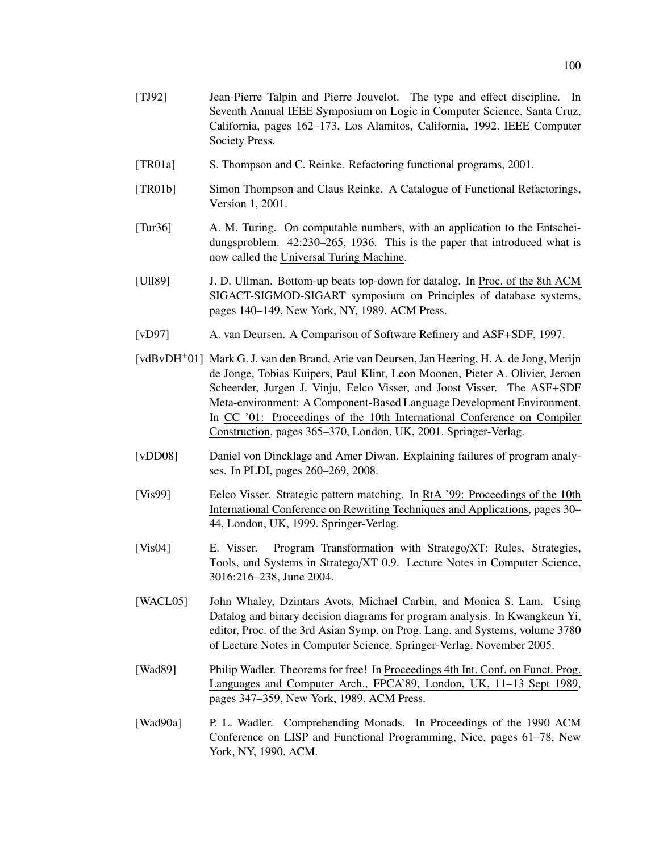- [TJ92] Jean-Pierre Talpin and Pierre Jouvelot. The type and effect discipline. In Seventh Annual IEEE Symposium on Logic in Computer Science, Santa Cruz, California, pages 162–173, Los Alamitos, California, 1992. IEEE Computer Society Press.
- [TR01a] S. Thompson and C. Reinke. Refactoring functional programs, 2001.
- [TR01b] Simon Thompson and Claus Reinke. A Catalogue of Functional Refactorings, Version 1, 2001.
- [Tur36] A. M. Turing. On computable numbers, with an application to the Entscheidungsproblem. 42:230–265, 1936. This is the paper that introduced what is now called the Universal Turing Machine.
- [Ull89] J. D. Ullman. Bottom-up beats top-down for datalog. In Proc. of the 8th ACM SIGACT-SIGMOD-SIGART symposium on Principles of database systems, pages 140–149, New York, NY, 1989. ACM Press.
- [vD97] A. van Deursen. A Comparison of Software Refinery and ASF+SDF, 1997.
- [vdBvDH+01] Mark G. J. van den Brand, Arie van Deursen, Jan Heering, H. A. de Jong, Merijn de Jonge, Tobias Kuipers, Paul Klint, Leon Moonen, Pieter A. Olivier, Jeroen Scheerder, Jurgen J. Vinju, Eelco Visser, and Joost Visser. The ASF+SDF Meta-environment: A Component-Based Language Development Environment. In CC '01: Proceedings of the 10th International Conference on Compiler Construction, pages 365–370, London, UK, 2001. Springer-Verlag.
- [vDD08] Daniel von Dincklage and Amer Diwan. Explaining failures of program analyses. In PLDI, pages 260–269, 2008.
- [Vis99] Eelco Visser. Strategic pattern matching. In RtA '99: Proceedings of the 10th International Conference on Rewriting Techniques and Applications, pages 30– 44, London, UK, 1999. Springer-Verlag.
- [Vis04] E. Visser. Program Transformation with Stratego/XT: Rules, Strategies, Tools, and Systems in Stratego/XT 0.9. Lecture Notes in Computer Science, 3016:216–238, June 2004.
- [WACL05] John Whaley, Dzintars Avots, Michael Carbin, and Monica S. Lam. Using Datalog and binary decision diagrams for program analysis. In Kwangkeun Yi, editor, Proc. of the 3rd Asian Symp. on Prog. Lang. and Systems, volume 3780 of Lecture Notes in Computer Science. Springer-Verlag, November 2005.
- [Wad89] Philip Wadler. Theorems for free! In Proceedings 4th Int. Conf. on Funct. Prog. Languages and Computer Arch., FPCA'89, London, UK, 11–13 Sept 1989, pages 347–359, New York, 1989. ACM Press.
- [Wad90a] P. L. Wadler. Comprehending Monads. In Proceedings of the 1990 ACM Conference on LISP and Functional Programming, Nice, pages 61–78, New York, NY, 1990. ACM.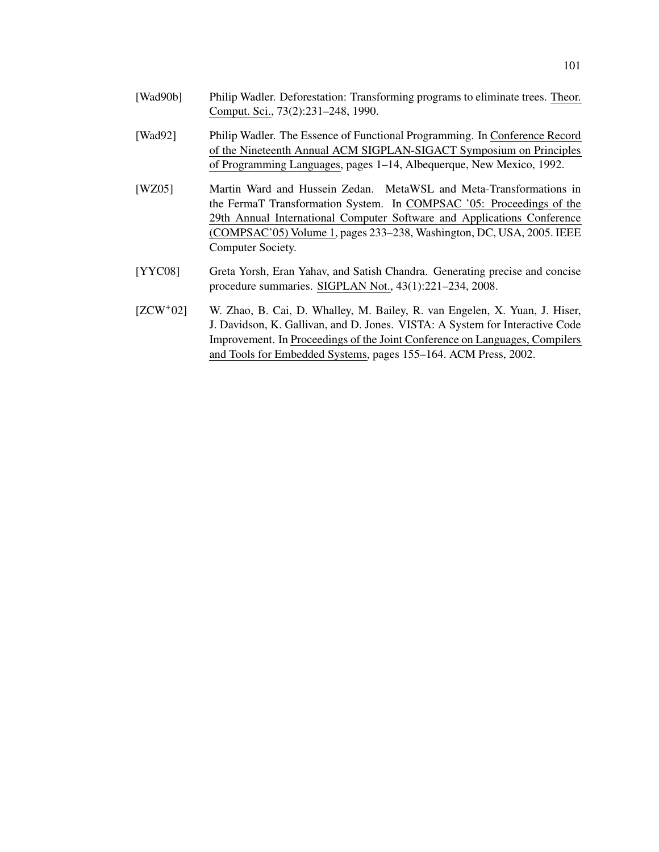- [Wad90b] Philip Wadler. Deforestation: Transforming programs to eliminate trees. Theor. Comput. Sci., 73(2):231–248, 1990.
- [Wad92] Philip Wadler. The Essence of Functional Programming. In Conference Record of the Nineteenth Annual ACM SIGPLAN-SIGACT Symposium on Principles of Programming Languages, pages 1–14, Albequerque, New Mexico, 1992.
- [WZ05] Martin Ward and Hussein Zedan. MetaWSL and Meta-Transformations in the FermaT Transformation System. In COMPSAC '05: Proceedings of the 29th Annual International Computer Software and Applications Conference (COMPSAC'05) Volume 1, pages 233–238, Washington, DC, USA, 2005. IEEE Computer Society.
- [YYC08] Greta Yorsh, Eran Yahav, and Satish Chandra. Generating precise and concise procedure summaries. SIGPLAN Not., 43(1):221–234, 2008.
- [ZCW+02] W. Zhao, B. Cai, D. Whalley, M. Bailey, R. van Engelen, X. Yuan, J. Hiser, J. Davidson, K. Gallivan, and D. Jones. VISTA: A System for Interactive Code Improvement. In Proceedings of the Joint Conference on Languages, Compilers and Tools for Embedded Systems, pages 155–164. ACM Press, 2002.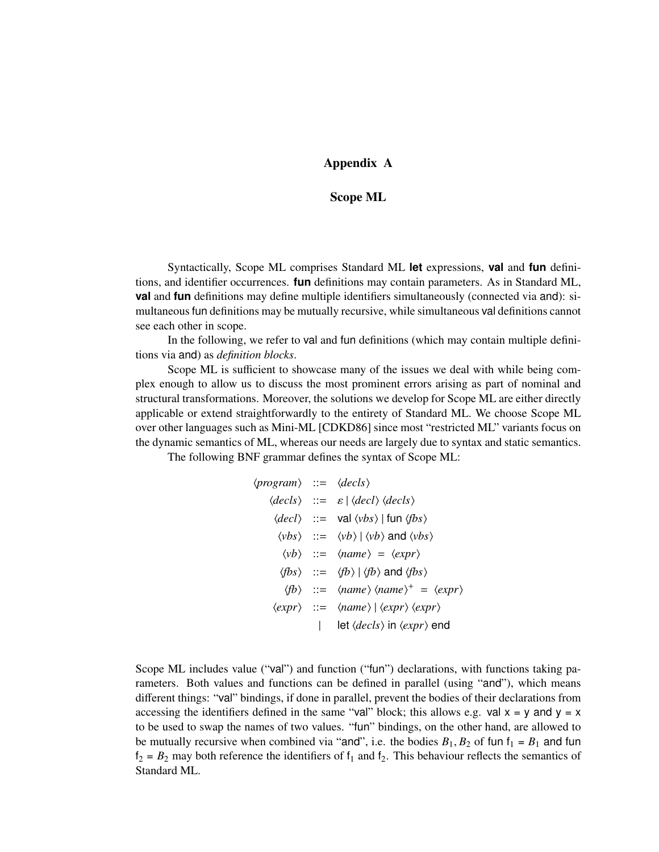# Appendix A

## Scope ML

Syntactically, Scope ML comprises Standard ML **let** expressions, **val** and **fun** definitions, and identifier occurrences. **fun** definitions may contain parameters. As in Standard ML, **val** and **fun** definitions may define multiple identifiers simultaneously (connected via and): simultaneous fun definitions may be mutually recursive, while simultaneous val definitions cannot see each other in scope.

In the following, we refer to val and fun definitions (which may contain multiple definitions via and) as *definition blocks*.

Scope ML is sufficient to showcase many of the issues we deal with while being complex enough to allow us to discuss the most prominent errors arising as part of nominal and structural transformations. Moreover, the solutions we develop for Scope ML are either directly applicable or extend straightforwardly to the entirety of Standard ML. We choose Scope ML over other languages such as Mini-ML [CDKD86] since most "restricted ML" variants focus on the dynamic semantics of ML, whereas our needs are largely due to syntax and static semantics.

The following BNF grammar defines the syntax of Scope ML:

$$
\langle program \rangle ::= \langle decls \rangle
$$
  
\n
$$
\langle decls \rangle ::= \varepsilon | \langle decl \rangle \langle decls \rangle
$$
  
\n
$$
\langle decl \rangle ::= \text{val} \langle vbs \rangle | \text{fun} \langle fbs \rangle
$$
  
\n
$$
\langle vbs \rangle ::= \langle vbb \rangle | \langle vb \rangle \text{and} \langle vbs \rangle
$$
  
\n
$$
\langle vbb \rangle ::= \langle name \rangle = \langle expr \rangle
$$
  
\n
$$
\langle fbs \rangle ::= \langle map \rangle | \langle fb \rangle \text{and} \langle fbs \rangle
$$
  
\n
$$
\langle fbb \rangle ::= \langle name \rangle | \langle expr \rangle \langle expr \rangle
$$
  
\n
$$
\langle expr \rangle ::= \langle name \rangle | \langle expr \rangle \langle expr \rangle
$$
  
\n
$$
| \text{let} \langle decls \rangle \text{ in} \langle expr \rangle \text{end}
$$

Scope ML includes value ("val") and function ("fun") declarations, with functions taking parameters. Both values and functions can be defined in parallel (using "and"), which means different things: "val" bindings, if done in parallel, prevent the bodies of their declarations from accessing the identifiers defined in the same "val" block; this allows e.g. val  $x = y$  and  $y = x$ to be used to swap the names of two values. "fun" bindings, on the other hand, are allowed to be mutually recursive when combined via "and", i.e. the bodies  $B_1, B_2$  of fun  $f_1 = B_1$  and fun  $f_2 = B_2$  may both reference the identifiers of  $f_1$  and  $f_2$ . This behaviour reflects the semantics of Standard ML.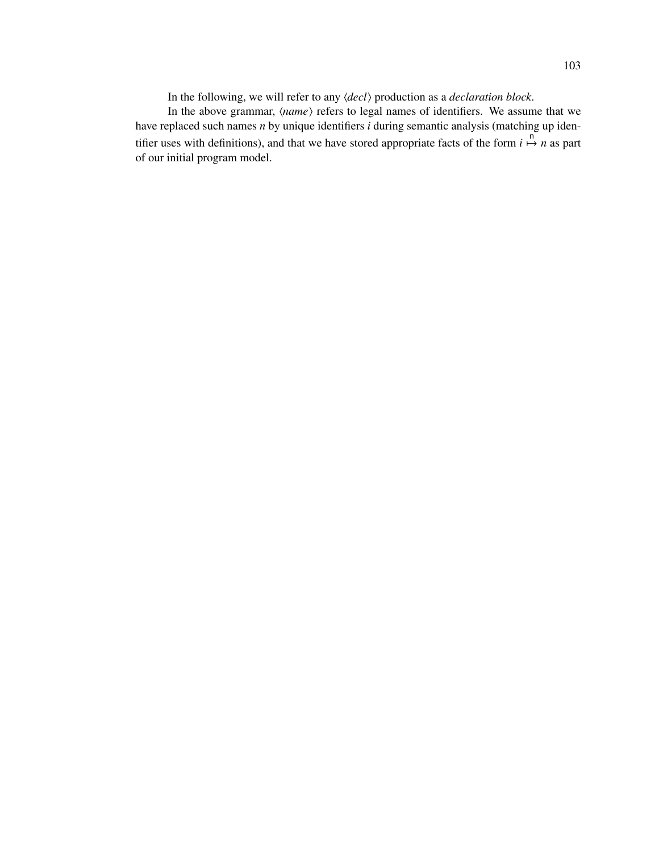In the following, we will refer to any  $\langle decl \rangle$  production as a *declaration block*.

In the above grammar,  $\langle name \rangle$  refers to legal names of identifiers. We assume that we have replaced such names *n* by unique identifiers *i* during semantic analysis (matching up identifier uses with definitions), and that we have stored appropriate facts of the form  $i \mapsto n$  as part of our initial program model.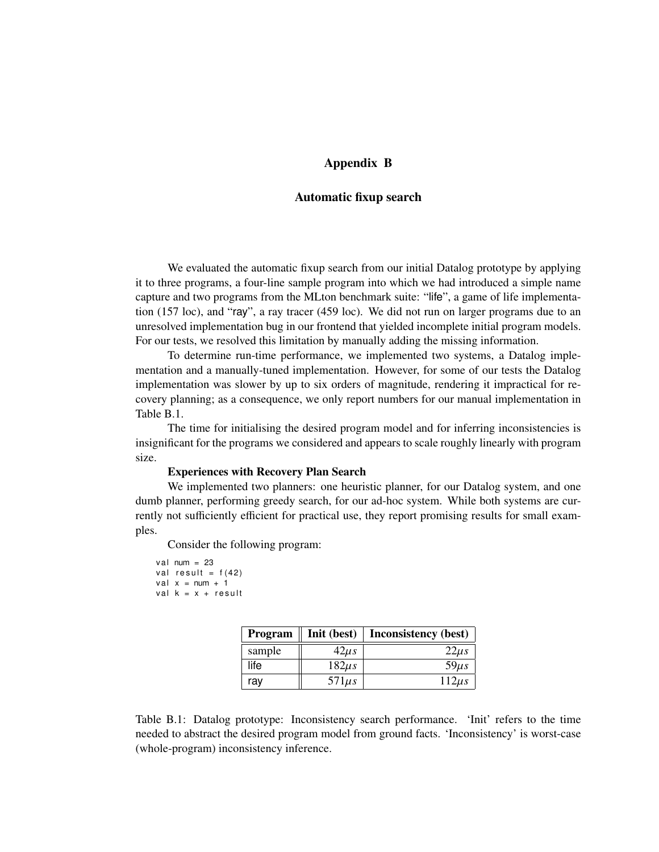# Appendix B

## Automatic fixup search

We evaluated the automatic fixup search from our initial Datalog prototype by applying it to three programs, a four-line sample program into which we had introduced a simple name capture and two programs from the MLton benchmark suite: "life", a game of life implementation (157 loc), and "ray", a ray tracer (459 loc). We did not run on larger programs due to an unresolved implementation bug in our frontend that yielded incomplete initial program models. For our tests, we resolved this limitation by manually adding the missing information.

To determine run-time performance, we implemented two systems, a Datalog implementation and a manually-tuned implementation. However, for some of our tests the Datalog implementation was slower by up to six orders of magnitude, rendering it impractical for recovery planning; as a consequence, we only report numbers for our manual implementation in Table B.1.

The time for initialising the desired program model and for inferring inconsistencies is insignificant for the programs we considered and appears to scale roughly linearly with program size.

#### Experiences with Recovery Plan Search

We implemented two planners: one heuristic planner, for our Datalog system, and one dumb planner, performing greedy search, for our ad-hoc system. While both systems are currently not sufficiently efficient for practical use, they report promising results for small examples.

Consider the following program:

```
v al num = 23val result = f(42)val x = num + 1val k = x + result
```

| Program | Init (best) | <b>Inconsistency</b> (best) |
|---------|-------------|-----------------------------|
| sample  | $42\mu s$   | $22\mu s$                   |
| life    | $182\mu s$  | $59\mu s$                   |
| ray     | $571\mu s$  | $112\mu s$                  |

Table B.1: Datalog prototype: Inconsistency search performance. 'Init' refers to the time needed to abstract the desired program model from ground facts. 'Inconsistency' is worst-case (whole-program) inconsistency inference.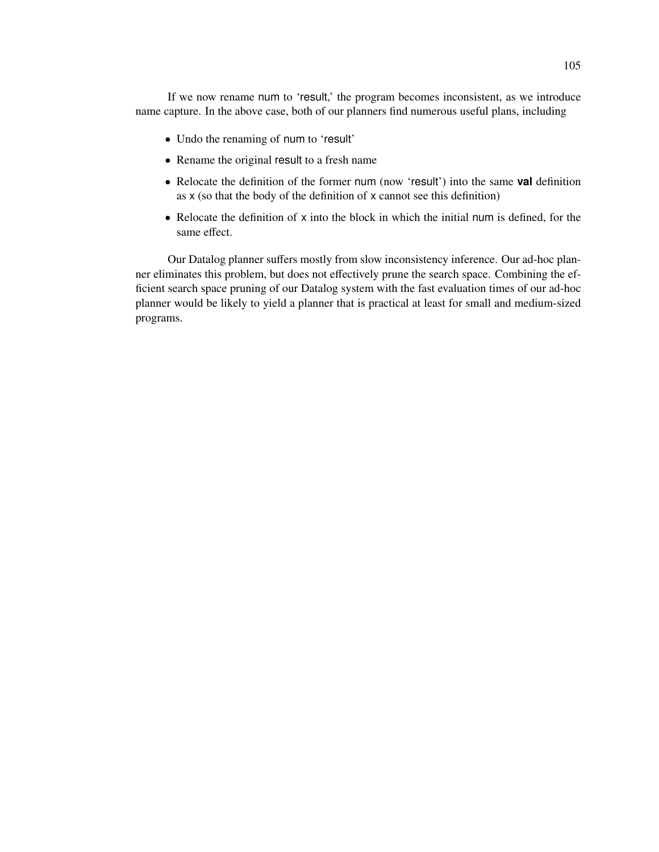If we now rename num to 'result,' the program becomes inconsistent, as we introduce name capture. In the above case, both of our planners find numerous useful plans, including

- Undo the renaming of num to 'result'
- Rename the original result to a fresh name
- Relocate the definition of the former num (now 'result') into the same **val** definition as x (so that the body of the definition of x cannot see this definition)
- Relocate the definition of x into the block in which the initial num is defined, for the same effect.

Our Datalog planner suffers mostly from slow inconsistency inference. Our ad-hoc planner eliminates this problem, but does not effectively prune the search space. Combining the efficient search space pruning of our Datalog system with the fast evaluation times of our ad-hoc planner would be likely to yield a planner that is practical at least for small and medium-sized programs.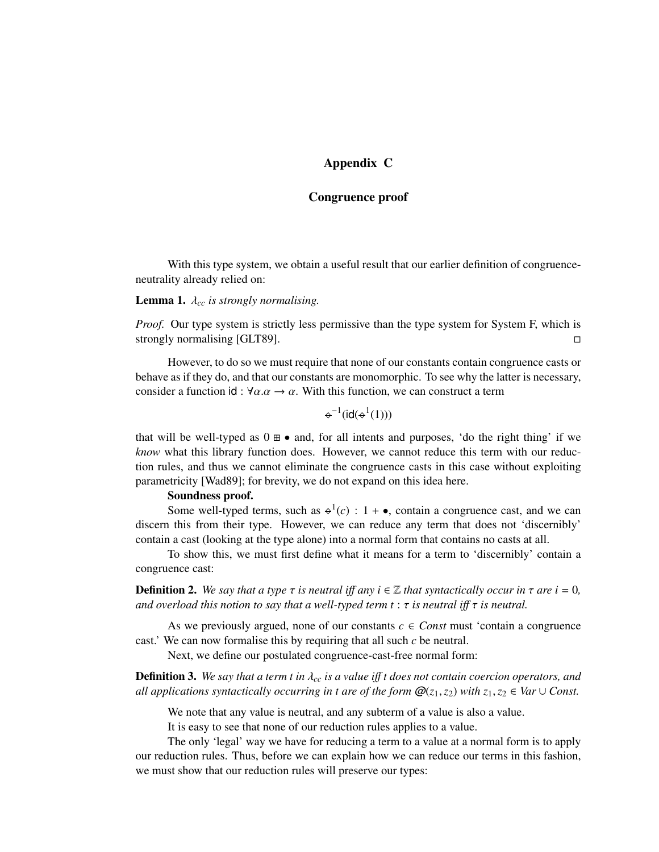# Appendix C

## Congruence proof

With this type system, we obtain a useful result that our earlier definition of congruenceneutrality already relied on:

## **Lemma 1.**  $\lambda_{cc}$  *is strongly normalising.*

*Proof.* Our type system is strictly less permissive than the type system for System F, which is strongly normalising [GLT89].

However, to do so we must require that none of our constants contain congruence casts or behave as if they do, and that our constants are monomorphic. To see why the latter is necessary, consider a function id :  $\forall \alpha \cdot \alpha \rightarrow \alpha$ . With this function, we can construct a term

$$
\div^{-1}(\textnormal{id}(\div^1(1)))
$$

that will be well-typed as  $0 \oplus \bullet$  and, for all intents and purposes, 'do the right thing' if we *know* what this library function does. However, we cannot reduce this term with our reduction rules, and thus we cannot eliminate the congruence casts in this case without exploiting parametricity [Wad89]; for brevity, we do not expand on this idea here.

## Soundness proof.

Some well-typed terms, such as  $\varphi^1(c)$  :  $1 + \bullet$ , contain a congruence cast, and we can discern this from their type. However, we can reduce any term that does not 'discernibly' contain a cast (looking at the type alone) into a normal form that contains no casts at all.

To show this, we must first define what it means for a term to 'discernibly' contain a congruence cast:

**Definition 2.** We say that a type  $\tau$  is neutral iff any  $i \in \mathbb{Z}$  that syntactically occur in  $\tau$  are  $i = 0$ , *and overload this notion to say that a well-typed term t* : τ *is neutral i*ff τ *is neutral.*

As we previously argued, none of our constants  $c \in Const$  must 'contain a congruence cast.' We can now formalise this by requiring that all such *c* be neutral.

Next, we define our postulated congruence-cast-free normal form:

Definition 3. *We say that a term t in* λ*cc is a value i*ff *t does not contain coercion operators, and all applications syntactically occurring in t are of the form*  $\mathcal{Q}(z_1, z_2)$  *with*  $z_1, z_2 \in \text{Var} \cup \text{Const.}$ 

We note that any value is neutral, and any subterm of a value is also a value.

It is easy to see that none of our reduction rules applies to a value.

The only 'legal' way we have for reducing a term to a value at a normal form is to apply our reduction rules. Thus, before we can explain how we can reduce our terms in this fashion, we must show that our reduction rules will preserve our types: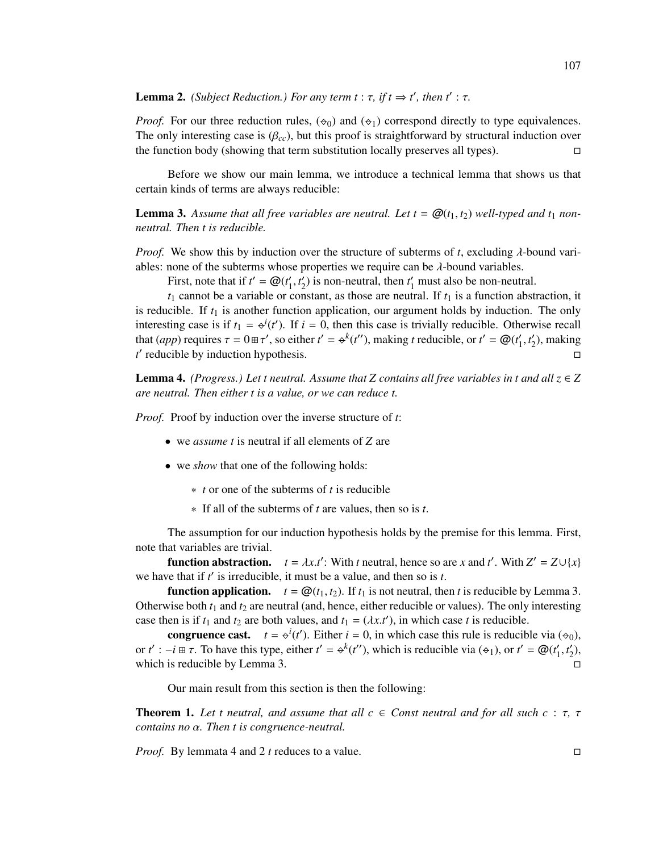# **Lemma 2.** *(Subject Reduction.) For any term t* :  $\tau$ *, if t*  $\Rightarrow$  *t', then t'* :  $\tau$ *.*

*Proof.* For our three reduction rules,  $(\phi_0)$  and  $(\phi_1)$  correspond directly to type equivalences. The only interesting case is  $(\beta_{cc})$ , but this proof is straightforward by structural induction over the function body (showing that term substitution locally preserves all types).

Before we show our main lemma, we introduce a technical lemma that shows us that certain kinds of terms are always reducible:

**Lemma 3.** Assume that all free variables are neutral. Let  $t = \mathcal{Q}(t_1, t_2)$  well-typed and  $t_1$  non*neutral. Then t is reducible.*

*Proof.* We show this by induction over the structure of subterms of *t*, excluding λ-bound variables: none of the subterms whose properties we require can be  $\lambda$ -bound variables.

First, note that if  $t' = \mathcal{Q}(t'_1, t'_2)$  is non-neutral, then  $t'_1$  must also be non-neutral.

 $t_1$  cannot be a variable or constant, as those are neutral. If  $t_1$  is a function abstraction, it is reducible. If  $t_1$  is another function application, our argument holds by induction. The only interesting case is if  $t_1 = \varphi^i(t')$ . If  $i = 0$ , then this case is trivially reducible. Otherwise recall that (*app*) requires  $\tau = 0 \pm \tau'$ , so either  $t' = \phi^k(t'')$ , making *t* reducible, or  $t' = \mathcal{Q}(t'_1, t'_2)$ , making *t* **discription discription r discription r d** 

**Lemma 4.** *(Progress.) Let t neutral. Assume that Z contains all free variables in t and all*  $z \in Z$ *are neutral. Then either t is a value, or we can reduce t.*

*Proof.* Proof by induction over the inverse structure of *t*:

- we *assume t* is neutral if all elements of *Z* are
- we *show* that one of the following holds:
	- ∗ *t* or one of the subterms of *t* is reducible
	- ∗ If all of the subterms of *t* are values, then so is *t*.

The assumption for our induction hypothesis holds by the premise for this lemma. First, note that variables are trivial.

**function abstraction.**  $t = \lambda x.t'$ : With *t* neutral, hence so are *x* and *t'*. With  $Z' = Z \cup \{x\}$ we have that if *t'* is irreducible, it must be a value, and then so is *t*.

**function application.**  $t = \mathcal{Q}(t_1, t_2)$ . If  $t_1$  is not neutral, then *t* is reducible by Lemma 3. Otherwise both  $t_1$  and  $t_2$  are neutral (and, hence, either reducible or values). The only interesting case then is if  $t_1$  and  $t_2$  are both values, and  $t_1 = (\lambda x.t')$ , in which case *t* is reducible.

congruence cast.  $t = \Theta^{i}(t')$ . Either  $i = 0$ , in which case this rule is reducible via  $(\Theta_{0})$ , or  $t' := -i \boxplus \tau$ . To have this type, either  $t' = \bigcirc^k(t'')$ , which is reducible via  $(\bigcirc_1)$ , or  $t' = \mathcal{Q}(t'_1, t'_2)$ , which is reducible by Lemma 3.

Our main result from this section is then the following:

**Theorem 1.** Let t neutral, and assume that all  $c \in$  Const neutral and for all such  $c : \tau$ ,  $\tau$ *contains no* α*. Then t is congruence-neutral.*

*Proof.* By lemmata 4 and 2 *t* reduces to a value.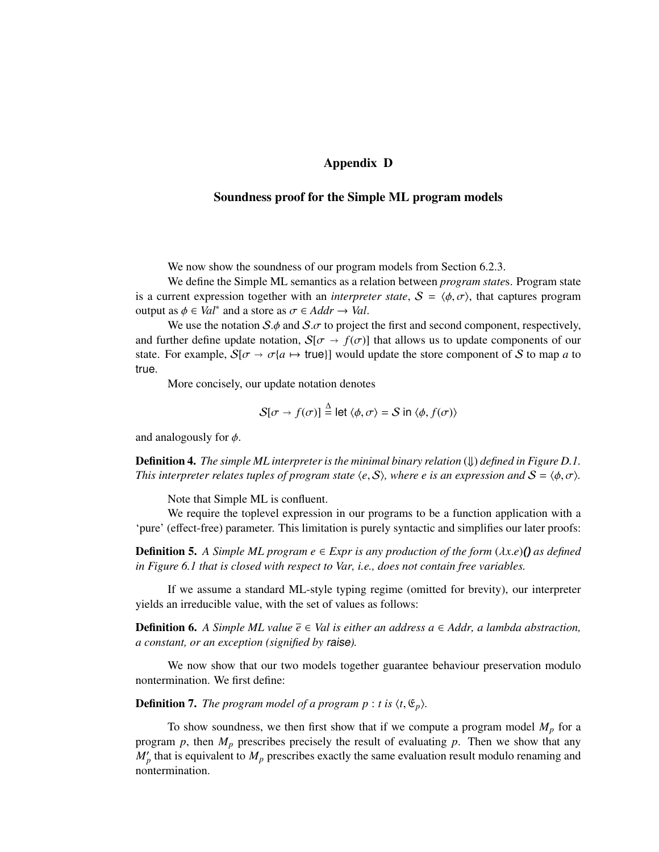# Appendix D

### Soundness proof for the Simple ML program models

We now show the soundness of our program models from Section 6.2.3.

We define the Simple ML semantics as a relation between *program state*s. Program state is a current expression together with an *interpreter state*,  $S = \langle \phi, \sigma \rangle$ , that captures program output as  $\phi \in Val^*$  and a store as  $\sigma \in Addr \to Val$ .

We use the notation  $S \phi$  and  $S \sigma$  to project the first and second component, respectively, and further define update notation,  $S[\sigma \to f(\sigma)]$  that allows us to update components of our state. For example,  $S[\sigma \to \sigma \{a \mapsto \text{true}\}]$  would update the store component of S to map *a* to true.

More concisely, our update notation denotes

$$
S[\sigma \to f(\sigma)] \stackrel{\Delta}{=} \text{let } \langle \phi, \sigma \rangle = S \text{ in } \langle \phi, f(\sigma) \rangle
$$

and analogously for  $\phi$ .

**Definition 4.** *The simple ML interpreter is the minimal binary relation*  $(\downarrow)$  *defined in Figure D.1. This interpreter relates tuples of program state*  $\langle e, S \rangle$ *, where e is an expression and*  $S = \langle \phi, \sigma \rangle$ *.* 

Note that Simple ML is confluent.

We require the toplevel expression in our programs to be a function application with a 'pure' (effect-free) parameter. This limitation is purely syntactic and simplifies our later proofs:

**Definition 5.** A Simple ML program  $e \in Expr$  is any production of the form  $(\lambda x.e)$  () as defined *in Figure 6.1 that is closed with respect to Var, i.e., does not contain free variables.*

If we assume a standard ML-style typing regime (omitted for brevity), our interpreter yields an irreducible value, with the set of values as follows:

**Definition 6.** *A Simple ML value*  $\overline{e} \in$  *Val is either an address a*  $\in$  *Addr, a lambda abstraction, a constant, or an exception (signified by* raise*).*

We now show that our two models together guarantee behaviour preservation modulo nontermination. We first define:

**Definition 7.** *The program model of a program p* : *t* is  $\langle t, \mathfrak{E}_p \rangle$ .

To show soundness, we then first show that if we compute a program model  $M_p$  for a program *p*, then *M<sup>p</sup>* prescribes precisely the result of evaluating *p*. Then we show that any  $M'_p$  that is equivalent to  $M_p$  prescribes exactly the same evaluation result modulo renaming and nontermination.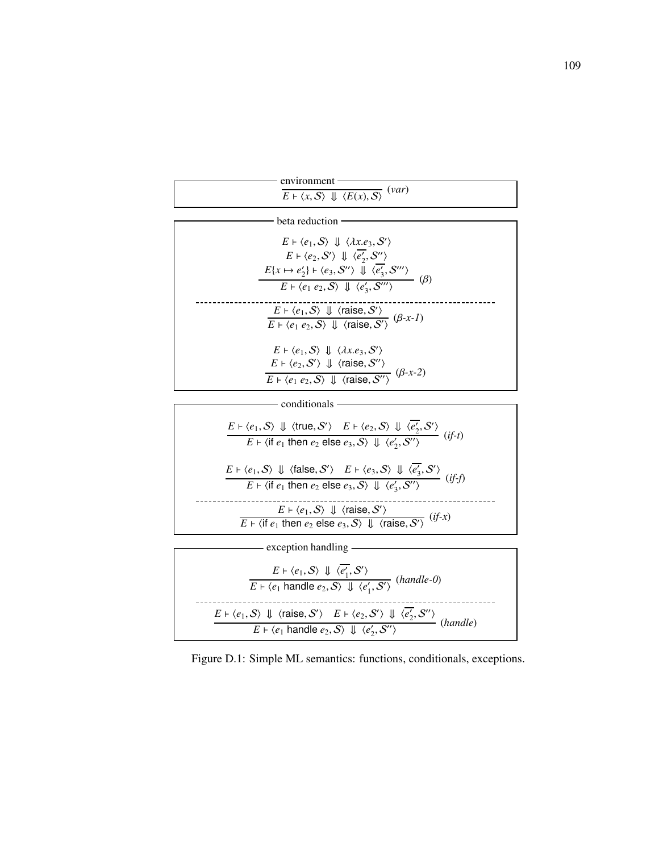| environment                                                                            |
|----------------------------------------------------------------------------------------|
| var)                                                                                   |
| $E \vdash \langle x, \mathcal{S} \rangle \Downarrow \langle E(x), \mathcal{S} \rangle$ |
|                                                                                        |

| beta reduction                                                                                                                                                                                                                                                                                                                                                                                                     |
|--------------------------------------------------------------------------------------------------------------------------------------------------------------------------------------------------------------------------------------------------------------------------------------------------------------------------------------------------------------------------------------------------------------------|
| $E \vdash \langle e_1, S \rangle \Downarrow \langle \lambda x. e_3, S' \rangle$<br>$E \vdash \langle e_2, \mathcal{S}' \rangle \Downarrow \langle \overline{e'_2}, \mathcal{S}'' \rangle$<br>$E\{x \mapsto e_2'\} \vdash \langle e_3, \mathcal{S}'' \rangle \bar{\Downarrow} \langle \overline{e_3'}, \mathcal{S}''' \rangle$<br>$E \vdash \langle e_1 \ e_2, S \rangle \Downarrow \langle e'_3, S''' \rangle$ (B) |
| $\frac{E \vdash \langle e_1, S \rangle \Downarrow \langle \text{raise}, S' \rangle}{E \vdash \langle e_1 \ e_2, S \rangle \Downarrow \langle \text{raise}, S' \rangle} (\beta \text{-} x \text{-} 1)$                                                                                                                                                                                                              |
| $E \vdash \langle e_1, S \rangle \Downarrow \langle \lambda x. e_3, S' \rangle$<br>$E \vdash \langle e_2, S' \rangle \Downarrow \langle \text{raise}, S'' \rangle$<br>$E \vdash \langle e_1 \ e_2, S \rangle \Downarrow \langle \text{raise}, S'' \rangle$ ( $\beta$ -x-2)                                                                                                                                         |



| $E \vdash \langle e_1, S \rangle \Downarrow \langle e'_1, S' \rangle$<br>$(handle-0)$<br>$E \vdash \langle e_1 \text{ handle } e_2, S \rangle \Downarrow \langle e'_1, S' \rangle$                                                                                          |  |
|-----------------------------------------------------------------------------------------------------------------------------------------------------------------------------------------------------------------------------------------------------------------------------|--|
| $E \vdash \langle e_1, S \rangle \Downarrow \langle \text{raise}, S' \rangle \quad E \vdash \langle e_2, S' \rangle \Downarrow \langle \overline{e'_2}, S'' \rangle$ (handle)<br>$E \vdash \langle e_1 \text{ handle } e_2, S \rangle \Downarrow \langle e'_2, S'' \rangle$ |  |

Figure D.1: Simple ML semantics: functions, conditionals, exceptions.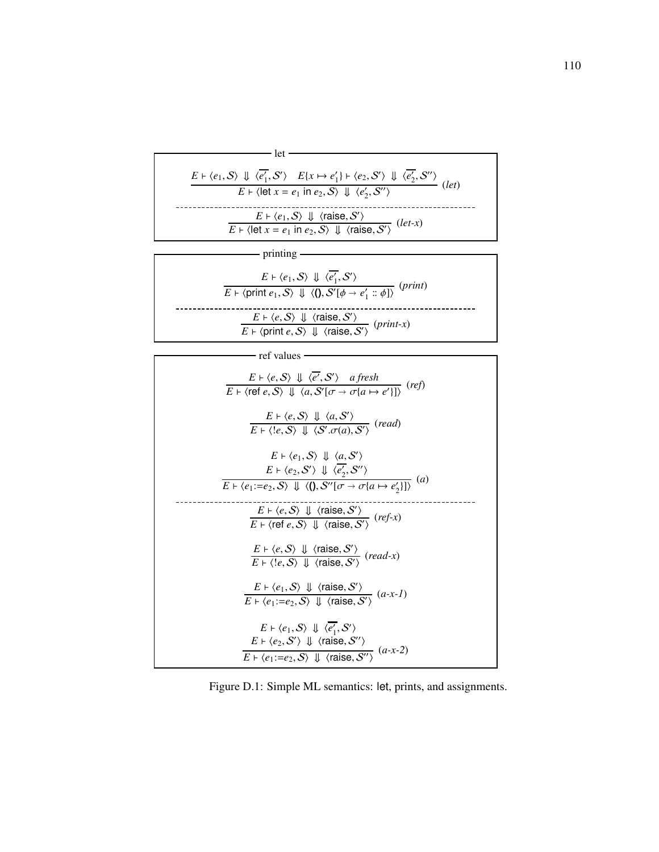| $E \vdash \langle e_1, S \rangle \Downarrow \langle \overline{e'_1}, S' \rangle \quad \underline{E\{x \mapsto e'_1\} \vdash \langle e_2, S' \rangle \Downarrow \langle \overline{e'_2}, S'' \rangle}_{(let)}$ |
|---------------------------------------------------------------------------------------------------------------------------------------------------------------------------------------------------------------|
| $E \vdash \langle \text{let } x = e_1 \text{ in } e_2, S \rangle \Downarrow \langle e_2', S'' \rangle$                                                                                                        |
|                                                                                                                                                                                                               |
| $E \vdash \langle e_1, S \rangle \Downarrow \langle \text{raise}, S' \rangle$<br>$E \vdash \langle \text{let } x = e_1 \text{ in } e_2, S \rangle \Downarrow \langle \text{raise}, S' \rangle$ (let-x)        |
|                                                                                                                                                                                                               |

printing

| $E \vdash \langle e_1, \mathcal{S} \rangle \Downarrow \langle e'_1, \mathcal{S}' \rangle$<br>( <i>print</i> )<br>$E \vdash \langle \text{print } e_1, S \rangle \Downarrow \langle 0, S'[\phi \rightarrow e'_1 :: \phi] \rangle$ |
|----------------------------------------------------------------------------------------------------------------------------------------------------------------------------------------------------------------------------------|
| $\frac{E \vdash \langle e, S \rangle \Downarrow \langle \text{raise}, S' \rangle}{E \vdash \langle \text{print } e, S \rangle \Downarrow \langle \text{raise}, S' \rangle}$ (print-x)                                            |

| ref values                                                                                                                                                                                                                       |
|----------------------------------------------------------------------------------------------------------------------------------------------------------------------------------------------------------------------------------|
|                                                                                                                                                                                                                                  |
| $E \vdash \langle e, S \rangle \Downarrow \langle \overline{e'}, S' \rangle \quad afresh \over E \vdash \langle \text{ref } e, S \rangle \Downarrow \langle a, S'   \sigma \rightarrow \sigma \{a \mapsto e' \}   \rangle$ (ref) |
|                                                                                                                                                                                                                                  |
| $E \vdash \langle e, S \rangle \Downarrow \langle a, S' \rangle$<br>$E \vdash \langle e, S \rangle \Downarrow \langle S', \sigma(a), S' \rangle$ (read)                                                                          |
|                                                                                                                                                                                                                                  |
|                                                                                                                                                                                                                                  |
| $E \vdash \langle e_1, S \rangle \Downarrow \langle a, S' \rangle$                                                                                                                                                               |
| $E \vdash \langle e_2, \mathcal{S}' \rangle \Downarrow \langle e'_2, \mathcal{S}'' \rangle$<br>$\left(a\right)$                                                                                                                  |
| $E \vdash \langle e_1:=e_2, S \rangle \Downarrow \langle \langle \mathbf{0}, S''[\sigma \rightarrow \sigma \{a \mapsto e'_2\}]\rangle$                                                                                           |
|                                                                                                                                                                                                                                  |
| $E \vdash \langle e, S \rangle \Downarrow \langle \text{raise}, S' \rangle$<br>$E \vdash \langle \text{ref } e, S \rangle \Downarrow \langle \text{raise}, S' \rangle$ (ref-x)                                                   |
|                                                                                                                                                                                                                                  |
|                                                                                                                                                                                                                                  |
| $E \vdash \langle e, S \rangle \Downarrow \langle \text{raise}, S' \rangle$<br>$E \vdash \langle e, S \rangle \Downarrow \langle \text{raise}, S' \rangle$ (read-x)                                                              |
|                                                                                                                                                                                                                                  |
| $\frac{E \vdash \langle e_1, S \rangle \Downarrow \langle \text{raise}, S' \rangle}{E \vdash \langle e_1 := e_2, S \rangle \Downarrow \langle \text{raise}, S' \rangle} (a \cdot x \cdot I)$                                     |
|                                                                                                                                                                                                                                  |
|                                                                                                                                                                                                                                  |
| $E \vdash \langle e_1, S \rangle \Downarrow \langle e'_1, S' \rangle$                                                                                                                                                            |
| $E \vdash \langle e_2, \mathcal{S}' \rangle \Downarrow \langle \text{raise}, \mathcal{S}'' \rangle$<br>$E \mapsto \langle e_1:=e_2, S \rangle \Downarrow \langle \text{raise}, S'' \rangle$ $(a-x-2)$                            |
|                                                                                                                                                                                                                                  |

Figure D.1: Simple ML semantics: let, prints, and assignments.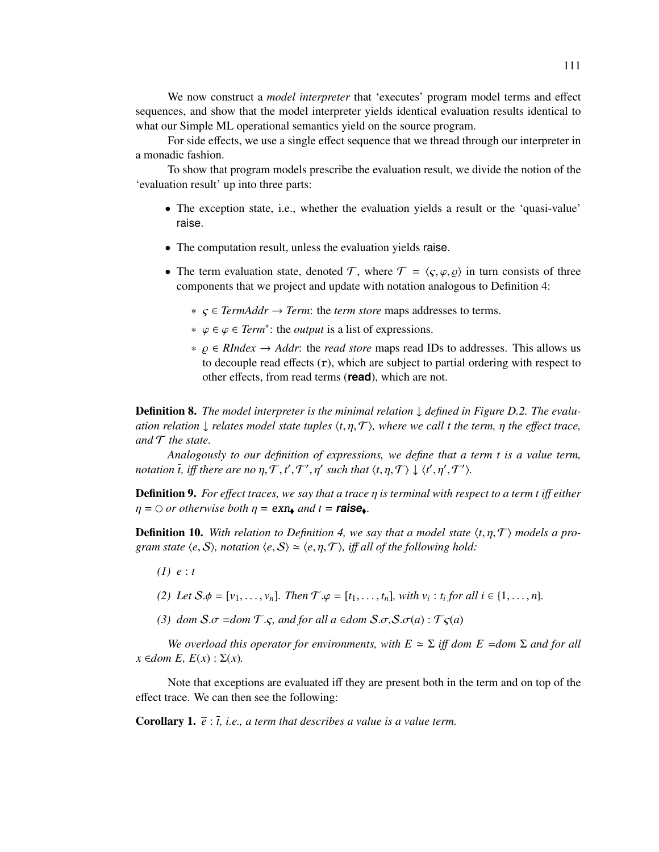We now construct a *model interpreter* that 'executes' program model terms and effect sequences, and show that the model interpreter yields identical evaluation results identical to what our Simple ML operational semantics yield on the source program.

For side effects, we use a single effect sequence that we thread through our interpreter in a monadic fashion.

To show that program models prescribe the evaluation result, we divide the notion of the 'evaluation result' up into three parts:

- The exception state, i.e., whether the evaluation yields a result or the 'quasi-value' raise.
- The computation result, unless the evaluation yields raise.
- The term evaluation state, denoted T, where  $T = \langle \varsigma, \varphi, \varphi \rangle$  in turn consists of three components that we project and update with notation analogous to Definition 4:
	- ∗ ς ∈ *TermAddr* → *Term*: the *term store* maps addresses to terms.
	- ∗ ϕ ∈ ϕ ∈ *Term*<sup>∗</sup> : the *output* is a list of expressions.
	- ∗ % ∈ *RIndex* → *Addr*: the *read store* maps read IDs to addresses. This allows us to decouple read effects  $(r)$ , which are subject to partial ordering with respect to other effects, from read terms (**read**), which are not.

Definition 8. *The model interpreter is the minimal relation* ↓ *defined in Figure D.2. The evaluation relation*  $\downarrow$  *relates model state tuples*  $\langle t, \eta, \mathcal{T} \rangle$ *, where we call t the term,*  $\eta$  *the effect trace, and* T *the state.*

*Analogously to our definition of expressions, we define that a term t is a value term, notation*  $\overline{t}$ *, iff there are no*  $\eta$ *,*  $\mathcal{T}$ *, t',*  $\mathcal{T}'$ *,*  $\eta'$  such that  $\langle t, \eta, \mathcal{T} \rangle \downarrow \langle t', \eta', \mathcal{T}' \rangle$ *.* 

Definition 9. *For e*ff*ect traces, we say that a trace* η *is terminal with respect to a term t i*ff *either*  $\eta = \bigcirc$  *or otherwise both*  $\eta = \exp_{\phi}$  *and*  $t = \text{raise}_{\phi}$ .

**Definition 10.** With relation to Definition 4, we say that a model state  $\langle t, \eta, \mathcal{T} \rangle$  models a pro*gram state*  $\langle e, S \rangle$ *, notation*  $\langle e, S \rangle \simeq \langle e, \eta, \mathcal{T} \rangle$ *, iff all of the following hold:* 

- *(1) e* : *t*
- *(2) Let*  $S.\phi = [v_1, \ldots, v_n]$ *. Then*  $\mathcal{T}.\phi = [t_1, \ldots, t_n]$ *, with*  $v_i : t_i$  *for all*  $i \in \{1, \ldots, n\}$ *.*
- *(3) dom*  $S.\sigma$  =*dom*  $T.\varsigma$ *, and for all a* ∈*dom*  $S.\sigma$ *,* $S.\sigma$ *(a)* :  $T\varsigma$ *(a)*

*We overload this operator for environments, with*  $E \approx \Sigma$  *<i>iff dom E = dom*  $\Sigma$  *and for all*  $x \in dom E$ ,  $E(x) : \Sigma(x)$ .

Note that exceptions are evaluated iff they are present both in the term and on top of the effect trace. We can then see the following:

**Corollary 1.**  $\bar{e}$  :  $\bar{t}$ , *i.e.*, *a term that describes a value is a value term.*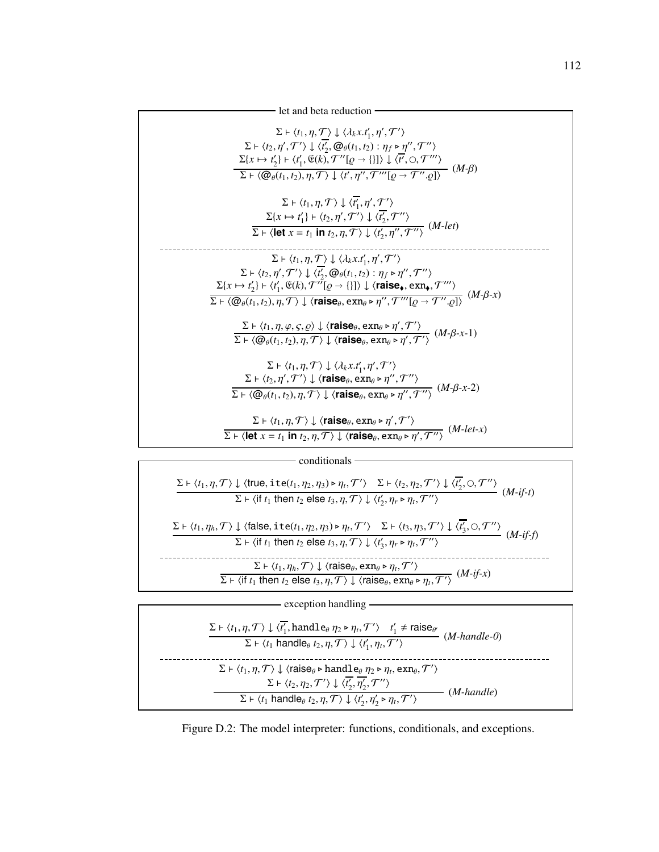



| exception handling                                                                                                                                                                                                                                                                                                                                  |                 |
|-----------------------------------------------------------------------------------------------------------------------------------------------------------------------------------------------------------------------------------------------------------------------------------------------------------------------------------------------------|-----------------|
| $\Sigma \vdash \langle t_1, \eta, \mathcal{T} \rangle \downarrow \langle t'_1, \text{handle}_\theta \eta_2 \triangleright \eta_t, \mathcal{T}' \rangle \quad t'_1 \neq \text{raise}_{\theta'}$<br>$\overline{\Sigma \vdash \langle t_1 \text{ handle}_\theta t_2, \eta, \mathcal{T} \rangle} \downarrow \langle t_1', \eta_t, \mathcal{T}' \rangle$ | $(M$ -handle-0) |
| $\Sigma \vdash \langle t_1, \eta, \mathcal{T} \rangle \downarrow \langle \text{raise}_\theta \triangleright \text{handle}_\theta \eta_2 \triangleright \eta_t, \text{exn}_\theta, \mathcal{T}' \rangle$                                                                                                                                             |                 |
| $\Sigma \vdash \langle t_2, \eta_2, \mathcal{T}' \rangle \downarrow \langle t_2', \overline{\eta_2'}, \mathcal{T}'' \rangle$<br>$\Sigma \vdash \langle t_1 \text{ handle}_{\theta} t_2, \eta, \mathcal{T} \rangle \downarrow \langle t'_2, \eta'_2 \triangleright \eta_t, \mathcal{T}' \rangle$                                                     | $(M$ -handle)   |

Figure D.2: The model interpreter: functions, conditionals, and exceptions.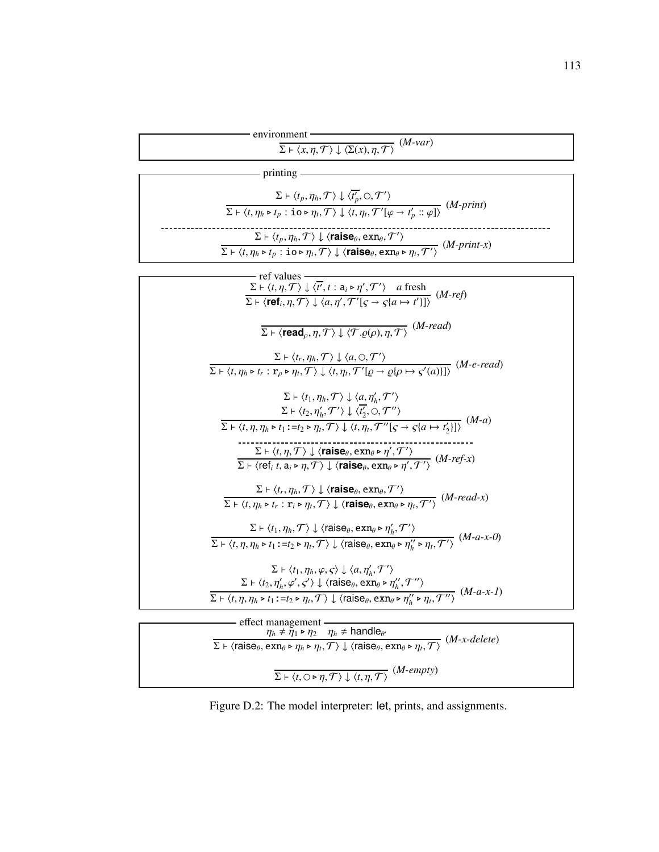environment

| onment                                                                                                       | $(M$ -var $)$ |
|--------------------------------------------------------------------------------------------------------------|---------------|
| $\Sigma \vdash \langle x, \eta, \mathcal{T} \rangle \downarrow \langle \Sigma(x), \eta, \mathcal{T} \rangle$ |               |

| printing                                                                                                                                                                                                                                                                                                                                                            |                   |
|---------------------------------------------------------------------------------------------------------------------------------------------------------------------------------------------------------------------------------------------------------------------------------------------------------------------------------------------------------------------|-------------------|
| $\Sigma \vdash \langle t_p, \eta_h, \mathcal{T} \rangle \downarrow \langle t'_p, \bigcirc, \mathcal{T}' \rangle$<br>$\Sigma\vdash\overline{\langle t,\eta_h\triangleright t_p:\texttt{io}\triangleright\eta_t,\mathcal{T}\rangle\downarrow\langle t,\eta_t,\mathcal{T}'[\varphi\rightarrow t'_n::\varphi]\rangle}$                                                  | $(M$ -print)      |
| $\Sigma \vdash \langle t_p, \eta_h, \mathcal{T} \rangle \downarrow \langle \text{raise}_\theta, \text{exn}_\theta, \mathcal{T}' \rangle$<br>$\Sigma \vdash \langle t, \eta_h \triangleright t_p : \mathtt{io} \triangleright \eta_t, \mathcal{T} \rangle \downarrow \langle \mathtt{raise}_\theta, \mathtt{exn}_\theta \triangleright \eta_t, \mathcal{T}' \rangle$ | $(M$ -print-x $)$ |

| - ref values<br>$\frac{\Sigma \vdash \langle t, \eta, \mathcal{T} \rangle \downarrow \langle \overline{t'}, t : a_i \triangleright \eta', \mathcal{T'} \rangle \quad a \text{ fresh}}{\Sigma \vdash \langle \text{ref}_i, \eta, \mathcal{T} \rangle \downarrow \langle a, \eta', \mathcal{T'}   \zeta \rightarrow \zeta(a \mapsto t' ) \rangle} \quad (M\text{-}ref)$                                                                                                                                                                                                                                                                 |
|---------------------------------------------------------------------------------------------------------------------------------------------------------------------------------------------------------------------------------------------------------------------------------------------------------------------------------------------------------------------------------------------------------------------------------------------------------------------------------------------------------------------------------------------------------------------------------------------------------------------------------------|
|                                                                                                                                                                                                                                                                                                                                                                                                                                                                                                                                                                                                                                       |
| $\overline{\Sigma}$ + $\langle \text{read}_\rho, \eta, \mathcal{T} \rangle \downarrow \langle \mathcal{T} . \rho(\rho), \eta, \mathcal{T} \rangle$ ( <i>M</i> -read)                                                                                                                                                                                                                                                                                                                                                                                                                                                                  |
| $\Sigma \vdash \langle t_r, \eta_h, \mathcal{T} \rangle \downarrow \langle a, \bigcirc, \mathcal{T}' \rangle$<br>$\overline{\Sigma\vdash \langle t,\eta_h\triangleright t_r:\mathbf{r}_{\rho}\triangleright \eta_t,\mathcal{T}\rangle\downarrow \langle t,\eta_t,\mathcal{T}'[\varrho\rightarrow \varrho[\rho\mapsto \varsigma'(a)]\rangle} \;\;(M\text{-}e\text{-}read)$                                                                                                                                                                                                                                                             |
| $\Sigma \vdash \langle t_1, \eta_h, \mathcal{T} \rangle \downarrow \langle a, \eta'_h, \mathcal{T}' \rangle$<br>$\Sigma \vdash \langle t_2, \eta'_h, \mathcal{T}' \rangle \downarrow \langle t'_2, \bigcirc, \mathcal{T}'' \rangle$                                                                                                                                                                                                                                                                                                                                                                                                   |
| $\overline{\Sigma \vdash \langle t, \eta, \eta_h \triangleright t_1 : = t_2 \triangleright \eta_t, \mathcal{T} \rangle \downarrow \langle t, \eta_t, \mathcal{T}''[ \varsigma \rightarrow \varsigma \{ a \mapsto t'_2 \} ] \rangle} \ (M-a)$<br>$\Sigma \vdash \langle t, \eta, \mathcal{T} \rangle \downarrow \langle \textbf{raise}_{\theta}, \text{exn}_{\theta} \triangleright \eta', \mathcal{T}' \rangle$<br>$\Sigma \vdash \langle \text{ref}_i t, a_i \triangleright \eta, \mathcal{T} \rangle \downarrow \langle \textbf{raise}_{\theta}, \text{exn}_{\theta} \triangleright \eta', \mathcal{T}' \rangle$ ( <i>M-ref-x</i> ) |
| $\Sigma \vdash \langle t_r, \eta_h, \mathcal{T} \rangle \downarrow \langle \text{raise}_\theta, \text{exn}_\theta, \mathcal{T}' \rangle$<br>$\frac{\sum_{i} \sum_{i} p_i}{\sum_{i} \sum_{j} p_i + r_i : \mathbf{r}_i \triangleright \eta_i, \mathcal{T}'}$ ( <i>M-read-x</i> )                                                                                                                                                                                                                                                                                                                                                        |
| $\Sigma \vdash \langle t_1, \eta_h, \mathcal{T} \rangle \downarrow \langle \text{raise}_{\theta}, \text{exn}_{\theta} \triangleright \eta'_h, \mathcal{T}' \rangle$<br>$\Sigma \vdash \langle t, \eta, \eta_h \triangleright t_1 : = t_2 \triangleright \eta_t, \mathcal{T} \rangle \downarrow \langle \text{raise}_{\theta}, \text{exn}_{\theta} \triangleright \eta''_h \triangleright \eta_t, \mathcal{T}' \rangle$ ( <i>M-a-x-0</i> )                                                                                                                                                                                             |
| $\Sigma \vdash \langle t_1, \eta_h, \varphi, \varsigma \rangle \downarrow \langle a, \eta'_h, \mathcal{T}' \rangle$<br>$\Sigma \vdash \langle t_2, \eta'_h, \varphi', \varsigma' \rangle \downarrow \langle \mathsf{raise}_\theta, \mathsf{exn}_\theta \triangleright \eta''_h, \mathcal{T}'' \rangle$                                                                                                                                                                                                                                                                                                                                |
| $\Sigma \vdash \langle t, \eta, \eta_h \triangleright t_1 : = t_2 \triangleright \eta_t, \mathcal{T} \rangle \downarrow \langle \text{raise}_{\theta}, \text{exn}_{\theta} \triangleright \eta''_h \triangleright \eta_t, \mathcal{T}'' \rangle$ ( <i>M-a-x-1</i> )                                                                                                                                                                                                                                                                                                                                                                   |

| effect management -<br>$\eta_h \neq \bar{\eta}_1 \triangleright \eta_2$ $\eta_h \neq$ handle <sub>e</sub>                                                                                                                                     |                |
|-----------------------------------------------------------------------------------------------------------------------------------------------------------------------------------------------------------------------------------------------|----------------|
| $\Sigma \vdash \langle \text{raise}_\theta, \text{exn}_\theta \rangle \rightarrow \eta_h \triangleright \eta_t, \mathcal{T} \rangle \downarrow \langle \text{raise}_\theta, \text{exn}_\theta \rangle \overline{\eta_t, \mathcal{T} \rangle}$ | $(M-x-delete)$ |
| $\Gamma \rightarrow \langle t, \bigcirc \rightarrow \eta, \mathcal{T} \rangle \downarrow \langle t, \eta, \mathcal{T} \rangle$ ( <i>M-empty</i> )                                                                                             |                |

Figure D.2: The model interpreter: let, prints, and assignments.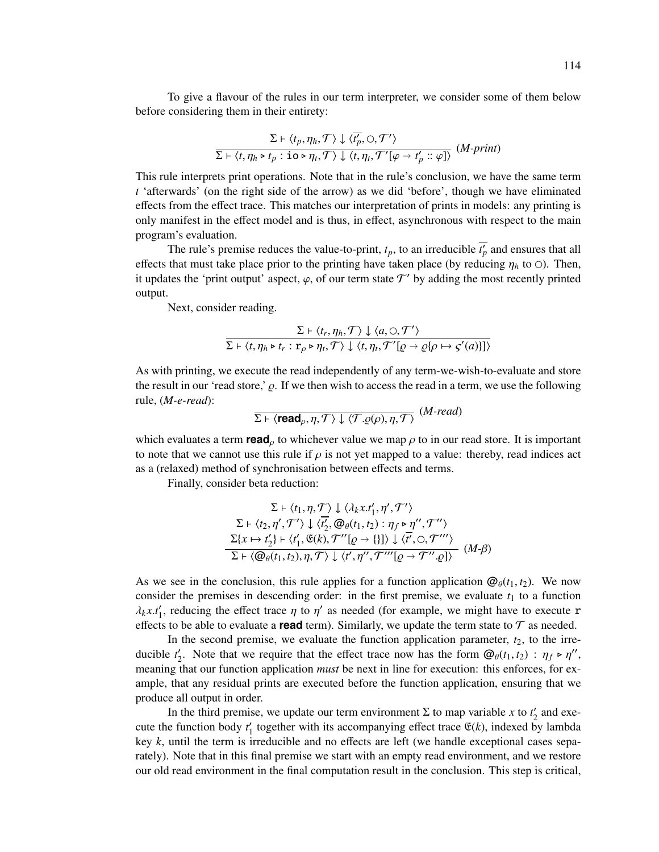To give a flavour of the rules in our term interpreter, we consider some of them below before considering them in their entirety:

$$
\frac{\Sigma \vdash \langle t_p, \eta_h, \mathcal{T} \rangle \downarrow \langle \overline{t'_p}, \bigcirc, \mathcal{T'} \rangle}{\Sigma \vdash \langle t, \eta_h \triangleright t_p : \mathbf{io} \triangleright \eta_t, \mathcal{T} \rangle \downarrow \langle t, \eta_t, \mathcal{T'}[\varphi \to t'_p :: \varphi] \rangle} (M\text{-}print)
$$

This rule interprets print operations. Note that in the rule's conclusion, we have the same term *t* 'afterwards' (on the right side of the arrow) as we did 'before', though we have eliminated effects from the effect trace. This matches our interpretation of prints in models: any printing is only manifest in the effect model and is thus, in effect, asynchronous with respect to the main program's evaluation.

The rule's premise reduces the value-to-print,  $t_p$ , to an irreducible  $t'_p$  and ensures that all effects that must take place prior to the printing have taken place (by reducing  $\eta_h$  to  $\odot$ ). Then, it updates the 'print output' aspect,  $\varphi$ , of our term state  $\mathcal{T}'$  by adding the most recently printed output.

Next, consider reading.

$$
\frac{\Sigma \vdash \langle t_r, \eta_h, \mathcal{T} \rangle \downarrow \langle a, \bigcirc, \mathcal{T}' \rangle}{\Sigma \vdash \langle t, \eta_h \triangleright t_r : \Gamma_\rho \triangleright \eta_t, \mathcal{T} \rangle \downarrow \langle t, \eta_t, \mathcal{T}'[ \varrho \to \varrho \{ \rho \mapsto \varsigma'(a) \} ] \rangle}
$$

As with printing, we execute the read independently of any term-we-wish-to-evaluate and store the result in our 'read store,'  $\rho$ . If we then wish to access the read in a term, we use the following rule, (*M-e-read*):

$$
\overline{\Sigma \vdash \langle \mathsf{read}_{\rho}, \eta, \mathcal{T} \rangle \downarrow \langle \mathcal{T}.\varrho(\rho), \eta, \mathcal{T} \rangle} \; (M\text{-}read)
$$

which evaluates a term **read**<sub> $\rho$ </sub> to whichever value we map  $\rho$  to in our read store. It is important to note that we cannot use this rule if  $\rho$  is not yet mapped to a value: thereby, read indices act as a (relaxed) method of synchronisation between effects and terms.

Finally, consider beta reduction:

$$
\Sigma \vdash \langle t_1, \eta, \mathcal{T} \rangle \downarrow \langle \lambda_k x. t'_1, \eta', \mathcal{T}' \rangle
$$
  
\n
$$
\Sigma \vdash \langle t_2, \eta', \mathcal{T}' \rangle \downarrow \langle t'_2, \mathcal{Q}_{\theta}(t_1, t_2) : \eta_f \triangleright \eta'', \mathcal{T}'' \rangle
$$
  
\n
$$
\Sigma \{x \mapsto t'_2\} \vdash \langle t'_1, \mathfrak{E}(k), \mathcal{T}''[\varrho \to \{\}] \rangle \downarrow \langle \overline{t}', \bigcirc, \mathcal{T}''' \rangle
$$
  
\n
$$
\Sigma \vdash \langle \mathcal{Q}_{\theta}(t_1, t_2), \eta, \mathcal{T} \rangle \downarrow \langle t', \eta'', \mathcal{T}'''[\varrho \to \mathcal{T}'', \varrho] \rangle
$$
 (M- $\beta$ )

As we see in the conclusion, this rule applies for a function application  $\mathcal{Q}_{\theta}(t_1, t_2)$ . We now consider the premises in descending order: in the first premise, we evaluate  $t_1$  to a function  $\lambda_k x.t'_1$ , reducing the effect trace  $\eta$  to  $\eta'$  as needed (for example, we might have to execute r effects to be able to evaluate a **read** term). Similarly, we update the term state to  $\mathcal{T}$  as needed.

In the second premise, we evaluate the function application parameter,  $t_2$ , to the irreducible  $t'_2$ . Note that we require that the effect trace now has the form  $\mathcal{Q}_{\theta}(t_1, t_2)$ :  $\eta_f \triangleright \eta''$ , meaning that our function application *must* be next in line for execution: this enforces, for example, that any residual prints are executed before the function application, ensuring that we produce all output in order.

In the third premise, we update our term environment  $\Sigma$  to map variable *x* to  $t'_2$  and execute the function body  $t'_1$  together with its accompanying effect trace  $\mathfrak{E}(k)$ , indexed by lambda key *k*, until the term is irreducible and no effects are left (we handle exceptional cases separately). Note that in this final premise we start with an empty read environment, and we restore our old read environment in the final computation result in the conclusion. This step is critical,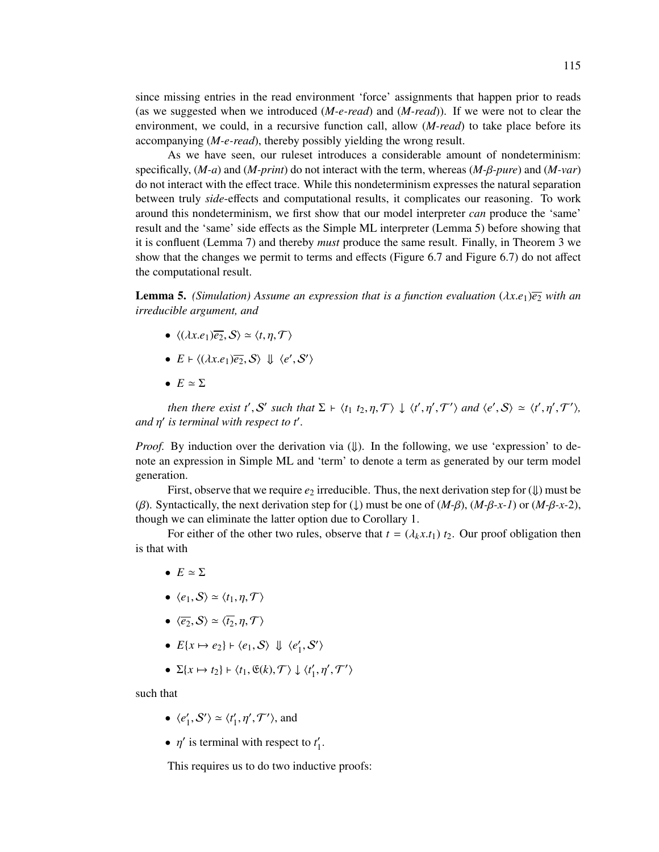since missing entries in the read environment 'force' assignments that happen prior to reads (as we suggested when we introduced (*M-e-read*) and (*M-read*)). If we were not to clear the environment, we could, in a recursive function call, allow (*M-read*) to take place before its accompanying (*M-e-read*), thereby possibly yielding the wrong result.

As we have seen, our ruleset introduces a considerable amount of nondeterminism: specifically, (*M-a*) and (*M-print*) do not interact with the term, whereas (*M-*β*-pure*) and (*M-var*) do not interact with the effect trace. While this nondeterminism expresses the natural separation between truly *side*-effects and computational results, it complicates our reasoning. To work around this nondeterminism, we first show that our model interpreter *can* produce the 'same' result and the 'same' side effects as the Simple ML interpreter (Lemma 5) before showing that it is confluent (Lemma 7) and thereby *must* produce the same result. Finally, in Theorem 3 we show that the changes we permit to terms and effects (Figure 6.7 and Figure 6.7) do not affect the computational result.

**Lemma 5.** *(Simulation) Assume an expression that is a function evaluation*  $(\lambda x.e_1)\overline{e_2}$  *with an irreducible argument, and*

- $\langle (\lambda x.e_1)\overline{e_2}, \mathcal{S} \rangle \simeq \langle t, \eta, \mathcal{T} \rangle$
- $E \vdash \langle (\lambda x.e_1) \overline{e_2}, \mathcal{S} \rangle \Downarrow \langle e', \mathcal{S}' \rangle$
- $E \simeq \Sigma$

*then there exist t'*, S' such that  $\Sigma \vdash \langle t_1 \ t_2, \eta, \mathcal{T} \rangle \downarrow \langle t', \eta', \mathcal{T}' \rangle$  and  $\langle e', S \rangle \simeq \langle t', \eta', \mathcal{T}' \rangle$ , *and*  $η'$  is terminal with respect to t'.

*Proof.* By induction over the derivation via  $(\Downarrow)$ . In the following, we use 'expression' to denote an expression in Simple ML and 'term' to denote a term as generated by our term model generation.

First, observe that we require  $e_2$  irreducible. Thus, the next derivation step for  $(\downarrow)$  must be (β). Syntactically, the next derivation step for (↓) must be one of (*M-*β), (*M-*β*-x-1*) or (*M-*β*-x-*2), though we can eliminate the latter option due to Corollary 1.

For either of the other two rules, observe that  $t = (\lambda_k x.t_1) t_2$ . Our proof obligation then is that with

- $F \simeq \Sigma$
- $\langle e_1, \mathcal{S} \rangle \simeq \langle t_1, \eta, \mathcal{T} \rangle$
- $\langle \overline{e_2}, \mathcal{S} \rangle \simeq \langle \overline{t_2}, \eta, \mathcal{T} \rangle$
- $E\{x \mapsto e_2\} \mapsto \langle e_1, \mathcal{S} \rangle \Downarrow \langle e'_1, \mathcal{S}' \rangle$
- $\Sigma\{x \mapsto t_2\} \vdash \langle t_1, \mathfrak{E}(k), \mathcal{T} \rangle \downarrow \langle t'_1, \eta', \mathcal{T}' \rangle$

such that

- $\langle e'_1, S' \rangle \simeq \langle t'_1, \eta', \mathcal{T}' \rangle$ , and
- $\eta'$  is terminal with respect to  $t'_1$ .

This requires us to do two inductive proofs: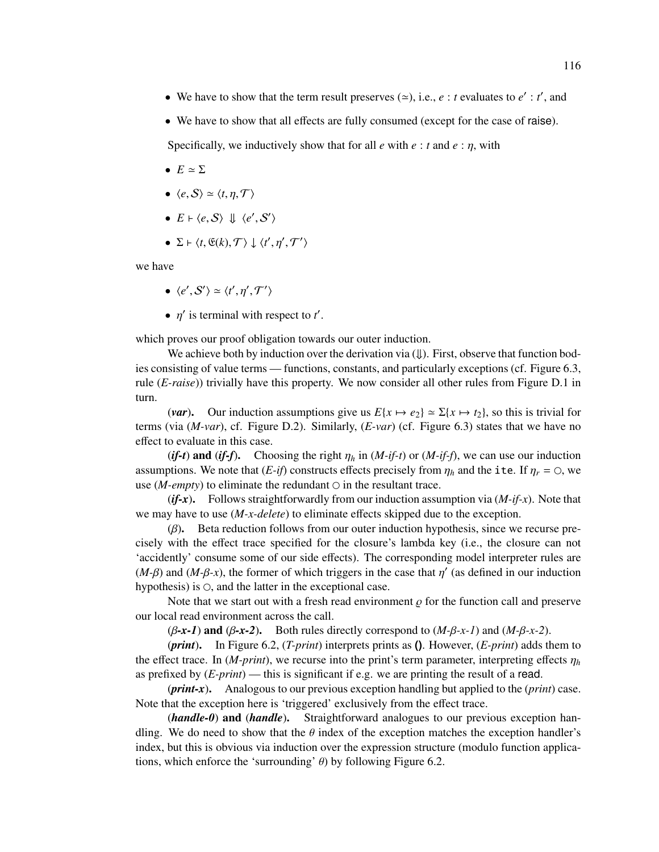- We have to show that the term result preserves  $(\simeq)$ , i.e.,  $e : t$  evaluates to  $e' : t'$ , and
- We have to show that all effects are fully consumed (except for the case of raise).

Specifically, we inductively show that for all  $e$  with  $e : t$  and  $e : \eta$ , with

- $E \simeq \Sigma$
- $\langle e, S \rangle \simeq \langle t, \eta, \mathcal{T} \rangle$
- $E \vdash \langle e, S \rangle \Downarrow \langle e', S' \rangle$
- $\Sigma \vdash \langle t, \mathfrak{E}(k), \mathcal{T} \rangle \downarrow \langle t', \eta', \mathcal{T}' \rangle$

we have

- $\langle e', S' \rangle \simeq \langle t', \eta', \mathcal{T}' \rangle$
- $\eta'$  is terminal with respect to  $t'$ .

which proves our proof obligation towards our outer induction.

We achieve both by induction over the derivation via  $(\Downarrow)$ . First, observe that function bodies consisting of value terms — functions, constants, and particularly exceptions (cf. Figure 6.3, rule (*E-raise*)) trivially have this property. We now consider all other rules from Figure D.1 in turn.

(*var*). Our induction assumptions give us  $E\{x \mapsto e_2\} \approx \Sigma\{x \mapsto t_2\}$ , so this is trivial for terms (via (*M-var*), cf. Figure D.2). Similarly, (*E-var*) (cf. Figure 6.3) states that we have no effect to evaluate in this case.

(*if-t*) and (*if-f*). Choosing the right  $\eta_h$  in (*M-if-t*) or (*M-if-f*), we can use our induction assumptions. We note that  $(E\text{-}if)$  constructs effects precisely from  $\eta_h$  and the ite. If  $\eta_r = \circ$ , we use ( $M\text{-}empty$ ) to eliminate the redundant  $\circ$  in the resultant trace.

(*if-x*). Follows straightforwardly from our induction assumption via (*M-if-x*). Note that we may have to use (*M-x-delete*) to eliminate effects skipped due to the exception.

 $(\beta)$ . Beta reduction follows from our outer induction hypothesis, since we recurse precisely with the effect trace specified for the closure's lambda key (i.e., the closure can not 'accidently' consume some of our side effects). The corresponding model interpreter rules are  $(M-\beta)$  and  $(M-\beta-x)$ , the former of which triggers in the case that  $\eta'$  (as defined in our induction hypothesis) is  $\circ$ , and the latter in the exceptional case.

Note that we start out with a fresh read environment  $\rho$  for the function call and preserve our local read environment across the call.

(β*-x-1*) and (β*-x-2*). Both rules directly correspond to (*M-*β*-x-1*) and (*M-*β*-x-2*).

(*print*). In Figure 6.2, (*T-print*) interprets prints as **()**. However, (*E-print*) adds them to the effect trace. In  $(M\text{-}print)$ , we recurse into the print's term parameter, interpreting effects  $\eta_h$ as prefixed by (*E-print*) — this is significant if e.g. we are printing the result of a read.

(*print-x*). Analogous to our previous exception handling but applied to the (*print*) case. Note that the exception here is 'triggered' exclusively from the effect trace.

(*handle-0*) and (*handle*). Straightforward analogues to our previous exception handling. We do need to show that the  $\theta$  index of the exception matches the exception handler's index, but this is obvious via induction over the expression structure (modulo function applications, which enforce the 'surrounding'  $\theta$ ) by following Figure 6.2.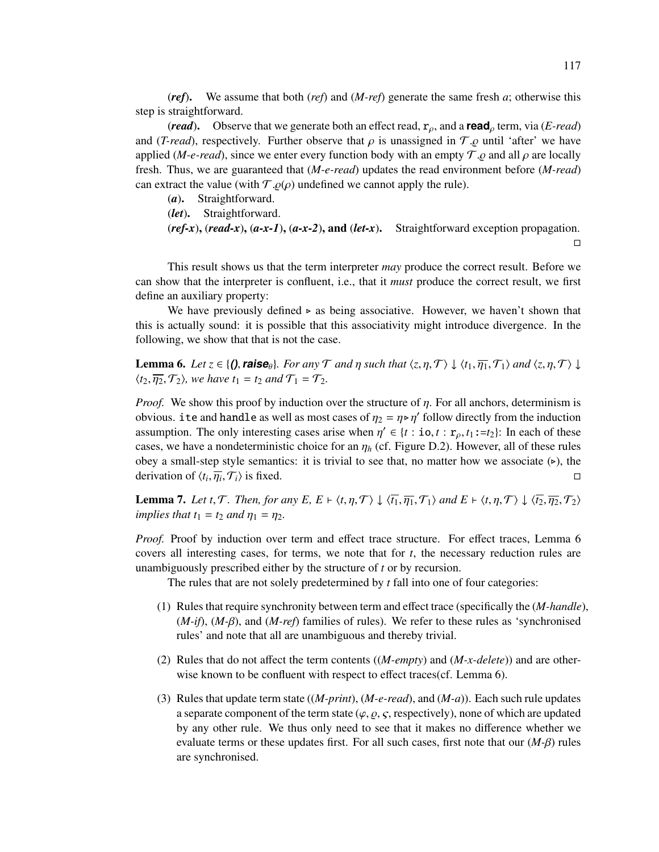(*ref*). We assume that both (*ref*) and (*M-ref*) generate the same fresh *a*; otherwise this step is straightforward.

(*read*). Observe that we generate both an effect read, rρ, and a **read**<sup>ρ</sup> term, via (*E-read*) and (*T-read*), respectively. Further observe that  $\rho$  is unassigned in  $\mathcal{T}.\rho$  until 'after' we have applied (*M-e-read*), since we enter every function body with an empty  $\mathcal{T}.\varrho$  and all  $\rho$  are locally fresh. Thus, we are guaranteed that (*M-e-read*) updates the read environment before (*M-read*) can extract the value (with  $\mathcal{T}.\varrho(\rho)$  undefined we cannot apply the rule).<br>(a). Straightforward.

Straightforward.

(*let*). Straightforward.

(*ref-x*), (*read-x*), (*a-x-1*), (*a-x-2*), and (*let-x*). Straightforward exception propagation.  $\Box$ 

This result shows us that the term interpreter *may* produce the correct result. Before we can show that the interpreter is confluent, i.e., that it *must* produce the correct result, we first define an auxiliary property:

We have previously defined  $\triangleright$  as being associative. However, we haven't shown that this is actually sound: it is possible that this associativity might introduce divergence. In the following, we show that that is not the case.

**Lemma 6.** Let  $z \in \{0\}$ , **raise** $\theta$ *. For any* T *and*  $\eta$  *such that*  $\langle z, \eta, \mathcal{T} \rangle \downarrow \langle t_1, \overline{\eta_1}, \mathcal{T}_1 \rangle$  *and*  $\langle z, \eta, \mathcal{T} \rangle \downarrow$  $\langle t_2, \overline{\eta_2}, \mathcal{T}_2 \rangle$ *, we have*  $t_1 = t_2$  *and*  $\mathcal{T}_1 = \mathcal{T}_2$ *.* 

*Proof.* We show this proof by induction over the structure of η. For all anchors, determinism is obvious. ite and handle as well as most cases of  $\eta_2 = \eta \triangleright \eta'$  follow directly from the induction assumption. The only interesting cases arise when  $\eta' \in \{t : \mathbf{io}, t : \mathbf{r}_{\rho}, t_1 := t_2\}$ : In each of these cases, we have a nondeterministic choice for an  $\eta_h$  (cf. Figure D.2). However, all of these rules obey a small-step style semantics: it is trivial to see that, no matter how we associate  $(\triangleright)$ , the derivation of  $\langle t_i, \overline{\eta_i}, \mathcal{T}_i \rangle$  is fixed.

**Lemma 7.** Let t,  $\mathcal{T}$ . Then, for any E,  $E \vdash \langle t, \eta, \mathcal{T} \rangle \downarrow \langle \overline{t_1}, \overline{\eta_1}, \mathcal{T}_1 \rangle$  and  $E \vdash \langle t, \eta, \mathcal{T} \rangle \downarrow \langle \overline{t_2}, \overline{\eta_2}, \mathcal{T}_2 \rangle$ *implies that*  $t_1 = t_2$  *and*  $\eta_1 = \eta_2$ *.* 

*Proof.* Proof by induction over term and effect trace structure. For effect traces, Lemma 6 covers all interesting cases, for terms, we note that for *t*, the necessary reduction rules are unambiguously prescribed either by the structure of *t* or by recursion.

The rules that are not solely predetermined by *t* fall into one of four categories:

- (1) Rules that require synchronity between term and effect trace (specifically the (*M-handle*), (*M-if*), (*M-*β), and (*M-ref*) families of rules). We refer to these rules as 'synchronised rules' and note that all are unambiguous and thereby trivial.
- (2) Rules that do not affect the term contents ((*M-empty*) and (*M-x-delete*)) and are otherwise known to be confluent with respect to effect traces(cf. Lemma 6).
- (3) Rules that update term state ((*M-print*), (*M-e-read*), and (*M-a*)). Each such rule updates a separate component of the term state  $(\varphi, \varrho, \varsigma,$  respectively), none of which are updated by any other rule. We thus only need to see that it makes no difference whether we evaluate terms or these updates first. For all such cases, first note that our  $(M-\beta)$  rules are synchronised.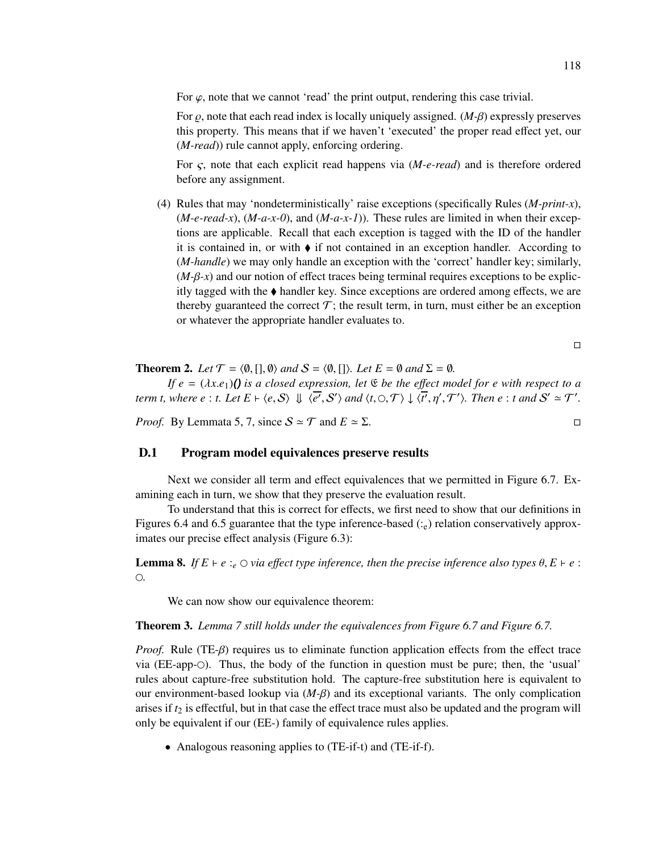For  $\varphi$ , note that we cannot 'read' the print output, rendering this case trivial.

For  $\rho$ , note that each read index is locally uniquely assigned. (*M-β*) expressly preserves this property. This means that if we haven't 'executed' the proper read effect yet, our (*M-read*)) rule cannot apply, enforcing ordering.

For ς, note that each explicit read happens via (*M-e-read*) and is therefore ordered before any assignment.

(4) Rules that may 'nondeterministically' raise exceptions (specifically Rules (*M-print-x*), (*M-e-read-x*), (*M-a-x-0*), and (*M-a-x-1*)). These rules are limited in when their exceptions are applicable. Recall that each exception is tagged with the ID of the handler it is contained in, or with  $\blacklozenge$  if not contained in an exception handler. According to (*M-handle*) we may only handle an exception with the 'correct' handler key; similarly, (*M-*β*-x*) and our notion of effect traces being terminal requires exceptions to be explicitly tagged with the  $\triangle$  handler key. Since exceptions are ordered among effects, we are thereby guaranteed the correct  $\mathcal{T}$ ; the result term, in turn, must either be an exception or whatever the appropriate handler evaluates to.

 $\Box$ 

**Theorem 2.** *Let*  $\mathcal{T} = \langle \emptyset, [\cdot], \emptyset \rangle$  *and*  $S = \langle \emptyset, [\cdot] \rangle$ *. Let*  $E = \emptyset$  *and*  $\Sigma = \emptyset$ *.* 

*If*  $e = (\lambda x.e<sub>1</sub>)$  *() is a closed expression, let*  $\mathfrak E$  *be the effect model for e with respect to a term t, where e*: *t.* Let  $E \vdash \langle e, S \rangle \Downarrow \langle e', S' \rangle$  and  $\langle t, \bigcirc, \mathcal{T} \rangle \downarrow \langle t', \eta', \mathcal{T}' \rangle$ . Then  $e : t$  and  $S' \simeq \mathcal{T}'$ .

*Proof.* By Lemmata 5, 7, since  $S \simeq T$  and  $E \simeq \Sigma$ .

## D.1 Program model equivalences preserve results

Next we consider all term and effect equivalences that we permitted in Figure 6.7. Examining each in turn, we show that they preserve the evaluation result.

To understand that this is correct for effects, we first need to show that our definitions in Figures 6.4 and 6.5 guarantee that the type inference-based  $(z_e)$  relation conservatively approximates our precise effect analysis (Figure 6.3):

**Lemma 8.** *If*  $E \vdash e :_e \bigcirc$  via effect type inference, then the precise inference also types  $\theta, E \vdash e :$ *.*

We can now show our equivalence theorem:

Theorem 3. *Lemma 7 still holds under the equivalences from Figure 6.7 and Figure 6.7.*

*Proof.* Rule (TE-β) requires us to eliminate function application effects from the effect trace via (EE-app-). Thus, the body of the function in question must be pure; then, the 'usual' rules about capture-free substitution hold. The capture-free substitution here is equivalent to our environment-based lookup via  $(M-\beta)$  and its exceptional variants. The only complication arises if  $t_2$  is effectful, but in that case the effect trace must also be updated and the program will only be equivalent if our (EE-) family of equivalence rules applies.

• Analogous reasoning applies to (TE-if-t) and (TE-if-f).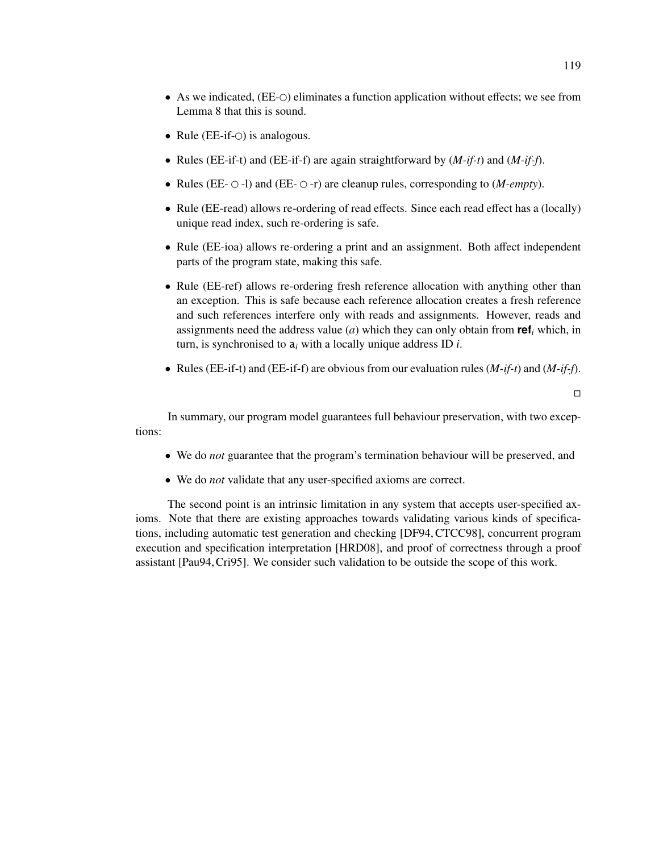- As we indicated, (EE- $\odot$ ) eliminates a function application without effects; we see from Lemma 8 that this is sound.
- Rule ( $EE$ -if- $\bigcirc$ ) is analogous.
- Rules (EE-if-t) and (EE-if-f) are again straightforward by (*M-if-t*) and (*M-if-f*).
- Rules (EE- $\circ$ -l) and (EE- $\circ$ -r) are cleanup rules, corresponding to (*M-empty*).
- Rule (EE-read) allows re-ordering of read effects. Since each read effect has a (locally) unique read index, such re-ordering is safe.
- Rule (EE-ioa) allows re-ordering a print and an assignment. Both affect independent parts of the program state, making this safe.
- Rule (EE-ref) allows re-ordering fresh reference allocation with anything other than an exception. This is safe because each reference allocation creates a fresh reference and such references interfere only with reads and assignments. However, reads and assignments need the address value (*a*) which they can only obtain from **ref***<sub>i</sub>* which, in turn, is synchronised to a*<sup>i</sup>* with a locally unique address ID *i*.
- Rules (EE-if-t) and (EE-if-f) are obvious from our evaluation rules (*M-if-t*) and (*M-if-f*).

 $\Box$ 

In summary, our program model guarantees full behaviour preservation, with two exceptions:

- We do *not* guarantee that the program's termination behaviour will be preserved, and
- We do *not* validate that any user-specified axioms are correct.

The second point is an intrinsic limitation in any system that accepts user-specified axioms. Note that there are existing approaches towards validating various kinds of specifications, including automatic test generation and checking [DF94, CTCC98], concurrent program execution and specification interpretation [HRD08], and proof of correctness through a proof assistant [Pau94,Cri95]. We consider such validation to be outside the scope of this work.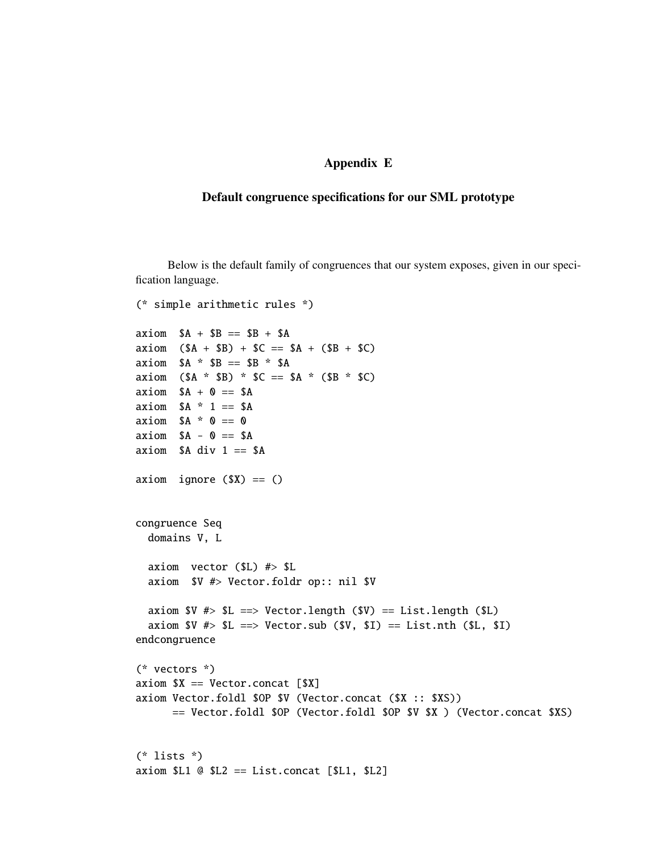# Appendix E

## Default congruence specifications for our SML prototype

Below is the default family of congruences that our system exposes, given in our specification language.

```
(* simple arithmetic rules *)
axiom $A + $B == $B + $Aaxiom (SA + SB) + SC == SA + (SB + SC)axiom $A * SP == SP * SAaxiom (SA * SB) * SC == SA * (SB * SC)axiom $A + 0 == $Aaxiom $A * 1 == $Aaxiom $A * 0 == 0axiom $A - 0 == $Aaxiom $A div 1 == $Aaxiom ignore ($X) == ()congruence Seq
  domains V, L
  axiom vector ($L) #> $L
  axiom $V #> Vector.foldr op:: nil $V
  axiom V \nleftrightarrow SL == > Vector.length (SV) == List.length (SL)axiom V \nleftrightarrow SL == > Vector.sub (SV, SD == List.nth (SL, SD)endcongruence
(* vectors *)
axiom SX == Vector.concat [SX]axiom Vector.foldl $OP $V (Vector.concat ($X :: $XS))
      == Vector.foldl $OP (Vector.foldl $OP $V $X ) (Vector.concat $XS)
(* lists *)
axiom SL1 @ SL2 == List.concat [SL1, SL2]
```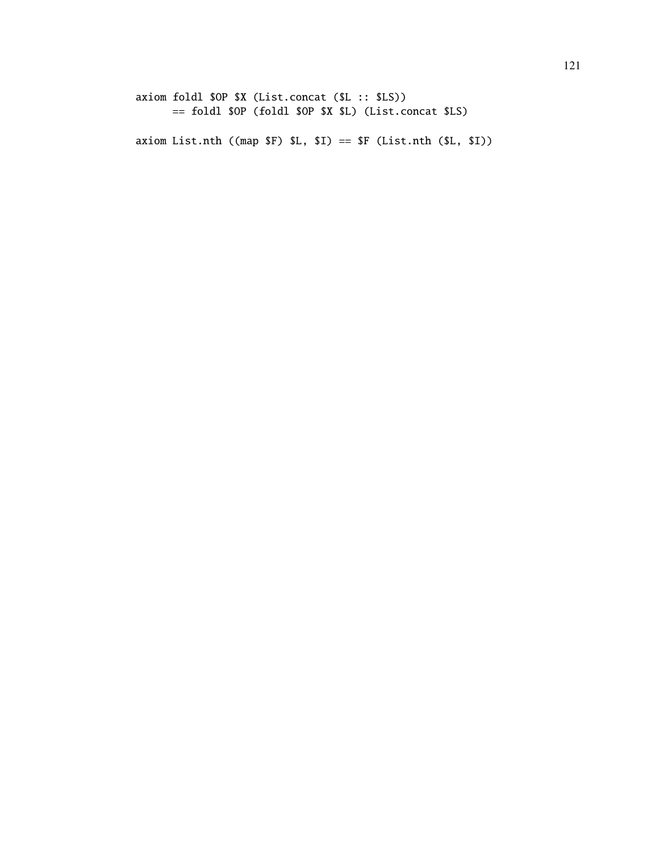axiom foldl \$OP \$X (List.concat (\$L :: \$LS)) == foldl \$OP (foldl \$OP \$X \$L) (List.concat \$LS)

axiom List.nth ((map \$F) \$L, \$I) == \$F (List.nth (\$L, \$I))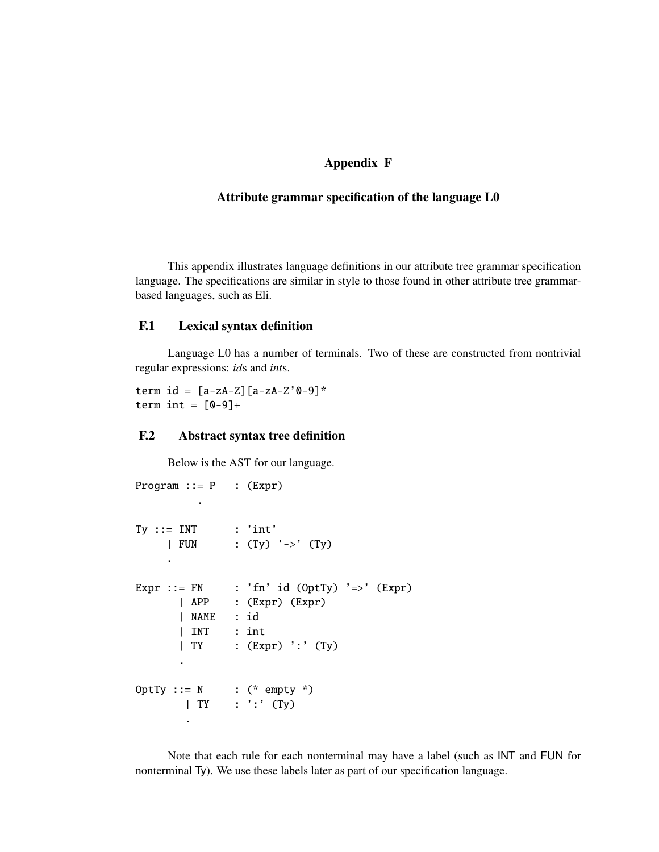# Appendix F

## Attribute grammar specification of the language L0

This appendix illustrates language definitions in our attribute tree grammar specification language. The specifications are similar in style to those found in other attribute tree grammarbased languages, such as Eli.

# F.1 Lexical syntax definition

Language L0 has a number of terminals. Two of these are constructed from nontrivial regular expressions: *id*s and *int*s.

term  $id = [a-zA-Z][a-zA-Z'0-9]$ \* term int =  $[0-9]+$ 

## F.2 Abstract syntax tree definition

Below is the AST for our language.

```
Program  ::= P : (Expr).
Ty :: = INT : 'int'| FUN : (Ty) '->' (Ty)
    .
Expr ::= FN : 'fn' id (0ptTy) '=>' (Expr)| APP : (Expr) (Expr)
      | NAME : id
      | INT : int
      | TY : (Expr) ':' (Ty)
      .
OptTy ::= N : (* empty *)
       | TY : ':' (Ty)
       .
```
Note that each rule for each nonterminal may have a label (such as INT and FUN for nonterminal Ty). We use these labels later as part of our specification language.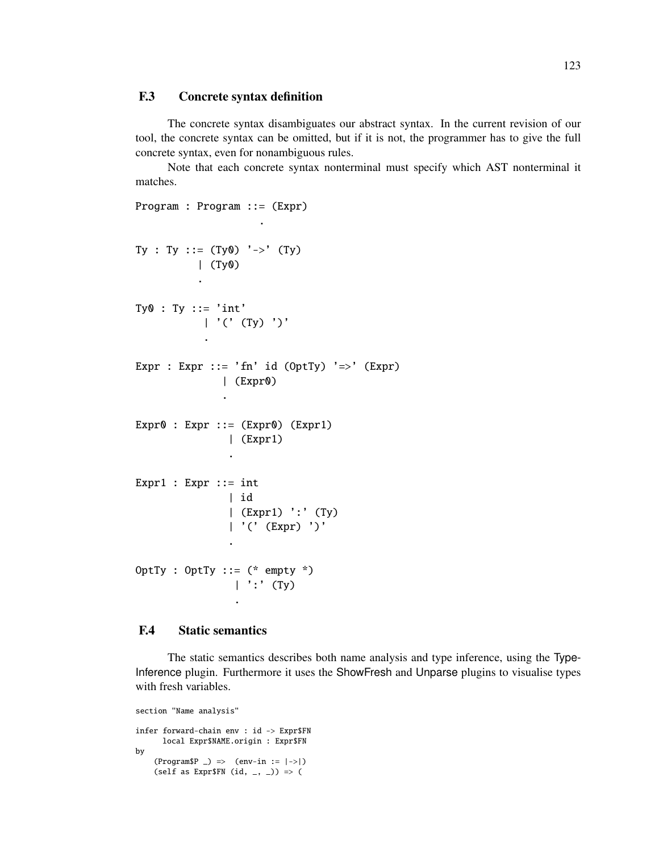# F.3 Concrete syntax definition

The concrete syntax disambiguates our abstract syntax. In the current revision of our tool, the concrete syntax can be omitted, but if it is not, the programmer has to give the full concrete syntax, even for nonambiguous rules.

Note that each concrete syntax nonterminal must specify which AST nonterminal it matches.

```
Program : Program ::= (Expr)
```
.

```
Ty : Ty ::= (Ty0) '->' (Ty)| (Ty0)
          .
Ty0 : Ty := 'int'| '(' (Ty) ')'
           .
Expr : Expr ::= 'fn' id (0ptTy) '=>' (Expr)
              | (Expr0)
              .
Expr0 : Expr ::= (Expr0) (Expr1)
               | (Expr1)
               .
Expr1 : Expr ::= int
               | id
               | (Expr1) ':' (Ty)
               | '(' (Expr) ')'
               .
OptTy : OptTy ::= (* empty *)
                | ':' (Ty)
                 .
```
## F.4 Static semantics

The static semantics describes both name analysis and type inference, using the Type-Inference plugin. Furthermore it uses the ShowFresh and Unparse plugins to visualise types with fresh variables.

```
section "Name analysis"
infer forward-chain env : id -> Expr$FN
      local Expr$NAME.origin : Expr$FN
by
    (ProgramSP \) \Rightarrow (env-in := |->|)(self as Expr$FN (id, _{-}, _{-})) => (
```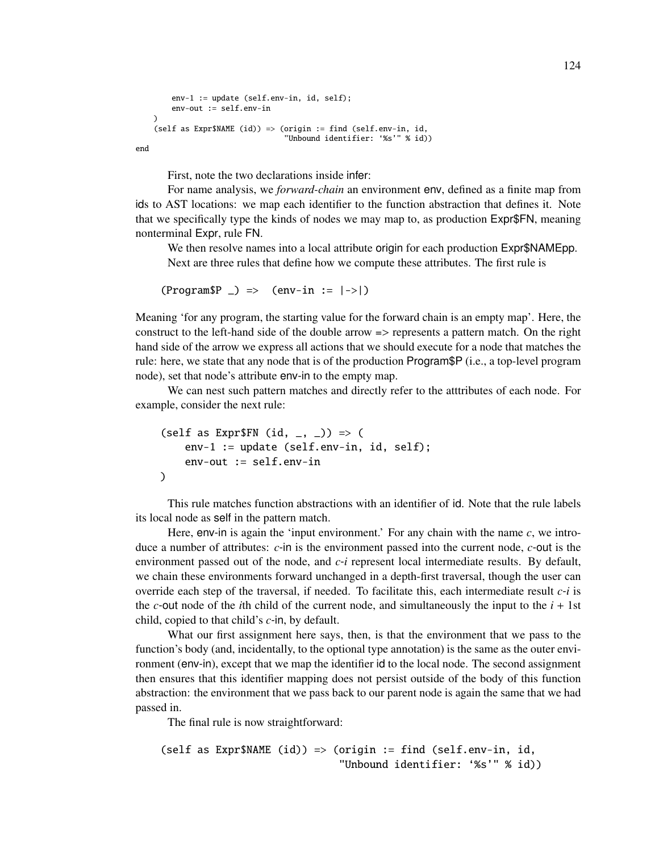```
env-1 := update (self.env-in, id, self);
     env-out := self.env-in
\lambda(self as <i>ExpressMAME</i> (id)) \Rightarrow (origin := find <math>(self.env-in, id, id)</math>)"Unbound identifier: '%s'" % id))
```
end

First, note the two declarations inside infer:

For name analysis, we *forward-chain* an environment env, defined as a finite map from ids to AST locations: we map each identifier to the function abstraction that defines it. Note that we specifically type the kinds of nodes we may map to, as production Expr\$FN, meaning nonterminal Expr, rule FN.

We then resolve names into a local attribute origin for each production Expr\$NAMEpp. Next are three rules that define how we compute these attributes. The first rule is

 $(ProgramSP \) \Rightarrow (env-in := |->|)$ 

Meaning 'for any program, the starting value for the forward chain is an empty map'. Here, the construct to the left-hand side of the double arrow => represents a pattern match. On the right hand side of the arrow we express all actions that we should execute for a node that matches the rule: here, we state that any node that is of the production Program\$P (i.e., a top-level program node), set that node's attribute env-in to the empty map.

We can nest such pattern matches and directly refer to the atttributes of each node. For example, consider the next rule:

```
(self as Expr$FN (id, _{-}, _{-})) => (
    env-1 := update (self.env-in, id, self);
    env-out := self.env-in
\lambda
```
This rule matches function abstractions with an identifier of id. Note that the rule labels its local node as self in the pattern match.

Here, env-in is again the 'input environment.' For any chain with the name  $c$ , we introduce a number of attributes: *c*-in is the environment passed into the current node, *c*-out is the environment passed out of the node, and *c*-*i* represent local intermediate results. By default, we chain these environments forward unchanged in a depth-first traversal, though the user can override each step of the traversal, if needed. To facilitate this, each intermediate result *c*-*i* is the *c*-out node of the *i*th child of the current node, and simultaneously the input to the  $i + 1$ st child, copied to that child's *c*-in, by default.

What our first assignment here says, then, is that the environment that we pass to the function's body (and, incidentally, to the optional type annotation) is the same as the outer environment (env-in), except that we map the identifier id to the local node. The second assignment then ensures that this identifier mapping does not persist outside of the body of this function abstraction: the environment that we pass back to our parent node is again the same that we had passed in.

The final rule is now straightforward:

```
(self as <i>ExpressNAME</i> (id)) \Rightarrow (origin := find <i>(selfenv-in, id, id))</i>"Unbound identifier: '%s'" % id))
```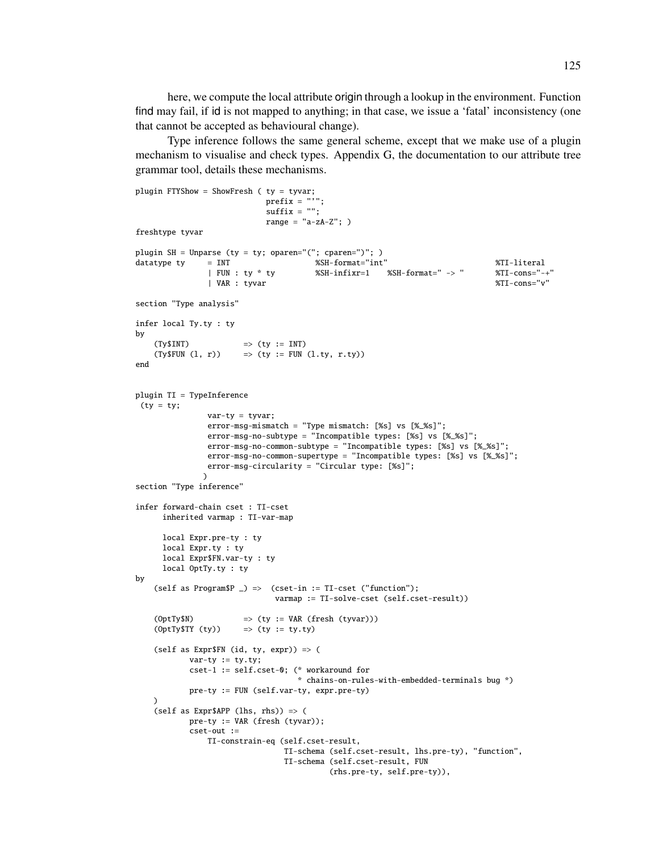here, we compute the local attribute origin through a lookup in the environment. Function find may fail, if id is not mapped to anything; in that case, we issue a 'fatal' inconsistency (one that cannot be accepted as behavioural change).

Type inference follows the same general scheme, except that we make use of a plugin mechanism to visualise and check types. Appendix G, the documentation to our attribute tree grammar tool, details these mechanisms.

```
plugin FTYShow = ShowFresh ( ty = tyvar;
                            prefix = "''":suffix = "";range = "a-zA-Z"; )
freshtype tyvar
plugin SH = Unparse (ty = ty; oparen="("; cparen=")"; )
datatype ty = INT %SH-format="int" %TI-literal
                                       %SH-infixr=1 %SH-format=" -> " %TI-cons="-+"<br>%TI-cons="v" \frac{1}{2}| VAR : tyvar
section "Type analysis"
infer local Ty.ty : ty
by
    (Ty$INT) \Rightarrow (ty := INT)(Ty$FUN (l, r)) => (ty := FUN (l.ty, r.ty))end
plugin TI = TypeInference
 (ty = ty;var-ty = tyvar;error-msg-mismatch = "Type mismatch: [%s] vs [%_%s]";
                error-msg-no-subtype = "Incompatible types: [%s] vs [%_%s]";
                error-msg-no-common-subtype = "Incompatible types: [%s] vs [%_%s]";
                error-msg-no-common-supertype = "Incompatible types: [%s] vs [%_%s]";
               error-msg-circularity = "Circular type: [%s]";
               \lambdasection "Type inference"
infer forward-chain cset : TI-cset
      inherited varmap : TI-var-map
      local Expr.pre-ty : ty
      local Expr.ty : ty
      local Expr$FN.var-ty : ty
     local OptTy.ty : ty
by
    (self as Program$P \supset \Rightarrow (cset-in := TI-cset ("function");
                              varmap := TI-solve-cset (self.cset-result))
    (0ptTy$M) \Rightarrow (ty := VAR (fresh (tyvar)))(0ptTy$TT (ty)) \Rightarrow (ty := ty.ty)(self as Expr$FN (id, ty, expr)) => (
            var-tv := tv.tv:
            cset-1 := self.cset-0; (* workaround for
                                    * chains-on-rules-with-embedded-terminals bug *)
            pre-ty := FUN (self.var-ty, expr.pre-ty)
    )
    (self as Expr$APP (lhs, rhs)) => (
            pre-ty := VAR (fresh (tyvar));
            cset-out :=
                TI-constrain-eq (self.cset-result,
                                 TI-schema (self.cset-result, lhs.pre-ty), "function",
                                 TI-schema (self.cset-result, FUN
                                           (rhs.pre-ty, self.pre-ty)),
```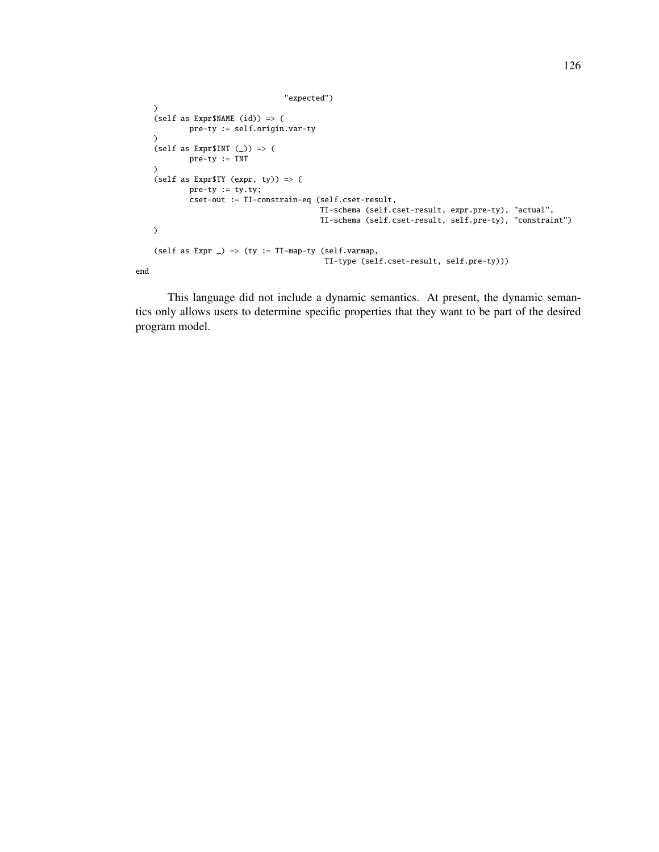```
"expected")
    )
    (self as Expr$NAME (id)) => (
            pre-ty := self.origin.var-ty
    \lambda(self as Expr$INT (\_)) => (
            pre-ty := INT
    \lambda(self as Expr$TY (expr, ty)) => (
            pre-ty := ty.ty;
            cset-out := TI-constrain-eq (self.cset-result,
                                            TI-schema (self.cset-result, expr.pre-ty), "actual",
                                            TI-schema (self.cset-result, self.pre-ty), "constraint")
    \mathcal{L}(self as Expr \_) \Rightarrow (ty := TI-map-ty (self.varmap,
                                             TI-type (self.cset-result, self.pre-ty)))
end
```
This language did not include a dynamic semantics. At present, the dynamic semantics only allows users to determine specific properties that they want to be part of the desired program model.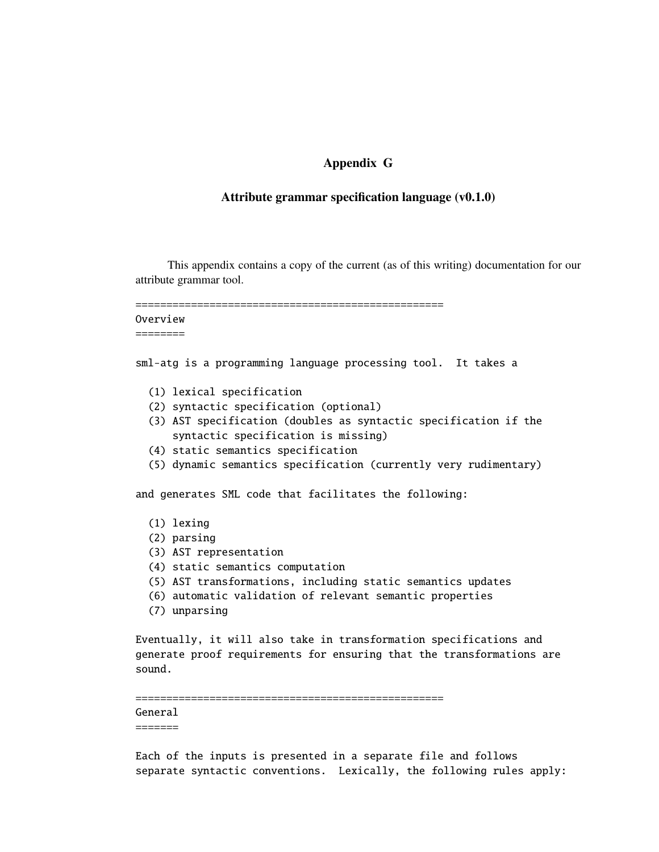# Appendix G

## Attribute grammar specification language (v0.1.0)

This appendix contains a copy of the current (as of this writing) documentation for our attribute grammar tool.

================================================== Overview ========

sml-atg is a programming language processing tool. It takes a

- (1) lexical specification
- (2) syntactic specification (optional)
- (3) AST specification (doubles as syntactic specification if the syntactic specification is missing)
- (4) static semantics specification
- (5) dynamic semantics specification (currently very rudimentary)

and generates SML code that facilitates the following:

- (1) lexing
- (2) parsing
- (3) AST representation
- (4) static semantics computation
- (5) AST transformations, including static semantics updates
- (6) automatic validation of relevant semantic properties
- (7) unparsing

Eventually, it will also take in transformation specifications and generate proof requirements for ensuring that the transformations are sound.

#### ==================================================

#### General

=======

Each of the inputs is presented in a separate file and follows separate syntactic conventions. Lexically, the following rules apply: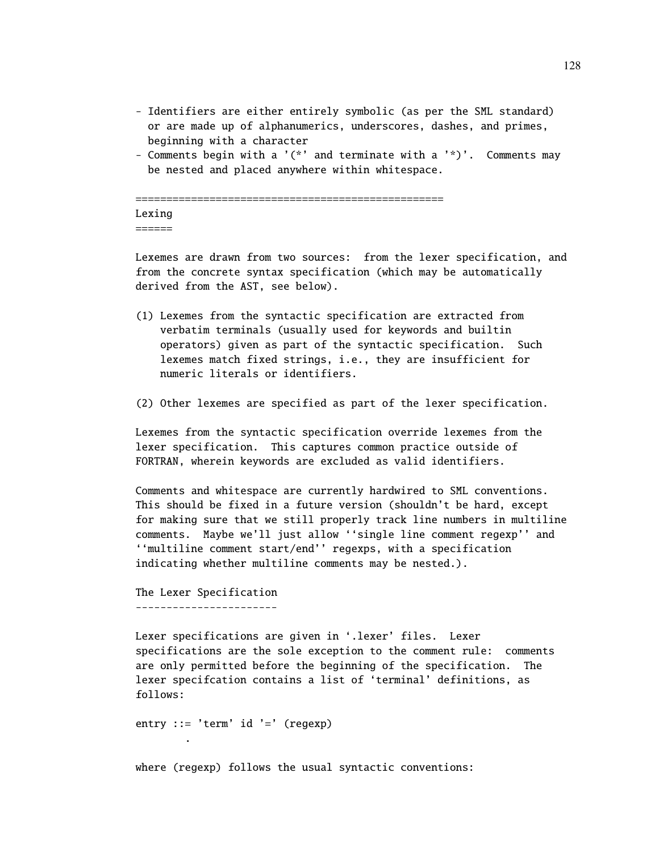- Identifiers are either entirely symbolic (as per the SML standard) or are made up of alphanumerics, underscores, dashes, and primes, beginning with a character
- Comments begin with a '(\*' and terminate with a '\*)'. Comments may be nested and placed anywhere within whitespace.

================================================== Lexing  $=$ 

Lexemes are drawn from two sources: from the lexer specification, and from the concrete syntax specification (which may be automatically derived from the AST, see below).

- (1) Lexemes from the syntactic specification are extracted from verbatim terminals (usually used for keywords and builtin operators) given as part of the syntactic specification. Such lexemes match fixed strings, i.e., they are insufficient for numeric literals or identifiers.
- (2) Other lexemes are specified as part of the lexer specification.

Lexemes from the syntactic specification override lexemes from the lexer specification. This captures common practice outside of FORTRAN, wherein keywords are excluded as valid identifiers.

Comments and whitespace are currently hardwired to SML conventions. This should be fixed in a future version (shouldn't be hard, except for making sure that we still properly track line numbers in multiline comments. Maybe we'll just allow ''single line comment regexp'' and ''multiline comment start/end'' regexps, with a specification indicating whether multiline comments may be nested.).

The Lexer Specification -----------------------

.

Lexer specifications are given in '.lexer' files. Lexer specifications are the sole exception to the comment rule: comments are only permitted before the beginning of the specification. The lexer specifcation contains a list of 'terminal' definitions, as follows:

entry ::= 'term'  $id$  '=' (regexp)

where (regexp) follows the usual syntactic conventions: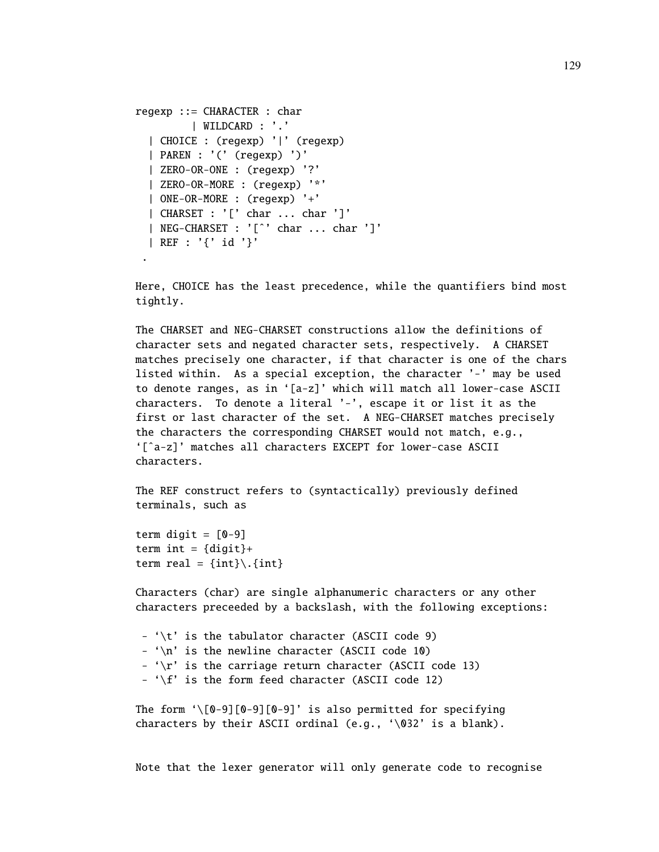```
regexp ::= CHARACTER : char
         | WILDCARD : '.'
  | CHOICE : (regexp) '|' (regexp)
  | PAREN : '(' (regexp) ')'
  | ZERO-OR-ONE : (regexp) '?'
  | ZERO-OR-MORE : (regexp) '*'
  | ONE-OR-MORE : (regexp) '+'
  | CHARSET : '[' char ... char ']'
  | NEG-CHARSET : '[ˆ' char ... char ']'
  | REF : '{' id '}'
 .
```
Here, CHOICE has the least precedence, while the quantifiers bind most tightly.

The CHARSET and NEG-CHARSET constructions allow the definitions of character sets and negated character sets, respectively. A CHARSET matches precisely one character, if that character is one of the chars listed within. As a special exception, the character '-' may be used to denote ranges, as in '[a-z]' which will match all lower-case ASCII characters. To denote a literal '-', escape it or list it as the first or last character of the set. A NEG-CHARSET matches precisely the characters the corresponding CHARSET would not match, e.g., '[ˆa-z]' matches all characters EXCEPT for lower-case ASCII characters.

The REF construct refers to (syntactically) previously defined terminals, such as

term digit =  $[0-9]$ term int =  ${disit}$ + term real =  $\{int\}\$ . {int}

Characters (char) are single alphanumeric characters or any other characters preceeded by a backslash, with the following exceptions:

-  $\cdot \cdot t'$  is the tabulator character (ASCII code 9) - '\n' is the newline character (ASCII code 10) - ' $\rr'$  is the carriage return character (ASCII code 13) - ' $\f{\cdot}$  is the form feed character (ASCII code 12)

```
The form \setminus[0-9][0-9][0-9]' is also permitted for specifying
characters by their ASCII ordinal (e.g., '\032' is a blank).
```
Note that the lexer generator will only generate code to recognise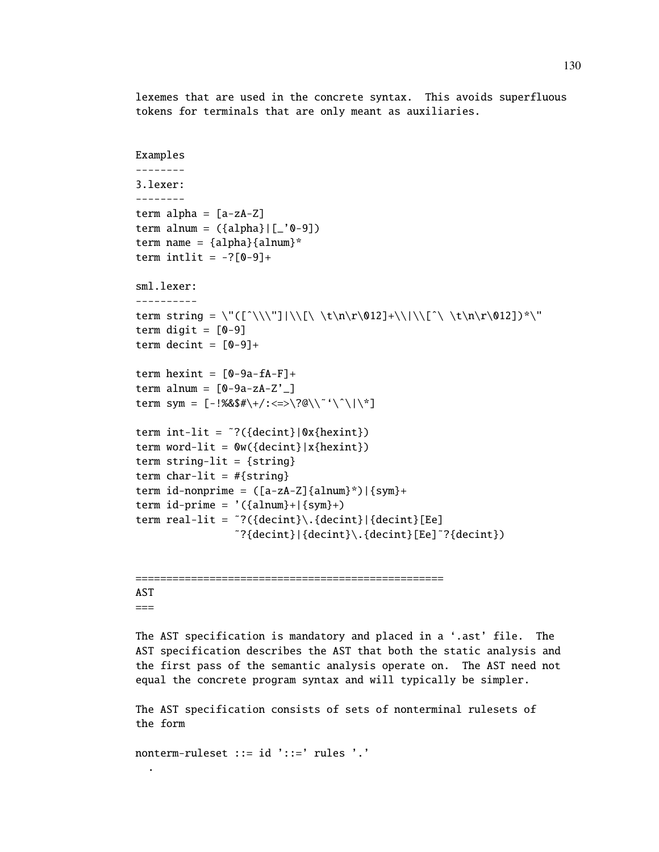lexemes that are used in the concrete syntax. This avoids superfluous tokens for terminals that are only meant as auxiliaries.

```
Examples
--------
3.lexer:
--------
term alpha = [a-zA-Z]term alnum = ({\{alpha\}bha}|[-'0-9])term name = {alpha}{alnum}*
term intlit = -?[0-9]+sml.lexer:
----------
term string = \"([^\\\"]|\\[\ \t\n\r\012]+\\|\\[^\ \t\n\r\012])*\"
term digit = [0-9]term decint = [0-9]+term hexint = [0-9a-fA-F]+term alnum = [0-9a-zA-Z^2]term sym = [-!%8$#\\+}/:-=>?@\\``\\`\\`]term int-lit = \tilde{?}({decint}|0x{hexint})
term word-lit = \mathbb{O}( \{ \text{decint} \} | x \{ \text{hexint} \} )term string-lit = {string}term char-lit = #{string}term id-nonprime = ([a-zA-Z]\{alnum\}^*) | {sym}+term id-prime = '({alnum}+|{sym}+)term real-lit = \tilde{?}({\text{decint}})\.{decint}|{decint}[Ee]
                 ˜?{decint}|{decint}\.{decint}[Ee]˜?{decint})
```
#### AST ===

.

The AST specification is mandatory and placed in a '.ast' file. The AST specification describes the AST that both the static analysis and the first pass of the semantic analysis operate on. The AST need not equal the concrete program syntax and will typically be simpler.

The AST specification consists of sets of nonterminal rulesets of the form

nonterm-ruleset ::= id '::=' rules '.'

==================================================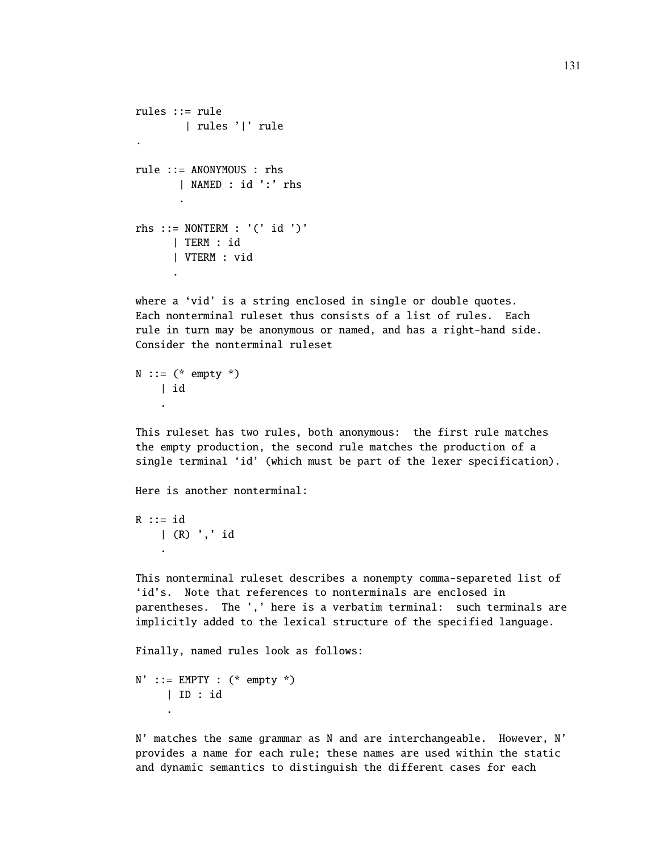```
rules ::= rule
      | rules '|' rule
.
rule ::= ANONYMOUS : rhs
      | NAMED : id ':' rhs
       .
rhs ::= NONTERM : '(' id ')'
      | TERM : id
      | VTERM : vid
      .
```
where a 'vid' is a string enclosed in single or double quotes. Each nonterminal ruleset thus consists of a list of rules. Each rule in turn may be anonymous or named, and has a right-hand side. Consider the nonterminal ruleset

```
N ::= (* empty *)
   | id
    .
```
This ruleset has two rules, both anonymous: the first rule matches the empty production, the second rule matches the production of a single terminal 'id' (which must be part of the lexer specification).

Here is another nonterminal:

 $R$  ::= id | (R) ',' id .

This nonterminal ruleset describes a nonempty comma-separeted list of 'id's. Note that references to nonterminals are enclosed in parentheses. The ',' here is a verbatim terminal: such terminals are implicitly added to the lexical structure of the specified language.

Finally, named rules look as follows:

 $N'$  ::= EMPTY : (\* empty \*) | ID : id .

N' matches the same grammar as N and are interchangeable. However, N' provides a name for each rule; these names are used within the static and dynamic semantics to distinguish the different cases for each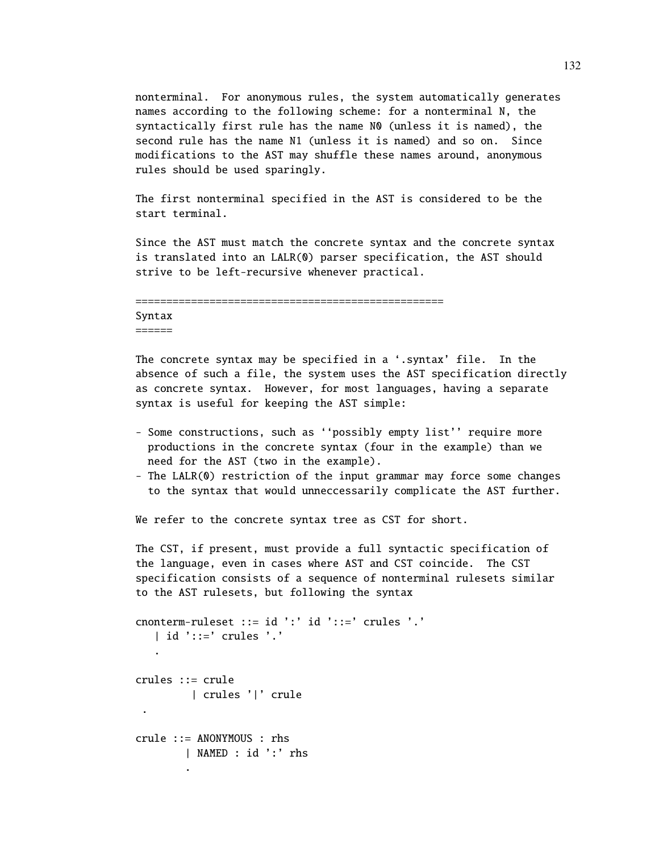nonterminal. For anonymous rules, the system automatically generates names according to the following scheme: for a nonterminal N, the syntactically first rule has the name N0 (unless it is named), the second rule has the name N1 (unless it is named) and so on. Since modifications to the AST may shuffle these names around, anonymous rules should be used sparingly.

The first nonterminal specified in the AST is considered to be the start terminal.

Since the AST must match the concrete syntax and the concrete syntax is translated into an LALR(0) parser specification, the AST should strive to be left-recursive whenever practical.

```
==================================================
Syntax
=
```
The concrete syntax may be specified in a '.syntax' file. In the absence of such a file, the system uses the AST specification directly as concrete syntax. However, for most languages, having a separate syntax is useful for keeping the AST simple:

- Some constructions, such as ''possibly empty list'' require more productions in the concrete syntax (four in the example) than we need for the AST (two in the example).
- The LALR(0) restriction of the input grammar may force some changes to the syntax that would unneccessarily complicate the AST further.

We refer to the concrete syntax tree as CST for short.

The CST, if present, must provide a full syntactic specification of the language, even in cases where AST and CST coincide. The CST specification consists of a sequence of nonterminal rulesets similar to the AST rulesets, but following the syntax

```
cnonterm-ruleset ::= id ':' id '::=' crules '.'
   | id '::=' crules '.'
   .
crules ::= crule
        | crules '|' crule
 .
crule ::= ANONYMOUS : rhs
        | NAMED : id ':' rhs
        .
```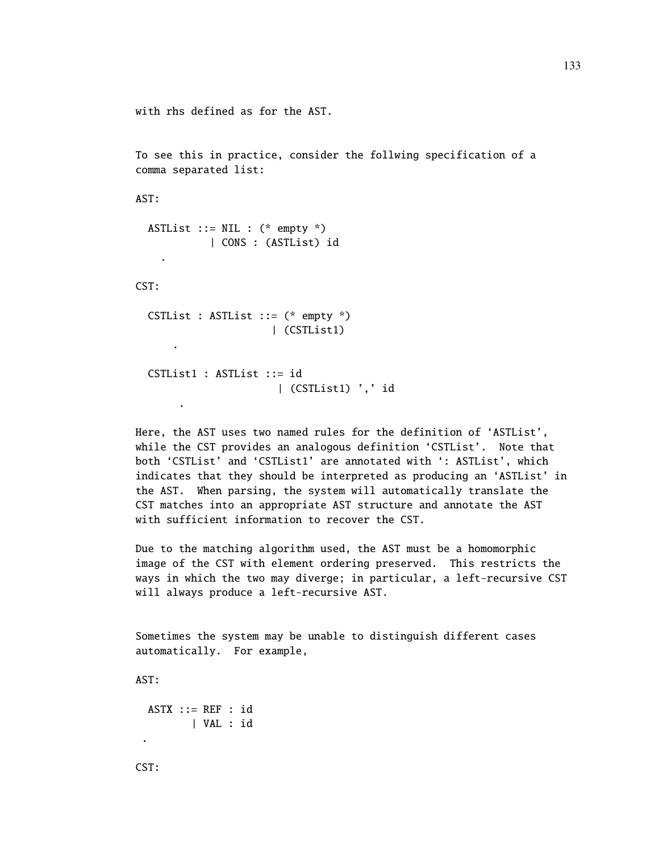```
with rhs defined as for the AST.
```
To see this in practice, consider the follwing specification of a comma separated list:

AST:

```
ASTList ::= NIL : (* empty *)
        | CONS : (ASTList) id
```
CST:

.

.

```
CSTList : ASTList ::= (* empty *)
                    | (CSTList1)
    .
```

```
CSTList1 : ASTList ::= id
                   | (CSTList1) ',' id
```
Here, the AST uses two named rules for the definition of 'ASTList', while the CST provides an analogous definition 'CSTList'. Note that both 'CSTList' and 'CSTList1' are annotated with ': ASTList', which indicates that they should be interpreted as producing an 'ASTList' in the AST. When parsing, the system will automatically translate the CST matches into an appropriate AST structure and annotate the AST with sufficient information to recover the CST.

Due to the matching algorithm used, the AST must be a homomorphic image of the CST with element ordering preserved. This restricts the ways in which the two may diverge; in particular, a left-recursive CST will always produce a left-recursive AST.

Sometimes the system may be unable to distinguish different cases automatically. For example,

AST:

```
ASTX :: = REF : id| VAL : id
```
CST:

.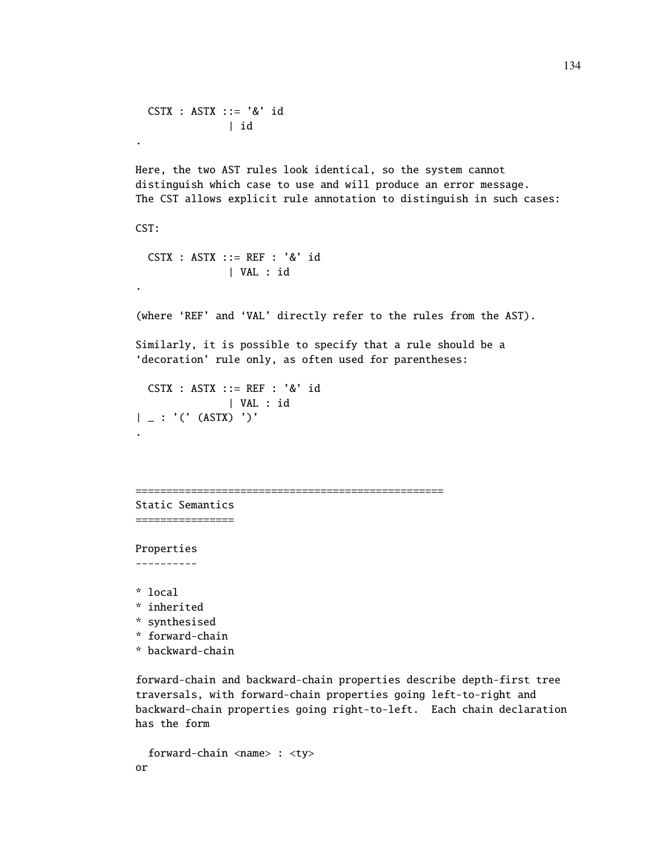```
CSTX : ASTX ::= '&' id
              | id
.
Here, the two AST rules look identical, so the system cannot
distinguish which case to use and will produce an error message.
The CST allows explicit rule annotation to distinguish in such cases:
CST:
  CSTX : ASTX ::= REF : '&' id
              | VAL : id
.
(where 'REF' and 'VAL' directly refer to the rules from the AST).
Similarly, it is possible to specify that a rule should be a
'decoration' rule only, as often used for parentheses:
  CSTX : ASTX ::= REF : '&' id
               | VAL : id
| = : '(' (ASTX) ')'
.
==================================================
Static Semantics
================
Properties
----------
* local
* inherited
* synthesised
* forward-chain
* backward-chain
```
forward-chain and backward-chain properties describe depth-first tree traversals, with forward-chain properties going left-to-right and backward-chain properties going right-to-left. Each chain declaration has the form

```
forward-chain <name> : <ty>
or
```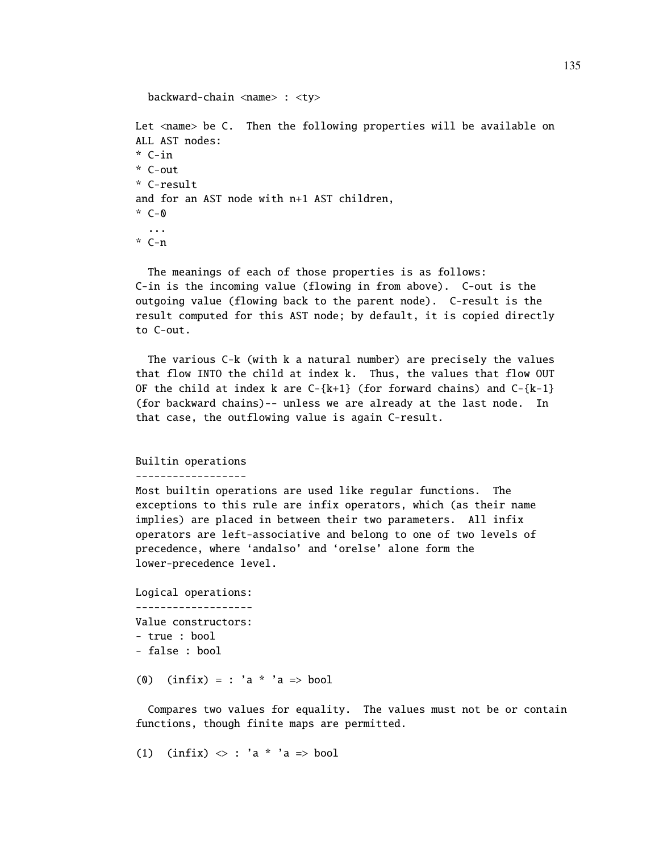```
backward-chain <name> : <ty>
Let <name> be C. Then the following properties will be available on
ALL AST nodes:
* C-in
* C-out
* C-result
and for an AST node with n+1 AST children,
\cdot C-0
  ...
* C-n
```
The meanings of each of those properties is as follows: C-in is the incoming value (flowing in from above). C-out is the outgoing value (flowing back to the parent node). C-result is the result computed for this AST node; by default, it is copied directly to C-out.

The various C-k (with k a natural number) are precisely the values that flow INTO the child at index k. Thus, the values that flow OUT OF the child at index k are  $C-\{k+1\}$  (for forward chains) and  $C-\{k-1\}$ (for backward chains)-- unless we are already at the last node. In that case, the outflowing value is again C-result.

## Builtin operations

------------------

Most builtin operations are used like regular functions. The exceptions to this rule are infix operators, which (as their name implies) are placed in between their two parameters. All infix operators are left-associative and belong to one of two levels of precedence, where 'andalso' and 'orelse' alone form the lower-precedence level.

```
Logical operations:
-------------------
Value constructors:
- true : bool
- false : bool
```
(0)  $(intix) = : 'a * 'a > bool$ 

Compares two values for equality. The values must not be or contain functions, though finite maps are permitted.

(1) (infix)  $\langle \rangle$  : 'a \* 'a => bool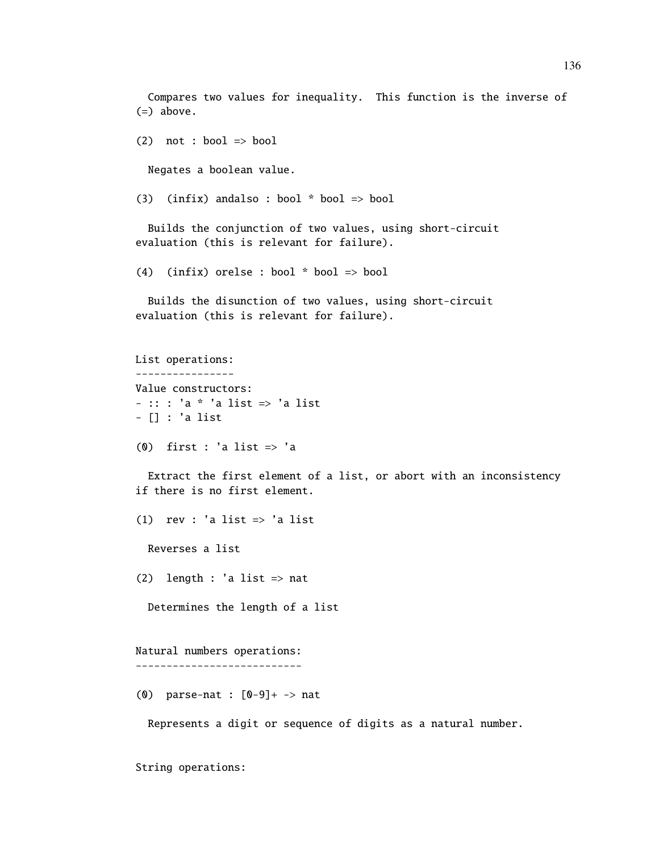Compares two values for inequality. This function is the inverse of (=) above.

(2) not : bool  $\Rightarrow$  bool

Negates a boolean value.

(3) (infix) andalso : bool  $*$  bool  $\Rightarrow$  bool

Builds the conjunction of two values, using short-circuit evaluation (this is relevant for failure).

(4) (infix) orelse : bool \* bool => bool

Builds the disunction of two values, using short-circuit evaluation (this is relevant for failure).

List operations: ---------------- Value constructors: - :: : 'a \* 'a list => 'a list - [] : 'a list

(0) first : 'a list  $\Rightarrow$  'a

Extract the first element of a list, or abort with an inconsistency if there is no first element.

(1) rev : 'a list  $\Rightarrow$  'a list

Reverses a list

(2) length : 'a list  $\Rightarrow$  nat

Determines the length of a list

```
Natural numbers operations:
---------------------------
```
(0) parse-nat : [0-9]+ -> nat

Represents a digit or sequence of digits as a natural number.

String operations: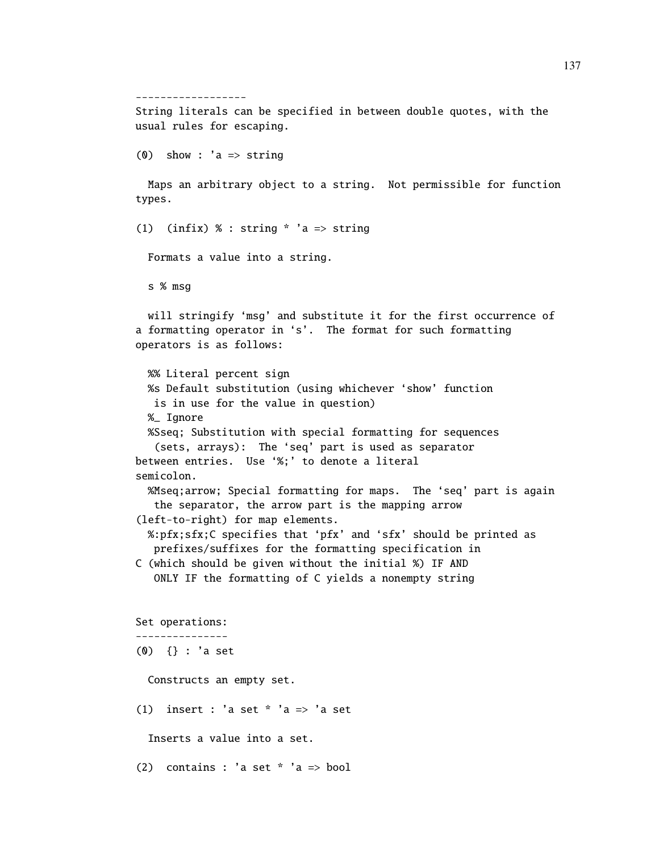------------------ String literals can be specified in between double quotes, with the usual rules for escaping.

```
(0) show : 'a => string
```
Maps an arbitrary object to a string. Not permissible for function types.

(1) (infix) % : string  $*$  'a => string

Formats a value into a string.

s % msg

will stringify 'msg' and substitute it for the first occurrence of a formatting operator in 's'. The format for such formatting operators is as follows:

```
%% Literal percent sign
 %s Default substitution (using whichever 'show' function
  is in use for the value in question)
 %_ Ignore
 %Sseq; Substitution with special formatting for sequences
   (sets, arrays): The 'seq' part is used as separator
between entries. Use '%;' to denote a literal
semicolon.
  %Mseq;arrow; Special formatting for maps. The 'seq' part is again
   the separator, the arrow part is the mapping arrow
(left-to-right) for map elements.
 %:pfx;sfx;C specifies that 'pfx' and 'sfx' should be printed as
   prefixes/suffixes for the formatting specification in
C (which should be given without the initial %) IF AND
   ONLY IF the formatting of C yields a nonempty string
Set operations:
---------------
(0) {} : 'a set
 Constructs an empty set.
(1) insert : 'a set * 'a => 'a set
  Inserts a value into a set.
(2) contains : 'a set * 'a => bool
```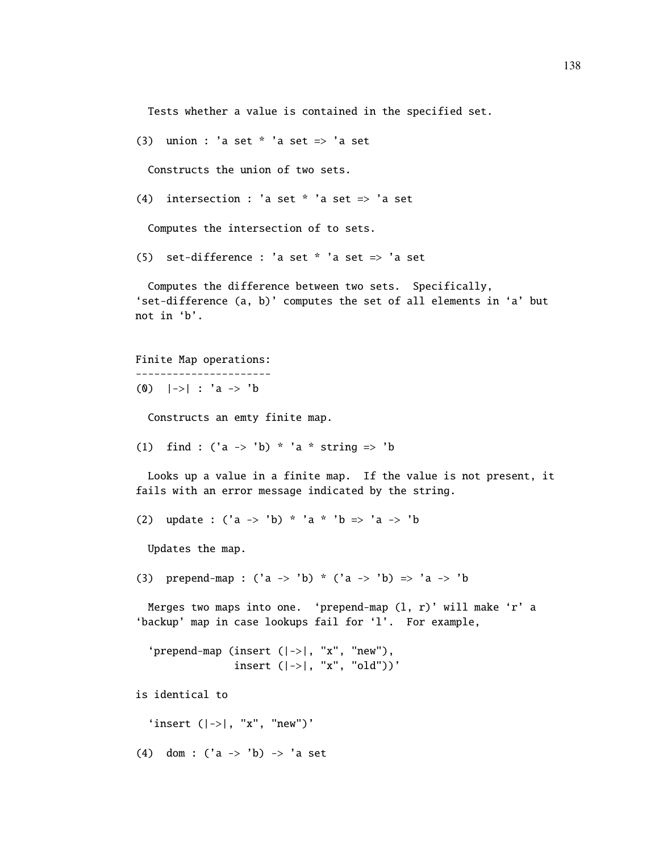Tests whether a value is contained in the specified set.

(3) union : 'a set  $*$  'a set  $\Rightarrow$  'a set

Constructs the union of two sets.

(4) intersection : 'a set  $*$  'a set  $\Rightarrow$  'a set

Computes the intersection of to sets.

(5) set-difference : 'a set  $*$  'a set  $\Rightarrow$  'a set

Computes the difference between two sets. Specifically, 'set-difference (a, b)' computes the set of all elements in 'a' but not in 'b'.

```
Finite Map operations:
----------------------
(0) |->| : 'a -> 'b
```
Constructs an emty finite map.

(1) find : ('a -> 'b) \* 'a \* string => 'b

Looks up a value in a finite map. If the value is not present, it fails with an error message indicated by the string.

(2) update :  $('a -> 'b) * 'a * 'b => 'a -> 'b$ 

Updates the map.

(3) prepend-map : ('a -> 'b) \* ('a -> 'b) => 'a -> 'b

Merges two maps into one. 'prepend-map (l, r)' will make 'r' a 'backup' map in case lookups fail for 'l'. For example,

```
'prepend-map (insert (|->|, "x", "new"),
              insert (|->|, "x", "old"))'
```
is identical to

'insert  $(|->|, "x", "new")'$ 

(4) dom :  $('a -> 'b) -> 'a set$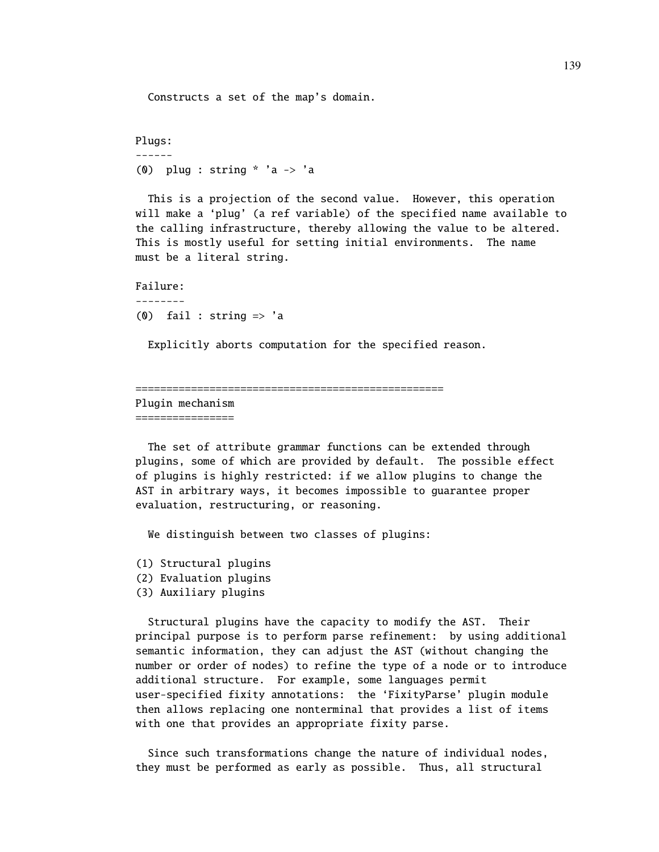Constructs a set of the map's domain.

```
Plugs:
------
(0) plug : string * 'a \rightarrow 'a
```
This is a projection of the second value. However, this operation will make a 'plug' (a ref variable) of the specified name available to the calling infrastructure, thereby allowing the value to be altered. This is mostly useful for setting initial environments. The name must be a literal string.

```
Failure:
--------
(0) fail : string \Rightarrow 'a
```
Explicitly aborts computation for the specified reason.

```
==================================================
```
Plugin mechanism ================

The set of attribute grammar functions can be extended through plugins, some of which are provided by default. The possible effect of plugins is highly restricted: if we allow plugins to change the AST in arbitrary ways, it becomes impossible to guarantee proper evaluation, restructuring, or reasoning.

We distinguish between two classes of plugins:

- (1) Structural plugins
- (2) Evaluation plugins
- (3) Auxiliary plugins

Structural plugins have the capacity to modify the AST. Their principal purpose is to perform parse refinement: by using additional semantic information, they can adjust the AST (without changing the number or order of nodes) to refine the type of a node or to introduce additional structure. For example, some languages permit user-specified fixity annotations: the 'FixityParse' plugin module then allows replacing one nonterminal that provides a list of items with one that provides an appropriate fixity parse.

Since such transformations change the nature of individual nodes, they must be performed as early as possible. Thus, all structural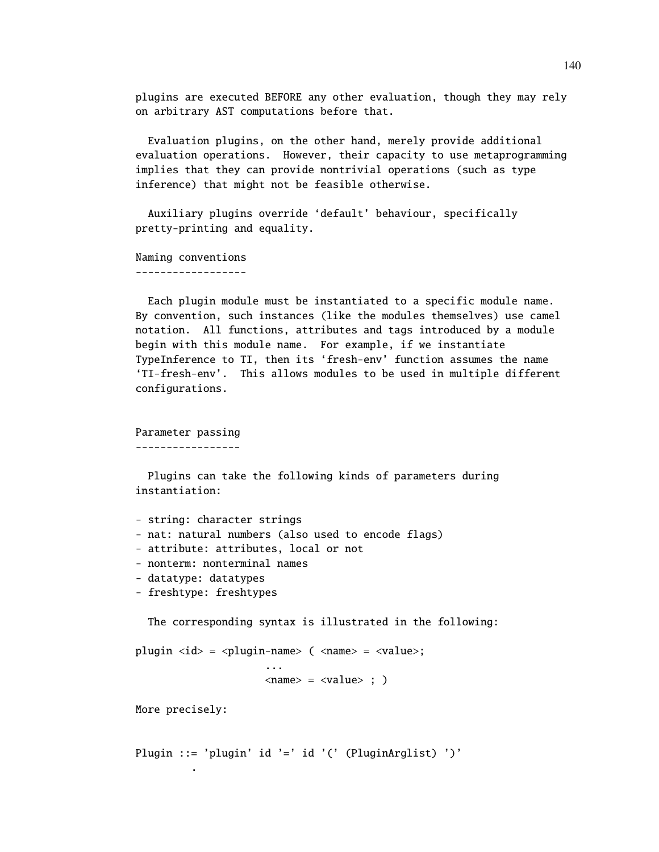plugins are executed BEFORE any other evaluation, though they may rely on arbitrary AST computations before that.

Evaluation plugins, on the other hand, merely provide additional evaluation operations. However, their capacity to use metaprogramming implies that they can provide nontrivial operations (such as type inference) that might not be feasible otherwise.

Auxiliary plugins override 'default' behaviour, specifically pretty-printing and equality.

Naming conventions ------------------

Each plugin module must be instantiated to a specific module name. By convention, such instances (like the modules themselves) use camel notation. All functions, attributes and tags introduced by a module begin with this module name. For example, if we instantiate TypeInference to TI, then its 'fresh-env' function assumes the name 'TI-fresh-env'. This allows modules to be used in multiple different configurations.

Parameter passing

-----------------

Plugins can take the following kinds of parameters during instantiation:

```
- string: character strings
- nat: natural numbers (also used to encode flags)
- attribute: attributes, local or not
- nonterm: nonterminal names
- datatype: datatypes
```
- freshtype: freshtypes

The corresponding syntax is illustrated in the following:

plugin <id> = <plugin-name> ( <name> = <value>; ...  $\langle$ name $\rangle$  =  $\langle$ value $\rangle$  ;  $\rangle$ 

More precisely:

.

Plugin ::= 'plugin' id '=' id '(' (PluginArglist) ')'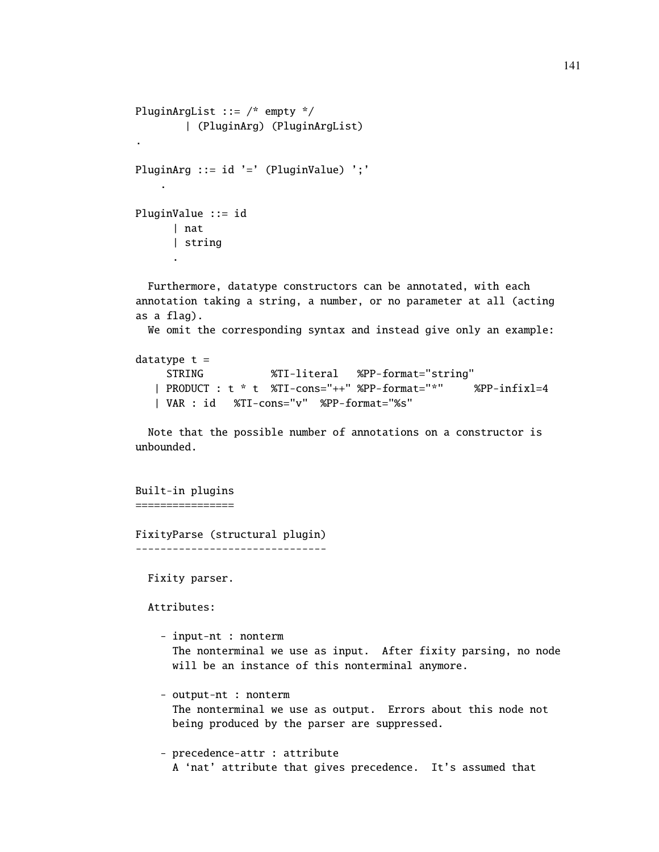```
PluginArgList ::= /* empty */
        | (PluginArg) (PluginArgList)
.
PluginArg ::= id '=' (PluginValue) ';'
    .
PluginValue ::= id
      | nat
      | string
      .
  Furthermore, datatype constructors can be annotated, with each
```

```
annotation taking a string, a number, or no parameter at all (acting
as a flag).
 We omit the corresponding syntax and instead give only an example:
datatype t =
    STRING %TI-literal %PP-format="string"
  | PRODUCT : t * t %TI-cons="++" %PP-format="*" %PP-infixl=4
```

```
| VAR : id %TI-cons="v" %PP-format="%s"
```
Note that the possible number of annotations on a constructor is unbounded.

Built-in plugins ================

FixityParse (structural plugin) -------------------------------

Fixity parser.

Attributes:

- input-nt : nonterm The nonterminal we use as input. After fixity parsing, no node will be an instance of this nonterminal anymore.
- output-nt : nonterm The nonterminal we use as output. Errors about this node not being produced by the parser are suppressed.

- precedence-attr : attribute A 'nat' attribute that gives precedence. It's assumed that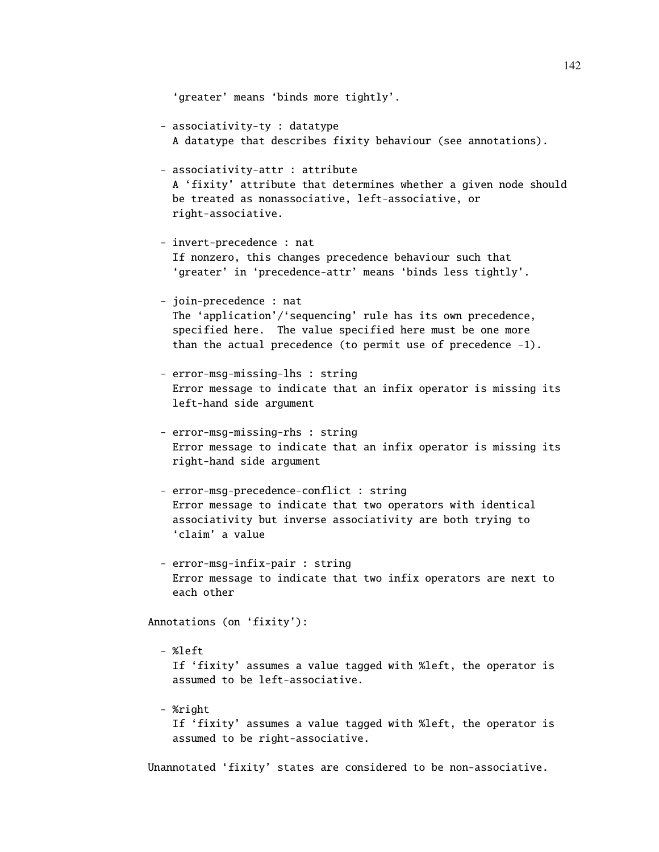```
'greater' means 'binds more tightly'.
  - associativity-ty : datatype
    A datatype that describes fixity behaviour (see annotations).
  - associativity-attr : attribute
    A 'fixity' attribute that determines whether a given node should
   be treated as nonassociative, left-associative, or
   right-associative.
  - invert-precedence : nat
    If nonzero, this changes precedence behaviour such that
    'greater' in 'precedence-attr' means 'binds less tightly'.
  - join-precedence : nat
    The 'application'/'sequencing' rule has its own precedence,
    specified here. The value specified here must be one more
    than the actual precedence (to permit use of precedence -1).
  - error-msg-missing-lhs : string
    Error message to indicate that an infix operator is missing its
    left-hand side argument
  - error-msg-missing-rhs : string
   Error message to indicate that an infix operator is missing its
   right-hand side argument
  - error-msg-precedence-conflict : string
    Error message to indicate that two operators with identical
    associativity but inverse associativity are both trying to
    'claim' a value
  - error-msg-infix-pair : string
   Error message to indicate that two infix operators are next to
    each other
Annotations (on 'fixity'):
  - %left
    If 'fixity' assumes a value tagged with %left, the operator is
    assumed to be left-associative.
  - %right
```
If 'fixity' assumes a value tagged with %left, the operator is assumed to be right-associative.

Unannotated 'fixity' states are considered to be non-associative.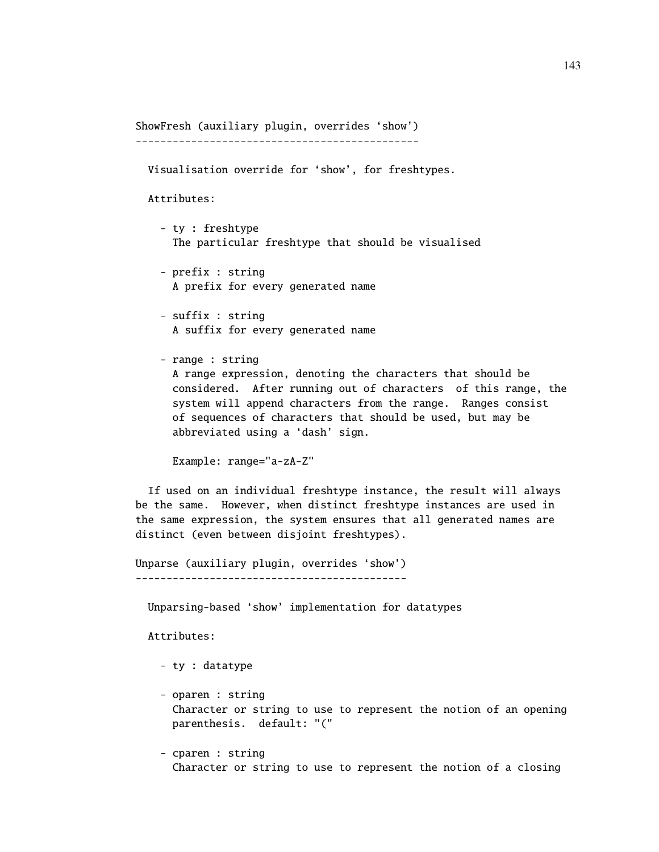ShowFresh (auxiliary plugin, overrides 'show') ----------------------------------------------

Visualisation override for 'show', for freshtypes.

Attributes:

- ty : freshtype The particular freshtype that should be visualised
- prefix : string A prefix for every generated name
- suffix : string A suffix for every generated name
- range : string A range expression, denoting the characters that should be considered. After running out of characters of this range, the system will append characters from the range. Ranges consist of sequences of characters that should be used, but may be abbreviated using a 'dash' sign.

Example: range="a-zA-Z"

If used on an individual freshtype instance, the result will always be the same. However, when distinct freshtype instances are used in the same expression, the system ensures that all generated names are distinct (even between disjoint freshtypes).

Unparse (auxiliary plugin, overrides 'show') --------------------------------------------

Unparsing-based 'show' implementation for datatypes

Attributes:

- ty : datatype
- oparen : string Character or string to use to represent the notion of an opening parenthesis. default: "("
- cparen : string Character or string to use to represent the notion of a closing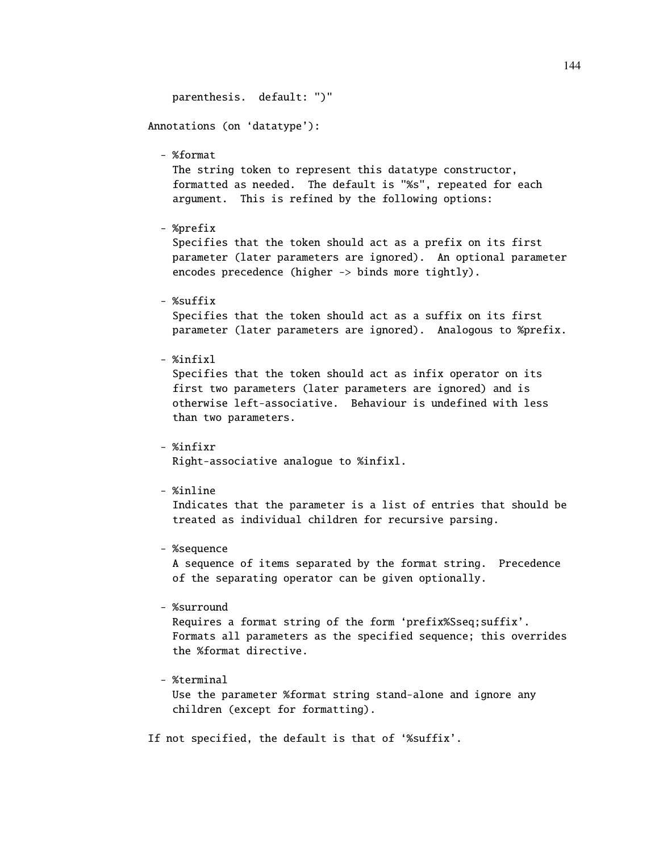parenthesis. default: ")" Annotations (on 'datatype'): - %format The string token to represent this datatype constructor, formatted as needed. The default is "%s", repeated for each argument. This is refined by the following options: - %prefix Specifies that the token should act as a prefix on its first parameter (later parameters are ignored). An optional parameter encodes precedence (higher -> binds more tightly). - %suffix Specifies that the token should act as a suffix on its first parameter (later parameters are ignored). Analogous to %prefix. - %infixl Specifies that the token should act as infix operator on its first two parameters (later parameters are ignored) and is otherwise left-associative. Behaviour is undefined with less than two parameters. - %infixr Right-associative analogue to %infixl. - %inline Indicates that the parameter is a list of entries that should be treated as individual children for recursive parsing. - %sequence A sequence of items separated by the format string. Precedence of the separating operator can be given optionally. - %surround Requires a format string of the form 'prefix%Sseq;suffix'. Formats all parameters as the specified sequence; this overrides the %format directive. - %terminal

Use the parameter %format string stand-alone and ignore any children (except for formatting).

If not specified, the default is that of '%suffix'.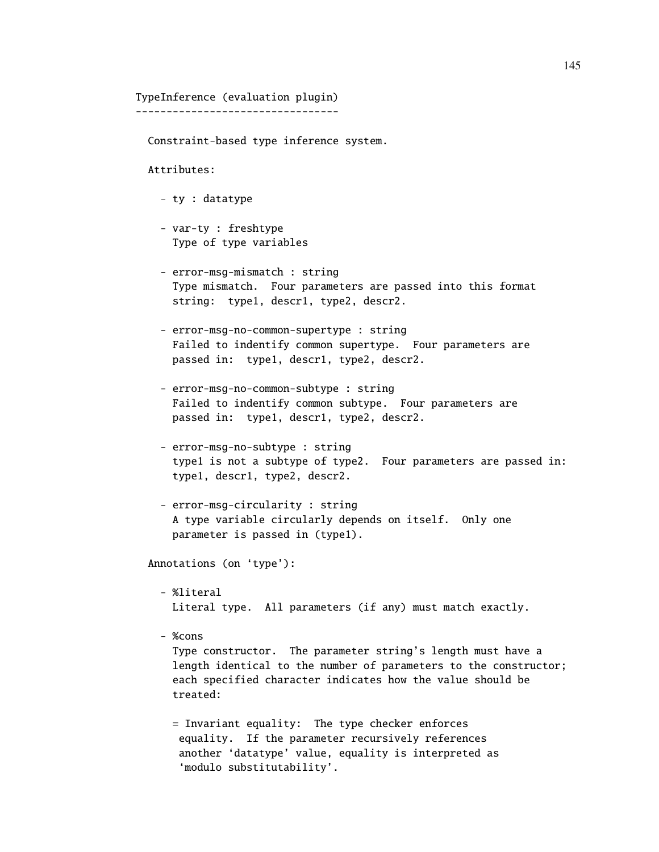## TypeInference (evaluation plugin)

---------------------------------

Constraint-based type inference system.

Attributes:

- ty : datatype
- var-ty : freshtype Type of type variables
- error-msg-mismatch : string Type mismatch. Four parameters are passed into this format string: type1, descr1, type2, descr2.
- error-msg-no-common-supertype : string Failed to indentify common supertype. Four parameters are passed in: type1, descr1, type2, descr2.
- error-msg-no-common-subtype : string Failed to indentify common subtype. Four parameters are passed in: type1, descr1, type2, descr2.
- error-msg-no-subtype : string type1 is not a subtype of type2. Four parameters are passed in: type1, descr1, type2, descr2.
- error-msg-circularity : string A type variable circularly depends on itself. Only one parameter is passed in (type1).

Annotations (on 'type'):

- %literal Literal type. All parameters (if any) must match exactly.
- %cons

Type constructor. The parameter string's length must have a length identical to the number of parameters to the constructor; each specified character indicates how the value should be treated:

= Invariant equality: The type checker enforces equality. If the parameter recursively references another 'datatype' value, equality is interpreted as 'modulo substitutability'.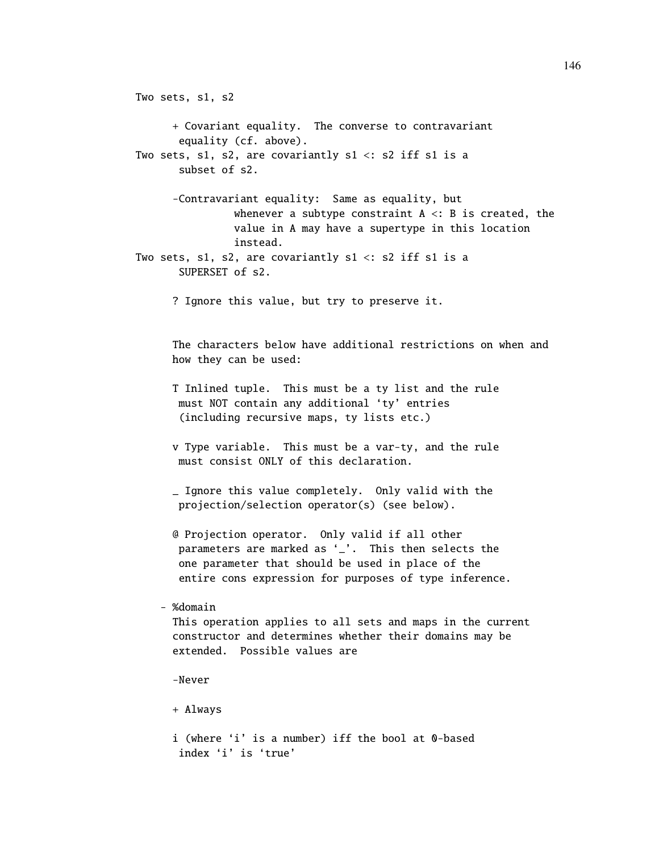```
Two sets, s1, s2
      + Covariant equality. The converse to contravariant
       equality (cf. above).
Two sets, s1, s2, are covariantly s1 < : s2 iff s1 is a
       subset of s2.
      -Contravariant equality: Same as equality, but
                whenever a subtype constraint A \leq B is created, the
                value in A may have a supertype in this location
                instead.
Two sets, s1, s2, are covariantly s1 < : s2 iff s1 is a
       SUPERSET of s2.
      ? Ignore this value, but try to preserve it.
      The characters below have additional restrictions on when and
      how they can be used:
      T Inlined tuple. This must be a ty list and the rule
       must NOT contain any additional 'ty' entries
       (including recursive maps, ty lists etc.)
      v Type variable. This must be a var-ty, and the rule
       must consist ONLY of this declaration.
      _ Ignore this value completely. Only valid with the
       projection/selection operator(s) (see below).
      @ Projection operator. Only valid if all other
       parameters are marked as '_'. This then selects the
       one parameter that should be used in place of the
       entire cons expression for purposes of type inference.
    - %domain
      This operation applies to all sets and maps in the current
      constructor and determines whether their domains may be
      extended. Possible values are
      -Never
      + Always
      i (where 'i' is a number) iff the bool at 0-based
       index 'i' is 'true'
```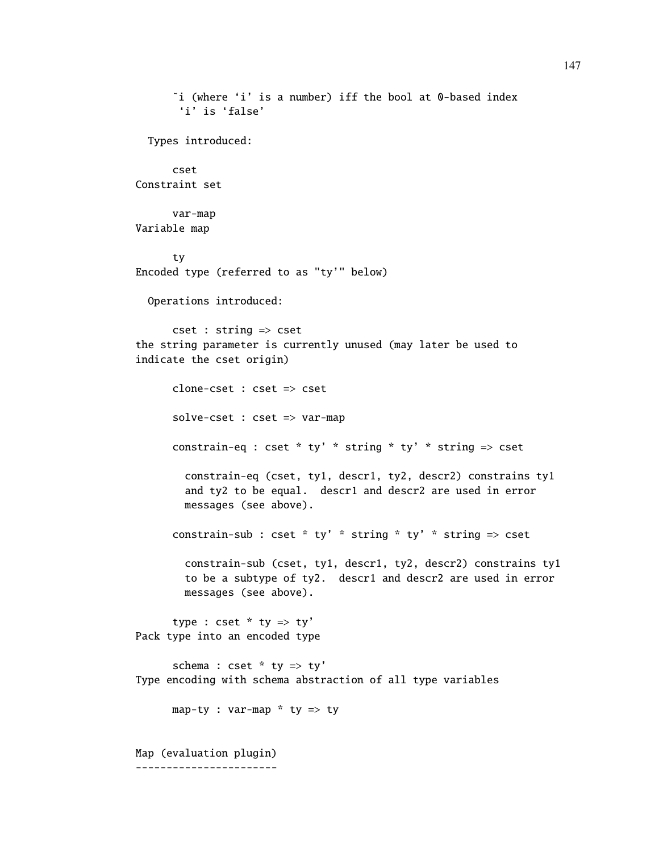```
˜i (where 'i' is a number) iff the bool at 0-based index
       'i' is 'false'
  Types introduced:
      cset
Constraint set
      var-map
Variable map
      ty
Encoded type (referred to as "ty'" below)
  Operations introduced:
      cset : string => cset
the string parameter is currently unused (may later be used to
indicate the cset origin)
      clone-cset : cset => cset
      solve-cset : cset => var-map
      constrain-eq : cset * ty' * string * ty' * string \Rightarrow cset
        constrain-eq (cset, ty1, descr1, ty2, descr2) constrains ty1
        and ty2 to be equal. descr1 and descr2 are used in error
        messages (see above).
      constrain-sub : cset * ty' * string * ty' * string => cset
        constrain-sub (cset, ty1, descr1, ty2, descr2) constrains ty1
        to be a subtype of ty2. descr1 and descr2 are used in error
        messages (see above).
      type : \csc * ty => ty'
Pack type into an encoded type
      schema : cset * ty => ty'
Type encoding with schema abstraction of all type variables
      map-ty : var-map * ty => ty
Map (evaluation plugin)
-----------------------
```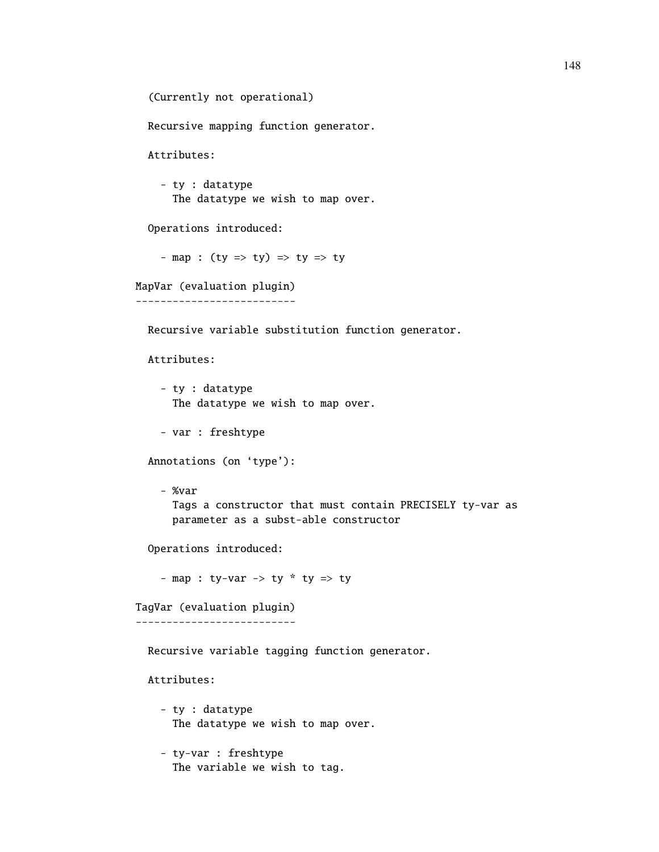(Currently not operational)

Recursive mapping function generator.

Attributes:

- ty : datatype The datatype we wish to map over.

Operations introduced:

- map : (ty => ty) => ty => ty

MapVar (evaluation plugin)

--------------------------

Recursive variable substitution function generator.

Attributes:

- ty : datatype The datatype we wish to map over.

- var : freshtype

Annotations (on 'type'):

- %var Tags a constructor that must contain PRECISELY ty-var as parameter as a subst-able constructor

Operations introduced:

- map : ty-var -> ty  $*$  ty => ty

TagVar (evaluation plugin) --------------------------

Recursive variable tagging function generator.

Attributes:

- ty : datatype The datatype we wish to map over.
- ty-var : freshtype The variable we wish to tag.